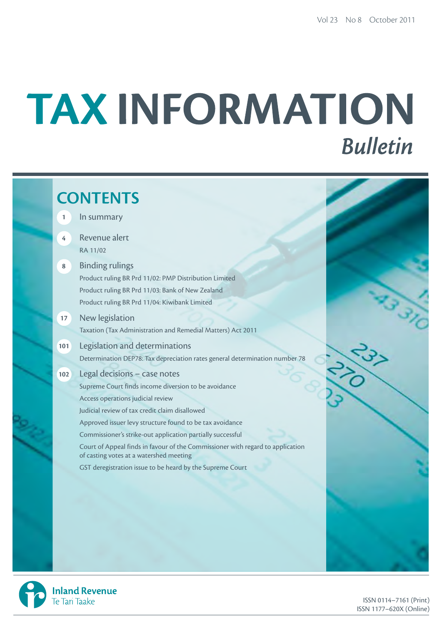# TAX INFORMATION **Bulletin**

|                | <b>CONTENTS</b>                                                                                                                                                                         |  |
|----------------|-----------------------------------------------------------------------------------------------------------------------------------------------------------------------------------------|--|
| $\mathbf{1}$   | In summary                                                                                                                                                                              |  |
| $\overline{4}$ | Revenue alert<br>RA 11/02                                                                                                                                                               |  |
| $\bf 8$        | <b>Binding rulings</b><br>Product ruling BR Prd 11/02: PMP Distribution Limited<br>Product ruling BR Prd 11/03: Bank of New Zealand<br>Product ruling BR Prd 11/04: Kiwibank Limited    |  |
| 17             | New legislation<br>Taxation (Tax Administration and Remedial Matters) Act 2011                                                                                                          |  |
| 101            | Legislation and determinations<br>Determination DEP78: Tax depreciation rates general determination number 78                                                                           |  |
| 102            | Legal decisions - case notes<br>Supreme Court finds income diversion to be avoidance                                                                                                    |  |
|                | Access operations judicial review<br>Judicial review of tax credit claim disallowed<br>Approved issuer levy structure found to be tax avoidance                                         |  |
|                | Commissioner's strike-out application partially successful<br>Court of Appeal finds in favour of the Commissioner with regard to application<br>of casting votes at a watershed meeting |  |
|                | GST deregistration issue to be heard by the Supreme Court                                                                                                                               |  |
|                |                                                                                                                                                                                         |  |
|                |                                                                                                                                                                                         |  |



ISSN 0114–7161 (Print) ISSN 1177–620X (Online)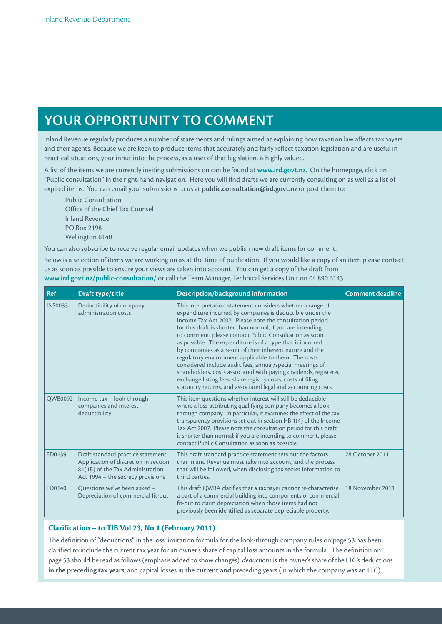# **YOUR OPPORTUNITY TO COMMENT**

Inland Revenue regularly produces a number of statements and rulings aimed at explaining how taxation law affects taxpayers and their agents. Because we are keen to produce items that accurately and fairly reflect taxation legislation and are useful in practical situations, your input into the process, as a user of that legislation, is highly valued.

A list of the items we are currently inviting submissions on can be found at **www.ird.govt.nz**. On the homepage, click on "Public consultation" in the right-hand navigation. Here you will find drafts we are currently consulting on as well as a list of expired items. You can email your submissions to us at **public.consultation@ird.govt.nz** or post them to:

Public Consultation Office of the Chief Tax Counsel Inland Revenue PO Box 2198 Wellington 6140

You can also subscribe to receive regular email updates when we publish new draft items for comment.

Below is a selection of items we are working on as at the time of publication. If you would like a copy of an item please contact us as soon as possible to ensure your views are taken into account. You can get a copy of the draft from **www.ird.govt.nz/public-consultation/** or call the Team Manager, Technical Services Unit on 04 890 6143.

| <b>Ref</b>     | Draft type/title                                                                                                                                    | Description/background information                                                                                                                                                                                                                                                                                                                                                                                                                                                                                                                                                                                                                                                                                                                                | <b>Comment deadline</b> |
|----------------|-----------------------------------------------------------------------------------------------------------------------------------------------------|-------------------------------------------------------------------------------------------------------------------------------------------------------------------------------------------------------------------------------------------------------------------------------------------------------------------------------------------------------------------------------------------------------------------------------------------------------------------------------------------------------------------------------------------------------------------------------------------------------------------------------------------------------------------------------------------------------------------------------------------------------------------|-------------------------|
| <b>INS0033</b> | Deductibility of company<br>administration costs                                                                                                    | This interpretation statement considers whether a range of<br>expenditure incurred by companies is deductible under the<br>Income Tax Act 2007. Please note the consultation period<br>for this draft is shorter than normal; if you are intending<br>to comment, please contact Public Consultation as soon<br>as possible. The expenditure is of a type that is incurred<br>by companies as a result of their inherent nature and the<br>regulatory environment applicable to them. The costs<br>considered include audit fees, annual/special meetings of<br>shareholders, costs associated with paying dividends, registered<br>exchange listing fees, share registry costs, costs of filing<br>statutory returns, and associated legal and accounting costs. |                         |
| QWB0092        | Income tax - look-through<br>companies and interest<br>deductibility                                                                                | This item questions whether interest will still be deductible<br>where a loss-attributing qualifying company becomes a look-<br>through company. In particular, it examines the effect of the tax<br>transparency provisions set out in section HB 1(4) of the Income<br>Tax Act 2007. Please note the consultation period for this draft<br>is shorter than normal; if you are intending to comment, please<br>contact Public Consultation as soon as possible.                                                                                                                                                                                                                                                                                                  |                         |
| ED0139         | Draft standard practice statement:<br>Application of discretion in section<br>81(1B) of the Tax Administration<br>Act 1994 - the secrecy provisions | This draft standard practice statement sets out the factors<br>28 October 2011<br>that Inland Revenue must take into account, and the process<br>that will be followed, when disclosing tax secret information to<br>third parties.                                                                                                                                                                                                                                                                                                                                                                                                                                                                                                                               |                         |
| ED0140         | Questions we've been asked -<br>Depreciation of commercial fit-out                                                                                  | 18 November 2011<br>This draft QWBA clarifies that a taxpayer cannot re-characterise<br>a part of a commercial building into components of commercial<br>fit-out to claim depreciation when those items had not<br>previously been identified as separate depreciable property.                                                                                                                                                                                                                                                                                                                                                                                                                                                                                   |                         |

## **Clarification – to TIB Vol 23, No 1 (February 2011)**

The definition of "deductions" in the loss limitation formula for the look-through company rules on page 53 has been clarified to include the current tax year for an owner's share of capital loss amounts in the formula. The definition on page 53 should be read as follows (emphasis added to show changes): *deductions* is the owner's share of the LTC's deductions **in the preceding tax years**, and capital losses in the **current and** preceding years (in which the company was an LTC).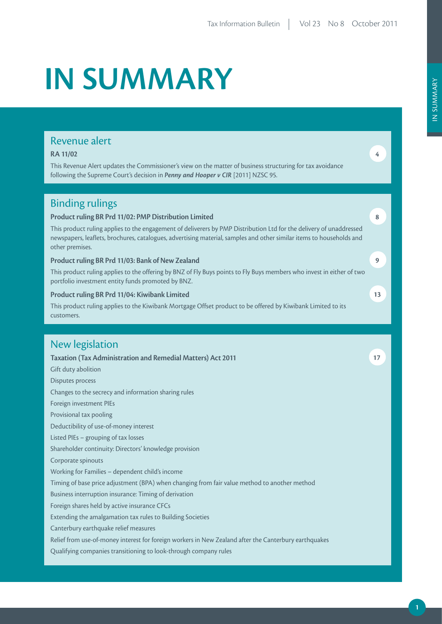# **IN SUMMARY**

## Revenue alert

## **RA 11/02**

This Revenue Alert updates the Commissioner's view on the matter of business structuring for tax avoidance following the Supreme Court's decision in *Penny and Hooper v CIR* [2011] NZSC 95.

## Binding rulings

## **Product ruling BR Prd 11/02: PMP Distribution Limited**

This product ruling applies to the engagement of deliverers by PMP Distribution Ltd for the delivery of unaddressed newspapers, leaflets, brochures, catalogues, advertising material, samples and other similar items to households and other premises.

## **Product ruling BR Prd 11/03: Bank of New Zealand**

This product ruling applies to the offering by BNZ of Fly Buys points to Fly Buys members who invest in either of two portfolio investment entity funds promoted by BNZ.

## **Product ruling BR Prd 11/04: Kiwibank Limited**

This product ruling applies to the Kiwibank Mortgage Offset product to be offered by Kiwibank Limited to its customers.

## New legislation

**Taxation (Tax Administration and Remedial Matters) Act 2011** Gift duty abolition Disputes process Changes to the secrecy and information sharing rules Foreign investment PIEs Provisional tax pooling Deductibility of use-of-money interest Listed PIEs – grouping of tax losses Shareholder continuity: Directors' knowledge provision Corporate spinouts Working for Families – dependent child's income Timing of base price adjustment (BPA) when changing from fair value method to another method Business interruption insurance: Timing of derivation Foreign shares held by active insurance CFCs Extending the amalgamation tax rules to Building Societies Canterbury earthquake relief measures Relief from use-of-money interest for foreign workers in New Zealand after the Canterbury earthquakes Qualifying companies transitioning to look-through company rules

**4**

**8**

**9**

**13**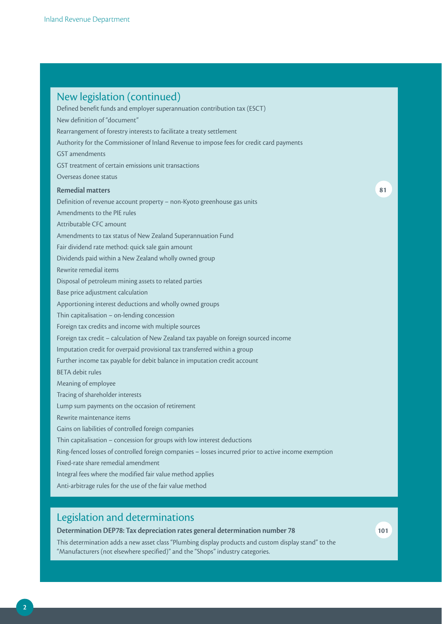| New legislation (continued)<br>Defined benefit funds and employer superannuation contribution tax (ESCT)<br>New definition of "document"<br>Rearrangement of forestry interests to facilitate a treaty settlement<br>Authority for the Commissioner of Inland Revenue to impose fees for credit card payments |    |
|---------------------------------------------------------------------------------------------------------------------------------------------------------------------------------------------------------------------------------------------------------------------------------------------------------------|----|
| <b>GST</b> amendments                                                                                                                                                                                                                                                                                         |    |
| GST treatment of certain emissions unit transactions                                                                                                                                                                                                                                                          |    |
| Overseas donee status                                                                                                                                                                                                                                                                                         |    |
| <b>Remedial matters</b>                                                                                                                                                                                                                                                                                       | 81 |
| Definition of revenue account property - non-Kyoto greenhouse gas units                                                                                                                                                                                                                                       |    |
| Amendments to the PIE rules                                                                                                                                                                                                                                                                                   |    |
| Attributable CFC amount                                                                                                                                                                                                                                                                                       |    |
| Amendments to tax status of New Zealand Superannuation Fund                                                                                                                                                                                                                                                   |    |
| Fair dividend rate method: quick sale gain amount                                                                                                                                                                                                                                                             |    |
| Dividends paid within a New Zealand wholly owned group                                                                                                                                                                                                                                                        |    |
| Rewrite remedial items                                                                                                                                                                                                                                                                                        |    |
| Disposal of petroleum mining assets to related parties                                                                                                                                                                                                                                                        |    |
| Base price adjustment calculation                                                                                                                                                                                                                                                                             |    |
| Apportioning interest deductions and wholly owned groups                                                                                                                                                                                                                                                      |    |
| Thin capitalisation - on-lending concession                                                                                                                                                                                                                                                                   |    |
| Foreign tax credits and income with multiple sources                                                                                                                                                                                                                                                          |    |
| Foreign tax credit - calculation of New Zealand tax payable on foreign sourced income                                                                                                                                                                                                                         |    |
| Imputation credit for overpaid provisional tax transferred within a group                                                                                                                                                                                                                                     |    |
| Further income tax payable for debit balance in imputation credit account                                                                                                                                                                                                                                     |    |
| <b>BETA</b> debit rules                                                                                                                                                                                                                                                                                       |    |
| Meaning of employee                                                                                                                                                                                                                                                                                           |    |
| Tracing of shareholder interests                                                                                                                                                                                                                                                                              |    |
| Lump sum payments on the occasion of retirement                                                                                                                                                                                                                                                               |    |
| Rewrite maintenance items                                                                                                                                                                                                                                                                                     |    |
| Gains on liabilities of controlled foreign companies                                                                                                                                                                                                                                                          |    |
| Thin capitalisation - concession for groups with low interest deductions                                                                                                                                                                                                                                      |    |
| Ring-fenced losses of controlled foreign companies - losses incurred prior to active income exemption<br>Fixed-rate share remedial amendment                                                                                                                                                                  |    |
|                                                                                                                                                                                                                                                                                                               |    |
| Integral fees where the modified fair value method applies<br>Anti-arbitrage rules for the use of the fair value method                                                                                                                                                                                       |    |
|                                                                                                                                                                                                                                                                                                               |    |

## Legislation and determinations

**Determination DEP78: Tax depreciation rates general determination number 78** This determination adds a new asset class "Plumbing display products and custom display stand" to the "Manufacturers (not elsewhere specified)" and the "Shops" industry categories.

**101**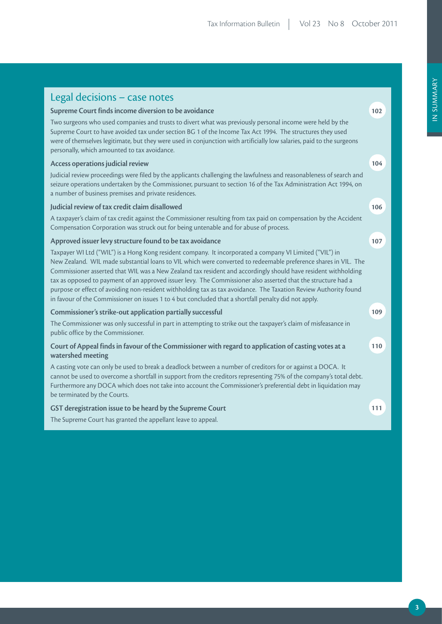| Legal decisions - case notes                                                                                                                                                                                                                                                                                                                                                                                                                                                                                                                                                                                                                                                               |     |
|--------------------------------------------------------------------------------------------------------------------------------------------------------------------------------------------------------------------------------------------------------------------------------------------------------------------------------------------------------------------------------------------------------------------------------------------------------------------------------------------------------------------------------------------------------------------------------------------------------------------------------------------------------------------------------------------|-----|
| Supreme Court finds income diversion to be avoidance                                                                                                                                                                                                                                                                                                                                                                                                                                                                                                                                                                                                                                       | 102 |
| Two surgeons who used companies and trusts to divert what was previously personal income were held by the<br>Supreme Court to have avoided tax under section BG 1 of the Income Tax Act 1994. The structures they used<br>were of themselves legitimate, but they were used in conjunction with artificially low salaries, paid to the surgeons<br>personally, which amounted to tax avoidance.                                                                                                                                                                                                                                                                                            |     |
| Access operations judicial review                                                                                                                                                                                                                                                                                                                                                                                                                                                                                                                                                                                                                                                          | 104 |
| Judicial review proceedings were filed by the applicants challenging the lawfulness and reasonableness of search and<br>seizure operations undertaken by the Commissioner, pursuant to section 16 of the Tax Administration Act 1994, on<br>a number of business premises and private residences.                                                                                                                                                                                                                                                                                                                                                                                          |     |
| Judicial review of tax credit claim disallowed                                                                                                                                                                                                                                                                                                                                                                                                                                                                                                                                                                                                                                             | 106 |
| A taxpayer's claim of tax credit against the Commissioner resulting from tax paid on compensation by the Accident<br>Compensation Corporation was struck out for being untenable and for abuse of process.                                                                                                                                                                                                                                                                                                                                                                                                                                                                                 |     |
| Approved issuer levy structure found to be tax avoidance                                                                                                                                                                                                                                                                                                                                                                                                                                                                                                                                                                                                                                   | 107 |
| Taxpayer WI Ltd ("WIL") is a Hong Kong resident company. It incorporated a company VI Limited ("VIL") in<br>New Zealand. WIL made substantial loans to VIL which were converted to redeemable preference shares in VIL. The<br>Commissioner asserted that WIL was a New Zealand tax resident and accordingly should have resident withholding<br>tax as opposed to payment of an approved issuer levy. The Commissioner also asserted that the structure had a<br>purpose or effect of avoiding non-resident withholding tax as tax avoidance. The Taxation Review Authority found<br>in favour of the Commissioner on issues 1 to 4 but concluded that a shortfall penalty did not apply. |     |
| Commissioner's strike-out application partially successful                                                                                                                                                                                                                                                                                                                                                                                                                                                                                                                                                                                                                                 | 109 |
| The Commissioner was only successful in part in attempting to strike out the taxpayer's claim of misfeasance in<br>public office by the Commissioner.                                                                                                                                                                                                                                                                                                                                                                                                                                                                                                                                      |     |
| Court of Appeal finds in favour of the Commissioner with regard to application of casting votes at a<br>watershed meeting                                                                                                                                                                                                                                                                                                                                                                                                                                                                                                                                                                  | 110 |
| A casting vote can only be used to break a deadlock between a number of creditors for or against a DOCA. It<br>cannot be used to overcome a shortfall in support from the creditors representing 75% of the company's total debt.<br>Furthermore any DOCA which does not take into account the Commissioner's preferential debt in liquidation may<br>be terminated by the Courts.                                                                                                                                                                                                                                                                                                         |     |
| GST deregistration issue to be heard by the Supreme Court                                                                                                                                                                                                                                                                                                                                                                                                                                                                                                                                                                                                                                  | 111 |
| The Supreme Court has granted the appellant leave to appeal.                                                                                                                                                                                                                                                                                                                                                                                                                                                                                                                                                                                                                               |     |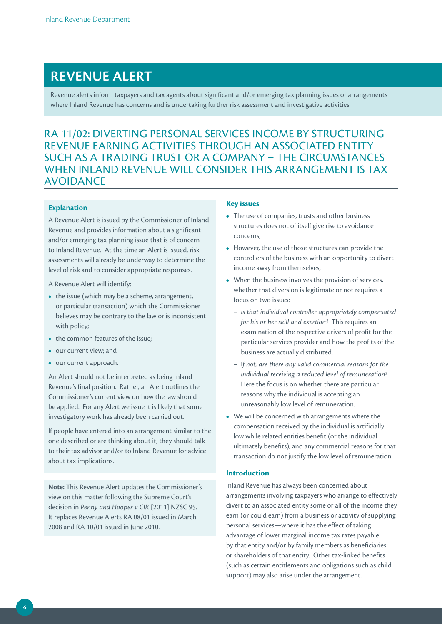# **REVENUE ALERT**

Revenue alerts inform taxpayers and tax agents about significant and/or emerging tax planning issues or arrangements where Inland Revenue has concerns and is undertaking further risk assessment and investigative activities.

## RA 11/02: DIVERTING PERSONAL SERVICES INCOME BY STRUCTURING REVENUE EARNING ACTIVITIES THROUGH AN ASSOCIATED ENTITY SUCH AS A TRADING TRUST OR A COMPANY – THE CIRCUMSTANCES WHEN INLAND REVENUE WILL CONSIDER THIS ARRANGEMENT IS TAX AVOIDANCE

## **Explanation**

A Revenue Alert is issued by the Commissioner of Inland Revenue and provides information about a significant and/or emerging tax planning issue that is of concern to Inland Revenue. At the time an Alert is issued, risk assessments will already be underway to determine the level of risk and to consider appropriate responses.

A Revenue Alert will identify:

- the issue (which may be a scheme, arrangement, or particular transaction) which the Commissioner believes may be contrary to the law or is inconsistent with policy;
- the common features of the issue;
- **•**  our current view; and
- **•**  our current approach.

An Alert should not be interpreted as being Inland Revenue's final position. Rather, an Alert outlines the Commissioner's current view on how the law should be applied. For any Alert we issue it is likely that some investigatory work has already been carried out.

If people have entered into an arrangement similar to the one described or are thinking about it, they should talk to their tax advisor and/or to Inland Revenue for advice about tax implications.

**Note:** This Revenue Alert updates the Commissioner's view on this matter following the Supreme Court's decision in *Penny and Hooper v CIR* [2011] NZSC 95. It replaces Revenue Alerts RA 08/01 issued in March 2008 and RA 10/01 issued in June 2010.

#### **Key issues**

- **•**  The use of companies, trusts and other business structures does not of itself give rise to avoidance concerns;
- **•**  However, the use of those structures can provide the controllers of the business with an opportunity to divert income away from themselves;
- **•**  When the business involves the provision of services, whether that diversion is legitimate or not requires a focus on two issues:
	- *Is that individual controller appropriately compensated for his or her skill and exertion?* This requires an examination of the respective drivers of profit for the particular services provider and how the profits of the business are actually distributed.
	- I*f not, are there any valid commercial reasons for the individual receiving a reduced level of remuneration?* Here the focus is on whether there are particular reasons why the individual is accepting an unreasonably low level of remuneration.
- **•**  We will be concerned with arrangements where the compensation received by the individual is artificially low while related entities benefit (or the individual ultimately benefits), and any commercial reasons for that transaction do not justify the low level of remuneration.

## **Introduction**

Inland Revenue has always been concerned about arrangements involving taxpayers who arrange to effectively divert to an associated entity some or all of the income they earn (or could earn) from a business or activity of supplying personal services—where it has the effect of taking advantage of lower marginal income tax rates payable by that entity and/or by family members as beneficiaries or shareholders of that entity. Other tax-linked benefits (such as certain entitlements and obligations such as child support) may also arise under the arrangement.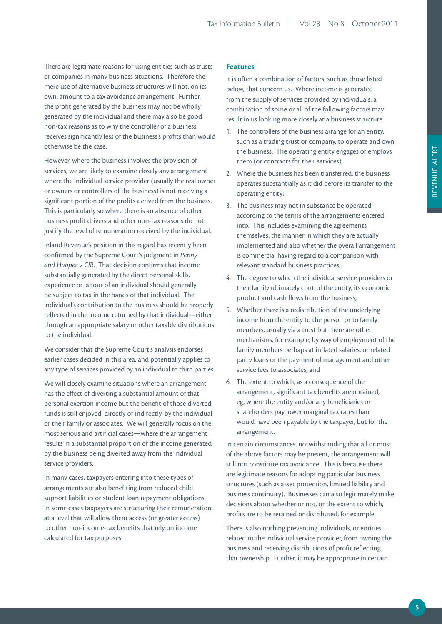There are legitimate reasons for using entities such as trusts or companies in many business situations. Therefore the mere use of alternative business structures will not, on its own, amount to a tax avoidance arrangement. Further, the profit generated by the business may not be wholly generated by the individual and there may also be good non-tax reasons as to why the controller of a business receives significantly less of the business's profits than would otherwise be the case.

However, where the business involves the provision of services, we are likely to examine closely any arrangement where the individual service provider (usually the real owner or owners or controllers of the business) is not receiving a significant portion of the profits derived from the business. This is particularly so where there is an absence of other business profit drivers and other non-tax reasons do not justify the level of remuneration received by the individual.

Inland Revenue's position in this regard has recently been confirmed by the Supreme Court's judgment in *Penny and Hooper v CIR*. That decision confirms that income substantially generated by the direct personal skills, experience or labour of an individual should generally be subject to tax in the hands of that individual. The individual's contribution to the business should be properly reflected in the income returned by that individual—either through an appropriate salary or other taxable distributions to the individual.

We consider that the Supreme Court's analysis endorses earlier cases decided in this area, and potentially applies to any type of services provided by an individual to third parties.

We will closely examine situations where an arrangement has the effect of diverting a substantial amount of that personal exertion income but the benefit of those diverted funds is still enjoyed, directly or indirectly, by the individual or their family or associates. We will generally focus on the most serious and artificial cases—where the arrangement results in a substantial proportion of the income generated by the business being diverted away from the individual service providers.

In many cases, taxpayers entering into these types of arrangements are also benefiting from reduced child support liabilities or student loan repayment obligations. In some cases taxpayers are structuring their remuneration at a level that will allow them access (or greater access) to other non-income-tax benefits that rely on income calculated for tax purposes.

## **Features**

It is often a combination of factors, such as those listed below, that concern us. Where income is generated from the supply of services provided by individuals, a combination of some or all of the following factors may result in us looking more closely at a business structure:

- 1. The controllers of the business arrange for an entity, such as a trading trust or company, to operate and own the business. The operating entity engages or employs them (or contracts for their services);
- 2. Where the business has been transferred, the business operates substantially as it did before its transfer to the operating entity;
- 3. The business may not in substance be operated according to the terms of the arrangements entered into. This includes examining the agreements themselves, the manner in which they are actually implemented and also whether the overall arrangement is commercial having regard to a comparison with relevant standard business practices;
- 4. The degree to which the individual service providers or their family ultimately control the entity, its economic product and cash flows from the business;
- 5. Whether there is a redistribution of the underlying income from the entity to the person or to family members, usually via a trust but there are other mechanisms, for example, by way of employment of the family members perhaps at inflated salaries, or related party loans or the payment of management and other service fees to associates; and
- 6. The extent to which, as a consequence of the arrangement, significant tax benefits are obtained, eg, where the entity and/or any beneficiaries or shareholders pay lower marginal tax rates than would have been payable by the taxpayer, but for the arrangement.

In certain circumstances, notwithstanding that all or most of the above factors may be present, the arrangement will still not constitute tax avoidance. This is because there are legitimate reasons for adopting particular business structures (such as asset protection, limited liability and business continuity). Businesses can also legitimately make decisions about whether or not, or the extent to which, profits are to be retained or distributed, for example.

There is also nothing preventing individuals, or entities related to the individual service provider, from owning the business and receiving distributions of profit reflecting that ownership. Further, it may be appropriate in certain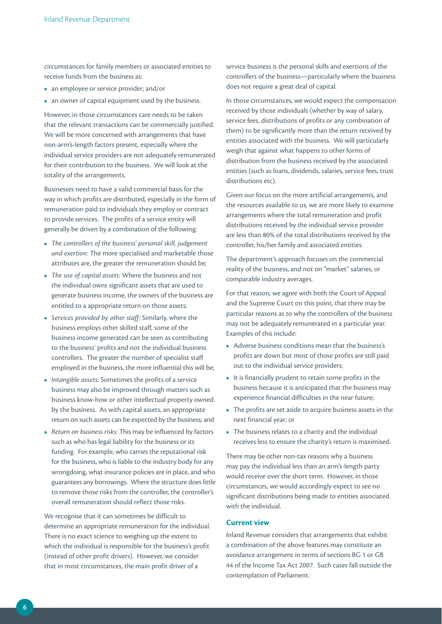circumstances for family members or associated entities to receive funds from the business as:

- an employee or service provider; and/or
- an owner of capital equipment used by the business.

However, in those circumstances care needs to be taken that the relevant transactions can be commercially justified. We will be more concerned with arrangements that have non-arm's-length factors present, especially where the individual service providers are not adequately remunerated for their contribution to the business. We will look at the totality of the arrangements.

Businesses need to have a valid commercial basis for the way in which profits are distributed, especially in the form of remuneration paid to individuals they employ or contract to provide services. The profits of a service entity will generally be driven by a combination of the following:

- **•**  *The controllers of the business' personal skill, judgement and exertion:* The more specialised and marketable those attributes are, the greater the remuneration should be;
- **•**  *The use of capital assets:* Where the business and not the individual owns significant assets that are used to generate business income, the owners of the business are entitled to a appropriate return on those assets;
- **•**  *Services provided by other staff:* Similarly, where the business employs other skilled staff, some of the business income generated can be seen as contributing to the business' profits and not the individual business controllers. The greater the number of specialist staff employed in the business, the more influential this will be;
- **•**  *Intangible assets:* Sometimes the profits of a service business may also be improved through matters such as business know-how or other intellectual property owned by the business. As with capital assets, an appropriate return on such assets can be expected by the business; and
- **•**  *Return on business risks:* This may be influenced by factors such as who has legal liability for the business or its funding. For example, who carries the reputational risk for the business, who is liable to the industry body for any wrongdoing, what insurance policies are in place, and who guarantees any borrowings. Where the structure does little to remove those risks from the controller, the controller's overall remuneration should reflect those risks.

We recognise that it can sometimes be difficult to determine an appropriate remuneration for the individual. There is no exact science to weighing up the extent to which the individual is responsible for the business's profit (instead of other profit drivers). However, we consider that in most circumstances, the main profit driver of a

service business is the personal skills and exertions of the controllers of the business—particularly where the business does not require a great deal of capital.

In those circumstances, we would expect the compensation received by those individuals (whether by way of salary, service fees, distributions of profits or any combination of them) to be significantly more than the return received by entities associated with the business. We will particularly weigh that against what happens to other forms of distribution from the business received by the associated entities (such as loans, dividends, salaries, service fees, trust distributions etc).

Given our focus on the more artificial arrangements, and the resources available to us, we are more likely to examine arrangements where the total remuneration and profit distributions received by the individual service provider are less than 80% of the total distributions received by the controller, his/her family and associated entities.

The department's approach focuses on the commercial reality of the business, and not on "market" salaries, or comparable industry averages.

For that reason, we agree with both the Court of Appeal and the Supreme Court on this point, that there may be particular reasons as to why the controllers of the business may not be adequately remunerated in a particular year. Examples of this include:

- **•**  Adverse business conditions mean that the business's profits are down but most of those profits are still paid out to the individual service providers;
- **•**  It is financially prudent to retain some profits in the business because it is anticipated that the business may experience financial difficulties in the near future;
- **•**  The profits are set aside to acquire business assets in the next financial year; or
- The business relates to a charity and the individual receives less to ensure the charity's return is maximised.

There may be other non-tax reasons why a business may pay the individual less than an arm's-length party would receive over the short term. However, in those circumstances, we would accordingly expect to see no significant distributions being made to entities associated with the individual.

## **Current view**

Inland Revenue considers that arrangements that exhibit a combination of the above features may constitute an avoidance arrangement in terms of sections BG 1 or GB 44 of the Income Tax Act 2007. Such cases fall outside the contemplation of Parliament.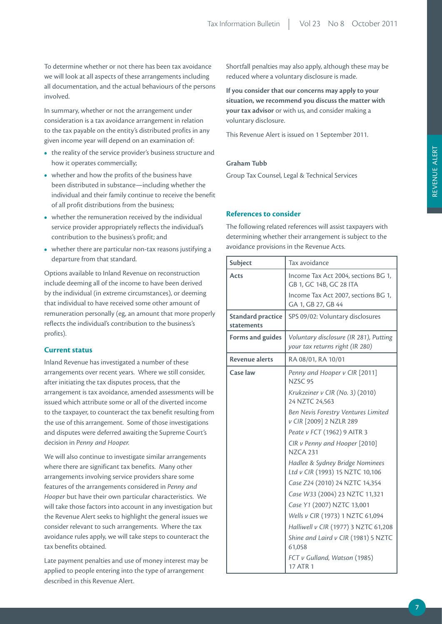To determine whether or not there has been tax avoidance we will look at all aspects of these arrangements including all documentation, and the actual behaviours of the persons involved.

In summary, whether or not the arrangement under consideration is a tax avoidance arrangement in relation to the tax payable on the entity's distributed profits in any given income year will depend on an examination of:

- the reality of the service provider's business structure and how it operates commercially;
- whether and how the profits of the business have been distributed in substance—including whether the individual and their family continue to receive the benefit of all profit distributions from the business;
- whether the remuneration received by the individual service provider appropriately reflects the individual's contribution to the business's profit; and
- whether there are particular non-tax reasons justifying a departure from that standard.

Options available to Inland Revenue on reconstruction include deeming all of the income to have been derived by the individual (in extreme circumstances), or deeming that individual to have received some other amount of remuneration personally (eg, an amount that more properly reflects the individual's contribution to the business's profits).

## **Current status**

Inland Revenue has investigated a number of these arrangements over recent years. Where we still consider, after initiating the tax disputes process, that the arrangement is tax avoidance, amended assessments will be issued which attribute some or all of the diverted income to the taxpayer, to counteract the tax benefit resulting from the use of this arrangement. Some of those investigations and disputes were deferred awaiting the Supreme Court's decision in *Penny and Hooper.*

We will also continue to investigate similar arrangements where there are significant tax benefits. Many other arrangements involving service providers share some features of the arrangements considered in *Penny and Hooper* but have their own particular characteristics. We will take those factors into account in any investigation but the Revenue Alert seeks to highlight the general issues we consider relevant to such arrangements. Where the tax avoidance rules apply, we will take steps to counteract the tax benefits obtained.

Late payment penalties and use of money interest may be applied to people entering into the type of arrangement described in this Revenue Alert.

Shortfall penalties may also apply, although these may be reduced where a voluntary disclosure is made.

**If you consider that our concerns may apply to your situation, we recommend you discuss the matter with your tax advisor** or with us, and consider making a voluntary disclosure.

This Revenue Alert is issued on 1 September 2011.

## **Graham Tubb**

Group Tax Counsel, Legal & Technical Services

## **References to consider**

The following related references will assist taxpayers with determining whether their arrangement is subject to the avoidance provisions in the Revenue Acts.

| Subject                                       | Tax avoidance                                                             |  |
|-----------------------------------------------|---------------------------------------------------------------------------|--|
| Acts                                          | Income Tax Act 2004, sections BG 1,<br>GB 1, GC 14B, GC 28 ITA            |  |
|                                               | Income Tax Act 2007, sections BG 1,<br>GA 1, GB 27, GB 44                 |  |
| <b>Standard practice</b><br><b>statements</b> | SPS 09/02: Voluntary disclosures                                          |  |
| Forms and guides                              | Voluntary disclosure (IR 281), Putting<br>your tax returns right (IR 280) |  |
| <b>Revenue alerts</b>                         | RA 08/01, RA 10/01                                                        |  |
| Case law                                      | Penny and Hooper v CIR [2011]<br>NZSC 95                                  |  |
|                                               | Krukzeiner v CIR (No. 3) (2010)<br>24 NZTC 24,563                         |  |
|                                               | Ben Nevis Forestry Ventures Limited<br>v CIR [2009] 2 NZLR 289            |  |
|                                               | Peate v FCT (1962) 9 AITR 3                                               |  |
|                                               | CIR v Penny and Hooper [2010]<br><b>NZCA 231</b>                          |  |
|                                               | Hadlee & Sydney Bridge Nominees<br>Ltd v CIR (1993) 15 NZTC 10,106        |  |
|                                               | Case Z24 (2010) 24 NZTC 14,354                                            |  |
|                                               | Case W33 (2004) 23 NZTC 11,321                                            |  |
|                                               | Case Y1 (2007) NZTC 13,001                                                |  |
|                                               | Wells v CIR (1973) 1 NZTC 61,094                                          |  |
|                                               | Halliwell v CIR (1977) 3 NZTC 61,208                                      |  |
|                                               | Shine and Laird v CIR (1981) 5 NZTC<br>61,058                             |  |
|                                               | FCT v Gulland, Watson (1985)<br>17 ATR 1                                  |  |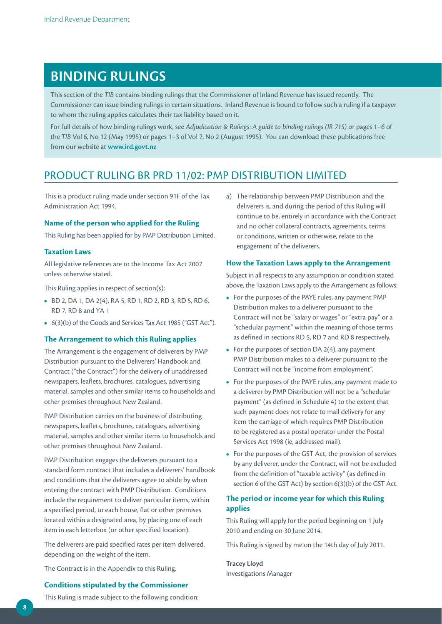# **BINDING RULINGS**

This section of the *TIB* contains binding rulings that the Commissioner of Inland Revenue has issued recently. The Commissioner can issue binding rulings in certain situations. Inland Revenue is bound to follow such a ruling if a taxpayer to whom the ruling applies calculates their tax liability based on it.

For full details of how binding rulings work, see *Adjudication & Rulings: A guide to binding rulings (IR 715)* or pages 1–6 of the *TIB* Vol 6, No 12 (May 1995) or pages 1–3 of Vol 7, No 2 (August 1995). You can download these publications free from our website at **www.ird.govt.nz**

## PRODUCT RULING BR PRD 11/02: PMP DISTRIBUTION LIMITED

This is a product ruling made under section 91F of the Tax Administration Act 1994.

## **Name of the person who applied for the Ruling**

This Ruling has been applied for by PMP Distribution Limited.

## **Taxation Laws**

All legislative references are to the Income Tax Act 2007 unless otherwise stated.

This Ruling applies in respect of section(s):

- **•**  BD 2, DA 1, DA 2(4), RA 5, RD 1, RD 2, RD 3, RD 5, RD 6, RD 7, RD 8 and YA 1
- **•**  6(3)(b) of the Goods and Services Tax Act 1985 ("GST Act").

## **The Arrangement to which this Ruling applies**

The Arrangement is the engagement of deliverers by PMP Distribution pursuant to the Deliverers' Handbook and Contract ("the Contract") for the delivery of unaddressed newspapers, leaflets, brochures, catalogues, advertising material, samples and other similar items to households and other premises throughout New Zealand.

PMP Distribution carries on the business of distributing newspapers, leaflets, brochures, catalogues, advertising material, samples and other similar items to households and other premises throughout New Zealand.

PMP Distribution engages the deliverers pursuant to a standard form contract that includes a deliverers' handbook and conditions that the deliverers agree to abide by when entering the contract with PMP Distribution. Conditions include the requirement to deliver particular items, within a specified period, to each house, flat or other premises located within a designated area, by placing one of each item in each letterbox (or other specified location).

The deliverers are paid specified rates per item delivered, depending on the weight of the item.

The Contract is in the Appendix to this Ruling.

## **Conditions stipulated by the Commissioner**

This Ruling is made subject to the following condition:

a) The relationship between PMP Distribution and the deliverers is, and during the period of this Ruling will continue to be, entirely in accordance with the Contract and no other collateral contracts, agreements, terms or conditions, written or otherwise, relate to the engagement of the deliverers.

## **How the Taxation Laws apply to the Arrangement**

Subject in all respects to any assumption or condition stated above, the Taxation Laws apply to the Arrangement as follows:

- **•**  For the purposes of the PAYE rules, any payment PMP Distribution makes to a deliverer pursuant to the Contract will not be "salary or wages" or "extra pay" or a "schedular payment" within the meaning of those terms as defined in sections RD 5, RD 7 and RD 8 respectively.
- **•**  For the purposes of section DA 2(4), any payment PMP Distribution makes to a deliverer pursuant to the Contract will not be "income from employment".
- **•**  For the purposes of the PAYE rules, any payment made to a deliverer by PMP Distribution will not be a "schedular payment" (as defined in Schedule 4) to the extent that such payment does not relate to mail delivery for any item the carriage of which requires PMP Distribution to be registered as a postal operator under the Postal Services Act 1998 (ie, addressed mail).
- **•**  For the purposes of the GST Act, the provision of services by any deliverer, under the Contract, will not be excluded from the definition of "taxable activity" (as defined in section 6 of the GST Act) by section 6(3)(b) of the GST Act.

## **The period or income year for which this Ruling applies**

This Ruling will apply for the period beginning on 1 July 2010 and ending on 30 June 2014.

This Ruling is signed by me on the 14th day of July 2011.

**Tracey Lloyd**  Investigations Manager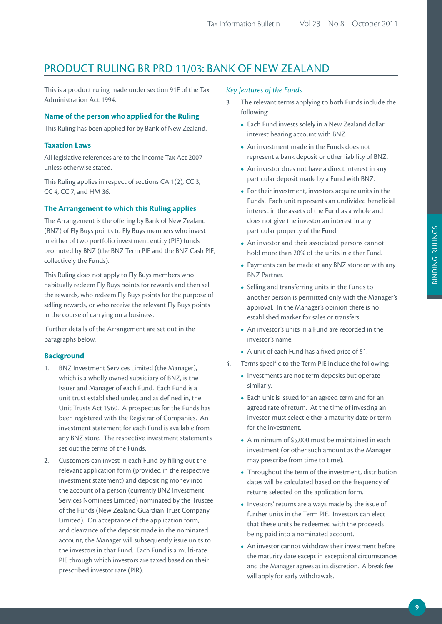## PRODUCT RULING BR PRD 11/03: BANK OF NEW ZEALAND

This is a product ruling made under section 91F of the Tax Administration Act 1994.

## **Name of the person who applied for the Ruling**

This Ruling has been applied for by Bank of New Zealand.

## **Taxation Laws**

All legislative references are to the Income Tax Act 2007 unless otherwise stated.

This Ruling applies in respect of sections CA 1(2), CC 3, CC 4, CC 7, and HM 36.

## **The Arrangement to which this Ruling applies**

The Arrangement is the offering by Bank of New Zealand (BNZ) of Fly Buys points to Fly Buys members who invest in either of two portfolio investment entity (PIE) funds promoted by BNZ (the BNZ Term PIE and the BNZ Cash PIE, collectively the Funds).

This Ruling does not apply to Fly Buys members who habitually redeem Fly Buys points for rewards and then sell the rewards, who redeem Fly Buys points for the purpose of selling rewards, or who receive the relevant Fly Buys points in the course of carrying on a business.

 Further details of the Arrangement are set out in the paragraphs below.

## **Background**

- 1. BNZ Investment Services Limited (the Manager), which is a wholly owned subsidiary of BNZ, is the Issuer and Manager of each Fund. Each Fund is a unit trust established under, and as defined in, the Unit Trusts Act 1960. A prospectus for the Funds has been registered with the Registrar of Companies. An investment statement for each Fund is available from any BNZ store. The respective investment statements set out the terms of the Funds.
- 2. Customers can invest in each Fund by filling out the relevant application form (provided in the respective investment statement) and depositing money into the account of a person (currently BNZ Investment Services Nominees Limited) nominated by the Trustee of the Funds (New Zealand Guardian Trust Company Limited). On acceptance of the application form, and clearance of the deposit made in the nominated account, the Manager will subsequently issue units to the investors in that Fund. Each Fund is a multi-rate PIE through which investors are taxed based on their prescribed investor rate (PIR).

## *Key features of the Funds*

- 3. The relevant terms applying to both Funds include the following:
	- **•**  Each Fund invests solely in a New Zealand dollar interest bearing account with BNZ.
	- **•**  An investment made in the Funds does not represent a bank deposit or other liability of BNZ.
	- An investor does not have a direct interest in any particular deposit made by a Fund with BNZ.
	- **•**  For their investment, investors acquire units in the Funds. Each unit represents an undivided beneficial interest in the assets of the Fund as a whole and does not give the investor an interest in any particular property of the Fund.
	- **•**  An investor and their associated persons cannot hold more than 20% of the units in either Fund.
	- **•**  Payments can be made at any BNZ store or with any BNZ Partner.
	- **•**  Selling and transferring units in the Funds to another person is permitted only with the Manager's approval. In the Manager's opinion there is no established market for sales or transfers.
	- **•**  An investor's units in a Fund are recorded in the investor's name.
	- **•**  A unit of each Fund has a fixed price of \$1.
- 4. Terms specific to the Term PIE include the following:
	- **•**  Investments are not term deposits but operate similarly.
	- **•**  Each unit is issued for an agreed term and for an agreed rate of return. At the time of investing an investor must select either a maturity date or term for the investment.
	- **•**  A minimum of \$5,000 must be maintained in each investment (or other such amount as the Manager may prescribe from time to time).
	- **•**  Throughout the term of the investment, distribution dates will be calculated based on the frequency of returns selected on the application form.
	- **•**  Investors' returns are always made by the issue of further units in the Term PIE. Investors can elect that these units be redeemed with the proceeds being paid into a nominated account.
	- An investor cannot withdraw their investment before the maturity date except in exceptional circumstances and the Manager agrees at its discretion. A break fee will apply for early withdrawals.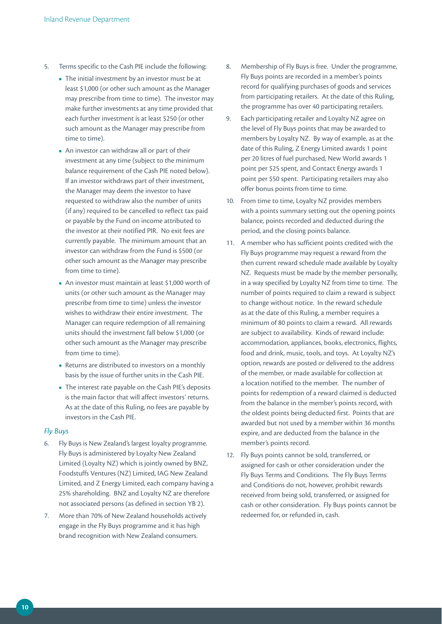- 5. Terms specific to the Cash PIE include the following:
	- The initial investment by an investor must be at least \$1,000 (or other such amount as the Manager may prescribe from time to time). The investor may make further investments at any time provided that each further investment is at least \$250 (or other such amount as the Manager may prescribe from time to time).
	- **•**  An investor can withdraw all or part of their investment at any time (subject to the minimum balance requirement of the Cash PIE noted below). If an investor withdraws part of their investment, the Manager may deem the investor to have requested to withdraw also the number of units (if any) required to be cancelled to reflect tax paid or payable by the Fund on income attributed to the investor at their notified PIR. No exit fees are currently payable. The minimum amount that an investor can withdraw from the Fund is \$500 (or other such amount as the Manager may prescribe from time to time).
	- An investor must maintain at least \$1,000 worth of units (or other such amount as the Manager may prescribe from time to time) unless the investor wishes to withdraw their entire investment. The Manager can require redemption of all remaining units should the investment fall below \$1,000 (or other such amount as the Manager may prescribe from time to time).
	- **•**  Returns are distributed to investors on a monthly basis by the issue of further units in the Cash PIE.
	- **•**  The interest rate payable on the Cash PIE's deposits is the main factor that will affect investors' returns. As at the date of this Ruling, no fees are payable by investors in the Cash PIE.

## *Fly Buys*

- 6. Fly Buys is New Zealand's largest loyalty programme. Fly Buys is administered by Loyalty New Zealand Limited (Loyalty NZ) which is jointly owned by BNZ, Foodstuffs Ventures (NZ) Limited, IAG New Zealand Limited, and Z Energy Limited, each company having a 25% shareholding. BNZ and Loyalty NZ are therefore not associated persons (as defined in section YB 2).
- 7. More than 70% of New Zealand households actively engage in the Fly Buys programme and it has high brand recognition with New Zealand consumers.
- 8. Membership of Fly Buys is free. Under the programme, Fly Buys points are recorded in a member's points record for qualifying purchases of goods and services from participating retailers. At the date of this Ruling, the programme has over 40 participating retailers.
- 9. Each participating retailer and Loyalty NZ agree on the level of Fly Buys points that may be awarded to members by Loyalty NZ. By way of example, as at the date of this Ruling, Z Energy Limited awards 1 point per 20 litres of fuel purchased, New World awards 1 point per \$25 spent, and Contact Energy awards 1 point per \$50 spent. Participating retailers may also offer bonus points from time to time.
- 10. From time to time, Loyalty NZ provides members with a points summary setting out the opening points balance, points recorded and deducted during the period, and the closing points balance.
- 11. A member who has sufficient points credited with the Fly Buys programme may request a reward from the then current reward schedule made available by Loyalty NZ. Requests must be made by the member personally. in a way specified by Loyalty NZ from time to time. The number of points required to claim a reward is subject to change without notice. In the reward schedule as at the date of this Ruling, a member requires a minimum of 80 points to claim a reward. All rewards are subject to availability. Kinds of reward include: accommodation, appliances, books, electronics, flights, food and drink, music, tools, and toys. At Loyalty NZ's option, rewards are posted or delivered to the address of the member, or made available for collection at a location notified to the member. The number of points for redemption of a reward claimed is deducted from the balance in the member's points record, with the oldest points being deducted first. Points that are awarded but not used by a member within 36 months expire, and are deducted from the balance in the member's points record.
- 12. Fly Buys points cannot be sold, transferred, or assigned for cash or other consideration under the Fly Buys Terms and Conditions. The Fly Buys Terms and Conditions do not, however, prohibit rewards received from being sold, transferred, or assigned for cash or other consideration. Fly Buys points cannot be redeemed for, or refunded in, cash.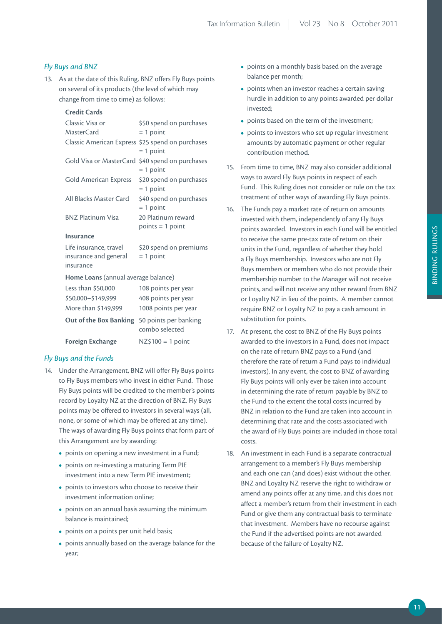## *Fly Buys and BNZ*

13. As at the date of this Ruling, BNZ offers Fly Buys points on several of its products (the level of which may change from time to time) as follows:

## **Credit Cards**

| Classic Visa or<br>MasterCard                                   | \$50 spend on purchases<br>$= 1$ point                             |  |  |  |
|-----------------------------------------------------------------|--------------------------------------------------------------------|--|--|--|
| Classic American Express \$25 spend on purchases                | $= 1$ point                                                        |  |  |  |
| Gold Visa or MasterCard                                         | \$40 spend on purchases<br>$= 1$ point                             |  |  |  |
| Gold American Express                                           | \$20 spend on purchases<br>$= 1$ point                             |  |  |  |
| All Blacks Master Card                                          | \$40 spend on purchases<br>$= 1$ point                             |  |  |  |
| <b>BNZ Platinum Visa</b>                                        | 20 Platinum reward<br>$points = 1 point$                           |  |  |  |
| Insurance                                                       |                                                                    |  |  |  |
| Life insurance, travel<br>insurance and general<br>insurance    | \$20 spend on premiums<br>$= 1$ point                              |  |  |  |
| Home Loans (annual average balance)                             |                                                                    |  |  |  |
| Less than \$50,000<br>\$50,000-\$149,999<br>More than \$149,999 | 108 points per year<br>408 points per year<br>1008 points per year |  |  |  |
| Out of the Box Banking                                          | 50 points per banking<br>combo selected                            |  |  |  |
| <b>Foreign Exchange</b>                                         | $NZ$ \$100 = 1 point                                               |  |  |  |

## *Fly Buys and the Funds*

- 14. Under the Arrangement, BNZ will offer Fly Buys points to Fly Buys members who invest in either Fund. Those Fly Buys points will be credited to the member's points record by Loyalty NZ at the direction of BNZ. Fly Buys points may be offered to investors in several ways (all, none, or some of which may be offered at any time). The ways of awarding Fly Buys points that form part of this Arrangement are by awarding:
	- points on opening a new investment in a Fund;
	- **•**  points on re-investing a maturing Term PIE investment into a new Term PIE investment;
	- points to investors who choose to receive their investment information online;
	- points on an annual basis assuming the minimum balance is maintained;
	- points on a points per unit held basis;
	- **•**  points annually based on the average balance for the year;
- points on a monthly basis based on the average balance per month;
- points when an investor reaches a certain saving hurdle in addition to any points awarded per dollar invested;
- points based on the term of the investment:
- points to investors who set up regular investment amounts by automatic payment or other regular contribution method.
- 15. From time to time, BNZ may also consider additional ways to award Fly Buys points in respect of each Fund. This Ruling does not consider or rule on the tax treatment of other ways of awarding Fly Buys points.
- 16. The Funds pay a market rate of return on amounts invested with them, independently of any Fly Buys points awarded. Investors in each Fund will be entitled to receive the same pre-tax rate of return on their units in the Fund, regardless of whether they hold a Fly Buys membership. Investors who are not Fly Buys members or members who do not provide their membership number to the Manager will not receive points, and will not receive any other reward from BNZ or Loyalty NZ in lieu of the points. A member cannot require BNZ or Loyalty NZ to pay a cash amount in substitution for points.
- 17. At present, the cost to BNZ of the Fly Buys points awarded to the investors in a Fund, does not impact on the rate of return BNZ pays to a Fund (and therefore the rate of return a Fund pays to individual investors). In any event, the cost to BNZ of awarding Fly Buys points will only ever be taken into account in determining the rate of return payable by BNZ to the Fund to the extent the total costs incurred by BNZ in relation to the Fund are taken into account in determining that rate and the costs associated with the award of Fly Buys points are included in those total costs.
- 18. An investment in each Fund is a separate contractual arrangement to a member's Fly Buys membership and each one can (and does) exist without the other. BNZ and Loyalty NZ reserve the right to withdraw or amend any points offer at any time, and this does not affect a member's return from their investment in each Fund or give them any contractual basis to terminate that investment. Members have no recourse against the Fund if the advertised points are not awarded because of the failure of Loyalty NZ.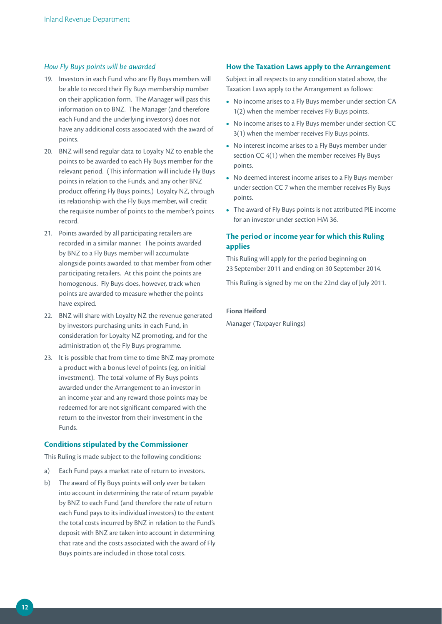## *How Fly Buys points will be awarded*

- 19. Investors in each Fund who are Fly Buys members will be able to record their Fly Buys membership number on their application form. The Manager will pass this information on to BNZ. The Manager (and therefore each Fund and the underlying investors) does not have any additional costs associated with the award of points.
- 20. BNZ will send regular data to Loyalty NZ to enable the points to be awarded to each Fly Buys member for the relevant period. (This information will include Fly Buys points in relation to the Funds, and any other BNZ product offering Fly Buys points.) Loyalty NZ, through its relationship with the Fly Buys member, will credit the requisite number of points to the member's points record.
- 21. Points awarded by all participating retailers are recorded in a similar manner. The points awarded by BNZ to a Fly Buys member will accumulate alongside points awarded to that member from other participating retailers. At this point the points are homogenous. Fly Buys does, however, track when points are awarded to measure whether the points have expired.
- 22. BNZ will share with Loyalty NZ the revenue generated by investors purchasing units in each Fund, in consideration for Loyalty NZ promoting, and for the administration of, the Fly Buys programme.
- 23. It is possible that from time to time BNZ may promote a product with a bonus level of points (eg, on initial investment). The total volume of Fly Buys points awarded under the Arrangement to an investor in an income year and any reward those points may be redeemed for are not significant compared with the return to the investor from their investment in the Funds.

## **Conditions stipulated by the Commissioner**

This Ruling is made subject to the following conditions:

- a) Each Fund pays a market rate of return to investors.
- b) The award of Fly Buys points will only ever be taken into account in determining the rate of return payable by BNZ to each Fund (and therefore the rate of return each Fund pays to its individual investors) to the extent the total costs incurred by BNZ in relation to the Fund's deposit with BNZ are taken into account in determining that rate and the costs associated with the award of Fly Buys points are included in those total costs.

## **How the Taxation Laws apply to the Arrangement**

Subject in all respects to any condition stated above, the Taxation Laws apply to the Arrangement as follows:

- **•**  No income arises to a Fly Buys member under section CA 1(2) when the member receives Fly Buys points.
- **•**  No income arises to a Fly Buys member under section CC 3(1) when the member receives Fly Buys points.
- **•**  No interest income arises to a Fly Buys member under section CC 4(1) when the member receives Fly Buys points.
- **•**  No deemed interest income arises to a Fly Buys member under section CC 7 when the member receives Fly Buys points.
- The award of Fly Buys points is not attributed PIE income for an investor under section HM 36.

## **The period or income year for which this Ruling applies**

This Ruling will apply for the period beginning on 23 September 2011 and ending on 30 September 2014.

This Ruling is signed by me on the 22nd day of July 2011.

## **Fiona Heiford**

Manager (Taxpayer Rulings)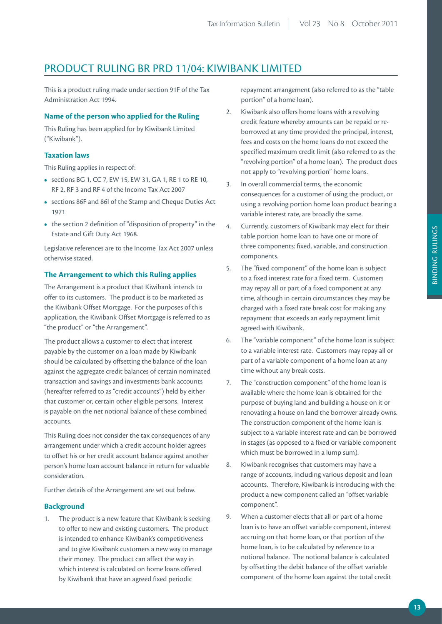## PRODUCT RULING BR PRD 11/04: KIWIBANK LIMITED

This is a product ruling made under section 91F of the Tax Administration Act 1994.

## **Name of the person who applied for the Ruling**

This Ruling has been applied for by Kiwibank Limited ("Kiwibank").

## **Taxation laws**

This Ruling applies in respect of:

- **•**  sections BG 1, CC 7, EW 15, EW 31, GA 1, RE 1 to RE 10, RF 2, RF 3 and RF 4 of the Income Tax Act 2007
- **•**  sections 86F and 86I of the Stamp and Cheque Duties Act 1971
- the section 2 definition of "disposition of property" in the Estate and Gift Duty Act 1968.

Legislative references are to the Income Tax Act 2007 unless otherwise stated.

## **The Arrangement to which this Ruling applies**

The Arrangement is a product that Kiwibank intends to offer to its customers. The product is to be marketed as the Kiwibank Offset Mortgage. For the purposes of this application, the Kiwibank Offset Mortgage is referred to as "the product" or "the Arrangement".

The product allows a customer to elect that interest payable by the customer on a loan made by Kiwibank should be calculated by offsetting the balance of the loan against the aggregate credit balances of certain nominated transaction and savings and investments bank accounts (hereafter referred to as "credit accounts") held by either that customer or, certain other eligible persons. Interest is payable on the net notional balance of these combined accounts.

This Ruling does not consider the tax consequences of any arrangement under which a credit account holder agrees to offset his or her credit account balance against another person's home loan account balance in return for valuable consideration.

Further details of the Arrangement are set out below.

## **Background**

1. The product is a new feature that Kiwibank is seeking to offer to new and existing customers. The product is intended to enhance Kiwibank's competitiveness and to give Kiwibank customers a new way to manage their money. The product can affect the way in which interest is calculated on home loans offered by Kiwibank that have an agreed fixed periodic

repayment arrangement (also referred to as the "table portion" of a home loan).

- 2. Kiwibank also offers home loans with a revolving credit feature whereby amounts can be repaid or reborrowed at any time provided the principal, interest, fees and costs on the home loans do not exceed the specified maximum credit limit (also referred to as the "revolving portion" of a home loan). The product does not apply to "revolving portion" home loans.
- 3. In overall commercial terms, the economic consequences for a customer of using the product, or using a revolving portion home loan product bearing a variable interest rate, are broadly the same.
- 4. Currently, customers of Kiwibank may elect for their table portion home loan to have one or more of three components: fixed, variable, and construction components.
- 5. The "fixed component" of the home loan is subject to a fixed interest rate for a fixed term. Customers may repay all or part of a fixed component at any time, although in certain circumstances they may be charged with a fixed rate break cost for making any repayment that exceeds an early repayment limit agreed with Kiwibank.
- 6. The "variable component" of the home loan is subject to a variable interest rate. Customers may repay all or part of a variable component of a home loan at any time without any break costs.
- 7. The "construction component" of the home loan is available where the home loan is obtained for the purpose of buying land and building a house on it or renovating a house on land the borrower already owns. The construction component of the home loan is subject to a variable interest rate and can be borrowed in stages (as opposed to a fixed or variable component which must be borrowed in a lump sum).
- 8. Kiwibank recognises that customers may have a range of accounts, including various deposit and loan accounts. Therefore, Kiwibank is introducing with the product a new component called an "offset variable component".
- 9. When a customer elects that all or part of a home loan is to have an offset variable component, interest accruing on that home loan, or that portion of the home loan, is to be calculated by reference to a notional balance. The notional balance is calculated by offsetting the debit balance of the offset variable component of the home loan against the total credit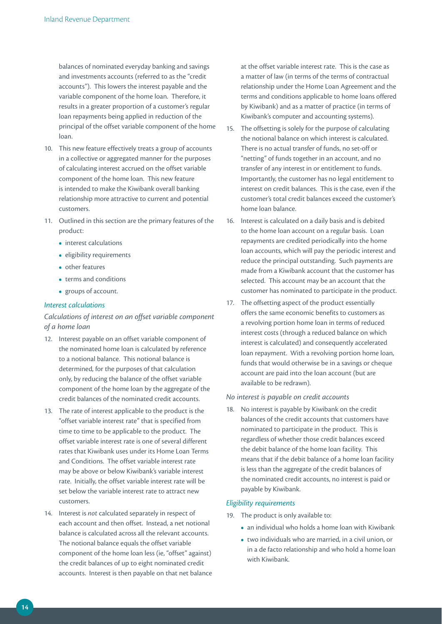balances of nominated everyday banking and savings and investments accounts (referred to as the "credit accounts"). This lowers the interest payable and the variable component of the home loan. Therefore, it results in a greater proportion of a customer's regular loan repayments being applied in reduction of the principal of the offset variable component of the home loan.

- 10. This new feature effectively treats a group of accounts in a collective or aggregated manner for the purposes of calculating interest accrued on the offset variable component of the home loan. This new feature is intended to make the Kiwibank overall banking relationship more attractive to current and potential customers.
- 11. Outlined in this section are the primary features of the product:
	- **•** interest calculations
	- **•**  eligibility requirements
	- **•**  other features
	- **•**  terms and conditions
	- **•**  groups of account.

## *Interest calculations*

## *Calculations of interest on an offset variable component of a home loan*

- 12. Interest payable on an offset variable component of the nominated home loan is calculated by reference to a notional balance. This notional balance is determined, for the purposes of that calculation only, by reducing the balance of the offset variable component of the home loan by the aggregate of the credit balances of the nominated credit accounts.
- 13. The rate of interest applicable to the product is the "offset variable interest rate" that is specified from time to time to be applicable to the product. The offset variable interest rate is one of several different rates that Kiwibank uses under its Home Loan Terms and Conditions. The offset variable interest rate may be above or below Kiwibank's variable interest rate. Initially, the offset variable interest rate will be set below the variable interest rate to attract new customers.
- 14. Interest is *not* calculated separately in respect of each account and then offset. Instead, a net notional balance is calculated across all the relevant accounts. The notional balance equals the offset variable component of the home loan less (ie, "offset" against) the credit balances of up to eight nominated credit accounts. Interest is then payable on that net balance

at the offset variable interest rate. This is the case as a matter of law (in terms of the terms of contractual relationship under the Home Loan Agreement and the terms and conditions applicable to home loans offered by Kiwibank) and as a matter of practice (in terms of Kiwibank's computer and accounting systems).

- 15. The offsetting is solely for the purpose of calculating the notional balance on which interest is calculated. There is no actual transfer of funds, no set-off or "netting" of funds together in an account, and no transfer of any interest in or entitlement to funds. Importantly, the customer has no legal entitlement to interest on credit balances. This is the case, even if the customer's total credit balances exceed the customer's home loan balance.
- 16. Interest is calculated on a daily basis and is debited to the home loan account on a regular basis. Loan repayments are credited periodically into the home loan accounts, which will pay the periodic interest and reduce the principal outstanding. Such payments are made from a Kiwibank account that the customer has selected. This account may be an account that the customer has nominated to participate in the product.
- 17. The offsetting aspect of the product essentially offers the same economic benefits to customers as a revolving portion home loan in terms of reduced interest costs (through a reduced balance on which interest is calculated) and consequently accelerated loan repayment. With a revolving portion home loan, funds that would otherwise be in a savings or cheque account are paid into the loan account (but are available to be redrawn).

#### *No interest is payable on credit accounts*

18. No interest is payable by Kiwibank on the credit balances of the credit accounts that customers have nominated to participate in the product. This is regardless of whether those credit balances exceed the debit balance of the home loan facility. This means that if the debit balance of a home loan facility is less than the aggregate of the credit balances of the nominated credit accounts, no interest is paid or payable by Kiwibank.

#### *Eligibility requirements*

- 19. The product is only available to:
	- **•**  an individual who holds a home loan with Kiwibank
	- **•**  two individuals who are married, in a civil union, or in a de facto relationship and who hold a home loan with Kiwibank.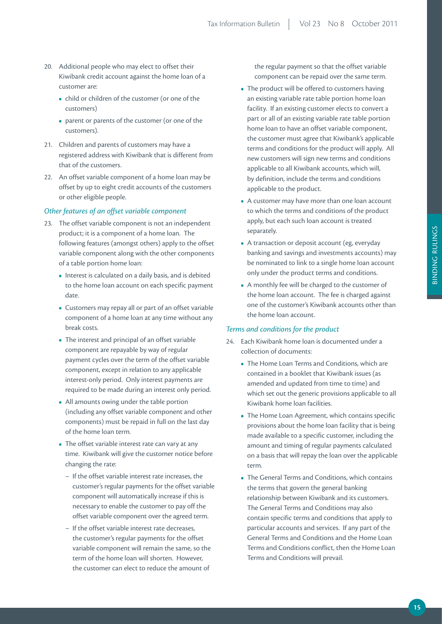- 20. Additional people who may elect to offset their Kiwibank credit account against the home loan of a customer are:
	- child or children of the customer (or one of the customers)
	- parent or parents of the customer (or one of the customers).
- 21. Children and parents of customers may have a registered address with Kiwibank that is different from that of the customers.
- 22. An offset variable component of a home loan may be offset by up to eight credit accounts of the customers or other eligible people.

## *Other features of an offset variable component*

- 23. The offset variable component is not an independent product; it is a component of a home loan. The following features (amongst others) apply to the offset variable component along with the other components of a table portion home loan:
	- **•**  Interest is calculated on a daily basis, and is debited to the home loan account on each specific payment date.
	- **•**  Customers may repay all or part of an offset variable component of a home loan at any time without any break costs.
	- **•**  The interest and principal of an offset variable component are repayable by way of regular payment cycles over the term of the offset variable component, except in relation to any applicable interest-only period. Only interest payments are required to be made during an interest only period.
	- **•**  All amounts owing under the table portion (including any offset variable component and other components) must be repaid in full on the last day of the home loan term.
	- **•**  The offset variable interest rate can vary at any time. Kiwibank will give the customer notice before changing the rate:
		- − If the offset variable interest rate increases, the customer's regular payments for the offset variable component will automatically increase if this is necessary to enable the customer to pay off the offset variable component over the agreed term.
		- − If the offset variable interest rate decreases, the customer's regular payments for the offset variable component will remain the same, so the term of the home loan will shorten. However, the customer can elect to reduce the amount of

the regular payment so that the offset variable component can be repaid over the same term.

- The product will be offered to customers having an existing variable rate table portion home loan facility. If an existing customer elects to convert a part or all of an existing variable rate table portion home loan to have an offset variable component, the customer must agree that Kiwibank's applicable terms and conditions for the product will apply. All new customers will sign new terms and conditions applicable to all Kiwibank accounts, which will, by definition, include the terms and conditions applicable to the product.
- **•**  A customer may have more than one loan account to which the terms and conditions of the product apply, but each such loan account is treated separately.
- **•**  A transaction or deposit account (eg, everyday banking and savings and investments accounts) may be nominated to link to a single home loan account only under the product terms and conditions.
- **•**  A monthly fee will be charged to the customer of the home loan account. The fee is charged against one of the customer's Kiwibank accounts other than the home loan account.

#### *Terms and conditions for the product*

- 24. Each Kiwibank home loan is documented under a collection of documents:
	- The Home Loan Terms and Conditions, which are contained in a booklet that Kiwibank issues (as amended and updated from time to time) and which set out the generic provisions applicable to all Kiwibank home loan facilities.
	- **•**  The Home Loan Agreement, which contains specific provisions about the home loan facility that is being made available to a specific customer, including the amount and timing of regular payments calculated on a basis that will repay the loan over the applicable term.
	- **•** The General Terms and Conditions, which contains the terms that govern the general banking relationship between Kiwibank and its customers. The General Terms and Conditions may also contain specific terms and conditions that apply to particular accounts and services. If any part of the General Terms and Conditions and the Home Loan Terms and Conditions conflict, then the Home Loan Terms and Conditions will prevail.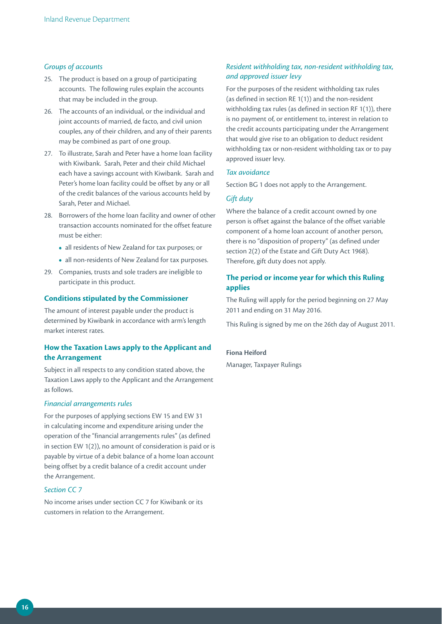## *Groups of accounts*

- 25. The product is based on a group of participating accounts. The following rules explain the accounts that may be included in the group.
- 26. The accounts of an individual, or the individual and joint accounts of married, de facto, and civil union couples, any of their children, and any of their parents may be combined as part of one group.
- 27. To illustrate, Sarah and Peter have a home loan facility with Kiwibank. Sarah, Peter and their child Michael each have a savings account with Kiwibank. Sarah and Peter's home loan facility could be offset by any or all of the credit balances of the various accounts held by Sarah, Peter and Michael.
- 28. Borrowers of the home loan facility and owner of other transaction accounts nominated for the offset feature must be either:
	- **•**  all residents of New Zealand for tax purposes; or
	- **•**  all non-residents of New Zealand for tax purposes.
- 29. Companies, trusts and sole traders are ineligible to participate in this product.

## **Conditions stipulated by the Commissioner**

The amount of interest payable under the product is determined by Kiwibank in accordance with arm's length market interest rates.

## **How the Taxation Laws apply to the Applicant and the Arrangement**

Subject in all respects to any condition stated above, the Taxation Laws apply to the Applicant and the Arrangement as follows.

## *Financial arrangements rules*

For the purposes of applying sections EW 15 and EW 31 in calculating income and expenditure arising under the operation of the "financial arrangements rules" (as defined in section EW 1(2)), no amount of consideration is paid or is payable by virtue of a debit balance of a home loan account being offset by a credit balance of a credit account under the Arrangement.

## *Section CC 7*

No income arises under section CC 7 for Kiwibank or its customers in relation to the Arrangement.

## *Resident withholding tax, non-resident withholding tax, and approved issuer levy*

For the purposes of the resident withholding tax rules (as defined in section RE 1(1)) and the non-resident withholding tax rules (as defined in section RF 1(1)), there is no payment of, or entitlement to, interest in relation to the credit accounts participating under the Arrangement that would give rise to an obligation to deduct resident withholding tax or non-resident withholding tax or to pay approved issuer levy.

#### *Tax avoidance*

Section BG 1 does not apply to the Arrangement.

## *Gift duty*

Where the balance of a credit account owned by one person is offset against the balance of the offset variable component of a home loan account of another person, there is no "disposition of property" (as defined under section 2(2) of the Estate and Gift Duty Act 1968). Therefore, gift duty does not apply.

## **The period or income year for which this Ruling applies**

The Ruling will apply for the period beginning on 27 May 2011 and ending on 31 May 2016.

This Ruling is signed by me on the 26th day of August 2011.

## **Fiona Heiford**

Manager, Taxpayer Rulings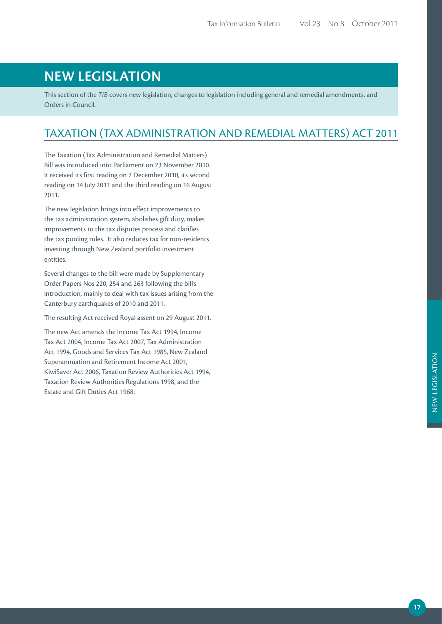## **NEW LEGISLATION**

This section of the *TIB* covers new legislation, changes to legislation including general and remedial amendments, and Orders in Council.

## TAXATION (TAX ADMINISTRATION AND REMEDIAL MATTERS) ACT 2011

The Taxation (Tax Administration and Remedial Matters) Bill was introduced into Parliament on 23 November 2010. It received its first reading on 7 December 2010, its second reading on 14 July 2011 and the third reading on 16 August 2011.

The new legislation brings into effect improvements to the tax administration system, abolishes gift duty, makes improvements to the tax disputes process and clarifies the tax pooling rules. It also reduces tax for non-residents investing through New Zealand portfolio investment entities.

Several changes to the bill were made by Supplementary Order Papers Nos 220, 254 and 263 following the bill's introduction, mainly to deal with tax issues arising from the Canterbury earthquakes of 2010 and 2011.

The resulting Act received Royal assent on 29 August 2011.

The new Act amends the Income Tax Act 1994, Income Tax Act 2004, Income Tax Act 2007, Tax Administration Act 1994, Goods and Services Tax Act 1985, New Zealand Superannuation and Retirement Income Act 2001, KiwiSaver Act 2006, Taxation Review Authorities Act 1994, Taxation Review Authorities Regulations 1998, and the Estate and Gift Duties Act 1968.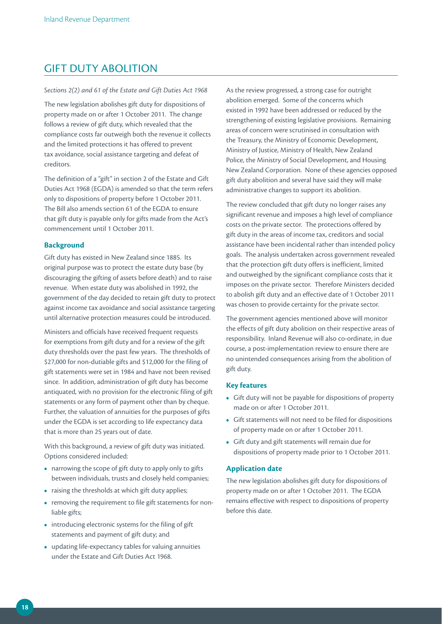## GIFT DUTY ABOLITION

#### *Sections 2(2) and 61 of the Estate and Gift Duties Act 1968*

The new legislation abolishes gift duty for dispositions of property made on or after 1 October 2011. The change follows a review of gift duty, which revealed that the compliance costs far outweigh both the revenue it collects and the limited protections it has offered to prevent tax avoidance, social assistance targeting and defeat of creditors.

The definition of a "gift" in section 2 of the Estate and Gift Duties Act 1968 (EGDA) is amended so that the term refers only to dispositions of property before 1 October 2011. The Bill also amends section 61 of the EGDA to ensure that gift duty is payable only for gifts made from the Act's commencement until 1 October 2011.

## **Background**

Gift duty has existed in New Zealand since 1885. Its original purpose was to protect the estate duty base (by discouraging the gifting of assets before death) and to raise revenue. When estate duty was abolished in 1992, the government of the day decided to retain gift duty to protect against income tax avoidance and social assistance targeting until alternative protection measures could be introduced.

Ministers and officials have received frequent requests for exemptions from gift duty and for a review of the gift duty thresholds over the past few years. The thresholds of \$27,000 for non-dutiable gifts and \$12,000 for the filing of gift statements were set in 1984 and have not been revised since. In addition, administration of gift duty has become antiquated, with no provision for the electronic filing of gift statements or any form of payment other than by cheque. Further, the valuation of annuities for the purposes of gifts under the EGDA is set according to life expectancy data that is more than 25 years out of date.

With this background, a review of gift duty was initiated. Options considered included:

- narrowing the scope of gift duty to apply only to gifts between individuals, trusts and closely held companies;
- raising the thresholds at which gift duty applies;
- removing the requirement to file gift statements for nonliable gifts;
- **•**  introducing electronic systems for the filing of gift statements and payment of gift duty; and
- **•**  updating life-expectancy tables for valuing annuities under the Estate and Gift Duties Act 1968.

As the review progressed, a strong case for outright abolition emerged. Some of the concerns which existed in 1992 have been addressed or reduced by the strengthening of existing legislative provisions. Remaining areas of concern were scrutinised in consultation with the Treasury, the Ministry of Economic Development, Ministry of Justice, Ministry of Health, New Zealand Police, the Ministry of Social Development, and Housing New Zealand Corporation. None of these agencies opposed gift duty abolition and several have said they will make administrative changes to support its abolition.

The review concluded that gift duty no longer raises any significant revenue and imposes a high level of compliance costs on the private sector. The protections offered by gift duty in the areas of income tax, creditors and social assistance have been incidental rather than intended policy goals. The analysis undertaken across government revealed that the protection gift duty offers is inefficient, limited and outweighed by the significant compliance costs that it imposes on the private sector. Therefore Ministers decided to abolish gift duty and an effective date of 1 October 2011 was chosen to provide certainty for the private sector.

The government agencies mentioned above will monitor the effects of gift duty abolition on their respective areas of responsibility. Inland Revenue will also co-ordinate, in due course, a post-implementation review to ensure there are no unintended consequences arising from the abolition of gift duty.

## **Key features**

- **•**  Gift duty will not be payable for dispositions of property made on or after 1 October 2011.
- **•**  Gift statements will not need to be filed for dispositions of property made on or after 1 October 2011.
- **•**  Gift duty and gift statements will remain due for dispositions of property made prior to 1 October 2011.

## **Application date**

The new legislation abolishes gift duty for dispositions of property made on or after 1 October 2011. The EGDA remains effective with respect to dispositions of property before this date.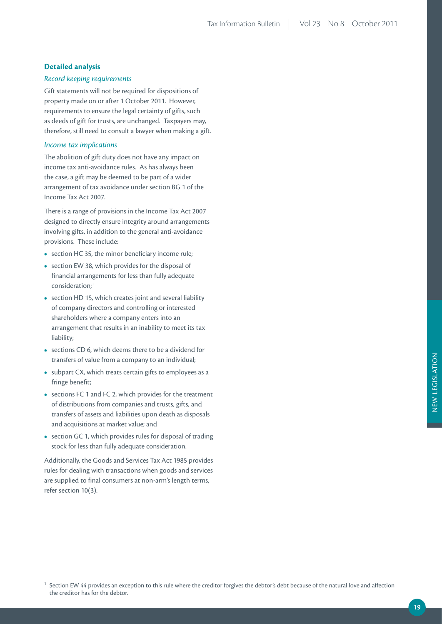## **Detailed analysis**

## *Record keeping requirements*

Gift statements will not be required for dispositions of property made on or after 1 October 2011. However, requirements to ensure the legal certainty of gifts, such as deeds of gift for trusts, are unchanged. Taxpayers may, therefore, still need to consult a lawyer when making a gift.

## *Income tax implications*

The abolition of gift duty does not have any impact on income tax anti-avoidance rules. As has always been the case, a gift may be deemed to be part of a wider arrangement of tax avoidance under section BG 1 of the Income Tax Act 2007.

There is a range of provisions in the Income Tax Act 2007 designed to directly ensure integrity around arrangements involving gifts, in addition to the general anti-avoidance provisions. These include:

- section HC 35, the minor beneficiary income rule;
- section EW 38, which provides for the disposal of financial arrangements for less than fully adequate consideration;1
- section HD 15, which creates joint and several liability of company directors and controlling or interested shareholders where a company enters into an arrangement that results in an inability to meet its tax liability;
- **•**  sections CD 6, which deems there to be a dividend for transfers of value from a company to an individual;
- subpart CX, which treats certain gifts to employees as a fringe benefit;
- **•**  sections FC 1 and FC 2, which provides for the treatment of distributions from companies and trusts, gifts, and transfers of assets and liabilities upon death as disposals and acquisitions at market value; and
- section GC 1, which provides rules for disposal of trading stock for less than fully adequate consideration.

Additionally, the Goods and Services Tax Act 1985 provides rules for dealing with transactions when goods and services are supplied to final consumers at non-arm's length terms, refer section 10(3).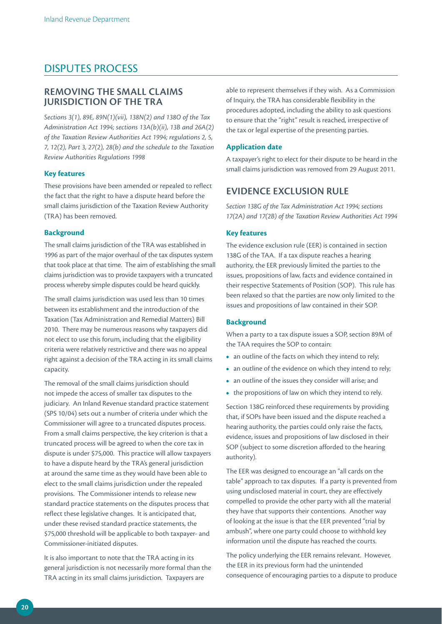## DISPUTES PROCESS

## **REMOVING THE SMALL CLAIMS IURISDICTION OF THE TRA**

*Sections 3(1), 89E, 89N(1)(vii), 138N(2) and 138O of the Tax Administration Act 1994; sections 13A(b)(ii), 13B and 26A(2) of the Taxation Review Authorities Act 1994; regulations 2, 5, 7, 12(2), Part 3, 27(2), 28(b) and the schedule to the Taxation Review Authorities Regulations 1998*

## **Key features**

These provisions have been amended or repealed to reflect the fact that the right to have a dispute heard before the small claims jurisdiction of the Taxation Review Authority (TRA) has been removed.

## **Background**

The small claims jurisdiction of the TRA was established in 1996 as part of the major overhaul of the tax disputes system that took place at that time. The aim of establishing the small claims jurisdiction was to provide taxpayers with a truncated process whereby simple disputes could be heard quickly.

The small claims jurisdiction was used less than 10 times between its establishment and the introduction of the Taxation (Tax Administration and Remedial Matters) Bill 2010. There may be numerous reasons why taxpayers did not elect to use this forum, including that the eligibility criteria were relatively restrictive and there was no appeal right against a decision of the TRA acting in its small claims capacity.

The removal of the small claims jurisdiction should not impede the access of smaller tax disputes to the judiciary. An Inland Revenue standard practice statement (SPS 10/04) sets out a number of criteria under which the Commissioner will agree to a truncated disputes process. From a small claims perspective, the key criterion is that a truncated process will be agreed to when the core tax in dispute is under \$75,000. This practice will allow taxpayers to have a dispute heard by the TRA's general jurisdiction at around the same time as they would have been able to elect to the small claims jurisdiction under the repealed provisions. The Commissioner intends to release new standard practice statements on the disputes process that reflect these legislative changes. It is anticipated that, under these revised standard practice statements, the \$75,000 threshold will be applicable to both taxpayer- and Commissioner-initiated disputes.

It is also important to note that the TRA acting in its general jurisdiction is not necessarily more formal than the TRA acting in its small claims jurisdiction. Taxpayers are

able to represent themselves if they wish. As a Commission of Inquiry, the TRA has considerable flexibility in the procedures adopted, including the ability to ask questions to ensure that the "right" result is reached, irrespective of the tax or legal expertise of the presenting parties.

## **Application date**

A taxpayer's right to elect for their dispute to be heard in the small claims jurisdiction was removed from 29 August 2011.

## **EVIDENCE EXCLUSION RULE**

*Section 138G of the Tax Administration Act 1994; sections 17(2A) and 17(2B) of the Taxation Review Authorities Act 1994*

## **Key features**

The evidence exclusion rule (EER) is contained in section 138G of the TAA. If a tax dispute reaches a hearing authority, the EER previously limited the parties to the issues, propositions of law, facts and evidence contained in their respective Statements of Position (SOP). This rule has been relaxed so that the parties are now only limited to the issues and propositions of law contained in their SOP.

## **Background**

When a party to a tax dispute issues a SOP, section 89M of the TAA requires the SOP to contain:

- an outline of the facts on which they intend to rely;
- an outline of the evidence on which they intend to rely;
- **•**  an outline of the issues they consider will arise; and
- **•**  the propositions of law on which they intend to rely.

Section 138G reinforced these requirements by providing that, if SOPs have been issued and the dispute reached a hearing authority, the parties could only raise the facts, evidence, issues and propositions of law disclosed in their SOP (subject to some discretion afforded to the hearing authority).

The EER was designed to encourage an "all cards on the table" approach to tax disputes. If a party is prevented from using undisclosed material in court, they are effectively compelled to provide the other party with all the material they have that supports their contentions. Another way of looking at the issue is that the EER prevented "trial by ambush", where one party could choose to withhold key information until the dispute has reached the courts.

The policy underlying the EER remains relevant. However, the EER in its previous form had the unintended consequence of encouraging parties to a dispute to produce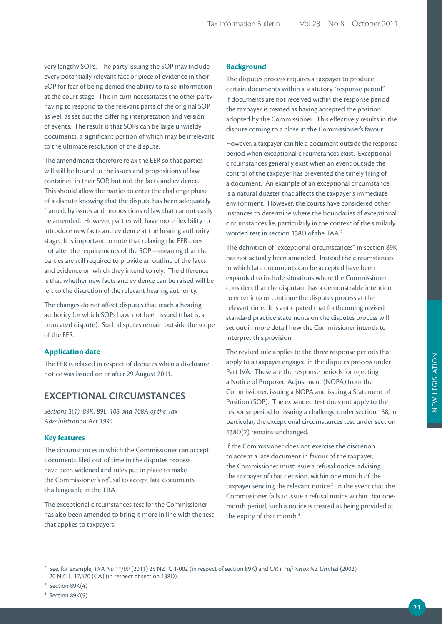very lengthy SOPs. The party issuing the SOP may include every potentially relevant fact or piece of evidence in their SOP for fear of being denied the ability to raise information at the court stage. This in turn necessitates the other party having to respond to the relevant parts of the original SOP, as well as set out the differing interpretation and version of events. The result is that SOPs can be large unwieldy documents, a significant portion of which may be irrelevant to the ultimate resolution of the dispute.

The amendments therefore relax the EER so that parties will still be bound to the issues and propositions of law contained in their SOP, but not the facts and evidence. This should allow the parties to enter the challenge phase of a dispute knowing that the dispute has been adequately framed, by issues and propositions of law that cannot easily be amended. However, parties will have more flexibility to introduce new facts and evidence at the hearing authority stage. It is important to note that relaxing the EER does not alter the requirements of the SOP—meaning that the parties are still required to provide an outline of the facts and evidence on which they intend to rely. The difference is that whether new facts and evidence can be raised will be left to the discretion of the relevant hearing authority.

The changes do not affect disputes that reach a hearing authority for which SOPs have not been issued (that is, a truncated dispute). Such disputes remain outside the scope of the EER.

## **Application date**

The EER is relaxed in respect of disputes when a disclosure notice was issued on or after 29 August 2011.

## **EXCEPTIONAL CIRCUMSTANCES**

*Sections 3(1), 89K, 89L, 108 and 108A of the Tax Administration Act 1994*

## **Key features**

The circumstances in which the Commissioner can accept documents filed out of time in the disputes process have been widened and rules put in place to make the Commissioner's refusal to accept late documents challengeable in the TRA.

The exceptional circumstances test for the Commissioner has also been amended to bring it more in line with the test that applies to taxpayers.

## **Background**

The disputes process requires a taxpayer to produce certain documents within a statutory "response period". If documents are not received within the response period the taxpayer is treated as having accepted the position adopted by the Commissioner. This effectively results in the dispute coming to a close in the Commissioner's favour.

However, a taxpayer can file a document outside the response period when exceptional circumstances exist. Exceptional circumstances generally exist when an event outside the control of the taxpayer has prevented the timely filing of a document. An example of an exceptional circumstance is a natural disaster that affects the taxpayer's immediate environment. However, the courts have considered other instances to determine where the boundaries of exceptional circumstances lie, particularly in the context of the similarly worded test in section 138D of the TAA.2

The definition of "exceptional circumstances" in section 89K has not actually been amended. Instead the circumstances in which late documents can be accepted have been expanded to include situations where the Commissioner considers that the disputant has a demonstrable intention to enter into or continue the disputes process at the relevant time. It is anticipated that forthcoming revised standard practice statements on the disputes process will set out in more detail how the Commissioner intends to interpret this provision.

The revised rule applies to the three response periods that apply to a taxpayer engaged in the disputes process under Part IVA. These are the response periods for rejecting a Notice of Proposed Adjustment (NOPA) from the Commissioner, issuing a NOPA and issuing a Statement of Position (SOP). The expanded test does not apply to the response period for issuing a challenge under section 138, in particular, the exceptional circumstances test under section 138D(2) remains unchanged.

If the Commissioner does not exercise the discretion to accept a late document in favour of the taxpayer, the Commissioner must issue a refusal notice, advising the taxpayer of that decision, within one month of the taxpayer sending the relevant notice.<sup>3</sup> In the event that the Commissioner fails to issue a refusal notice within that onemonth period, such a notice is treated as being provided at the expiry of that month.<sup>4</sup>

NEW LEGISLATION NEW LEGISLATION

<sup>2</sup> See, for example, *TRA No 11/09* (2011) 25 NZTC 1-002 (in respect of section 89K) and *CIR v Fuji Xerox NZ Limited* (2002) 20 NZTC 17,470 (CA) (in respect of section 138D).

 $3$  Section 89K(4)

 $4$  Section 89K(5)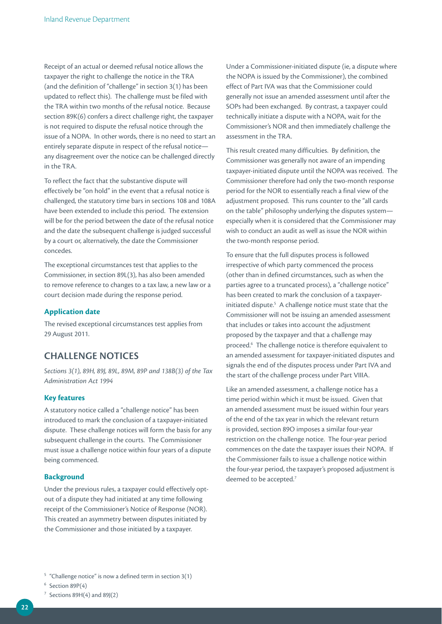Receipt of an actual or deemed refusal notice allows the taxpayer the right to challenge the notice in the TRA (and the definition of "challenge" in section 3(1) has been updated to reflect this). The challenge must be filed with the TRA within two months of the refusal notice. Because section 89K(6) confers a direct challenge right, the taxpayer is not required to dispute the refusal notice through the issue of a NOPA. In other words, there is no need to start an entirely separate dispute in respect of the refusal notice any disagreement over the notice can be challenged directly in the TRA.

To reflect the fact that the substantive dispute will effectively be "on hold" in the event that a refusal notice is challenged, the statutory time bars in sections 108 and 108A have been extended to include this period. The extension will be for the period between the date of the refusal notice and the date the subsequent challenge is judged successful by a court or, alternatively, the date the Commissioner concedes.

The exceptional circumstances test that applies to the Commissioner, in section 89L(3), has also been amended to remove reference to changes to a tax law, a new law or a court decision made during the response period.

## **Application date**

The revised exceptional circumstances test applies from 29 August 2011.

## **CHALLENGE NOTICES**

*Sections 3(1), 89H, 89J, 89L, 89M, 89P and 138B(3) of the Tax Administration Act 1994*

## **Key features**

A statutory notice called a "challenge notice" has been introduced to mark the conclusion of a taxpayer-initiated dispute. These challenge notices will form the basis for any subsequent challenge in the courts. The Commissioner must issue a challenge notice within four years of a dispute being commenced.

## **Background**

Under the previous rules, a taxpayer could effectively optout of a dispute they had initiated at any time following receipt of the Commissioner's Notice of Response (NOR). This created an asymmetry between disputes initiated by the Commissioner and those initiated by a taxpayer.

Under a Commissioner-initiated dispute (ie, a dispute where the NOPA is issued by the Commissioner), the combined effect of Part IVA was that the Commissioner could generally not issue an amended assessment until after the SOPs had been exchanged. By contrast, a taxpayer could technically initiate a dispute with a NOPA, wait for the Commissioner's NOR and then immediately challenge the assessment in the TRA.

This result created many difficulties. By definition, the Commissioner was generally not aware of an impending taxpayer-initiated dispute until the NOPA was received. The Commissioner therefore had only the two-month response period for the NOR to essentially reach a final view of the adjustment proposed. This runs counter to the "all cards on the table" philosophy underlying the disputes system especially when it is considered that the Commissioner may wish to conduct an audit as well as issue the NOR within the two-month response period.

To ensure that the full disputes process is followed irrespective of which party commenced the process (other than in defined circumstances, such as when the parties agree to a truncated process), a "challenge notice" has been created to mark the conclusion of a taxpayerinitiated dispute.<sup>5</sup> A challenge notice must state that the Commissioner will not be issuing an amended assessment that includes or takes into account the adjustment proposed by the taxpayer and that a challenge may proceed.6 The challenge notice is therefore equivalent to an amended assessment for taxpayer-initiated disputes and signals the end of the disputes process under Part IVA and the start of the challenge process under Part VIIIA.

Like an amended assessment, a challenge notice has a time period within which it must be issued. Given that an amended assessment must be issued within four years of the end of the tax year in which the relevant return is provided, section 89O imposes a similar four-year restriction on the challenge notice. The four-year period commences on the date the taxpayer issues their NOPA. If the Commissioner fails to issue a challenge notice within the four-year period, the taxpayer's proposed adjustment is deemed to be accepted.<sup>7</sup>

 $5$  "Challenge notice" is now a defined term in section 3(1)

 $6$  Section 89P(4)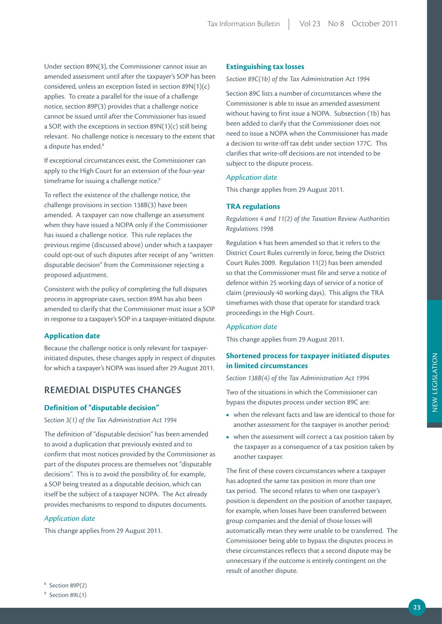Under section 89N(3), the Commissioner cannot issue an amended assessment until after the taxpayer's SOP has been considered, unless an exception listed in section 89N(1)(c) applies. To create a parallel for the issue of a challenge notice, section 89P(3) provides that a challenge notice cannot be issued until after the Commissioner has issued a SOP, with the exceptions in section 89N(1)(c) still being relevant. No challenge notice is necessary to the extent that a dispute has ended.<sup>8</sup>

If exceptional circumstances exist, the Commissioner can apply to the High Court for an extension of the four-year timeframe for issuing a challenge notice.<sup>9</sup>

To reflect the existence of the challenge notice, the challenge provisions in section 138B(3) have been amended. A taxpayer can now challenge an assessment when they have issued a NOPA only if the Commissioner has issued a challenge notice. This rule replaces the previous regime (discussed above) under which a taxpayer could opt-out of such disputes after receipt of any "written disputable decision" from the Commissioner rejecting a proposed adjustment.

Consistent with the policy of completing the full disputes process in appropriate cases, section 89M has also been amended to clarify that the Commissioner must issue a SOP in response to a taxpayer's SOP in a taxpayer-initiated dispute.

## **Application date**

Because the challenge notice is only relevant for taxpayerinitiated disputes, these changes apply in respect of disputes for which a taxpayer's NOPA was issued after 29 August 2011.

## **REMEDIAL DISPUTES CHANGES**

## **Definition of "disputable decision"**

*Section 3(1) of the Tax Administration Act 1994*

The definition of "disputable decision" has been amended to avoid a duplication that previously existed and to confirm that most notices provided by the Commissioner as part of the disputes process are themselves not "disputable decisions". This is to avoid the possibility of, for example, a SOP being treated as a disputable decision, which can itself be the subject of a taxpayer NOPA. The Act already provides mechanisms to respond to disputes documents.

## *Application date*

This change applies from 29 August 2011.

## **Extinguishing tax losses**

## *Section 89C(1b) of the Tax Administration Act 1994*

Section 89C lists a number of circumstances where the Commissioner is able to issue an amended assessment without having to first issue a NOPA. Subsection (1b) has been added to clarify that the Commissioner does not need to issue a NOPA when the Commissioner has made a decision to write-off tax debt under section 177C. This clarifies that write-off decisions are not intended to be subject to the dispute process.

## *Application date*

This change applies from 29 August 2011.

## **TRA regulations**

*Regulations 4 and 11(2) of the Taxation Review Authorities Regulations 1998*

Regulation 4 has been amended so that it refers to the District Court Rules currently in force, being the District Court Rules 2009. Regulation 11(2) has been amended so that the Commissioner must file and serve a notice of defence within 25 working days of service of a notice of claim (previously 40 working days). This aligns the TRA timeframes with those that operate for standard track proceedings in the High Court.

#### *Application date*

This change applies from 29 August 2011.

## **Shortened process for taxpayer initiated disputes in limited circumstances**

*Section 138B(4) of the Tax Administration Act 1994*

Two of the situations in which the Commissioner can bypass the disputes process under section 89C are:

- when the relevant facts and law are identical to those for another assessment for the taxpayer in another period;
- when the assessment will correct a tax position taken by the taxpayer as a consequence of a tax position taken by another taxpayer.

The first of these covers circumstances where a taxpayer has adopted the same tax position in more than one tax period. The second relates to when one taxpayer's position is dependent on the position of another taxpayer, for example, when losses have been transferred between group companies and the denial of those losses will automatically mean they were unable to be transferred. The Commissioner being able to bypass the disputes process in these circumstances reflects that a second dispute may be unnecessary if the outcome is entirely contingent on the result of another dispute.

<sup>8</sup> Section 89P(2)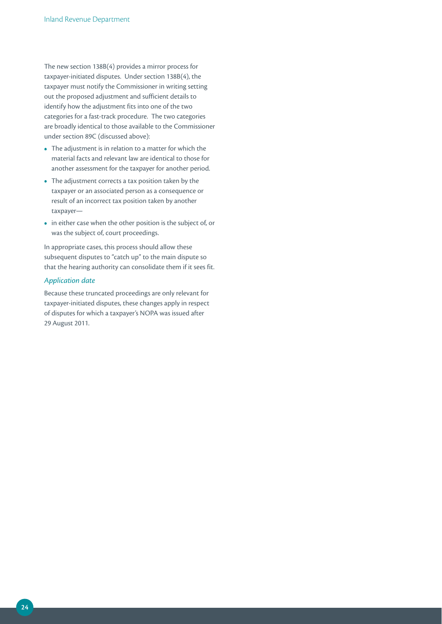The new section 138B(4) provides a mirror process for taxpayer-initiated disputes. Under section 138B(4), the taxpayer must notify the Commissioner in writing setting out the proposed adjustment and sufficient details to identify how the adjustment fits into one of the two categories for a fast-track procedure. The two categories are broadly identical to those available to the Commissioner under section 89C (discussed above):

- **•**  The adjustment is in relation to a matter for which the material facts and relevant law are identical to those for another assessment for the taxpayer for another period.
- **•**  The adjustment corrects a tax position taken by the taxpayer or an associated person as a consequence or result of an incorrect tax position taken by another taxpayer—
- in either case when the other position is the subject of, or was the subject of, court proceedings.

In appropriate cases, this process should allow these subsequent disputes to "catch up" to the main dispute so that the hearing authority can consolidate them if it sees fit.

## *Application date*

Because these truncated proceedings are only relevant for taxpayer-initiated disputes, these changes apply in respect of disputes for which a taxpayer's NOPA was issued after 29 August 2011.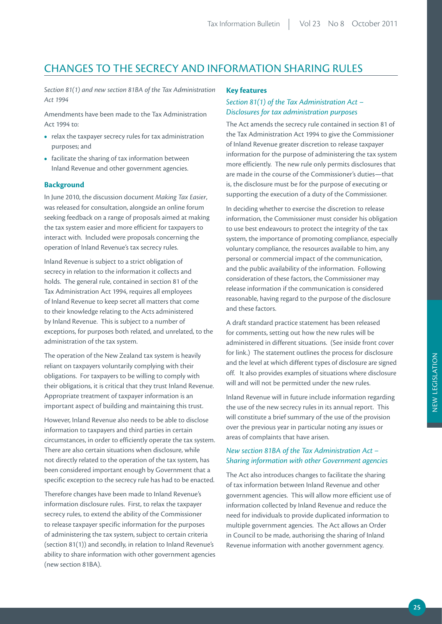## CHANGES TO THE SECRECY AND INFORMATION SHARING RULES

*Section 81(1) and new section 81BA of the Tax Administration Act 1994* 

Amendments have been made to the Tax Administration Act 1994 to:

- **•**  relax the taxpayer secrecy rules for tax administration purposes; and
- facilitate the sharing of tax information between Inland Revenue and other government agencies.

## **Background**

In June 2010, the discussion document *Making Tax Easier*, was released for consultation, alongside an online forum seeking feedback on a range of proposals aimed at making the tax system easier and more efficient for taxpayers to interact with. Included were proposals concerning the operation of Inland Revenue's tax secrecy rules.

Inland Revenue is subject to a strict obligation of secrecy in relation to the information it collects and holds. The general rule, contained in section 81 of the Tax Administration Act 1994, requires all employees of Inland Revenue to keep secret all matters that come to their knowledge relating to the Acts administered by Inland Revenue. This is subject to a number of exceptions, for purposes both related, and unrelated, to the administration of the tax system.

The operation of the New Zealand tax system is heavily reliant on taxpayers voluntarily complying with their obligations. For taxpayers to be willing to comply with their obligations, it is critical that they trust Inland Revenue. Appropriate treatment of taxpayer information is an important aspect of building and maintaining this trust.

However, Inland Revenue also needs to be able to disclose information to taxpayers and third parties in certain circumstances, in order to efficiently operate the tax system. There are also certain situations when disclosure, while not directly related to the operation of the tax system, has been considered important enough by Government that a specific exception to the secrecy rule has had to be enacted.

Therefore changes have been made to Inland Revenue's information disclosure rules. First, to relax the taxpayer secrecy rules, to extend the ability of the Commissioner to release taxpayer specific information for the purposes of administering the tax system, subject to certain criteria (section 81(1)) and secondly, in relation to Inland Revenue's ability to share information with other government agencies (new section 81BA).

## **Key features**

## *Section 81(1) of the Tax Administration Act – Disclosures for tax administration purposes*

The Act amends the secrecy rule contained in section 81 of the Tax Administration Act 1994 to give the Commissioner of Inland Revenue greater discretion to release taxpayer information for the purpose of administering the tax system more efficiently. The new rule only permits disclosures that are made in the course of the Commissioner's duties—that is, the disclosure must be for the purpose of executing or supporting the execution of a duty of the Commissioner.

In deciding whether to exercise the discretion to release information, the Commissioner must consider his obligation to use best endeavours to protect the integrity of the tax system, the importance of promoting compliance, especially voluntary compliance, the resources available to him, any personal or commercial impact of the communication, and the public availability of the information. Following consideration of these factors, the Commissioner may release information if the communication is considered reasonable, having regard to the purpose of the disclosure and these factors.

A draft standard practice statement has been released for comments, setting out how the new rules will be administered in different situations. (See inside front cover for link.) The statement outlines the process for disclosure and the level at which different types of disclosure are signed off. It also provides examples of situations where disclosure will and will not be permitted under the new rules.

Inland Revenue will in future include information regarding the use of the new secrecy rules in its annual report. This will constitute a brief summary of the use of the provision over the previous year in particular noting any issues or areas of complaints that have arisen.

## *New section 81BA of the Tax Administration Act – Sharing information with other Government agencies*

The Act also introduces changes to facilitate the sharing of tax information between Inland Revenue and other government agencies. This will allow more efficient use of information collected by Inland Revenue and reduce the need for individuals to provide duplicated information to multiple government agencies. The Act allows an Order in Council to be made, authorising the sharing of Inland Revenue information with another government agency.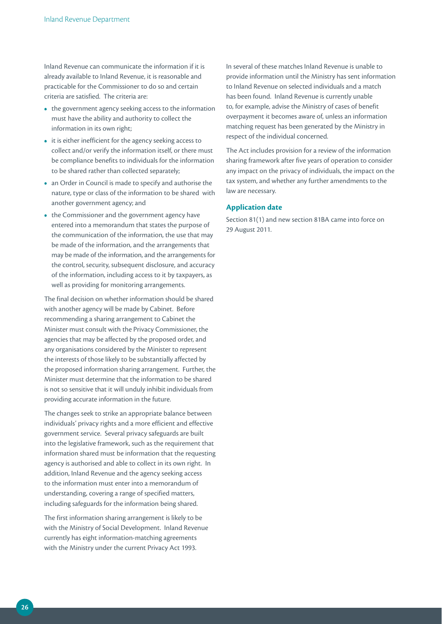Inland Revenue can communicate the information if it is already available to Inland Revenue, it is reasonable and practicable for the Commissioner to do so and certain criteria are satisfied. The criteria are:

- the government agency seeking access to the information must have the ability and authority to collect the information in its own right;
- it is either inefficient for the agency seeking access to collect and/or verify the information itself, or there must be compliance benefits to individuals for the information to be shared rather than collected separately;
- **•**  an Order in Council is made to specify and authorise the nature, type or class of the information to be shared with another government agency; and
- the Commissioner and the government agency have entered into a memorandum that states the purpose of the communication of the information, the use that may be made of the information, and the arrangements that may be made of the information, and the arrangements for the control, security, subsequent disclosure, and accuracy of the information, including access to it by taxpayers, as well as providing for monitoring arrangements.

The final decision on whether information should be shared with another agency will be made by Cabinet. Before recommending a sharing arrangement to Cabinet the Minister must consult with the Privacy Commissioner, the agencies that may be affected by the proposed order, and any organisations considered by the Minister to represent the interests of those likely to be substantially affected by the proposed information sharing arrangement. Further, the Minister must determine that the information to be shared is not so sensitive that it will unduly inhibit individuals from providing accurate information in the future.

The changes seek to strike an appropriate balance between individuals' privacy rights and a more efficient and effective government service. Several privacy safeguards are built into the legislative framework, such as the requirement that information shared must be information that the requesting agency is authorised and able to collect in its own right. In addition, Inland Revenue and the agency seeking access to the information must enter into a memorandum of understanding, covering a range of specified matters, including safeguards for the information being shared.

The first information sharing arrangement is likely to be with the Ministry of Social Development. Inland Revenue currently has eight information-matching agreements with the Ministry under the current Privacy Act 1993.

In several of these matches Inland Revenue is unable to provide information until the Ministry has sent information to Inland Revenue on selected individuals and a match has been found. Inland Revenue is currently unable to, for example, advise the Ministry of cases of benefit overpayment it becomes aware of, unless an information matching request has been generated by the Ministry in respect of the individual concerned.

The Act includes provision for a review of the information sharing framework after five years of operation to consider any impact on the privacy of individuals, the impact on the tax system, and whether any further amendments to the law are necessary.

## **Application date**

Section 81(1) and new section 81BA came into force on 29 August 2011.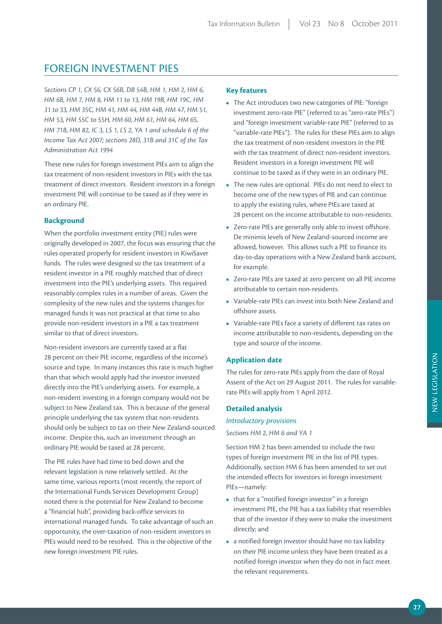## FOREIGN INVESTMENT PIES

*Sections CP 1, CX 56, CX 56B, DB 54B, HM 1, HM 2, HM 6, HM 6B, HM 7, HM 8, HM 11 to 13, HM 19B, HM 19C, HM 31 to 33, HM 35C, HM 41, HM 44, HM 44B, HM 47, HM 51, HM 53, HM 55C to 55H, HM 60, HM 61, HM 64, HM 65, HM 71B, HM 82, IC 3, LS 1, LS 2, YA 1 and schedule 6 of the Income Tax Act 2007; sections 28D, 31B and 31C of the Tax Administration Act 1994*

These new rules for foreign investment PIEs aim to align the tax treatment of non-resident investors in PIEs with the tax treatment of direct investors. Resident investors in a foreign investment PIE will continue to be taxed as if they were in an ordinary PIE.

## **Background**

When the portfolio investment entity (PIE) rules were originally developed in 2007, the focus was ensuring that the rules operated properly for resident investors in KiwiSaver funds. The rules were designed so the tax treatment of a resident investor in a PIE roughly matched that of direct investment into the PIE's underlying assets. This required reasonably complex rules in a number of areas. Given the complexity of the new rules and the systems changes for managed funds it was not practical at that time to also provide non-resident investors in a PIE a tax treatment similar to that of direct investors.

Non-resident investors are currently taxed at a flat 28 percent on their PIE income, regardless of the income's source and type. In many instances this rate is much higher than that which would apply had the investor invested directly into the PIE's underlying assets. For example, a non-resident investing in a foreign company would not be subject to New Zealand tax. This is because of the general principle underlying the tax system that non-residents should only be subject to tax on their New Zealand-sourced income. Despite this, such an investment through an ordinary PIE would be taxed at 28 percent.

The PIE rules have had time to bed down and the relevant legislation is now relatively settled. At the same time, various reports (most recently, the report of the International Funds Services Development Group) noted there is the potential for New Zealand to become a "financial hub", providing back-office services to international managed funds. To take advantage of such an opportunity, the over-taxation of non-resident investors in PIEs would need to be resolved. This is the objective of the new foreign investment PIE rules.

## **Key features**

- **•**  The Act introduces two new categories of PIE: "foreign investment zero-rate PIE" (referred to as "zero-rate PIEs") and "foreign investment variable-rate PIE" (referred to as "variable-rate PIEs"). The rules for these PIEs aim to align the tax treatment of non-resident investors in the PIE with the tax treatment of direct non-resident investors. Resident investors in a foreign investment PIE will continue to be taxed as if they were in an ordinary PIE.
- **•**  The new rules are optional. PIEs do not need to elect to become one of the new types of PIE and can continue to apply the existing rules, where PIEs are taxed at 28 percent on the income attributable to non-residents.
- **•**  Zero-rate PIEs are generally only able to invest offshore. De minimis levels of New Zealand-sourced income are allowed, however. This allows such a PIE to finance its day-to-day operations with a New Zealand bank account, for example.
- **•**  Zero-rate PIEs are taxed at zero percent on all PIE income attributable to certain non-residents.
- **•**  Variable-rate PIEs can invest into both New Zealand and offshore assets.
- **•**  Variable-rate PIEs face a variety of different tax rates on income attributable to non-residents, depending on the type and source of the income.

## **Application date**

The rules for zero-rate PIEs apply from the date of Royal Assent of the Act on 29 August 2011. The rules for variablerate PIEs will apply from 1 April 2012.

## **Detailed analysis**

## *Introductory provisions*

*Sections HM 2, HM 6 and YA 1*

Section HM 2 has been amended to include the two types of foreign investment PIE in the list of PIE types. Additionally, section HM 6 has been amended to set out the intended effects for investors in foreign investment PIEs—namely:

- that for a "notified foreign investor" in a foreign investment PIE, the PIE has a tax liability that resembles that of the investor if they were to make the investment directly; and
- **•**  a notified foreign investor should have no tax liability on their PIE income unless they have been treated as a notified foreign investor when they do not in fact meet the relevant requirements.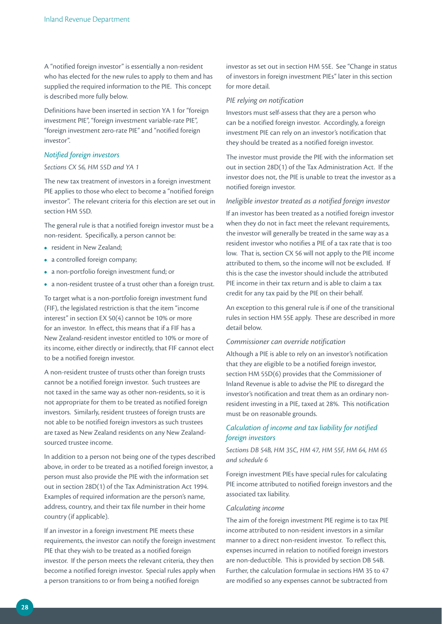A "notified foreign investor" is essentially a non-resident who has elected for the new rules to apply to them and has supplied the required information to the PIE. This concept is described more fully below.

Definitions have been inserted in section YA 1 for "foreign investment PIE", "foreign investment variable-rate PIE", "foreign investment zero-rate PIE" and "notified foreign investor".

## *Notified foreign investors*

## *Sections CX 56, HM 55D and YA 1*

The new tax treatment of investors in a foreign investment PIE applies to those who elect to become a "notified foreign investor". The relevant criteria for this election are set out in section HM 55D.

The general rule is that a notified foreign investor must be a non-resident. Specifically, a person cannot be:

- **•** resident in New Zealand;
- a controlled foreign company;
- **•**  a non-portfolio foreign investment fund; or
- **•**  a non-resident trustee of a trust other than a foreign trust.

To target what is a non-portfolio foreign investment fund (FIF), the legislated restriction is that the item "income interest" in section EX 50(4) cannot be 10% or more for an investor. In effect, this means that if a FIF has a New Zealand-resident investor entitled to 10% or more of its income, either directly or indirectly, that FIF cannot elect to be a notified foreign investor.

A non-resident trustee of trusts other than foreign trusts cannot be a notified foreign investor. Such trustees are not taxed in the same way as other non-residents, so it is not appropriate for them to be treated as notified foreign investors. Similarly, resident trustees of foreign trusts are not able to be notified foreign investors as such trustees are taxed as New Zealand residents on any New Zealandsourced trustee income.

In addition to a person not being one of the types described above, in order to be treated as a notified foreign investor, a person must also provide the PIE with the information set out in section 28D(1) of the Tax Administration Act 1994. Examples of required information are the person's name, address, country, and their tax file number in their home country (if applicable).

If an investor in a foreign investment PIE meets these requirements, the investor can notify the foreign investment PIE that they wish to be treated as a notified foreign investor. If the person meets the relevant criteria, they then become a notified foreign investor. Special rules apply when a person transitions to or from being a notified foreign

investor as set out in section HM 55E. See "Change in status of investors in foreign investment PIEs" later in this section for more detail.

#### *PIE relying on notification*

Investors must self-assess that they are a person who can be a notified foreign investor. Accordingly, a foreign investment PIE can rely on an investor's notification that they should be treated as a notified foreign investor.

The investor must provide the PIE with the information set out in section 28D(1) of the Tax Administration Act. If the investor does not, the PIE is unable to treat the investor as a notified foreign investor.

## *Ineligible investor treated as a notified foreign investor*

If an investor has been treated as a notified foreign investor when they do not in fact meet the relevant requirements, the investor will generally be treated in the same way as a resident investor who notifies a PIE of a tax rate that is too low. That is, section CX 56 will not apply to the PIE income attributed to them, so the income will not be excluded. If this is the case the investor should include the attributed PIE income in their tax return and is able to claim a tax credit for any tax paid by the PIE on their behalf.

An exception to this general rule is if one of the transitional rules in section HM 55E apply. These are described in more detail below.

## *Commissioner can override notification*

Although a PIE is able to rely on an investor's notification that they are eligible to be a notified foreign investor, section HM 55D(6) provides that the Commissioner of Inland Revenue is able to advise the PIE to disregard the investor's notification and treat them as an ordinary nonresident investing in a PIE, taxed at 28%. This notification must be on reasonable grounds.

## *Calculation of income and tax liability for notified foreign investors*

*Sections DB 54B, HM 35C, HM 47, HM 55F, HM 64, HM 65 and schedule 6*

Foreign investment PIEs have special rules for calculating PIE income attributed to notified foreign investors and the associated tax liability.

## *Calculating income*

The aim of the foreign investment PIE regime is to tax PIE income attributed to non-resident investors in a similar manner to a direct non-resident investor. To reflect this, expenses incurred in relation to notified foreign investors are non-deductible. This is provided by section DB 54B. Further, the calculation formulae in sections HM 35 to 47 are modified so any expenses cannot be subtracted from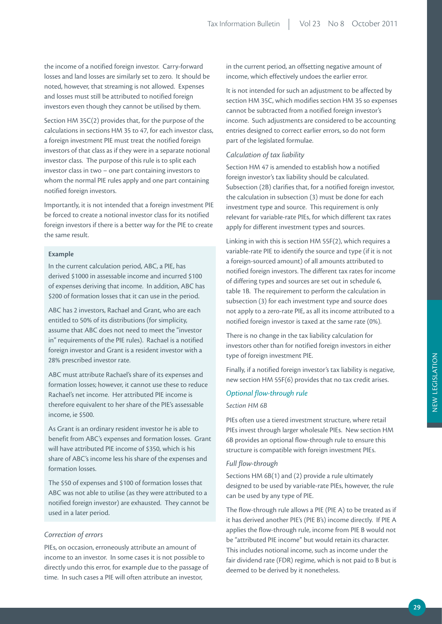the income of a notified foreign investor. Carry-forward losses and land losses are similarly set to zero. It should be noted, however, that streaming is not allowed. Expenses and losses must still be attributed to notified foreign investors even though they cannot be utilised by them.

Section HM 35C(2) provides that, for the purpose of the calculations in sections HM 35 to 47, for each investor class, a foreign investment PIE must treat the notified foreign investors of that class as if they were in a separate notional investor class. The purpose of this rule is to split each investor class in two – one part containing investors to whom the normal PIE rules apply and one part containing notified foreign investors.

Importantly, it is not intended that a foreign investment PIE be forced to create a notional investor class for its notified foreign investors if there is a better way for the PIE to create the same result.

#### **Example**

In the current calculation period, ABC, a PIE, has derived \$1000 in assessable income and incurred \$100 of expenses deriving that income. In addition, ABC has \$200 of formation losses that it can use in the period.

ABC has 2 investors, Rachael and Grant, who are each entitled to 50% of its distributions (for simplicity, assume that ABC does not need to meet the "investor in" requirements of the PIE rules). Rachael is a notified foreign investor and Grant is a resident investor with a 28% prescribed investor rate.

ABC must attribute Rachael's share of its expenses and formation losses; however, it cannot use these to reduce Rachael's net income. Her attributed PIE income is therefore equivalent to her share of the PIE's assessable income, ie \$500.

As Grant is an ordinary resident investor he is able to benefit from ABC's expenses and formation losses. Grant will have attributed PIE income of \$350, which is his share of ABC's income less his share of the expenses and formation losses.

The \$50 of expenses and \$100 of formation losses that ABC was not able to utilise (as they were attributed to a notified foreign investor) are exhausted. They cannot be used in a later period.

## *Correction of errors*

PIEs, on occasion, erroneously attribute an amount of income to an investor. In some cases it is not possible to directly undo this error, for example due to the passage of time. In such cases a PIE will often attribute an investor,

in the current period, an offsetting negative amount of income, which effectively undoes the earlier error.

It is not intended for such an adjustment to be affected by section HM 35C, which modifies section HM 35 so expenses cannot be subtracted from a notified foreign investor's income. Such adjustments are considered to be accounting entries designed to correct earlier errors, so do not form part of the legislated formulae.

## *Calculation of tax liability*

Section HM 47 is amended to establish how a notified foreign investor's tax liability should be calculated. Subsection (2B) clarifies that, for a notified foreign investor, the calculation in subsection (3) must be done for each investment type and source. This requirement is only relevant for variable-rate PIEs, for which different tax rates apply for different investment types and sources.

Linking in with this is section HM 55F(2), which requires a variable-rate PIE to identify the source and type (if it is not a foreign-sourced amount) of all amounts attributed to notified foreign investors. The different tax rates for income of differing types and sources are set out in schedule 6, table 1B. The requirement to perform the calculation in subsection (3) for each investment type and source does not apply to a zero-rate PIE, as all its income attributed to a notified foreign investor is taxed at the same rate (0%).

There is no change in the tax liability calculation for investors other than for notified foreign investors in either type of foreign investment PIE.

Finally, if a notified foreign investor's tax liability is negative, new section HM 55F(6) provides that no tax credit arises.

## *Optional flow-through rule*

*Section HM 6B*

PIEs often use a tiered investment structure, where retail PIEs invest through larger wholesale PIEs. New section HM 6B provides an optional flow-through rule to ensure this structure is compatible with foreign investment PIEs.

## *Full flow-through*

Sections HM 6B(1) and (2) provide a rule ultimately designed to be used by variable-rate PIEs, however, the rule can be used by any type of PIE.

The flow-through rule allows a PIE (PIE A) to be treated as if it has derived another PIE's (PIE B's) income directly. If PIE A applies the flow-through rule, income from PIE B would not be "attributed PIE income" but would retain its character. This includes notional income, such as income under the fair dividend rate (FDR) regime, which is not paid to B but is deemed to be derived by it nonetheless.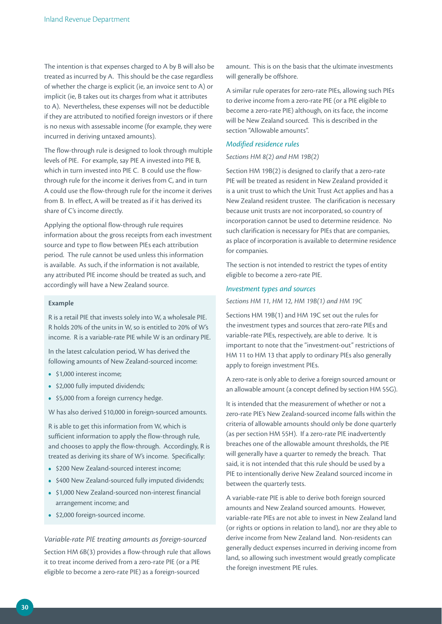The intention is that expenses charged to A by B will also be treated as incurred by A. This should be the case regardless of whether the charge is explicit (ie, an invoice sent to A) or implicit (ie, B takes out its charges from what it attributes to A). Nevertheless, these expenses will not be deductible if they are attributed to notified foreign investors or if there is no nexus with assessable income (for example, they were incurred in deriving untaxed amounts).

The flow-through rule is designed to look through multiple levels of PIE. For example, say PIE A invested into PIE B, which in turn invested into PIE C. B could use the flowthrough rule for the income it derives from C, and in turn A could use the flow-through rule for the income it derives from B. In effect, A will be treated as if it has derived its share of C's income directly.

Applying the optional flow-through rule requires information about the gross receipts from each investment source and type to flow between PIEs each attribution period. The rule cannot be used unless this information is available. As such, if the information is not available, any attributed PIE income should be treated as such, and accordingly will have a New Zealand source.

## **Example**

R is a retail PIE that invests solely into W, a wholesale PIE. R holds 20% of the units in W, so is entitled to 20% of W's income. R is a variable-rate PIE while W is an ordinary PIE.

In the latest calculation period, W has derived the following amounts of New Zealand-sourced income:

- **•**  \$1,000 interest income;
- **•**  \$2,000 fully imputed dividends;
- \$5,000 from a foreign currency hedge.

W has also derived \$10,000 in foreign-sourced amounts.

R is able to get this information from W, which is sufficient information to apply the flow-through rule, and chooses to apply the flow-through. Accordingly, R is treated as deriving its share of W's income. Specifically:

- \$200 New Zealand-sourced interest income:
- \$400 New Zealand-sourced fully imputed dividends;
- **•**  \$1,000 New Zealand-sourced non-interest financial arrangement income; and
- **•**  \$2,000 foreign-sourced income.

*Variable-rate PIE treating amounts as foreign-sourced* Section HM 6B(3) provides a flow-through rule that allows it to treat income derived from a zero-rate PIE (or a PIE eligible to become a zero-rate PIE) as a foreign-sourced

amount. This is on the basis that the ultimate investments will generally be offshore.

A similar rule operates for zero-rate PIEs, allowing such PIEs to derive income from a zero-rate PIE (or a PIE eligible to become a zero-rate PIE) although, on its face, the income will be New Zealand sourced. This is described in the section "Allowable amounts".

## *Modified residence rules*

## *Sections HM 8(2) and HM 19B(2)*

Section HM 19B(2) is designed to clarify that a zero-rate PIE will be treated as resident in New Zealand provided it is a unit trust to which the Unit Trust Act applies and has a New Zealand resident trustee. The clarification is necessary because unit trusts are not incorporated, so country of incorporation cannot be used to determine residence. No such clarification is necessary for PIEs that are companies, as place of incorporation is available to determine residence for companies.

The section is not intended to restrict the types of entity eligible to become a zero-rate PIE.

## *Investment types and sources*

*Sections HM 11, HM 12, HM 19B(1) and HM 19C* 

Sections HM 19B(1) and HM 19C set out the rules for the investment types and sources that zero-rate PIEs and variable-rate PIEs, respectively, are able to derive. It is important to note that the "investment-out" restrictions of HM 11 to HM 13 that apply to ordinary PIEs also generally apply to foreign investment PIEs.

A zero-rate is only able to derive a foreign sourced amount or an allowable amount (a concept defined by section HM 55G).

It is intended that the measurement of whether or not a zero-rate PIE's New Zealand-sourced income falls within the criteria of allowable amounts should only be done quarterly (as per section HM 55H). If a zero-rate PIE inadvertently breaches one of the allowable amount thresholds, the PIE will generally have a quarter to remedy the breach. That said, it is not intended that this rule should be used by a PIE to intentionally derive New Zealand sourced income in between the quarterly tests.

A variable-rate PIE is able to derive both foreign sourced amounts and New Zealand sourced amounts. However, variable-rate PIEs are not able to invest in New Zealand land (or rights or options in relation to land), nor are they able to derive income from New Zealand land. Non-residents can generally deduct expenses incurred in deriving income from land, so allowing such investment would greatly complicate the foreign investment PIE rules.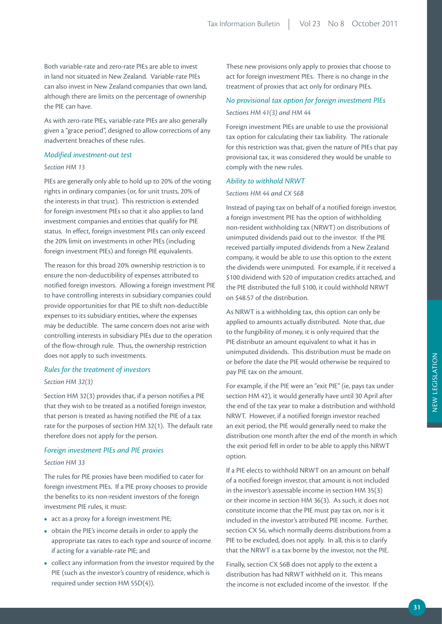Both variable-rate and zero-rate PIEs are able to invest in land not situated in New Zealand. Variable-rate PIEs can also invest in New Zealand companies that own land, although there are limits on the percentage of ownership the PIE can have.

As with zero-rate PIEs, variable-rate PIEs are also generally given a "grace period", designed to allow corrections of any inadvertent breaches of these rules.

## *Modified investment-out test*

## *Section HM 13*

PIEs are generally only able to hold up to 20% of the voting rights in ordinary companies (or, for unit trusts, 20% of the interests in that trust). This restriction is extended for foreign investment PIEs so that it also applies to land investment companies and entities that qualify for PIE status. In effect, foreign investment PIEs can only exceed the 20% limit on investments in other PIEs (including foreign investment PIEs) and foreign PIE equivalents.

The reason for this broad 20% ownership restriction is to ensure the non-deductibility of expenses attributed to notified foreign investors. Allowing a foreign investment PIE to have controlling interests in subsidiary companies could provide opportunities for that PIE to shift non-deductible expenses to its subsidiary entities, where the expenses may be deductible. The same concern does not arise with controlling interests in subsidiary PIEs due to the operation of the flow-through rule. Thus, the ownership restriction does not apply to such investments.

## *Rules for the treatment of investors*

## *Section HM 32(3)*

Section HM 32(3) provides that, if a person notifies a PIE that they wish to be treated as a notified foreign investor, that person is treated as having notified the PIE of a tax rate for the purposes of section HM 32(1). The default rate therefore does not apply for the person.

## *Foreign investment PIEs and PIE proxies*

## *Section HM 33*

The rules for PIE proxies have been modified to cater for foreign investment PIEs. If a PIE proxy chooses to provide the benefits to its non-resident investors of the foreign investment PIE rules, it must:

- **•**  act as a proxy for a foreign investment PIE;
- **•**  obtain the PIE's income details in order to apply the appropriate tax rates to each type and source of income if acting for a variable-rate PIE; and
- **•**  collect any information from the investor required by the PIE (such as the investor's country of residence, which is required under section HM 55D(4)).

These new provisions only apply to proxies that choose to act for foreign investment PIEs. There is no change in the treatment of proxies that act only for ordinary PIEs.

## *No provisional tax option for foreign investment PIEs Sections HM 41(3) and HM 44*

Foreign investment PIEs are unable to use the provisional tax option for calculating their tax liability. The rationale for this restriction was that, given the nature of PIEs that pay provisional tax, it was considered they would be unable to comply with the new rules.

#### *Ability to withhold NRWT*

## *Sections HM 44 and CX 56B*

Instead of paying tax on behalf of a notified foreign investor, a foreign investment PIE has the option of withholding non-resident withholding tax (NRWT) on distributions of unimputed dividends paid out to the investor. If the PIE received partially imputed dividends from a New Zealand company, it would be able to use this option to the extent the dividends were unimputed. For example, if it received a \$100 dividend with \$20 of imputation credits attached, and the PIE distributed the full \$100, it could withhold NRWT on \$48.57 of the distribution.

As NRWT is a withholding tax, this option can only be applied to amounts actually distributed. Note that, due to the fungibility of money, it is only required that the PIE distribute an amount equivalent to what it has in unimputed dividends. This distribution must be made on or before the date the PIE would otherwise be required to pay PIE tax on the amount.

For example, if the PIE were an "exit PIE" (ie, pays tax under section HM 42), it would generally have until 30 April after the end of the tax year to make a distribution and withhold NRWT. However, if a notified foreign investor reached an exit period, the PIE would generally need to make the distribution one month after the end of the month in which the exit period fell in order to be able to apply this NRWT option.

If a PIE elects to withhold NRWT on an amount on behalf of a notified foreign investor, that amount is not included in the investor's assessable income in section HM 35(3) or their income in section HM 36(3). As such, it does not constitute income that the PIE must pay tax on, nor is it included in the investor's attributed PIE income. Further, section CX 56, which normally deems distributions from a PIE to be excluded, does not apply. In all, this is to clarify that the NRWT is a tax borne by the investor, not the PIE.

Finally, section CX 56B does not apply to the extent a distribution has had NRWT withheld on it. This means the income is not excluded income of the investor. If the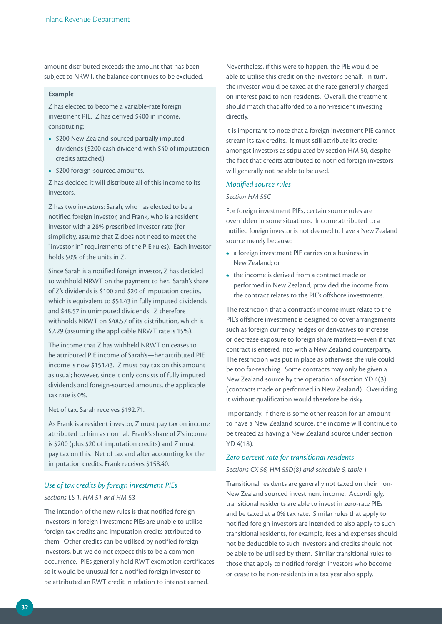amount distributed exceeds the amount that has been subject to NRWT, the balance continues to be excluded.

## **Example**

Z has elected to become a variable-rate foreign investment PIE. Z has derived \$400 in income, constituting:

- **•**  \$200 New Zealand-sourced partially imputed dividends (\$200 cash dividend with \$40 of imputation credits attached);
- **•**  \$200 foreign-sourced amounts.

Z has decided it will distribute all of this income to its investors.

Z has two investors: Sarah, who has elected to be a notified foreign investor, and Frank, who is a resident investor with a 28% prescribed investor rate (for simplicity, assume that Z does not need to meet the "investor in" requirements of the PIE rules). Each investor holds 50% of the units in Z.

Since Sarah is a notified foreign investor, Z has decided to withhold NRWT on the payment to her. Sarah's share of Z's dividends is \$100 and \$20 of imputation credits, which is equivalent to \$51.43 in fully imputed dividends and \$48.57 in unimputed dividends. Z therefore withholds NRWT on \$48.57 of its distribution, which is \$7.29 (assuming the applicable NRWT rate is 15%).

The income that Z has withheld NRWT on ceases to be attributed PIE income of Sarah's—her attributed PIE income is now \$151.43. Z must pay tax on this amount as usual; however, since it only consists of fully imputed dividends and foreign-sourced amounts, the applicable tax rate is 0%.

Net of tax, Sarah receives \$192.71.

As Frank is a resident investor, Z must pay tax on income attributed to him as normal. Frank's share of Z's income is \$200 (plus \$20 of imputation credits) and Z must pay tax on this. Net of tax and after accounting for the imputation credits, Frank receives \$158.40.

## *Use of tax credits by foreign investment PIEs*

## *Sections LS 1, HM 51 and HM 53*

The intention of the new rules is that notified foreign investors in foreign investment PIEs are unable to utilise foreign tax credits and imputation credits attributed to them. Other credits can be utilised by notified foreign investors, but we do not expect this to be a common occurrence. PIEs generally hold RWT exemption certificates so it would be unusual for a notified foreign investor to be attributed an RWT credit in relation to interest earned.

Nevertheless, if this were to happen, the PIE would be able to utilise this credit on the investor's behalf. In turn, the investor would be taxed at the rate generally charged on interest paid to non-residents. Overall, the treatment should match that afforded to a non-resident investing directly.

It is important to note that a foreign investment PIE cannot stream its tax credits. It must still attribute its credits amongst investors as stipulated by section HM 50, despite the fact that credits attributed to notified foreign investors will generally not be able to be used.

## *Modified source rules*

### *Section HM 55C*

For foreign investment PIEs, certain source rules are overridden in some situations. Income attributed to a notified foreign investor is not deemed to have a New Zealand source merely because:

- **•**  a foreign investment PIE carries on a business in New Zealand; or
- the income is derived from a contract made or performed in New Zealand, provided the income from the contract relates to the PIE's offshore investments.

The restriction that a contract's income must relate to the PIE's offshore investment is designed to cover arrangements such as foreign currency hedges or derivatives to increase or decrease exposure to foreign share markets—even if that contract is entered into with a New Zealand counterparty. The restriction was put in place as otherwise the rule could be too far-reaching. Some contracts may only be given a New Zealand source by the operation of section YD 4(3) (contracts made or performed in New Zealand). Overriding it without qualification would therefore be risky.

Importantly, if there is some other reason for an amount to have a New Zealand source, the income will continue to be treated as having a New Zealand source under section YD 4(18).

## *Zero percent rate for transitional residents*

## *Sections CX 56, HM 55D(8) and schedule 6, table 1*

Transitional residents are generally not taxed on their non-New Zealand sourced investment income. Accordingly, transitional residents are able to invest in zero-rate PIEs and be taxed at a 0% tax rate. Similar rules that apply to notified foreign investors are intended to also apply to such transitional residents, for example, fees and expenses should not be deductible to such investors and credits should not be able to be utilised by them. Similar transitional rules to those that apply to notified foreign investors who become or cease to be non-residents in a tax year also apply.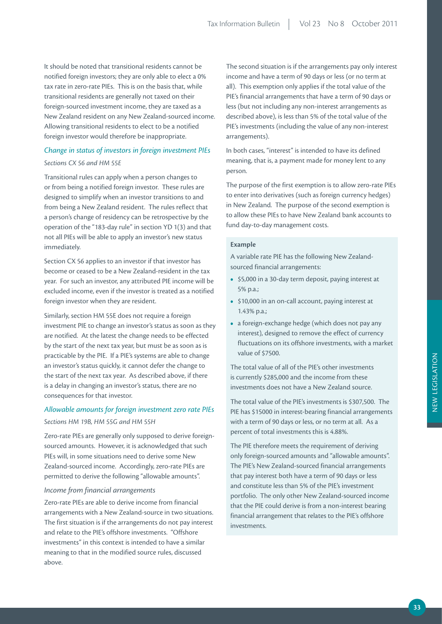It should be noted that transitional residents cannot be notified foreign investors; they are only able to elect a 0% tax rate in zero-rate PIEs. This is on the basis that, while transitional residents are generally not taxed on their foreign-sourced investment income, they are taxed as a New Zealand resident on any New Zealand-sourced income. Allowing transitional residents to elect to be a notified foreign investor would therefore be inappropriate.

## *Change in status of investors in foreign investment PIEs*

## *Sections CX 56 and HM 55E*

Transitional rules can apply when a person changes to or from being a notified foreign investor. These rules are designed to simplify when an investor transitions to and from being a New Zealand resident. The rules reflect that a person's change of residency can be retrospective by the operation of the "183-day rule" in section YD 1(3) and that not all PIEs will be able to apply an investor's new status immediately.

Section CX 56 applies to an investor if that investor has become or ceased to be a New Zealand-resident in the tax year. For such an investor, any attributed PIE income will be excluded income, even if the investor is treated as a notified foreign investor when they are resident.

Similarly, section HM 55E does not require a foreign investment PIE to change an investor's status as soon as they are notified. At the latest the change needs to be effected by the start of the next tax year, but must be as soon as is practicable by the PIE. If a PIE's systems are able to change an investor's status quickly, it cannot defer the change to the start of the next tax year. As described above, if there is a delay in changing an investor's status, there are no consequences for that investor.

## *Allowable amounts for foreign investment zero rate PIEs Sections HM 19B, HM 55G and HM 55H*

Zero-rate PIEs are generally only supposed to derive foreignsourced amounts. However, it is acknowledged that such PIEs will, in some situations need to derive some New Zealand-sourced income. Accordingly, zero-rate PIEs are permitted to derive the following "allowable amounts".

## *Income from financial arrangements*

Zero-rate PIEs are able to derive income from financial arrangements with a New Zealand-source in two situations. The first situation is if the arrangements do not pay interest and relate to the PIE's offshore investments. "Offshore investments" in this context is intended to have a similar meaning to that in the modified source rules, discussed above.

The second situation is if the arrangements pay only interest income and have a term of 90 days or less (or no term at all). This exemption only applies if the total value of the PIE's financial arrangements that have a term of 90 days or less (but not including any non-interest arrangements as described above), is less than 5% of the total value of the PIE's investments (including the value of any non-interest arrangements).

In both cases, "interest" is intended to have its defined meaning, that is, a payment made for money lent to any person.

The purpose of the first exemption is to allow zero-rate PIEs to enter into derivatives (such as foreign currency hedges) in New Zealand. The purpose of the second exemption is to allow these PIEs to have New Zealand bank accounts to fund day-to-day management costs.

## **Example**

A variable rate PIE has the following New Zealandsourced financial arrangements:

- **•**  \$5,000 in a 30-day term deposit, paying interest at 5% p.a.;
- **•**  \$10,000 in an on-call account, paying interest at 1.43% p.a.;
- **•**  a foreign-exchange hedge (which does not pay any interest), designed to remove the effect of currency fluctuations on its offshore investments, with a market value of \$7500.

The total value of all of the PIE's other investments is currently \$285,000 and the income from these investments does not have a New Zealand source.

The total value of the PIE's investments is \$307,500. The PIE has \$15000 in interest-bearing financial arrangements with a term of 90 days or less, or no term at all. As a percent of total investments this is 4.88%.

The PIE therefore meets the requirement of deriving only foreign-sourced amounts and "allowable amounts". The PIE's New Zealand-sourced financial arrangements that pay interest both have a term of 90 days or less and constitute less than 5% of the PIE's investment portfolio. The only other New Zealand-sourced income that the PIE could derive is from a non-interest bearing financial arrangement that relates to the PIE's offshore investments.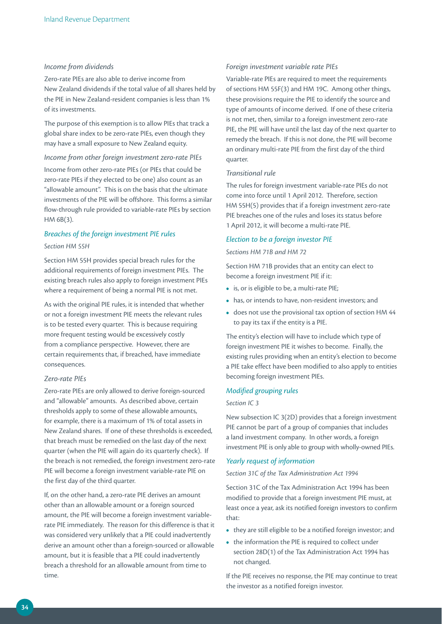## *Income from dividends*

Zero-rate PIEs are also able to derive income from New Zealand dividends if the total value of all shares held by the PIE in New Zealand-resident companies is less than 1% of its investments.

The purpose of this exemption is to allow PIEs that track a global share index to be zero-rate PIEs, even though they may have a small exposure to New Zealand equity.

## *Income from other foreign investment zero-rate PIEs*

Income from other zero-rate PIEs (or PIEs that could be zero-rate PIEs if they elected to be one) also count as an "allowable amount". This is on the basis that the ultimate investments of the PIE will be offshore. This forms a similar flow-through rule provided to variable-rate PIEs by section HM 6B(3).

## *Breaches of the foreign investment PIE rules Section HM 55H*

Section HM 55H provides special breach rules for the additional requirements of foreign investment PIEs. The existing breach rules also apply to foreign investment PIEs where a requirement of being a normal PIE is not met.

As with the original PIE rules, it is intended that whether or not a foreign investment PIE meets the relevant rules is to be tested every quarter. This is because requiring more frequent testing would be excessively costly from a compliance perspective. However, there are certain requirements that, if breached, have immediate consequences.

## *Zero-rate PIEs*

Zero-rate PIEs are only allowed to derive foreign-sourced and "allowable" amounts. As described above, certain thresholds apply to some of these allowable amounts, for example, there is a maximum of 1% of total assets in New Zealand shares. If one of these thresholds is exceeded, that breach must be remedied on the last day of the next quarter (when the PIE will again do its quarterly check). If the breach is not remedied, the foreign investment zero-rate PIE will become a foreign investment variable-rate PIE on the first day of the third quarter.

If, on the other hand, a zero-rate PIE derives an amount other than an allowable amount or a foreign sourced amount, the PIE will become a foreign investment variablerate PIE immediately. The reason for this difference is that it was considered very unlikely that a PIE could inadvertently derive an amount other than a foreign-sourced or allowable amount, but it is feasible that a PIE could inadvertently breach a threshold for an allowable amount from time to time.

## *Foreign investment variable rate PIEs*

Variable-rate PIEs are required to meet the requirements of sections HM 55F(3) and HM 19C. Among other things, these provisions require the PIE to identify the source and type of amounts of income derived. If one of these criteria is not met, then, similar to a foreign investment zero-rate PIE, the PIE will have until the last day of the next quarter to remedy the breach. If this is not done, the PIE will become an ordinary multi-rate PIE from the first day of the third quarter.

#### *Transitional rule*

The rules for foreign investment variable-rate PIEs do not come into force until 1 April 2012. Therefore, section HM 55H(5) provides that if a foreign investment zero-rate PIE breaches one of the rules and loses its status before 1 April 2012, it will become a multi-rate PIE.

#### *Election to be a foreign investor PIE*

#### *Sections HM 71B and HM 72*

Section HM 71B provides that an entity can elect to become a foreign investment PIE if it:

- **•**  is, or is eligible to be, a multi-rate PIE;
- **•**  has, or intends to have, non-resident investors; and
- **•**  does not use the provisional tax option of section HM 44 to pay its tax if the entity is a PIE.

The entity's election will have to include which type of foreign investment PIE it wishes to become. Finally, the existing rules providing when an entity's election to become a PIE take effect have been modified to also apply to entities becoming foreign investment PIEs.

## *Modified grouping rules*

## *Section IC 3*

New subsection IC 3(2D) provides that a foreign investment PIE cannot be part of a group of companies that includes a land investment company. In other words, a foreign investment PIE is only able to group with wholly-owned PIEs.

## *Yearly request of information*

*Section 31C of the Tax Administration Act 1994*

Section 31C of the Tax Administration Act 1994 has been modified to provide that a foreign investment PIE must, at least once a year, ask its notified foreign investors to confirm that:

- **•**  they are still eligible to be a notified foreign investor; and
- the information the PIE is required to collect under section 28D(1) of the Tax Administration Act 1994 has not changed.

If the PIE receives no response, the PIE may continue to treat the investor as a notified foreign investor.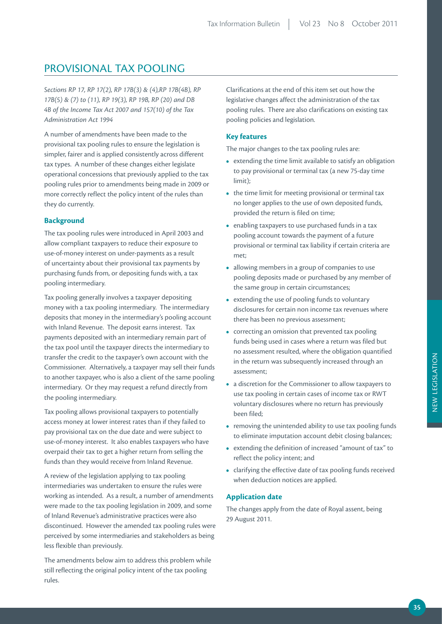# PROVISIONAL TAX POOLING

*Sections RP 17, RP 17(2), RP 17B(3) & (4),RP 17B(4B), RP 17B(5) & (7) to (11), RP 19(3), RP 19B, RP (20) and DB 4B of the Income Tax Act 2007 and 157(10) of the Tax Administration Act 1994*

A number of amendments have been made to the provisional tax pooling rules to ensure the legislation is simpler, fairer and is applied consistently across different tax types. A number of these changes either legislate operational concessions that previously applied to the tax pooling rules prior to amendments being made in 2009 or more correctly reflect the policy intent of the rules than they do currently.

# **Background**

The tax pooling rules were introduced in April 2003 and allow compliant taxpayers to reduce their exposure to use-of-money interest on under-payments as a result of uncertainty about their provisional tax payments by purchasing funds from, or depositing funds with, a tax pooling intermediary.

Tax pooling generally involves a taxpayer depositing money with a tax pooling intermediary. The intermediary deposits that money in the intermediary's pooling account with Inland Revenue. The deposit earns interest. Tax payments deposited with an intermediary remain part of the tax pool until the taxpayer directs the intermediary to transfer the credit to the taxpayer's own account with the Commissioner. Alternatively, a taxpayer may sell their funds to another taxpayer, who is also a client of the same pooling intermediary. Or they may request a refund directly from the pooling intermediary.

Tax pooling allows provisional taxpayers to potentially access money at lower interest rates than if they failed to pay provisional tax on the due date and were subject to use-of-money interest. It also enables taxpayers who have overpaid their tax to get a higher return from selling the funds than they would receive from Inland Revenue.

A review of the legislation applying to tax pooling intermediaries was undertaken to ensure the rules were working as intended. As a result, a number of amendments were made to the tax pooling legislation in 2009, and some of Inland Revenue's administrative practices were also discontinued. However the amended tax pooling rules were perceived by some intermediaries and stakeholders as being less flexible than previously.

The amendments below aim to address this problem while still reflecting the original policy intent of the tax pooling rules.

Clarifications at the end of this item set out how the legislative changes affect the administration of the tax pooling rules. There are also clarifications on existing tax pooling policies and legislation.

# **Key features**

The major changes to the tax pooling rules are:

- **•**  extending the time limit available to satisfy an obligation to pay provisional or terminal tax (a new 75-day time limit);
- the time limit for meeting provisional or terminal tax no longer applies to the use of own deposited funds, provided the return is filed on time;
- **•**  enabling taxpayers to use purchased funds in a tax pooling account towards the payment of a future provisional or terminal tax liability if certain criteria are met;
- **•**  allowing members in a group of companies to use pooling deposits made or purchased by any member of the same group in certain circumstances;
- extending the use of pooling funds to voluntary disclosures for certain non income tax revenues where there has been no previous assessment;
- **•**  correcting an omission that prevented tax pooling funds being used in cases where a return was filed but no assessment resulted, where the obligation quantified in the return was subsequently increased through an assessment;
- **•**  a discretion for the Commissioner to allow taxpayers to use tax pooling in certain cases of income tax or RWT voluntary disclosures where no return has previously been filed;
- removing the unintended ability to use tax pooling funds to eliminate imputation account debit closing balances;
- **•**  extending the definition of increased "amount of tax" to reflect the policy intent; and
- **•**  clarifying the effective date of tax pooling funds received when deduction notices are applied.

# **Application date**

The changes apply from the date of Royal assent, being 29 August 2011.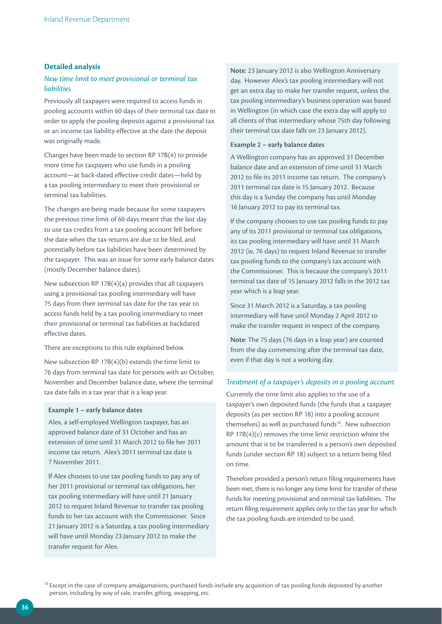## **Detailed analysis**

## *New time limit to meet provisional or terminal tax liabilities*

Previously all taxpayers were required to access funds in pooling accounts within 60 days of their terminal tax date in order to apply the pooling deposits against a provisional tax or an income tax liability effective at the date the deposit was originally made.

Changes have been made to section RP 17B(4) to provide more time for taxpayers who use funds in a pooling account—at back-dated effective credit dates—held by a tax pooling intermediary to meet their provisional or terminal tax liabilities.

The changes are being made because for some taxpayers the previous time limit of 60 days meant that the last day to use tax credits from a tax pooling account fell before the date when the tax returns are due to be filed, and potentially before tax liabilities have been determined by the taxpayer. This was an issue for some early balance dates (mostly December balance dates).

New subsection RP 17B(4)(a) provides that all taxpayers using a provisional tax pooling intermediary will have 75 days from their terminal tax date for the tax year to access funds held by a tax pooling intermediary to meet their provisional or terminal tax liabilities at backdated effective dates.

There are exceptions to this rule explained below.

New subsection RP 17B(4)(b) extends the time limit to 76 days from terminal tax date for persons with an October, November and December balance date, where the terminal tax date falls in a tax year that is a leap year.

## **Example 1 – early balance dates**

Alex, a self-employed Wellington taxpayer, has an approved balance date of 31 October and has an extension of time until 31 March 2012 to file her 2011 income tax return. Alex's 2011 terminal tax date is 7 November 2011.

If Alex chooses to use tax pooling funds to pay any of her 2011 provisional or terminal tax obligations, her tax pooling intermediary will have until 21 January 2012 to request Inland Revenue to transfer tax pooling funds to her tax account with the Commissioner. Since 21 January 2012 is a Saturday, a tax pooling intermediary will have until Monday 23 January 2012 to make the transfer request for Alex.

**Note**: 23 January 2012 is also Wellington Anniversary day. However Alex's tax pooling intermediary will not get an extra day to make her transfer request, unless the tax pooling intermediary's business operation was based in Wellington (in which case the extra day will apply to all clients of that intermediary whose 75th day following their terminal tax date falls on 23 January 2012).

#### **Example 2 – early balance dates**

A Wellington company has an approved 31 December balance date and an extension of time until 31 March 2012 to file its 2011 income tax return. The company's 2011 terminal tax date is 15 January 2012. Because this day is a Sunday the company has until Monday 16 January 2012 to pay its terminal tax.

If the company chooses to use tax pooling funds to pay any of its 2011 provisional or terminal tax obligations, its tax pooling intermediary will have until 31 March 2012 (ie, 76 days) to request Inland Revenue to transfer tax pooling funds to the company's tax account with the Commissioner. This is because the company's 2011 terminal tax date of 15 January 2012 falls in the 2012 tax year which is a leap year.

Since 31 March 2012 is a Saturday, a tax pooling intermediary will have until Monday 2 April 2012 to make the transfer request in respect of the company.

**Note**: The 75 days (76 days in a leap year) are counted from the day commencing after the terminal tax date, even if that day is not a working day.

## *Treatment of a taxpayer's deposits in a pooling account*

Currently the time limit also applies to the use of a taxpayer's own deposited funds (the funds that a taxpayer deposits (as per section RP 18) into a pooling account themselves) as well as purchased funds<sup>10</sup>. New subsection RP 17B(4)(c) removes the time limit restriction where the amount that is to be transferred is a person's own deposited funds (under section RP 18) subject to a return being filed on time.

Therefore provided a person's return filing requirements have been met, there is no longer any time limit for transfer of these funds for meeting provisional and terminal tax liabilities. The return filing requirement applies only to the tax year for which the tax pooling funds are intended to be used.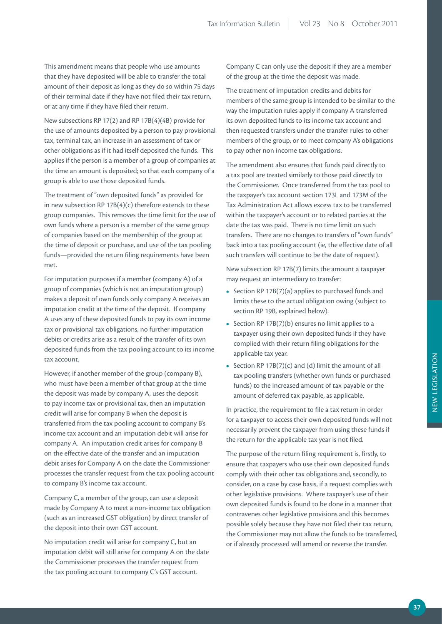This amendment means that people who use amounts that they have deposited will be able to transfer the total amount of their deposit as long as they do so within 75 days of their terminal date if they have not filed their tax return, or at any time if they have filed their return.

New subsections RP 17(2) and RP 17B(4)(4B) provide for the use of amounts deposited by a person to pay provisional tax, terminal tax, an increase in an assessment of tax or other obligations as if it had itself deposited the funds. This applies if the person is a member of a group of companies at the time an amount is deposited; so that each company of a group is able to use those deposited funds.

The treatment of "own deposited funds" as provided for in new subsection RP  $17B(4)(c)$  therefore extends to these group companies. This removes the time limit for the use of own funds where a person is a member of the same group of companies based on the membership of the group at the time of deposit or purchase, and use of the tax pooling funds—provided the return filing requirements have been met.

For imputation purposes if a member (company A) of a group of companies (which is not an imputation group) makes a deposit of own funds only company A receives an imputation credit at the time of the deposit. If company A uses any of these deposited funds to pay its own income tax or provisional tax obligations, no further imputation debits or credits arise as a result of the transfer of its own deposited funds from the tax pooling account to its income tax account.

However, if another member of the group (company B), who must have been a member of that group at the time the deposit was made by company A, uses the deposit to pay income tax or provisional tax, then an imputation credit will arise for company B when the deposit is transferred from the tax pooling account to company B's income tax account and an imputation debit will arise for company A. An imputation credit arises for company B on the effective date of the transfer and an imputation debit arises for Company A on the date the Commissioner processes the transfer request from the tax pooling account to company B's income tax account.

Company C, a member of the group, can use a deposit made by Company A to meet a non-income tax obligation (such as an increased GST obligation) by direct transfer of the deposit into their own GST account.

No imputation credit will arise for company C, but an imputation debit will still arise for company A on the date the Commissioner processes the transfer request from the tax pooling account to company C's GST account.

Company C can only use the deposit if they are a member of the group at the time the deposit was made.

The treatment of imputation credits and debits for members of the same group is intended to be similar to the way the imputation rules apply if company A transferred its own deposited funds to its income tax account and then requested transfers under the transfer rules to other members of the group, or to meet company A's obligations to pay other non income tax obligations.

The amendment also ensures that funds paid directly to a tax pool are treated similarly to those paid directly to the Commissioner. Once transferred from the tax pool to the taxpayer's tax account section 173L and 173M of the Tax Administration Act allows excess tax to be transferred within the taxpayer's account or to related parties at the date the tax was paid. There is no time limit on such transfers. There are no changes to transfers of "own funds" back into a tax pooling account (ie, the effective date of all such transfers will continue to be the date of request).

New subsection RP 17B(7) limits the amount a taxpayer may request an intermediary to transfer:

- **•**  Section RP 17B(7)(a) applies to purchased funds and limits these to the actual obligation owing (subject to section RP 19B, explained below).
- Section RP 17B(7)(b) ensures no limit applies to a taxpayer using their own deposited funds if they have complied with their return filing obligations for the applicable tax year.
- **•**  Section RP 17B(7)(c) and (d) limit the amount of all tax pooling transfers (whether own funds or purchased funds) to the increased amount of tax payable or the amount of deferred tax payable, as applicable.

In practice, the requirement to file a tax return in order for a taxpayer to access their own deposited funds will not necessarily prevent the taxpayer from using these funds if the return for the applicable tax year is not filed.

The purpose of the return filing requirement is, firstly, to ensure that taxpayers who use their own deposited funds comply with their other tax obligations and, secondly, to consider, on a case by case basis, if a request complies with other legislative provisions. Where taxpayer's use of their own deposited funds is found to be done in a manner that contravenes other legislative provisions and this becomes possible solely because they have not filed their tax return, the Commissioner may not allow the funds to be transferred, or if already processed will amend or reverse the transfer.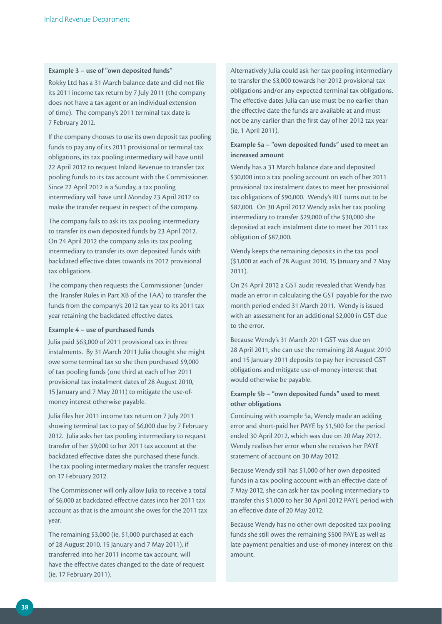#### **Example 3 – use of "own deposited funds"**

Rokky Ltd has a 31 March balance date and did not file its 2011 income tax return by 7 July 2011 (the company does not have a tax agent or an individual extension of time). The company's 2011 terminal tax date is 7 February 2012.

If the company chooses to use its own deposit tax pooling funds to pay any of its 2011 provisional or terminal tax obligations, its tax pooling intermediary will have until 22 April 2012 to request Inland Revenue to transfer tax pooling funds to its tax account with the Commissioner. Since 22 April 2012 is a Sunday, a tax pooling intermediary will have until Monday 23 April 2012 to make the transfer request in respect of the company.

The company fails to ask its tax pooling intermediary to transfer its own deposited funds by 23 April 2012. On 24 April 2012 the company asks its tax pooling intermediary to transfer its own deposited funds with backdated effective dates towards its 2012 provisional tax obligations.

The company then requests the Commissioner (under the Transfer Rules in Part XB of the TAA) to transfer the funds from the company's 2012 tax year to its 2011 tax year retaining the backdated effective dates.

#### **Example 4 – use of purchased funds**

Julia paid \$63,000 of 2011 provisional tax in three instalments. By 31 March 2011 Julia thought she might owe some terminal tax so she then purchased \$9,000 of tax pooling funds (one third at each of her 2011 provisional tax instalment dates of 28 August 2010, 15 January and 7 May 2011) to mitigate the use-ofmoney interest otherwise payable.

Julia files her 2011 income tax return on 7 July 2011 showing terminal tax to pay of \$6,000 due by 7 February 2012. Julia asks her tax pooling intermediary to request transfer of her \$9,000 to her 2011 tax account at the backdated effective dates she purchased these funds. The tax pooling intermediary makes the transfer request on 17 February 2012.

The Commissioner will only allow Julia to receive a total of \$6,000 at backdated effective dates into her 2011 tax account as that is the amount she owes for the 2011 tax year.

The remaining \$3,000 (ie, \$1,000 purchased at each of 28 August 2010, 15 January and 7 May 2011), if transferred into her 2011 income tax account, will have the effective dates changed to the date of request (ie, 17 February 2011).

Alternatively Julia could ask her tax pooling intermediary to transfer the \$3,000 towards her 2012 provisional tax obligations and/or any expected terminal tax obligations. The effective dates Julia can use must be no earlier than the effective date the funds are available at and must not be any earlier than the first day of her 2012 tax year (ie, 1 April 2011).

## **Example 5a – "own deposited funds" used to meet an increased amount**

Wendy has a 31 March balance date and deposited \$30,000 into a tax pooling account on each of her 2011 provisional tax instalment dates to meet her provisional tax obligations of \$90,000. Wendy's RIT turns out to be \$87,000. On 30 April 2012 Wendy asks her tax pooling intermediary to transfer \$29,000 of the \$30,000 she deposited at each instalment date to meet her 2011 tax obligation of \$87,000.

Wendy keeps the remaining deposits in the tax pool (\$1,000 at each of 28 August 2010, 15 January and 7 May 2011).

On 24 April 2012 a GST audit revealed that Wendy has made an error in calculating the GST payable for the two month period ended 31 March 2011. Wendy is issued with an assessment for an additional \$2,000 in GST due to the error.

Because Wendy's 31 March 2011 GST was due on 28 April 2011, she can use the remaining 28 August 2010 and 15 January 2011 deposits to pay her increased GST obligations and mitigate use-of-money interest that would otherwise be payable.

# **Example 5b – "own deposited funds" used to meet other obligations**

Continuing with example 5a, Wendy made an adding error and short-paid her PAYE by \$1,500 for the period ended 30 April 2012, which was due on 20 May 2012. Wendy realises her error when she receives her PAYE statement of account on 30 May 2012.

Because Wendy still has \$1,000 of her own deposited funds in a tax pooling account with an effective date of 7 May 2012, she can ask her tax pooling intermediary to transfer this \$1,000 to her 30 April 2012 PAYE period with an effective date of 20 May 2012.

Because Wendy has no other own deposited tax pooling funds she still owes the remaining \$500 PAYE as well as late payment penalties and use-of-money interest on this amount.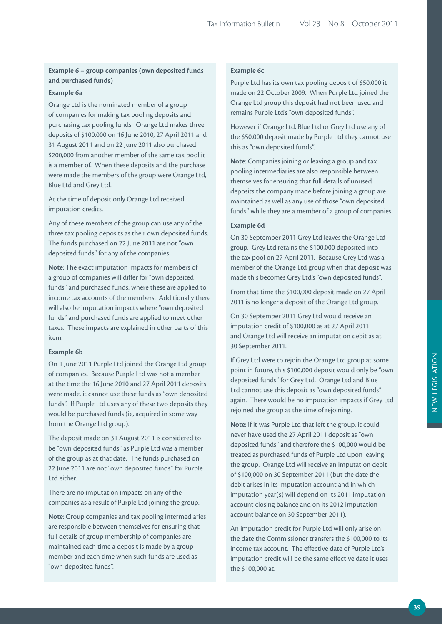# **Example 6 – group companies (own deposited funds and purchased funds)**

#### **Example 6a**

Orange Ltd is the nominated member of a group of companies for making tax pooling deposits and purchasing tax pooling funds. Orange Ltd makes three deposits of \$100,000 on 16 June 2010, 27 April 2011 and 31 August 2011 and on 22 June 2011 also purchased \$200,000 from another member of the same tax pool it is a member of. When these deposits and the purchase were made the members of the group were Orange Ltd, Blue Ltd and Grey Ltd.

At the time of deposit only Orange Ltd received imputation credits.

Any of these members of the group can use any of the three tax pooling deposits as their own deposited funds. The funds purchased on 22 June 2011 are not "own deposited funds" for any of the companies.

**Note**: The exact imputation impacts for members of a group of companies will differ for "own deposited funds" and purchased funds, where these are applied to income tax accounts of the members. Additionally there will also be imputation impacts where "own deposited funds" and purchased funds are applied to meet other taxes. These impacts are explained in other parts of this item.

#### **Example 6b**

On 1 June 2011 Purple Ltd joined the Orange Ltd group of companies. Because Purple Ltd was not a member at the time the 16 June 2010 and 27 April 2011 deposits were made, it cannot use these funds as "own deposited funds". If Purple Ltd uses any of these two deposits they would be purchased funds (ie, acquired in some way from the Orange Ltd group).

The deposit made on 31 August 2011 is considered to be "own deposited funds" as Purple Ltd was a member of the group as at that date. The funds purchased on 22 June 2011 are not "own deposited funds" for Purple Ltd either.

There are no imputation impacts on any of the companies as a result of Purple Ltd joining the group.

**Note**: Group companies and tax pooling intermediaries are responsible between themselves for ensuring that full details of group membership of companies are maintained each time a deposit is made by a group member and each time when such funds are used as "own deposited funds".

# **Example 6c**

Purple Ltd has its own tax pooling deposit of \$50,000 it made on 22 October 2009. When Purple Ltd joined the Orange Ltd group this deposit had not been used and remains Purple Ltd's "own deposited funds".

However if Orange Ltd, Blue Ltd or Grey Ltd use any of the \$50,000 deposit made by Purple Ltd they cannot use this as "own deposited funds".

**Note**: Companies joining or leaving a group and tax pooling intermediaries are also responsible between themselves for ensuring that full details of unused deposits the company made before joining a group are maintained as well as any use of those "own deposited funds" while they are a member of a group of companies.

#### **Example 6d**

On 30 September 2011 Grey Ltd leaves the Orange Ltd group. Grey Ltd retains the \$100,000 deposited into the tax pool on 27 April 2011. Because Grey Ltd was a member of the Orange Ltd group when that deposit was made this becomes Grey Ltd's "own deposited funds".

From that time the \$100,000 deposit made on 27 April 2011 is no longer a deposit of the Orange Ltd group.

On 30 September 2011 Grey Ltd would receive an imputation credit of \$100,000 as at 27 April 2011 and Orange Ltd will receive an imputation debit as at 30 September 2011.

If Grey Ltd were to rejoin the Orange Ltd group at some point in future, this \$100,000 deposit would only be "own deposited funds" for Grey Ltd. Orange Ltd and Blue Ltd cannot use this deposit as "own deposited funds" again. There would be no imputation impacts if Grey Ltd rejoined the group at the time of rejoining.

**Note**: If it was Purple Ltd that left the group, it could never have used the 27 April 2011 deposit as "own deposited funds" and therefore the \$100,000 would be treated as purchased funds of Purple Ltd upon leaving the group. Orange Ltd will receive an imputation debit of \$100,000 on 30 September 2011 (but the date the debit arises in its imputation account and in which imputation year(s) will depend on its 2011 imputation account closing balance and on its 2012 imputation account balance on 30 September 2011).

An imputation credit for Purple Ltd will only arise on the date the Commissioner transfers the \$100,000 to its income tax account. The effective date of Purple Ltd's imputation credit will be the same effective date it uses the \$100,000 at.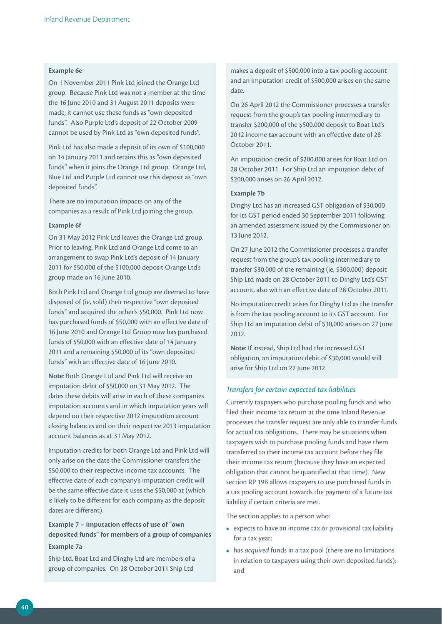#### **Example 6e**

On 1 November 2011 Pink Ltd joined the Orange Ltd group. Because Pink Ltd was not a member at the time the 16 June 2010 and 31 August 2011 deposits were made, it cannot use these funds as "own deposited funds". Also Purple Ltd's deposit of 22 October 2009 cannot be used by Pink Ltd as "own deposited funds".

Pink Ltd has also made a deposit of its own of \$100,000 on 14 January 2011 and retains this as "own deposited funds" when it joins the Orange Ltd group. Orange Ltd, Blue Ltd and Purple Ltd cannot use this deposit as "own deposited funds".

There are no imputation impacts on any of the companies as a result of Pink Ltd joining the group.

#### **Example 6f**

On 31 May 2012 Pink Ltd leaves the Orange Ltd group. Prior to leaving, Pink Ltd and Orange Ltd come to an arrangement to swap Pink Ltd's deposit of 14 January 2011 for \$50,000 of the \$100,000 deposit Orange Ltd's group made on 16 June 2010.

Both Pink Ltd and Orange Ltd group are deemed to have disposed of (ie, sold) their respective "own deposited funds" and acquired the other's \$50,000. Pink Ltd now has purchased funds of \$50,000 with an effective date of 16 June 2010 and Orange Ltd Group now has purchased funds of \$50,000 with an effective date of 14 January 2011 and a remaining \$50,000 of its "own deposited funds" with an effective date of 16 June 2010.

**Note**: Both Orange Ltd and Pink Ltd will receive an imputation debit of \$50,000 on 31 May 2012. The dates these debits will arise in each of these companies imputation accounts and in which imputation years will depend on their respective 2012 imputation account closing balances and on their respective 2013 imputation account balances as at 31 May 2012.

Imputation credits for both Orange Ltd and Pink Ltd will only arise on the date the Commissioner transfers the \$50,000 to their respective income tax accounts. The effective date of each company's imputation credit will be the same effective date it uses the \$50,000 at (which is likely to be different for each company as the deposit dates are different).

# **Example 7 – imputation effects of use of "own deposited funds" for members of a group of companies Example 7a**

Ship Ltd, Boat Ltd and Dinghy Ltd are members of a group of companies. On 28 October 2011 Ship Ltd

makes a deposit of \$500,000 into a tax pooling account and an imputation credit of \$500,000 arises on the same date.

On 26 April 2012 the Commissioner processes a transfer request from the group's tax pooling intermediary to transfer \$200,000 of the \$500,000 deposit to Boat Ltd's 2012 income tax account with an effective date of 28 October 2011.

An imputation credit of \$200,000 arises for Boat Ltd on 28 October 2011. For Ship Ltd an imputation debit of \$200,000 arises on 26 April 2012.

#### **Example 7b**

Dinghy Ltd has an increased GST obligation of \$30,000 for its GST period ended 30 September 2011 following an amended assessment issued by the Commissioner on 13 June 2012.

On 27 June 2012 the Commissioner processes a transfer request from the group's tax pooling intermediary to transfer \$30,000 of the remaining (ie, \$300,000) deposit Ship Ltd made on 28 October 2011 to Dinghy Ltd's GST account, also with an effective date of 28 October 2011.

No imputation credit arises for Dinghy Ltd as the transfer is from the tax pooling account to its GST account. For Ship Ltd an imputation debit of \$30,000 arises on 27 June 2012.

**Note**: If instead, Ship Ltd had the increased GST obligation, an imputation debit of \$30,000 would still arise for Ship Ltd on 27 June 2012.

#### *Transfers for certain expected tax liabilities*

Currently taxpayers who purchase pooling funds and who filed their income tax return at the time Inland Revenue processes the transfer request are only able to transfer funds for actual tax obligations. There may be situations when taxpayers wish to purchase pooling funds and have them transferred to their income tax account before they file their income tax return (because they have an expected obligation that cannot be quantified at that time). New section RP 19B allows taxpayers to use purchased funds in a tax pooling account towards the payment of a future tax liability if certain criteria are met.

The section applies to a person who:

- **•**  expects to have an income tax or provisional tax liability for a tax year;
- **•**  has *acquired* funds in a tax pool (there are no limitations in relation to taxpayers using their own deposited funds); and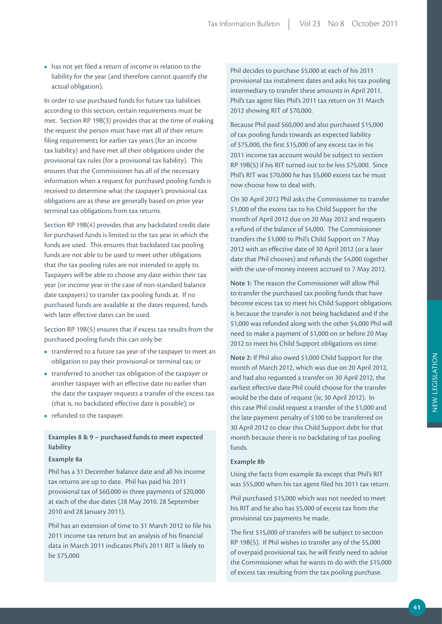**•**  has not yet filed a return of income in relation to the liability for the year (and therefore cannot quantify the actual obligation).

In order to use purchased funds for future tax liabilities according to this section, certain requirements must be met. Section RP 19B(3) provides that at the time of making the request the person must have met all of their return filing requirements for earlier tax years (for an income tax liability) and have met all their obligations under the provisional tax rules (for a provisional tax liability). This ensures that the Commissioner has all of the necessary information when a request for purchased pooling funds is received to determine what the taxpayer's provisional tax obligations are as these are generally based on prior year terminal tax obligations from tax returns.

Section RP 19B(4) provides that any backdated credit date for purchased funds is limited to the tax year in which the funds are used. This ensures that backdated tax pooling funds are not able to be used to meet other obligations that the tax pooling rules are not intended to apply to. Taxpayers will be able to choose any date within their tax year (or income year in the case of non-standard balance date taxpayers) to transfer tax pooling funds at. If no purchased funds are available at the dates required, funds with later effective dates can be used.

Section RP 19B(5) ensures that if excess tax results from the purchased pooling funds this can only be:

- **•**  transferred to a future tax year of the taxpayer to meet an obligation to pay their provisional or terminal tax; or
- **•**  transferred to another tax obligation of the taxpayer or another taxpayer with an effective date no earlier than the date the taxpayer requests a transfer of the excess tax (that is, no backdated effective date is possible); or
- **•**  refunded to the taxpayer.

## **Examples 8 & 9 – purchased funds to meet expected liability**

#### **Example 8a**

Phil has a 31 December balance date and all his income tax returns are up to date. Phil has paid his 2011 provisional tax of \$60,000 in three payments of \$20,000 at each of the due dates (28 May 2010, 28 September 2010 and 28 January 2011).

Phil has an extension of time to 31 March 2012 to file his 2011 income tax return but an analysis of his financial data in March 2011 indicates Phil's 2011 RIT is likely to be \$75,000.

Phil decides to purchase \$5,000 at each of his 2011 provisional tax instalment dates and asks his tax pooling intermediary to transfer these amounts in April 2011. Phil's tax agent files Phil's 2011 tax return on 31 March 2012 showing RIT of \$70,000.

Because Phil paid \$60,000 and also purchased \$15,000 of tax pooling funds towards an expected liability of \$75,000, the first \$15,000 of any excess tax in his 2011 income tax account would be subject to section RP 19B(5) if his RIT turned out to be less \$75,000. Since Phil's RIT was \$70,000 he has \$5,000 excess tax he must now choose how to deal with.

On 30 April 2012 Phil asks the Commissioner to transfer \$1,000 of the excess tax to his Child Support for the month of April 2012 due on 20 May 2012 and requests a refund of the balance of \$4,000. The Commissioner transfers the \$1,000 to Phil's Child Support on 7 May 2012 with an effective date of 30 April 2012 (or a later date that Phil chooses) and refunds the \$4,000 together with the use-of-money interest accrued to 7 May 2012.

**Note 1:** The reason the Commissioner will allow Phil to transfer the purchased tax pooling funds that have become excess tax to meet his Child Support obligations is because the transfer is not being backdated and if the \$1,000 was refunded along with the other \$4,000 Phil will need to make a payment of \$1,000 on or before 20 May 2012 to meet his Child Support obligations on time.

**Note 2:** If Phil also owed \$1,000 Child Support for the month of March 2012, which was due on 20 April 2012, and had also requested a transfer on 30 April 2012, the earliest effective date Phil could choose for the transfer would be the date of request (ie, 30 April 2012). In this case Phil could request a transfer of the \$1,000 and the late payment penalty of \$100 to be transferred on 30 April 2012 to clear this Child Support debt for that month because there is no backdating of tax pooling funds.

#### **Example 8b**

Using the facts from example 8a except that Phil's RIT was \$55,000 when his tax agent filed his 2011 tax return.

Phil purchased \$15,000 which was not needed to meet his RIT and he also has \$5,000 of excess tax from the provisional tax payments he made.

The first \$15,000 of transfers will be subject to section RP 19B(5). If Phil wishes to transfer any of the \$5,000 of overpaid provisional tax, he will firstly need to advise the Commissioner what he wants to do with the \$15,000 of excess tax resulting from the tax pooling purchase.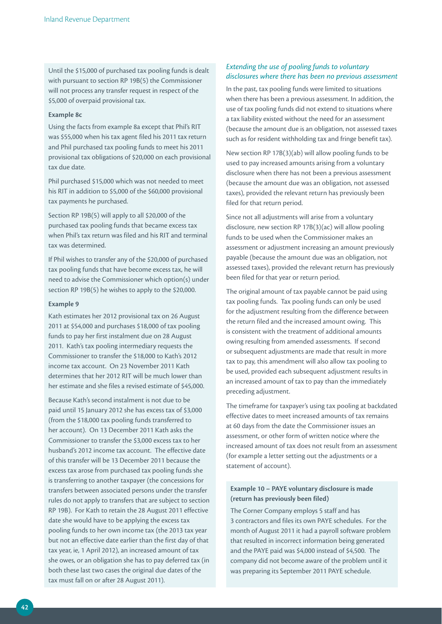Until the \$15,000 of purchased tax pooling funds is dealt with pursuant to section RP 19B(5) the Commissioner will not process any transfer request in respect of the \$5,000 of overpaid provisional tax.

#### **Example 8c**

Using the facts from example 8a except that Phil's RIT was \$55,000 when his tax agent filed his 2011 tax return and Phil purchased tax pooling funds to meet his 2011 provisional tax obligations of \$20,000 on each provisional tax due date.

Phil purchased \$15,000 which was not needed to meet his RIT in addition to \$5,000 of the \$60,000 provisional tax payments he purchased.

Section RP 19B(5) will apply to all \$20,000 of the purchased tax pooling funds that became excess tax when Phil's tax return was filed and his RIT and terminal tax was determined.

If Phil wishes to transfer any of the \$20,000 of purchased tax pooling funds that have become excess tax, he will need to advise the Commissioner which option(s) under section RP 19B(5) he wishes to apply to the \$20,000.

## **Example 9**

Kath estimates her 2012 provisional tax on 26 August 2011 at \$54,000 and purchases \$18,000 of tax pooling funds to pay her first instalment due on 28 August 2011. Kath's tax pooling intermediary requests the Commissioner to transfer the \$18,000 to Kath's 2012 income tax account. On 23 November 2011 Kath determines that her 2012 RIT will be much lower than her estimate and she files a revised estimate of \$45,000.

Because Kath's second instalment is not due to be paid until 15 January 2012 she has excess tax of \$3,000 (from the \$18,000 tax pooling funds transferred to her account). On 13 December 2011 Kath asks the Commissioner to transfer the \$3,000 excess tax to her husband's 2012 income tax account. The effective date of this transfer will be 13 December 2011 because the excess tax arose from purchased tax pooling funds she is transferring to another taxpayer (the concessions for transfers between associated persons under the transfer rules do not apply to transfers that are subject to section RP 19B). For Kath to retain the 28 August 2011 effective date she would have to be applying the excess tax pooling funds to her own income tax (the 2013 tax year but not an effective date earlier than the first day of that tax year, ie, 1 April 2012), an increased amount of tax she owes, or an obligation she has to pay deferred tax (in both these last two cases the original due dates of the tax must fall on or after 28 August 2011).

## *Extending the use of pooling funds to voluntary disclosures where there has been no previous assessment*

In the past, tax pooling funds were limited to situations when there has been a previous assessment. In addition, the use of tax pooling funds did not extend to situations where a tax liability existed without the need for an assessment (because the amount due is an obligation, not assessed taxes such as for resident withholding tax and fringe benefit tax).

New section RP 17B(3)(ab) will allow pooling funds to be used to pay increased amounts arising from a voluntary disclosure when there has not been a previous assessment (because the amount due was an obligation, not assessed taxes), provided the relevant return has previously been filed for that return period.

Since not all adjustments will arise from a voluntary disclosure, new section RP 17B(3)(ac) will allow pooling funds to be used when the Commissioner makes an assessment or adjustment increasing an amount previously payable (because the amount due was an obligation, not assessed taxes), provided the relevant return has previously been filed for that year or return period.

The original amount of tax payable cannot be paid using tax pooling funds. Tax pooling funds can only be used for the adjustment resulting from the difference between the return filed and the increased amount owing. This is consistent with the treatment of additional amounts owing resulting from amended assessments. If second or subsequent adjustments are made that result in more tax to pay, this amendment will also allow tax pooling to be used, provided each subsequent adjustment results in an increased amount of tax to pay than the immediately preceding adjustment.

The timeframe for taxpayer's using tax pooling at backdated effective dates to meet increased amounts of tax remains at 60 days from the date the Commissioner issues an assessment, or other form of written notice where the increased amount of tax does not result from an assessment (for example a letter setting out the adjustments or a statement of account).

# **Example 10 – PAYE voluntary disclosure is made (return has previously been filed)**

The Corner Company employs 5 staff and has 3 contractors and files its own PAYE schedules. For the month of August 2011 it had a payroll software problem that resulted in incorrect information being generated and the PAYE paid was \$4,000 instead of \$4,500. The company did not become aware of the problem until it was preparing its September 2011 PAYE schedule.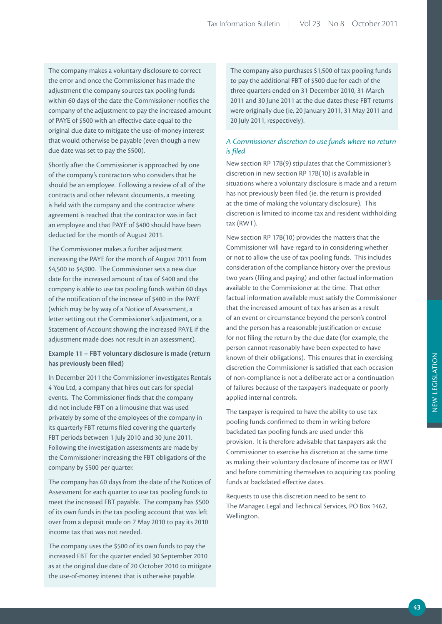The company makes a voluntary disclosure to correct the error and once the Commissioner has made the adjustment the company sources tax pooling funds within 60 days of the date the Commissioner notifies the company of the adjustment to pay the increased amount of PAYE of \$500 with an effective date equal to the original due date to mitigate the use-of-money interest that would otherwise be payable (even though a new due date was set to pay the \$500).

Shortly after the Commissioner is approached by one of the company's contractors who considers that he should be an employee. Following a review of all of the contracts and other relevant documents, a meeting is held with the company and the contractor where agreement is reached that the contractor was in fact an employee and that PAYE of \$400 should have been deducted for the month of August 2011.

The Commissioner makes a further adjustment increasing the PAYE for the month of August 2011 from \$4,500 to \$4,900. The Commissioner sets a new due date for the increased amount of tax of \$400 and the company is able to use tax pooling funds within 60 days of the notification of the increase of \$400 in the PAYE (which may be by way of a Notice of Assessment, a letter setting out the Commissioner's adjustment, or a Statement of Account showing the increased PAYE if the adjustment made does not result in an assessment).

## **Example 11 – FBT voluntary disclosure is made (return has previously been filed)**

In December 2011 the Commissioner investigates Rentals 4 You Ltd, a company that hires out cars for special events. The Commissioner finds that the company did not include FBT on a limousine that was used privately by some of the employees of the company in its quarterly FBT returns filed covering the quarterly FBT periods between 1 July 2010 and 30 June 2011. Following the investigation assessments are made by the Commissioner increasing the FBT obligations of the company by \$500 per quarter.

The company has 60 days from the date of the Notices of Assessment for each quarter to use tax pooling funds to meet the increased FBT payable. The company has \$500 of its own funds in the tax pooling account that was left over from a deposit made on 7 May 2010 to pay its 2010 income tax that was not needed.

The company uses the \$500 of its own funds to pay the increased FBT for the quarter ended 30 September 2010 as at the original due date of 20 October 2010 to mitigate the use-of-money interest that is otherwise payable.

The company also purchases \$1,500 of tax pooling funds to pay the additional FBT of \$500 due for each of the three quarters ended on 31 December 2010, 31 March 2011 and 30 June 2011 at the due dates these FBT returns were originally due (ie, 20 January 2011, 31 May 2011 and 20 July 2011, respectively).

# *A Commissioner discretion to use funds where no return is filed*

New section RP 17B(9) stipulates that the Commissioner's discretion in new section RP 17B(10) is available in situations where a voluntary disclosure is made and a return has not previously been filed (ie, the return is provided at the time of making the voluntary disclosure). This discretion is limited to income tax and resident withholding tax (RWT).

New section RP 17B(10) provides the matters that the Commissioner will have regard to in considering whether or not to allow the use of tax pooling funds. This includes consideration of the compliance history over the previous two years (filing and paying) and other factual information available to the Commissioner at the time. That other factual information available must satisfy the Commissioner that the increased amount of tax has arisen as a result of an event or circumstance beyond the person's control and the person has a reasonable justification or excuse for not filing the return by the due date (for example, the person cannot reasonably have been expected to have known of their obligations). This ensures that in exercising discretion the Commissioner is satisfied that each occasion of non-compliance is not a deliberate act or a continuation of failures because of the taxpayer's inadequate or poorly applied internal controls.

The taxpayer is required to have the ability to use tax pooling funds confirmed to them in writing before backdated tax pooling funds are used under this provision. It is therefore advisable that taxpayers ask the Commissioner to exercise his discretion at the same time as making their voluntary disclosure of income tax or RWT and before committing themselves to acquiring tax pooling funds at backdated effective dates.

Requests to use this discretion need to be sent to The Manager, Legal and Technical Services, PO Box 1462, Wellington.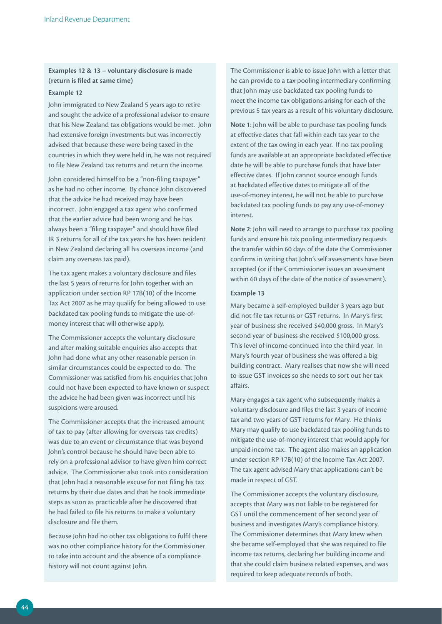# **Examples 12 & 13 – voluntary disclosure is made (return is filed at same time)**

#### **Example 12**

John immigrated to New Zealand 5 years ago to retire and sought the advice of a professional advisor to ensure that his New Zealand tax obligations would be met. John had extensive foreign investments but was incorrectly advised that because these were being taxed in the countries in which they were held in, he was not required to file New Zealand tax returns and return the income.

John considered himself to be a "non-filing taxpayer" as he had no other income. By chance John discovered that the advice he had received may have been incorrect. John engaged a tax agent who confirmed that the earlier advice had been wrong and he has always been a "filing taxpayer" and should have filed IR 3 returns for all of the tax years he has been resident in New Zealand declaring all his overseas income (and claim any overseas tax paid).

The tax agent makes a voluntary disclosure and files the last 5 years of returns for John together with an application under section RP 17B(10) of the Income Tax Act 2007 as he may qualify for being allowed to use backdated tax pooling funds to mitigate the use-ofmoney interest that will otherwise apply.

The Commissioner accepts the voluntary disclosure and after making suitable enquiries also accepts that John had done what any other reasonable person in similar circumstances could be expected to do. The Commissioner was satisfied from his enquiries that John could not have been expected to have known or suspect the advice he had been given was incorrect until his suspicions were aroused.

The Commissioner accepts that the increased amount of tax to pay (after allowing for overseas tax credits) was due to an event or circumstance that was beyond John's control because he should have been able to rely on a professional advisor to have given him correct advice. The Commissioner also took into consideration that John had a reasonable excuse for not filing his tax returns by their due dates and that he took immediate steps as soon as practicable after he discovered that he had failed to file his returns to make a voluntary disclosure and file them.

Because John had no other tax obligations to fulfil there was no other compliance history for the Commissioner to take into account and the absence of a compliance history will not count against John.

The Commissioner is able to issue John with a letter that he can provide to a tax pooling intermediary confirming that John may use backdated tax pooling funds to meet the income tax obligations arising for each of the previous 5 tax years as a result of his voluntary disclosure.

**Note 1**: John will be able to purchase tax pooling funds at effective dates that fall within each tax year to the extent of the tax owing in each year. If no tax pooling funds are available at an appropriate backdated effective date he will be able to purchase funds that have later effective dates. If John cannot source enough funds at backdated effective dates to mitigate all of the use-of-money interest, he will not be able to purchase backdated tax pooling funds to pay any use-of-money interest.

**Note 2**: John will need to arrange to purchase tax pooling funds and ensure his tax pooling intermediary requests the transfer within 60 days of the date the Commissioner confirms in writing that John's self assessments have been accepted (or if the Commissioner issues an assessment within 60 days of the date of the notice of assessment).

#### **Example 13**

Mary became a self-employed builder 3 years ago but did not file tax returns or GST returns. In Mary's first year of business she received \$40,000 gross. In Mary's second year of business she received \$100,000 gross. This level of income continued into the third year. In Mary's fourth year of business she was offered a big building contract. Mary realises that now she will need to issue GST invoices so she needs to sort out her tax affairs.

Mary engages a tax agent who subsequently makes a voluntary disclosure and files the last 3 years of income tax and two years of GST returns for Mary. He thinks Mary may qualify to use backdated tax pooling funds to mitigate the use-of-money interest that would apply for unpaid income tax. The agent also makes an application under section RP 17B(10) of the Income Tax Act 2007. The tax agent advised Mary that applications can't be made in respect of GST.

The Commissioner accepts the voluntary disclosure, accepts that Mary was not liable to be registered for GST until the commencement of her second year of business and investigates Mary's compliance history. The Commissioner determines that Mary knew when she became self-employed that she was required to file income tax returns, declaring her building income and that she could claim business related expenses, and was required to keep adequate records of both.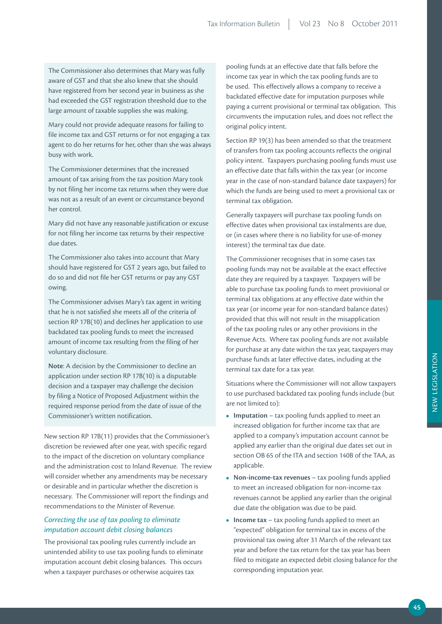The Commissioner also determines that Mary was fully aware of GST and that she also knew that she should have registered from her second year in business as she had exceeded the GST registration threshold due to the large amount of taxable supplies she was making.

Mary could not provide adequate reasons for failing to file income tax and GST returns or for not engaging a tax agent to do her returns for her, other than she was always busy with work.

The Commissioner determines that the increased amount of tax arising from the tax position Mary took by not filing her income tax returns when they were due was not as a result of an event or circumstance beyond her control.

Mary did not have any reasonable justification or excuse for not filing her income tax returns by their respective due dates.

The Commissioner also takes into account that Mary should have registered for GST 2 years ago, but failed to do so and did not file her GST returns or pay any GST owing.

The Commissioner advises Mary's tax agent in writing that he is not satisfied she meets all of the criteria of section RP 17B(10) and declines her application to use backdated tax pooling funds to meet the increased amount of income tax resulting from the filing of her voluntary disclosure.

**Note**: A decision by the Commissioner to decline an application under section RP 17B(10) is a disputable decision and a taxpayer may challenge the decision by filing a Notice of Proposed Adjustment within the required response period from the date of issue of the Commissioner's written notification.

New section RP 17B(11) provides that the Commissioner's discretion be reviewed after one year, with specific regard to the impact of the discretion on voluntary compliance and the administration cost to Inland Revenue. The review will consider whether any amendments may be necessary or desirable and in particular whether the discretion is necessary. The Commissioner will report the findings and recommendations to the Minister of Revenue.

# *Correcting the use of tax pooling to eliminate imputation account debit closing balances*

The provisional tax pooling rules currently include an unintended ability to use tax pooling funds to eliminate imputation account debit closing balances. This occurs when a taxpayer purchases or otherwise acquires tax

pooling funds at an effective date that falls before the income tax year in which the tax pooling funds are to be used. This effectively allows a company to receive a backdated effective date for imputation purposes while paying a current provisional or terminal tax obligation. This circumvents the imputation rules, and does not reflect the original policy intent.

Section RP 19(3) has been amended so that the treatment of transfers from tax pooling accounts reflects the original policy intent. Taxpayers purchasing pooling funds must use an effective date that falls within the tax year (or income year in the case of non-standard balance date taxpayers) for which the funds are being used to meet a provisional tax or terminal tax obligation.

Generally taxpayers will purchase tax pooling funds on effective dates when provisional tax instalments are due, or (in cases where there is no liability for use-of-money interest) the terminal tax due date.

The Commissioner recognises that in some cases tax pooling funds may not be available at the exact effective date they are required by a taxpayer. Taxpayers will be able to purchase tax pooling funds to meet provisional or terminal tax obligations at any effective date within the tax year (or income year for non-standard balance dates) provided that this will not result in the misapplication of the tax pooling rules or any other provisions in the Revenue Acts. Where tax pooling funds are not available for purchase at any date within the tax year, taxpayers may purchase funds at later effective dates, including at the terminal tax date for a tax year.

Situations where the Commissioner will not allow taxpayers to use purchased backdated tax pooling funds include (but are not limited to):

- **Imputation** tax pooling funds applied to meet an increased obligation for further income tax that are applied to a company's imputation account cannot be applied any earlier than the original due dates set out in section OB 65 of the ITA and section 140B of the TAA, as applicable.
- **• Non-income-tax revenues** tax pooling funds applied to meet an increased obligation for non-income-tax revenues cannot be applied any earlier than the original due date the obligation was due to be paid.
- **Income tax** tax pooling funds applied to meet an "expected" obligation for terminal tax in excess of the provisional tax owing after 31 March of the relevant tax year and before the tax return for the tax year has been filed to mitigate an expected debit closing balance for the corresponding imputation year.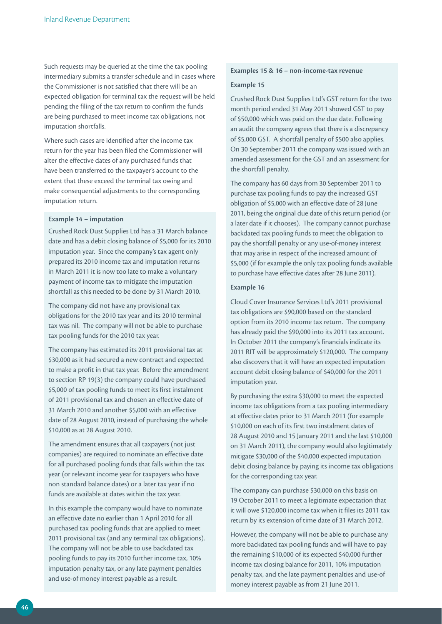Such requests may be queried at the time the tax pooling intermediary submits a transfer schedule and in cases where the Commissioner is not satisfied that there will be an expected obligation for terminal tax the request will be held pending the filing of the tax return to confirm the funds are being purchased to meet income tax obligations, not imputation shortfalls.

Where such cases are identified after the income tax return for the year has been filed the Commissioner will alter the effective dates of any purchased funds that have been transferred to the taxpayer's account to the extent that these exceed the terminal tax owing and make consequential adjustments to the corresponding imputation return.

#### **Example 14 – imputation**

Crushed Rock Dust Supplies Ltd has a 31 March balance date and has a debit closing balance of \$5,000 for its 2010 imputation year. Since the company's tax agent only prepared its 2010 income tax and imputation returns in March 2011 it is now too late to make a voluntary payment of income tax to mitigate the imputation shortfall as this needed to be done by 31 March 2010.

The company did not have any provisional tax obligations for the 2010 tax year and its 2010 terminal tax was nil. The company will not be able to purchase tax pooling funds for the 2010 tax year.

The company has estimated its 2011 provisional tax at \$30,000 as it had secured a new contract and expected to make a profit in that tax year. Before the amendment to section RP 19(3) the company could have purchased \$5,000 of tax pooling funds to meet its first instalment of 2011 provisional tax and chosen an effective date of 31 March 2010 and another \$5,000 with an effective date of 28 August 2010, instead of purchasing the whole \$10,000 as at 28 August 2010.

The amendment ensures that all taxpayers (not just companies) are required to nominate an effective date for all purchased pooling funds that falls within the tax year (or relevant income year for taxpayers who have non standard balance dates) or a later tax year if no funds are available at dates within the tax year.

In this example the company would have to nominate an effective date no earlier than 1 April 2010 for all purchased tax pooling funds that are applied to meet 2011 provisional tax (and any terminal tax obligations). The company will not be able to use backdated tax pooling funds to pay its 2010 further income tax, 10% imputation penalty tax, or any late payment penalties and use-of money interest payable as a result.

#### **Examples 15 & 16 – non-income-tax revenue**

#### **Example 15**

Crushed Rock Dust Supplies Ltd's GST return for the two month period ended 31 May 2011 showed GST to pay of \$50,000 which was paid on the due date. Following an audit the company agrees that there is a discrepancy of \$5,000 GST. A shortfall penalty of \$500 also applies. On 30 September 2011 the company was issued with an amended assessment for the GST and an assessment for the shortfall penalty.

The company has 60 days from 30 September 2011 to purchase tax pooling funds to pay the increased GST obligation of \$5,000 with an effective date of 28 June 2011, being the original due date of this return period (or a later date if it chooses). The company cannot purchase backdated tax pooling funds to meet the obligation to pay the shortfall penalty or any use-of-money interest that may arise in respect of the increased amount of \$5,000 (if for example the only tax pooling funds available to purchase have effective dates after 28 June 2011).

### **Example 16**

Cloud Cover Insurance Services Ltd's 2011 provisional tax obligations are \$90,000 based on the standard option from its 2010 income tax return. The company has already paid the \$90,000 into its 2011 tax account. In October 2011 the company's financials indicate its 2011 RIT will be approximately \$120,000. The company also discovers that it will have an expected imputation account debit closing balance of \$40,000 for the 2011 imputation year.

By purchasing the extra \$30,000 to meet the expected income tax obligations from a tax pooling intermediary at effective dates prior to 31 March 2011 (for example \$10,000 on each of its first two instalment dates of 28 August 2010 and 15 January 2011 and the last \$10,000 on 31 March 2011), the company would also legitimately mitigate \$30,000 of the \$40,000 expected imputation debit closing balance by paying its income tax obligations for the corresponding tax year.

The company can purchase \$30,000 on this basis on 19 October 2011 to meet a legitimate expectation that it will owe \$120,000 income tax when it files its 2011 tax return by its extension of time date of 31 March 2012.

However, the company will not be able to purchase any more backdated tax pooling funds and will have to pay the remaining \$10,000 of its expected \$40,000 further income tax closing balance for 2011, 10% imputation penalty tax, and the late payment penalties and use-of money interest payable as from 21 June 2011.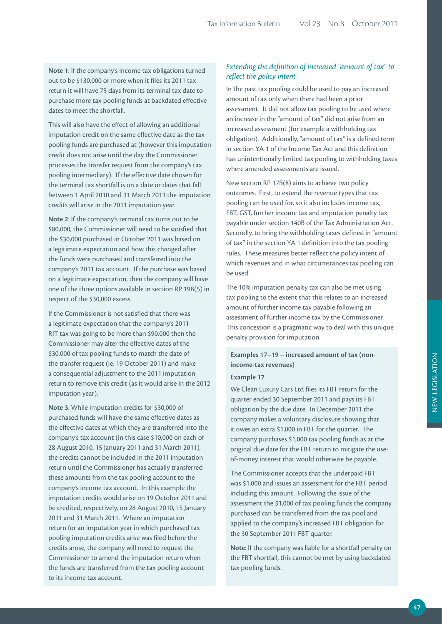**Note 1**: If the company's income tax obligations turned out to be \$130,000 or more when it files its 2011 tax return it will have 75 days from its terminal tax date to purchase more tax pooling funds at backdated effective dates to meet the shortfall.

This will also have the effect of allowing an additional imputation credit on the same effective date as the tax pooling funds are purchased at (however this imputation credit does not arise until the day the Commissioner processes the transfer request from the company's tax pooling intermediary). If the effective date chosen for the terminal tax shortfall is on a date or dates that fall between 1 April 2010 and 31 March 2011 the imputation credits will arise in the 2011 imputation year.

**Note 2**: If the company's terminal tax turns out to be \$80,000, the Commissioner will need to be satisfied that the \$30,000 purchased in October 2011 was based on a legitimate expectation and how this changed after the funds were purchased and transferred into the company's 2011 tax account. If the purchase was based on a legitimate expectation, then the company will have one of the three options available in section RP 19B(5) in respect of the \$30,000 excess.

If the Commissioner is not satisfied that there was a legitimate expectation that the company's 2011 RIT tax was going to be more than \$90,000 then the Commissioner may alter the effective dates of the \$30,000 of tax pooling funds to match the date of the transfer request (ie, 19 October 2011) and make a consequential adjustment to the 2011 imputation return to remove this credit (as it would arise in the 2012 imputation year).

**Note 3**: While imputation credits for \$30,000 of purchased funds will have the same effective dates as the effective dates at which they are transferred into the company's tax account (in this case \$10,000 on each of 28 August 2010, 15 January 2011 and 31 March 2011), the credits cannot be included in the 2011 imputation return until the Commissioner has actually transferred these amounts from the tax pooling account to the company's income tax account. In this example the imputation credits would arise on 19 October 2011 and be credited, respectively, on 28 August 2010, 15 January 2011 and 31 March 2011. Where an imputation return for an imputation year in which purchased tax pooling imputation credits arise was filed before the credits arose, the company will need to request the Commissioner to amend the imputation return when the funds are transferred from the tax pooling account to its income tax account.

# *Extending the definition of increased "amount of tax" to reflect the policy intent*

In the past tax pooling could be used to pay an increased amount of tax only when there had been a prior assessment. It did not allow tax pooling to be used where an increase in the "amount of tax" did not arise from an increased assessment (for example a withholding tax obligation). Additionally, "amount of tax" is a defined term in section YA 1 of the Income Tax Act and this definition has unintentionally limited tax pooling to withholding taxes where amended assessments are issued.

New section RP 17B(8) aims to achieve two policy outcomes. First, to extend the revenue types that tax pooling can be used for, so it also includes income tax, FBT, GST, further income tax and imputation penalty tax payable under section 140B of the Tax Administration Act. Secondly, to bring the withholding taxes defined in "amount of tax" in the section YA 1 definition into the tax pooling rules. These measures better reflect the policy intent of which revenues and in what circumstances tax pooling can be used.

The 10% imputation penalty tax can also be met using tax pooling to the extent that this relates to an increased amount of further income tax payable following an assessment of further income tax by the Commissioner. This concession is a pragmatic way to deal with this unique penalty provision for imputation.

# **Examples 17–19 – increased amount of tax (nonincome-tax revenues)**

## **Example 17**

We Clean Luxury Cars Ltd files its FBT return for the quarter ended 30 September 2011 and pays its FBT obligation by the due date. In December 2011 the company makes a voluntary disclosure showing that it owes an extra \$1,000 in FBT for the quarter. The company purchases \$1,000 tax pooling funds as at the original due date for the FBT return to mitigate the useof-money interest that would otherwise be payable.

The Commissioner accepts that the underpaid FBT was \$1,000 and issues an assessment for the FBT period including this amount. Following the issue of the assessment the \$1,000 of tax pooling funds the company purchased can be transferred from the tax pool and applied to the company's increased FBT obligation for the 30 September 2011 FBT quarter.

**Note**: If the company was liable for a shortfall penalty on the FBT shortfall, this cannot be met by using backdated tax pooling funds.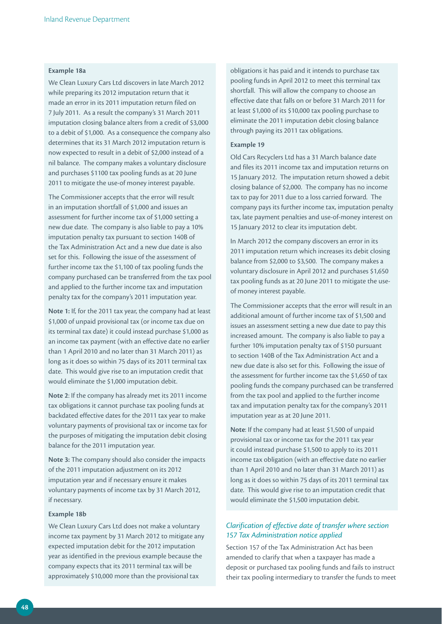#### **Example 18a**

We Clean Luxury Cars Ltd discovers in late March 2012 while preparing its 2012 imputation return that it made an error in its 2011 imputation return filed on 7 July 2011. As a result the company's 31 March 2011 imputation closing balance alters from a credit of \$3,000 to a debit of \$1,000. As a consequence the company also determines that its 31 March 2012 imputation return is now expected to result in a debit of \$2,000 instead of a nil balance. The company makes a voluntary disclosure and purchases \$1100 tax pooling funds as at 20 June 2011 to mitigate the use-of money interest payable.

The Commissioner accepts that the error will result in an imputation shortfall of \$1,000 and issues an assessment for further income tax of \$1,000 setting a new due date. The company is also liable to pay a 10% imputation penalty tax pursuant to section 140B of the Tax Administration Act and a new due date is also set for this. Following the issue of the assessment of further income tax the \$1,100 of tax pooling funds the company purchased can be transferred from the tax pool and applied to the further income tax and imputation penalty tax for the company's 2011 imputation year.

**Note 1:** If, for the 2011 tax year, the company had at least \$1,000 of unpaid provisional tax (or income tax due on its terminal tax date) it could instead purchase \$1,000 as an income tax payment (with an effective date no earlier than 1 April 2010 and no later than 31 March 2011) as long as it does so within 75 days of its 2011 terminal tax date. This would give rise to an imputation credit that would eliminate the \$1,000 imputation debit.

**Note 2**: If the company has already met its 2011 income tax obligations it cannot purchase tax pooling funds at backdated effective dates for the 2011 tax year to make voluntary payments of provisional tax or income tax for the purposes of mitigating the imputation debit closing balance for the 2011 imputation year.

**Note 3:** The company should also consider the impacts of the 2011 imputation adjustment on its 2012 imputation year and if necessary ensure it makes voluntary payments of income tax by 31 March 2012, if necessary.

#### **Example 18b**

We Clean Luxury Cars Ltd does not make a voluntary income tax payment by 31 March 2012 to mitigate any expected imputation debit for the 2012 imputation year as identified in the previous example because the company expects that its 2011 terminal tax will be approximately \$10,000 more than the provisional tax

obligations it has paid and it intends to purchase tax pooling funds in April 2012 to meet this terminal tax shortfall. This will allow the company to choose an effective date that falls on or before 31 March 2011 for at least \$1,000 of its \$10,000 tax pooling purchase to eliminate the 2011 imputation debit closing balance through paying its 2011 tax obligations.

#### **Example 19**

Old Cars Recyclers Ltd has a 31 March balance date and files its 2011 income tax and imputation returns on 15 January 2012. The imputation return showed a debit closing balance of \$2,000. The company has no income tax to pay for 2011 due to a loss carried forward. The company pays its further income tax, imputation penalty tax, late payment penalties and use-of-money interest on 15 January 2012 to clear its imputation debt.

In March 2012 the company discovers an error in its 2011 imputation return which increases its debit closing balance from \$2,000 to \$3,500. The company makes a voluntary disclosure in April 2012 and purchases \$1,650 tax pooling funds as at 20 June 2011 to mitigate the useof money interest payable.

The Commissioner accepts that the error will result in an additional amount of further income tax of \$1,500 and issues an assessment setting a new due date to pay this increased amount. The company is also liable to pay a further 10% imputation penalty tax of \$150 pursuant to section 140B of the Tax Administration Act and a new due date is also set for this. Following the issue of the assessment for further income tax the \$1,650 of tax pooling funds the company purchased can be transferred from the tax pool and applied to the further income tax and imputation penalty tax for the company's 2011 imputation year as at 20 June 2011.

**Note**: If the company had at least \$1,500 of unpaid provisional tax or income tax for the 2011 tax year it could instead purchase \$1,500 to apply to its 2011 income tax obligation (with an effective date no earlier than 1 April 2010 and no later than 31 March 2011) as long as it does so within 75 days of its 2011 terminal tax date. This would give rise to an imputation credit that would eliminate the \$1,500 imputation debit.

# *Clarification of effective date of transfer where section 157 Tax Administration notice applied*

Section 157 of the Tax Administration Act has been amended to clarify that when a taxpayer has made a deposit or purchased tax pooling funds and fails to instruct their tax pooling intermediary to transfer the funds to meet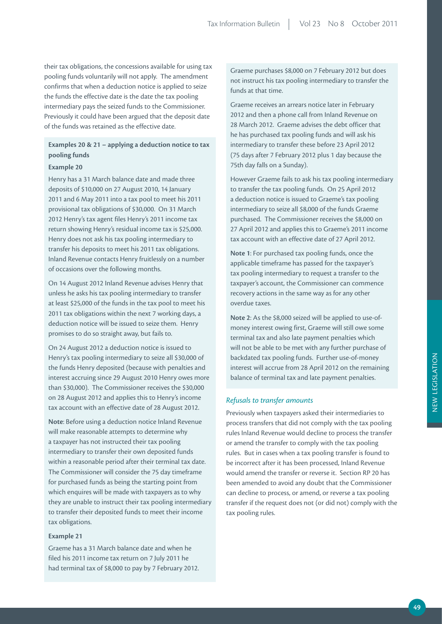their tax obligations, the concessions available for using tax pooling funds voluntarily will not apply. The amendment confirms that when a deduction notice is applied to seize the funds the effective date is the date the tax pooling intermediary pays the seized funds to the Commissioner. Previously it could have been argued that the deposit date of the funds was retained as the effective date.

# **Examples 20 & 21 – applying a deduction notice to tax pooling funds**

#### **Example 20**

Henry has a 31 March balance date and made three deposits of \$10,000 on 27 August 2010, 14 January 2011 and 6 May 2011 into a tax pool to meet his 2011 provisional tax obligations of \$30,000. On 31 March 2012 Henry's tax agent files Henry's 2011 income tax return showing Henry's residual income tax is \$25,000. Henry does not ask his tax pooling intermediary to transfer his deposits to meet his 2011 tax obligations. Inland Revenue contacts Henry fruitlessly on a number of occasions over the following months.

On 14 August 2012 Inland Revenue advises Henry that unless he asks his tax pooling intermediary to transfer at least \$25,000 of the funds in the tax pool to meet his 2011 tax obligations within the next 7 working days, a deduction notice will be issued to seize them. Henry promises to do so straight away, but fails to.

On 24 August 2012 a deduction notice is issued to Henry's tax pooling intermediary to seize all \$30,000 of the funds Henry deposited (because with penalties and interest accruing since 29 August 2010 Henry owes more than \$30,000). The Commissioner receives the \$30,000 on 28 August 2012 and applies this to Henry's income tax account with an effective date of 28 August 2012.

**Note**: Before using a deduction notice Inland Revenue will make reasonable attempts to determine why a taxpayer has not instructed their tax pooling intermediary to transfer their own deposited funds within a reasonable period after their terminal tax date. The Commissioner will consider the 75 day timeframe for purchased funds as being the starting point from which enquires will be made with taxpayers as to why they are unable to instruct their tax pooling intermediary to transfer their deposited funds to meet their income tax obligations.

#### **Example 21**

Graeme has a 31 March balance date and when he filed his 2011 income tax return on 7 July 2011 he had terminal tax of \$8,000 to pay by 7 February 2012. Graeme purchases \$8,000 on 7 February 2012 but does not instruct his tax pooling intermediary to transfer the funds at that time.

Graeme receives an arrears notice later in February 2012 and then a phone call from Inland Revenue on 28 March 2012. Graeme advises the debt officer that he has purchased tax pooling funds and will ask his intermediary to transfer these before 23 April 2012 (75 days after 7 February 2012 plus 1 day because the 75th day falls on a Sunday).

However Graeme fails to ask his tax pooling intermediary to transfer the tax pooling funds. On 25 April 2012 a deduction notice is issued to Graeme's tax pooling intermediary to seize all \$8,000 of the funds Graeme purchased. The Commissioner receives the \$8,000 on 27 April 2012 and applies this to Graeme's 2011 income tax account with an effective date of 27 April 2012.

**Note 1**: For purchased tax pooling funds, once the applicable timeframe has passed for the taxpayer's tax pooling intermediary to request a transfer to the taxpayer's account, the Commissioner can commence recovery actions in the same way as for any other overdue taxes.

**Note 2**: As the \$8,000 seized will be applied to use-ofmoney interest owing first, Graeme will still owe some terminal tax and also late payment penalties which will not be able to be met with any further purchase of backdated tax pooling funds. Further use-of-money interest will accrue from 28 April 2012 on the remaining balance of terminal tax and late payment penalties.

#### *Refusals to transfer amounts*

Previously when taxpayers asked their intermediaries to process transfers that did not comply with the tax pooling rules Inland Revenue would decline to process the transfer or amend the transfer to comply with the tax pooling rules. But in cases when a tax pooling transfer is found to be incorrect after it has been processed, Inland Revenue would amend the transfer or reverse it. Section RP 20 has been amended to avoid any doubt that the Commissioner can decline to process, or amend, or reverse a tax pooling transfer if the request does not (or did not) comply with the tax pooling rules.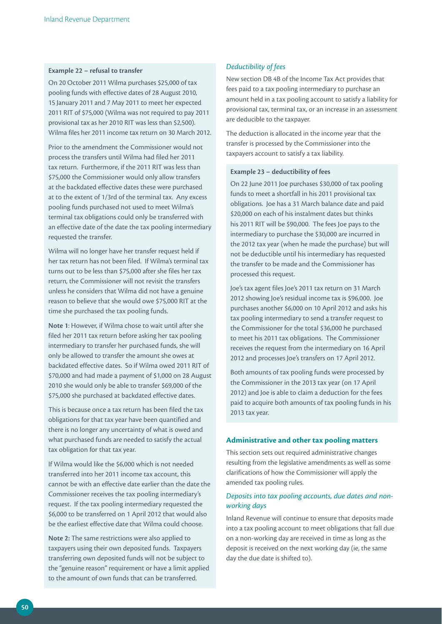#### **Example 22 – refusal to transfer**

On 20 October 2011 Wilma purchases \$25,000 of tax pooling funds with effective dates of 28 August 2010, 15 January 2011 and 7 May 2011 to meet her expected 2011 RIT of \$75,000 (Wilma was not required to pay 2011 provisional tax as her 2010 RIT was less than \$2,500). Wilma files her 2011 income tax return on 30 March 2012.

Prior to the amendment the Commissioner would not process the transfers until Wilma had filed her 2011 tax return. Furthermore, if the 2011 RIT was less than \$75,000 the Commissioner would only allow transfers at the backdated effective dates these were purchased at to the extent of 1/3rd of the terminal tax. Any excess pooling funds purchased not used to meet Wilma's terminal tax obligations could only be transferred with an effective date of the date the tax pooling intermediary requested the transfer.

Wilma will no longer have her transfer request held if her tax return has not been filed. If Wilma's terminal tax turns out to be less than \$75,000 after she files her tax return, the Commissioner will not revisit the transfers unless he considers that Wilma did not have a genuine reason to believe that she would owe \$75,000 RIT at the time she purchased the tax pooling funds.

**Note 1**: However, if Wilma chose to wait until after she filed her 2011 tax return before asking her tax pooling intermediary to transfer her purchased funds, she will only be allowed to transfer the amount she owes at backdated effective dates. So if Wilma owed 2011 RIT of \$70,000 and had made a payment of \$1,000 on 28 August 2010 she would only be able to transfer \$69,000 of the \$75,000 she purchased at backdated effective dates.

This is because once a tax return has been filed the tax obligations for that tax year have been quantified and there is no longer any uncertainty of what is owed and what purchased funds are needed to satisfy the actual tax obligation for that tax year.

If Wilma would like the \$6,000 which is not needed transferred into her 2011 income tax account, this cannot be with an effective date earlier than the date the Commissioner receives the tax pooling intermediary's request. If the tax pooling intermediary requested the \$6,000 to be transferred on 1 April 2012 that would also be the earliest effective date that Wilma could choose.

**Note 2:** The same restrictions were also applied to taxpayers using their own deposited funds. Taxpayers transferring own deposited funds will not be subject to the "genuine reason" requirement or have a limit applied to the amount of own funds that can be transferred.

## *Deductibility of fees*

New section DB 4B of the Income Tax Act provides that fees paid to a tax pooling intermediary to purchase an amount held in a tax pooling account to satisfy a liability for provisional tax, terminal tax, or an increase in an assessment are deducible to the taxpayer.

The deduction is allocated in the income year that the transfer is processed by the Commissioner into the taxpayers account to satisfy a tax liability.

#### **Example 23 – deductibility of fees**

On 22 June 2011 Joe purchases \$30,000 of tax pooling funds to meet a shortfall in his 2011 provisional tax obligations. Joe has a 31 March balance date and paid \$20,000 on each of his instalment dates but thinks his 2011 RIT will be \$90,000. The fees Joe pays to the intermediary to purchase the \$30,000 are incurred in the 2012 tax year (when he made the purchase) but will not be deductible until his intermediary has requested the transfer to be made and the Commissioner has processed this request.

Joe's tax agent files Joe's 2011 tax return on 31 March 2012 showing Joe's residual income tax is \$96,000. Joe purchases another \$6,000 on 10 April 2012 and asks his tax pooling intermediary to send a transfer request to the Commissioner for the total \$36,000 he purchased to meet his 2011 tax obligations. The Commissioner receives the request from the intermediary on 16 April 2012 and processes Joe's transfers on 17 April 2012.

Both amounts of tax pooling funds were processed by the Commissioner in the 2013 tax year (on 17 April 2012) and Joe is able to claim a deduction for the fees paid to acquire both amounts of tax pooling funds in his 2013 tax year.

#### **Administrative and other tax pooling matters**

This section sets out required administrative changes resulting from the legislative amendments as well as some clarifications of how the Commissioner will apply the amended tax pooling rules.

## *Deposits into tax pooling accounts, due dates and nonworking days*

Inland Revenue will continue to ensure that deposits made into a tax pooling account to meet obligations that fall due on a non-working day are received in time as long as the deposit is received on the next working day (ie, the same day the due date is shifted to).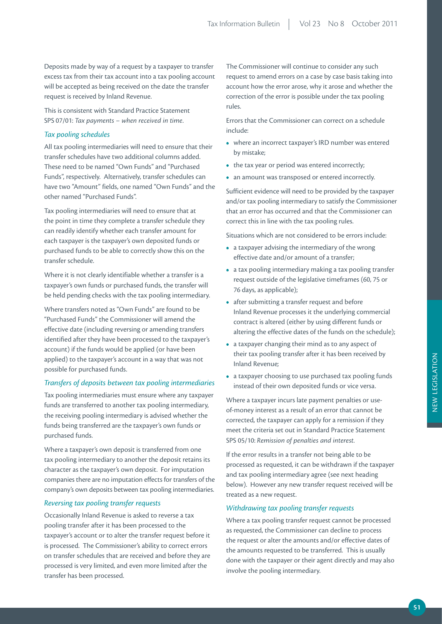Deposits made by way of a request by a taxpayer to transfer excess tax from their tax account into a tax pooling account will be accepted as being received on the date the transfer request is received by Inland Revenue.

This is consistent with Standard Practice Statement SPS 07/01: *Tax payments – when received in time*.

## *Tax pooling schedules*

All tax pooling intermediaries will need to ensure that their transfer schedules have two additional columns added. These need to be named "Own Funds" and "Purchased Funds", respectively. Alternatively, transfer schedules can have two "Amount" fields, one named "Own Funds" and the other named "Purchased Funds".

Tax pooling intermediaries will need to ensure that at the point in time they complete a transfer schedule they can readily identify whether each transfer amount for each taxpayer is the taxpayer's own deposited funds or purchased funds to be able to correctly show this on the transfer schedule.

Where it is not clearly identifiable whether a transfer is a taxpayer's own funds or purchased funds, the transfer will be held pending checks with the tax pooling intermediary.

Where transfers noted as "Own Funds" are found to be "Purchased Funds" the Commissioner will amend the effective date (including reversing or amending transfers identified after they have been processed to the taxpayer's account) if the funds would be applied (or have been applied) to the taxpayer's account in a way that was not possible for purchased funds.

## *Transfers of deposits between tax pooling intermediaries*

Tax pooling intermediaries must ensure where any taxpayer funds are transferred to another tax pooling intermediary, the receiving pooling intermediary is advised whether the funds being transferred are the taxpayer's own funds or purchased funds.

Where a taxpayer's own deposit is transferred from one tax pooling intermediary to another the deposit retains its character as the taxpayer's own deposit. For imputation companies there are no imputation effects for transfers of the company's own deposits between tax pooling intermediaries.

#### *Reversing tax pooling transfer requests*

Occasionally Inland Revenue is asked to reverse a tax pooling transfer after it has been processed to the taxpayer's account or to alter the transfer request before it is processed. The Commissioner's ability to correct errors on transfer schedules that are received and before they are processed is very limited, and even more limited after the transfer has been processed.

The Commissioner will continue to consider any such request to amend errors on a case by case basis taking into account how the error arose, why it arose and whether the correction of the error is possible under the tax pooling rules.

Errors that the Commissioner can correct on a schedule include:

- where an incorrect taxpayer's IRD number was entered by mistake;
- the tax year or period was entered incorrectly;
- an amount was transposed or entered incorrectly.

Sufficient evidence will need to be provided by the taxpayer and/or tax pooling intermediary to satisfy the Commissioner that an error has occurred and that the Commissioner can correct this in line with the tax pooling rules.

Situations which are not considered to be errors include:

- **•**  a taxpayer advising the intermediary of the wrong effective date and/or amount of a transfer;
- **•**  a tax pooling intermediary making a tax pooling transfer request outside of the legislative timeframes (60, 75 or 76 days, as applicable);
- after submitting a transfer request and before Inland Revenue processes it the underlying commercial contract is altered (either by using different funds or altering the effective dates of the funds on the schedule);
- **•**  a taxpayer changing their mind as to any aspect of their tax pooling transfer after it has been received by Inland Revenue;
- **•**  a taxpayer choosing to use purchased tax pooling funds instead of their own deposited funds or vice versa.

Where a taxpayer incurs late payment penalties or useof-money interest as a result of an error that cannot be corrected, the taxpayer can apply for a remission if they meet the criteria set out in Standard Practice Statement SPS 05/10: *Remission of penalties and interest.*

If the error results in a transfer not being able to be processed as requested, it can be withdrawn if the taxpayer and tax pooling intermediary agree (see next heading below). However any new transfer request received will be treated as a new request.

### *Withdrawing tax pooling transfer requests*

Where a tax pooling transfer request cannot be processed as requested, the Commissioner can decline to process the request or alter the amounts and/or effective dates of the amounts requested to be transferred. This is usually done with the taxpayer or their agent directly and may also involve the pooling intermediary.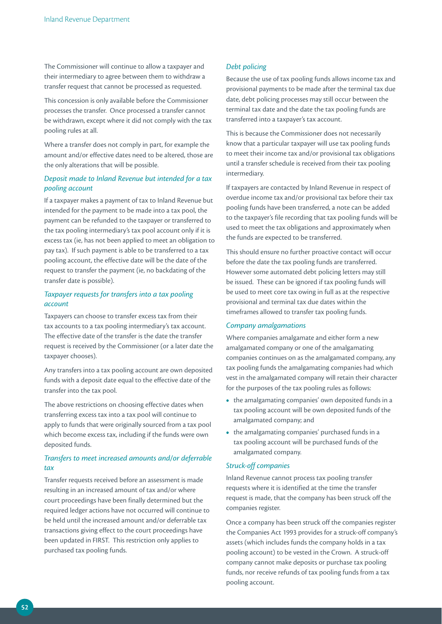The Commissioner will continue to allow a taxpayer and their intermediary to agree between them to withdraw a transfer request that cannot be processed as requested.

This concession is only available before the Commissioner processes the transfer. Once processed a transfer cannot be withdrawn, except where it did not comply with the tax pooling rules at all.

Where a transfer does not comply in part, for example the amount and/or effective dates need to be altered, those are the only alterations that will be possible.

## *Deposit made to Inland Revenue but intended for a tax pooling account*

If a taxpayer makes a payment of tax to Inland Revenue but intended for the payment to be made into a tax pool, the payment can be refunded to the taxpayer or transferred to the tax pooling intermediary's tax pool account only if it is excess tax (ie, has not been applied to meet an obligation to pay tax). If such payment is able to be transferred to a tax pooling account, the effective date will be the date of the request to transfer the payment (ie, no backdating of the transfer date is possible).

# *Taxpayer requests for transfers into a tax pooling account*

Taxpayers can choose to transfer excess tax from their tax accounts to a tax pooling intermediary's tax account. The effective date of the transfer is the date the transfer request is received by the Commissioner (or a later date the taxpayer chooses).

Any transfers into a tax pooling account are own deposited funds with a deposit date equal to the effective date of the transfer into the tax pool.

The above restrictions on choosing effective dates when transferring excess tax into a tax pool will continue to apply to funds that were originally sourced from a tax pool which become excess tax, including if the funds were own deposited funds.

# *Transfers to meet increased amounts and/or deferrable tax*

Transfer requests received before an assessment is made resulting in an increased amount of tax and/or where court proceedings have been finally determined but the required ledger actions have not occurred will continue to be held until the increased amount and/or deferrable tax transactions giving effect to the court proceedings have been updated in FIRST. This restriction only applies to purchased tax pooling funds.

## *Debt policing*

Because the use of tax pooling funds allows income tax and provisional payments to be made after the terminal tax due date, debt policing processes may still occur between the terminal tax date and the date the tax pooling funds are transferred into a taxpayer's tax account.

This is because the Commissioner does not necessarily know that a particular taxpayer will use tax pooling funds to meet their income tax and/or provisional tax obligations until a transfer schedule is received from their tax pooling intermediary.

If taxpayers are contacted by Inland Revenue in respect of overdue income tax and/or provisional tax before their tax pooling funds have been transferred, a note can be added to the taxpayer's file recording that tax pooling funds will be used to meet the tax obligations and approximately when the funds are expected to be transferred.

This should ensure no further proactive contact will occur before the date the tax pooling funds are transferred. However some automated debt policing letters may still be issued. These can be ignored if tax pooling funds will be used to meet core tax owing in full as at the respective provisional and terminal tax due dates within the timeframes allowed to transfer tax pooling funds.

#### *Company amalgamations*

Where companies amalgamate and either form a new amalgamated company or one of the amalgamating companies continues on as the amalgamated company, any tax pooling funds the amalgamating companies had which vest in the amalgamated company will retain their character for the purposes of the tax pooling rules as follows:

- the amalgamating companies' own deposited funds in a tax pooling account will be own deposited funds of the amalgamated company; and
- the amalgamating companies' purchased funds in a tax pooling account will be purchased funds of the amalgamated company.

## *Struck-off companies*

Inland Revenue cannot process tax pooling transfer requests where it is identified at the time the transfer request is made, that the company has been struck off the companies register.

Once a company has been struck off the companies register the Companies Act 1993 provides for a struck-off company's assets (which includes funds the company holds in a tax pooling account) to be vested in the Crown. A struck-off company cannot make deposits or purchase tax pooling funds, nor receive refunds of tax pooling funds from a tax pooling account.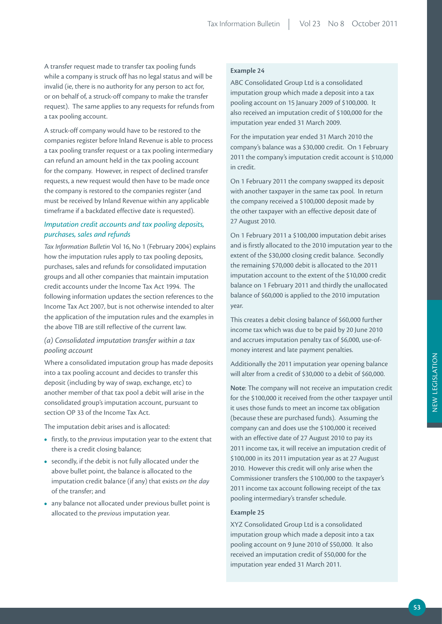A transfer request made to transfer tax pooling funds while a company is struck off has no legal status and will be invalid (ie, there is no authority for any person to act for, or on behalf of, a struck-off company to make the transfer request). The same applies to any requests for refunds from a tax pooling account.

A struck-off company would have to be restored to the companies register before Inland Revenue is able to process a tax pooling transfer request or a tax pooling intermediary can refund an amount held in the tax pooling account for the company. However, in respect of declined transfer requests, a new request would then have to be made once the company is restored to the companies register (and must be received by Inland Revenue within any applicable timeframe if a backdated effective date is requested).

# *Imputation credit accounts and tax pooling deposits, purchases, sales and refunds*

*Tax Information Bulletin* Vol 16, No 1 (February 2004) explains how the imputation rules apply to tax pooling deposits, purchases, sales and refunds for consolidated imputation groups and all other companies that maintain imputation credit accounts under the Income Tax Act 1994. The following information updates the section references to the Income Tax Act 2007, but is not otherwise intended to alter the application of the imputation rules and the examples in the above TIB are still reflective of the current law.

# *(a) Consolidated imputation transfer within a tax pooling account*

Where a consolidated imputation group has made deposits into a tax pooling account and decides to transfer this deposit (including by way of swap, exchange, etc) to another member of that tax pool a debit will arise in the consolidated group's imputation account, pursuant to section OP 33 of the Income Tax Act.

The imputation debit arises and is allocated:

- **•**  firstly, to the *previous* imputation year to the extent that there is a credit closing balance;
- **•**  secondly, if the debit is not fully allocated under the above bullet point, the balance is allocated to the imputation credit balance (if any) that exists *on the day* of the transfer; and
- **•**  any balance not allocated under previous bullet point is allocated to the *previous* imputation year.

# **Example 24**

ABC Consolidated Group Ltd is a consolidated imputation group which made a deposit into a tax pooling account on 15 January 2009 of \$100,000. It also received an imputation credit of \$100,000 for the imputation year ended 31 March 2009.

For the imputation year ended 31 March 2010 the company's balance was a \$30,000 credit. On 1 February 2011 the company's imputation credit account is \$10,000 in credit.

On 1 February 2011 the company swapped its deposit with another taxpayer in the same tax pool. In return the company received a \$100,000 deposit made by the other taxpayer with an effective deposit date of 27 August 2010.

On 1 February 2011 a \$100,000 imputation debit arises and is firstly allocated to the 2010 imputation year to the extent of the \$30,000 closing credit balance. Secondly the remaining \$70,000 debit is allocated to the 2011 imputation account to the extent of the \$10,000 credit balance on 1 February 2011 and thirdly the unallocated balance of \$60,000 is applied to the 2010 imputation year.

This creates a debit closing balance of \$60,000 further income tax which was due to be paid by 20 June 2010 and accrues imputation penalty tax of \$6,000, use-ofmoney interest and late payment penalties.

Additionally the 2011 imputation year opening balance will alter from a credit of \$30,000 to a debit of \$60,000.

**Note**: The company will not receive an imputation credit for the \$100,000 it received from the other taxpayer until it uses those funds to meet an income tax obligation (because these are purchased funds). Assuming the company can and does use the \$100,000 it received with an effective date of 27 August 2010 to pay its 2011 income tax, it will receive an imputation credit of \$100,000 in its 2011 imputation year as at 27 August 2010. However this credit will only arise when the Commissioner transfers the \$100,000 to the taxpayer's 2011 income tax account following receipt of the tax pooling intermediary's transfer schedule.

## **Example 25**

XYZ Consolidated Group Ltd is a consolidated imputation group which made a deposit into a tax pooling account on 9 June 2010 of \$50,000. It also received an imputation credit of \$50,000 for the imputation year ended 31 March 2011.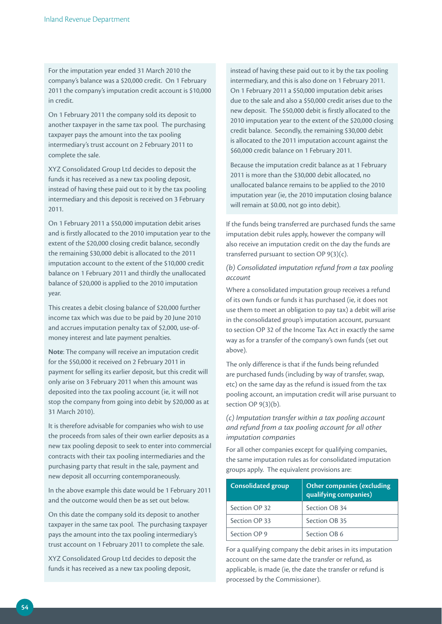For the imputation year ended 31 March 2010 the company's balance was a \$20,000 credit. On 1 February 2011 the company's imputation credit account is \$10,000 in credit.

On 1 February 2011 the company sold its deposit to another taxpayer in the same tax pool. The purchasing taxpayer pays the amount into the tax pooling intermediary's trust account on 2 February 2011 to complete the sale.

XYZ Consolidated Group Ltd decides to deposit the funds it has received as a new tax pooling deposit, instead of having these paid out to it by the tax pooling intermediary and this deposit is received on 3 February 2011.

On 1 February 2011 a \$50,000 imputation debit arises and is firstly allocated to the 2010 imputation year to the extent of the \$20,000 closing credit balance, secondly the remaining \$30,000 debit is allocated to the 2011 imputation account to the extent of the \$10,000 credit balance on 1 February 2011 and thirdly the unallocated balance of \$20,000 is applied to the 2010 imputation year.

This creates a debit closing balance of \$20,000 further income tax which was due to be paid by 20 June 2010 and accrues imputation penalty tax of \$2,000, use-ofmoney interest and late payment penalties.

**Note**: The company will receive an imputation credit for the \$50,000 it received on 2 February 2011 in payment for selling its earlier deposit, but this credit will only arise on 3 February 2011 when this amount was deposited into the tax pooling account (ie, it will not stop the company from going into debit by \$20,000 as at 31 March 2010).

It is therefore advisable for companies who wish to use the proceeds from sales of their own earlier deposits as a new tax pooling deposit to seek to enter into commercial contracts with their tax pooling intermediaries and the purchasing party that result in the sale, payment and new deposit all occurring contemporaneously.

In the above example this date would be 1 February 2011 and the outcome would then be as set out below.

On this date the company sold its deposit to another taxpayer in the same tax pool. The purchasing taxpayer pays the amount into the tax pooling intermediary's trust account on 1 February 2011 to complete the sale.

XYZ Consolidated Group Ltd decides to deposit the funds it has received as a new tax pooling deposit,

instead of having these paid out to it by the tax pooling intermediary, and this is also done on 1 February 2011. On 1 February 2011 a \$50,000 imputation debit arises due to the sale and also a \$50,000 credit arises due to the new deposit. The \$50,000 debit is firstly allocated to the 2010 imputation year to the extent of the \$20,000 closing credit balance. Secondly, the remaining \$30,000 debit is allocated to the 2011 imputation account against the \$60,000 credit balance on 1 February 2011.

Because the imputation credit balance as at 1 February 2011 is more than the \$30,000 debit allocated, no unallocated balance remains to be applied to the 2010 imputation year (ie, the 2010 imputation closing balance will remain at \$0.00, not go into debit).

If the funds being transferred are purchased funds the same imputation debit rules apply, however the company will also receive an imputation credit on the day the funds are transferred pursuant to section OP 9(3)(c).

# *(b) Consolidated imputation refund from a tax pooling account*

Where a consolidated imputation group receives a refund of its own funds or funds it has purchased (ie, it does not use them to meet an obligation to pay tax) a debit will arise in the consolidated group's imputation account, pursuant to section OP 32 of the Income Tax Act in exactly the same way as for a transfer of the company's own funds (set out above).

The only difference is that if the funds being refunded are purchased funds (including by way of transfer, swap, etc) on the same day as the refund is issued from the tax pooling account, an imputation credit will arise pursuant to section OP 9(3)(b).

*(c) Imputation transfer within a tax pooling account and refund from a tax pooling account for all other imputation companies*

For all other companies except for qualifying companies, the same imputation rules as for consolidated imputation groups apply. The equivalent provisions are:

| <b>Consolidated group</b> | <b>Other companies (excluding</b><br>qualifying companies) |
|---------------------------|------------------------------------------------------------|
| Section OP 32             | Section OB 34                                              |
| Section OP 33             | Section OB 35                                              |
| Section OP 9              | Section OB 6                                               |

For a qualifying company the debit arises in its imputation account on the same date the transfer or refund, as applicable, is made (ie, the date the transfer or refund is processed by the Commissioner).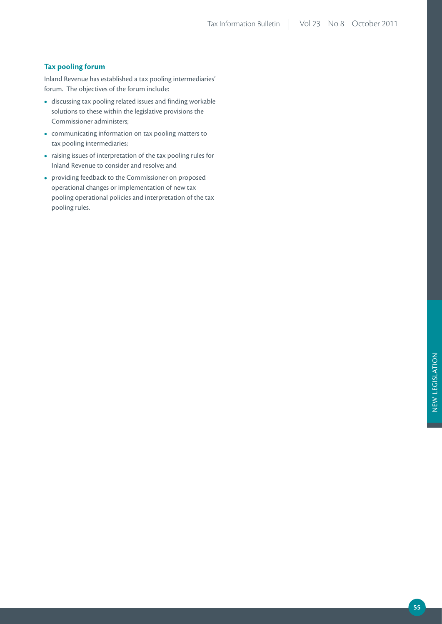#### **Tax pooling forum**

Inland Revenue has established a tax pooling intermediaries' forum. The objectives of the forum include:

- **•**  discussing tax pooling related issues and finding workable solutions to these within the legislative provisions the Commissioner administers;
- **•**  communicating information on tax pooling matters to tax pooling intermediaries;
- **•**  raising issues of interpretation of the tax pooling rules for Inland Revenue to consider and resolve; and
- **•**  providing feedback to the Commissioner on proposed operational changes or implementation of new tax pooling operational policies and interpretation of the tax pooling rules.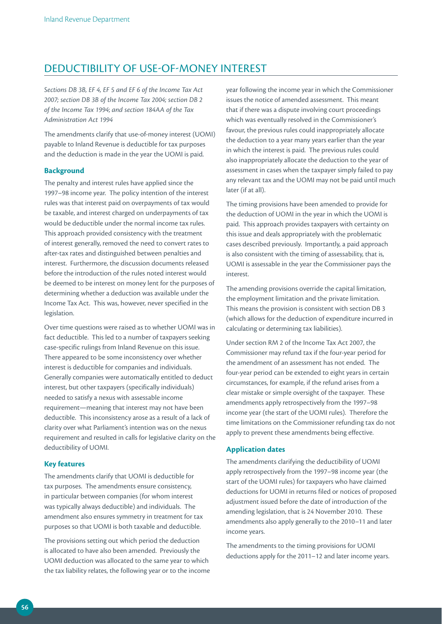# DEDUCTIBILITY OF USE-OF-MONEY INTEREST

*Sections DB 3B, EF 4, EF 5 and EF 6 of the Income Tax Act 2007; section DB 3B of the Income Tax 2004; section DB 2 of the Income Tax 1994*; *and section 184AA of the Tax Administration Act 1994*

The amendments clarify that use-of-money interest (UOMI) payable to Inland Revenue is deductible for tax purposes and the deduction is made in the year the UOMI is paid.

#### **Background**

The penalty and interest rules have applied since the 1997–98 income year. The policy intention of the interest rules was that interest paid on overpayments of tax would be taxable, and interest charged on underpayments of tax would be deductible under the normal income tax rules. This approach provided consistency with the treatment of interest generally, removed the need to convert rates to after-tax rates and distinguished between penalties and interest. Furthermore, the discussion documents released before the introduction of the rules noted interest would be deemed to be interest on money lent for the purposes of determining whether a deduction was available under the Income Tax Act. This was, however, never specified in the legislation.

Over time questions were raised as to whether UOMI was in fact deductible. This led to a number of taxpayers seeking case-specific rulings from Inland Revenue on this issue. There appeared to be some inconsistency over whether interest is deductible for companies and individuals. Generally companies were automatically entitled to deduct interest, but other taxpayers (specifically individuals) needed to satisfy a nexus with assessable income requirement—meaning that interest may not have been deductible. This inconsistency arose as a result of a lack of clarity over what Parliament's intention was on the nexus requirement and resulted in calls for legislative clarity on the deductibility of UOMI.

#### **Key features**

The amendments clarify that UOMI is deductible for tax purposes. The amendments ensure consistency, in particular between companies (for whom interest was typically always deductible) and individuals. The amendment also ensures symmetry in treatment for tax purposes so that UOMI is both taxable and deductible.

The provisions setting out which period the deduction is allocated to have also been amended. Previously the UOMI deduction was allocated to the same year to which the tax liability relates, the following year or to the income year following the income year in which the Commissioner issues the notice of amended assessment. This meant that if there was a dispute involving court proceedings which was eventually resolved in the Commissioner's favour, the previous rules could inappropriately allocate the deduction to a year many years earlier than the year in which the interest is paid. The previous rules could also inappropriately allocate the deduction to the year of assessment in cases when the taxpayer simply failed to pay any relevant tax and the UOMI may not be paid until much later (if at all).

The timing provisions have been amended to provide for the deduction of UOMI in the year in which the UOMI is paid. This approach provides taxpayers with certainty on this issue and deals appropriately with the problematic cases described previously. Importantly, a paid approach is also consistent with the timing of assessability, that is, UOMI is assessable in the year the Commissioner pays the interest.

The amending provisions override the capital limitation, the employment limitation and the private limitation. This means the provision is consistent with section DB 3 (which allows for the deduction of expenditure incurred in calculating or determining tax liabilities).

Under section RM 2 of the Income Tax Act 2007, the Commissioner may refund tax if the four-year period for the amendment of an assessment has not ended. The four-year period can be extended to eight years in certain circumstances, for example, if the refund arises from a clear mistake or simple oversight of the taxpayer. These amendments apply retrospectively from the 1997–98 income year (the start of the UOMI rules). Therefore the time limitations on the Commissioner refunding tax do not apply to prevent these amendments being effective.

## **Application dates**

The amendments clarifying the deductibility of UOMI apply retrospectively from the 1997–98 income year (the start of the UOMI rules) for taxpayers who have claimed deductions for UOMI in returns filed or notices of proposed adjustment issued before the date of introduction of the amending legislation, that is 24 November 2010. These amendments also apply generally to the 2010–11 and later income years.

The amendments to the timing provisions for UOMI deductions apply for the 2011–12 and later income years.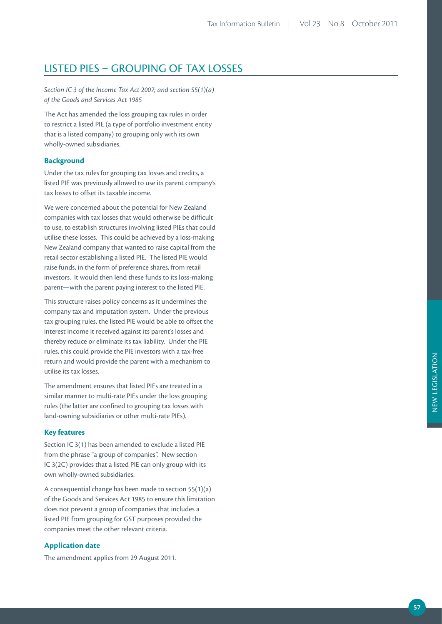# LISTED PIES – GROUPING OF TAX LOSSES

*Section IC 3 of the Income Tax Act 2007; and section 55(1)(a) of the Goods and Services Act 1985*

The Act has amended the loss grouping tax rules in order to restrict a listed PIE (a type of portfolio investment entity that is a listed company) to grouping only with its own wholly-owned subsidiaries.

## **Background**

Under the tax rules for grouping tax losses and credits, a listed PIE was previously allowed to use its parent company's tax losses to offset its taxable income.

We were concerned about the potential for New Zealand companies with tax losses that would otherwise be difficult to use, to establish structures involving listed PIEs that could utilise these losses. This could be achieved by a loss-making New Zealand company that wanted to raise capital from the retail sector establishing a listed PIE. The listed PIE would raise funds, in the form of preference shares, from retail investors. It would then lend these funds to its loss-making parent—with the parent paying interest to the listed PIE.

This structure raises policy concerns as it undermines the company tax and imputation system. Under the previous tax grouping rules, the listed PIE would be able to offset the interest income it received against its parent's losses and thereby reduce or eliminate its tax liability. Under the PIE rules, this could provide the PIE investors with a tax-free return and would provide the parent with a mechanism to utilise its tax losses.

The amendment ensures that listed PIEs are treated in a similar manner to multi-rate PIEs under the loss grouping rules (the latter are confined to grouping tax losses with land-owning subsidiaries or other multi-rate PIEs).

# **Key features**

Section IC 3(1) has been amended to exclude a listed PIE from the phrase "a group of companies". New section IC 3(2C) provides that a listed PIE can only group with its own wholly-owned subsidiaries.

A consequential change has been made to section 55(1)(a) of the Goods and Services Act 1985 to ensure this limitation does not prevent a group of companies that includes a listed PIE from grouping for GST purposes provided the companies meet the other relevant criteria.

## **Application date**

The amendment applies from 29 August 2011.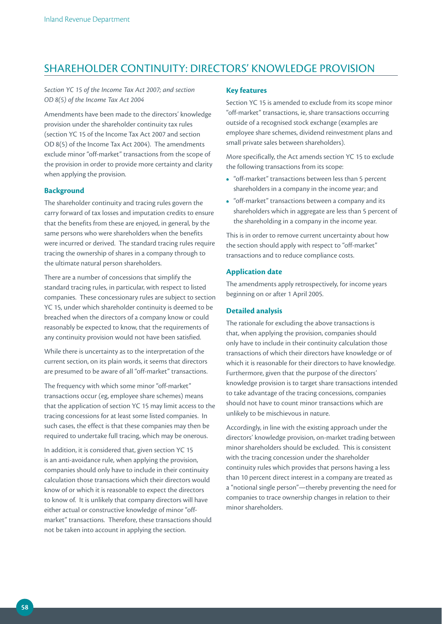# SHAREHOLDER CONTINUITY: DIRECTORS' KNOWLEDGE PROVISION

*Section YC 15 of the Income Tax Act 2007; and section OD 8(5) of the Income Tax Act 2004*

Amendments have been made to the directors' knowledge provision under the shareholder continuity tax rules (section YC 15 of the Income Tax Act 2007 and section OD 8(5) of the Income Tax Act 2004). The amendments exclude minor "off-market" transactions from the scope of the provision in order to provide more certainty and clarity when applying the provision.

#### **Background**

The shareholder continuity and tracing rules govern the carry forward of tax losses and imputation credits to ensure that the benefits from these are enjoyed, in general, by the same persons who were shareholders when the benefits were incurred or derived. The standard tracing rules require tracing the ownership of shares in a company through to the ultimate natural person shareholders.

There are a number of concessions that simplify the standard tracing rules, in particular, with respect to listed companies. These concessionary rules are subject to section YC 15, under which shareholder continuity is deemed to be breached when the directors of a company know or could reasonably be expected to know, that the requirements of any continuity provision would not have been satisfied.

While there is uncertainty as to the interpretation of the current section, on its plain words, it seems that directors are presumed to be aware of all "off-market" transactions.

The frequency with which some minor "off-market" transactions occur (eg, employee share schemes) means that the application of section YC 15 may limit access to the tracing concessions for at least some listed companies. In such cases, the effect is that these companies may then be required to undertake full tracing, which may be onerous.

In addition, it is considered that, given section YC 15 is an anti-avoidance rule, when applying the provision, companies should only have to include in their continuity calculation those transactions which their directors would know of or which it is reasonable to expect the directors to know of. It is unlikely that company directors will have either actual or constructive knowledge of minor "offmarket" transactions. Therefore, these transactions should not be taken into account in applying the section.

#### **Key features**

Section YC 15 is amended to exclude from its scope minor "off-market" transactions, ie, share transactions occurring outside of a recognised stock exchange (examples are employee share schemes, dividend reinvestment plans and small private sales between shareholders).

More specifically, the Act amends section YC 15 to exclude the following transactions from its scope:

- **•**  "off-market" transactions between less than 5 percent shareholders in a company in the income year; and
- **•**  "off-market" transactions between a company and its shareholders which in aggregate are less than 5 percent of the shareholding in a company in the income year.

This is in order to remove current uncertainty about how the section should apply with respect to "off-market" transactions and to reduce compliance costs.

## **Application date**

The amendments apply retrospectively, for income years beginning on or after 1 April 2005.

## **Detailed analysis**

The rationale for excluding the above transactions is that, when applying the provision, companies should only have to include in their continuity calculation those transactions of which their directors have knowledge or of which it is reasonable for their directors to have knowledge. Furthermore, given that the purpose of the directors' knowledge provision is to target share transactions intended to take advantage of the tracing concessions, companies should not have to count minor transactions which are unlikely to be mischievous in nature.

Accordingly, in line with the existing approach under the directors' knowledge provision, on-market trading between minor shareholders should be excluded. This is consistent with the tracing concession under the shareholder continuity rules which provides that persons having a less than 10 percent direct interest in a company are treated as a "notional single person"—thereby preventing the need for companies to trace ownership changes in relation to their minor shareholders.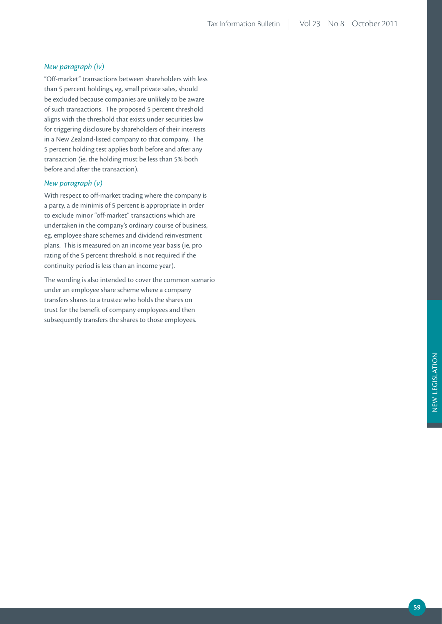#### *New paragraph (iv)*

"Off-market" transactions between shareholders with less than 5 percent holdings, eg, small private sales, should be excluded because companies are unlikely to be aware of such transactions. The proposed 5 percent threshold aligns with the threshold that exists under securities law for triggering disclosure by shareholders of their interests in a New Zealand-listed company to that company. The 5 percent holding test applies both before and after any transaction (ie, the holding must be less than 5% both before and after the transaction).

# *New paragraph (v)*

With respect to off-market trading where the company is a party, a de minimis of 5 percent is appropriate in order to exclude minor "off-market" transactions which are undertaken in the company's ordinary course of business, eg, employee share schemes and dividend reinvestment plans. This is measured on an income year basis (ie, pro rating of the 5 percent threshold is not required if the continuity period is less than an income year).

The wording is also intended to cover the common scenario under an employee share scheme where a company transfers shares to a trustee who holds the shares on trust for the benefit of company employees and then subsequently transfers the shares to those employees.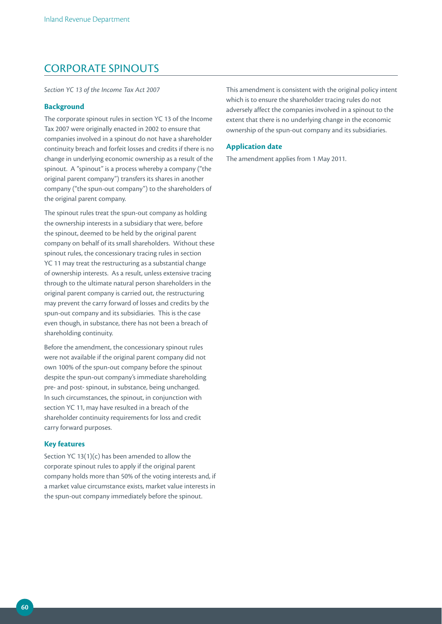# CORPORATE SPINOUTS

*Section YC 13 of the Income Tax Act 2007*

#### **Background**

The corporate spinout rules in section YC 13 of the Income Tax 2007 were originally enacted in 2002 to ensure that companies involved in a spinout do not have a shareholder continuity breach and forfeit losses and credits if there is no change in underlying economic ownership as a result of the spinout. A "spinout" is a process whereby a company ("the original parent company") transfers its shares in another company ("the spun-out company") to the shareholders of the original parent company.

The spinout rules treat the spun-out company as holding the ownership interests in a subsidiary that were, before the spinout, deemed to be held by the original parent company on behalf of its small shareholders. Without these spinout rules, the concessionary tracing rules in section YC 11 may treat the restructuring as a substantial change of ownership interests. As a result, unless extensive tracing through to the ultimate natural person shareholders in the original parent company is carried out, the restructuring may prevent the carry forward of losses and credits by the spun-out company and its subsidiaries. This is the case even though, in substance, there has not been a breach of shareholding continuity.

Before the amendment, the concessionary spinout rules were not available if the original parent company did not own 100% of the spun-out company before the spinout despite the spun-out company's immediate shareholding pre- and post- spinout, in substance, being unchanged. In such circumstances, the spinout, in conjunction with section YC 11, may have resulted in a breach of the shareholder continuity requirements for loss and credit carry forward purposes.

## **Key features**

Section YC 13(1)(c) has been amended to allow the corporate spinout rules to apply if the original parent company holds more than 50% of the voting interests and, if a market value circumstance exists, market value interests in the spun-out company immediately before the spinout.

This amendment is consistent with the original policy intent which is to ensure the shareholder tracing rules do not adversely affect the companies involved in a spinout to the extent that there is no underlying change in the economic ownership of the spun-out company and its subsidiaries.

### **Application date**

The amendment applies from 1 May 2011.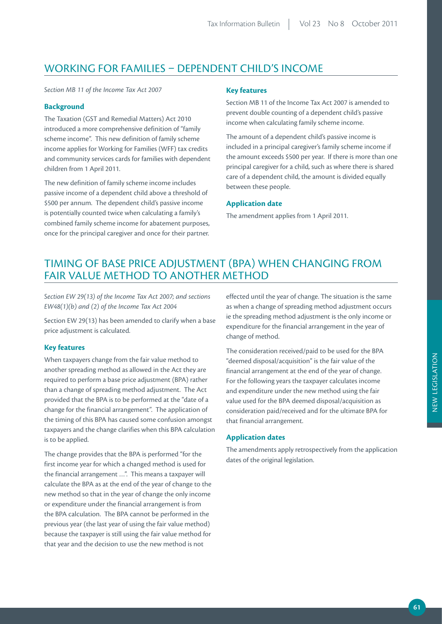# WORKING FOR FAMILIES – DEPENDENT CHILD'S INCOME

*Section MB 11 of the Income Tax Act 2007*

## **Background**

The Taxation (GST and Remedial Matters) Act 2010 introduced a more comprehensive definition of "family scheme income". This new definition of family scheme income applies for Working for Families (WFF) tax credits and community services cards for families with dependent children from 1 April 2011.

The new definition of family scheme income includes passive income of a dependent child above a threshold of \$500 per annum. The dependent child's passive income is potentially counted twice when calculating a family's combined family scheme income for abatement purposes, once for the principal caregiver and once for their partner.

## **Key features**

Section MB 11 of the Income Tax Act 2007 is amended to prevent double counting of a dependent child's passive income when calculating family scheme income.

The amount of a dependent child's passive income is included in a principal caregiver's family scheme income if the amount exceeds \$500 per year. If there is more than one principal caregiver for a child, such as where there is shared care of a dependent child, the amount is divided equally between these people.

## **Application date**

The amendment applies from 1 April 2011.

# TIMING OF BASE PRICE ADJUSTMENT (BPA) WHEN CHANGING FROM FAIR VALUE METHOD TO ANOTHER METHOD

*Section EW 29(13) of the Income Tax Act 2007; and sections EW48(1)(b) and (2) of the Income Tax Act 2004*

Section EW 29(13) has been amended to clarify when a base price adjustment is calculated.

## **Key features**

When taxpayers change from the fair value method to another spreading method as allowed in the Act they are required to perform a base price adjustment (BPA) rather than a change of spreading method adjustment. The Act provided that the BPA is to be performed at the "date of a change for the financial arrangement". The application of the timing of this BPA has caused some confusion amongst taxpayers and the change clarifies when this BPA calculation is to be applied.

The change provides that the BPA is performed "for the first income year for which a changed method is used for the financial arrangement …". This means a taxpayer will calculate the BPA as at the end of the year of change to the new method so that in the year of change the only income or expenditure under the financial arrangement is from the BPA calculation. The BPA cannot be performed in the previous year (the last year of using the fair value method) because the taxpayer is still using the fair value method for that year and the decision to use the new method is not

effected until the year of change. The situation is the same as when a change of spreading method adjustment occurs ie the spreading method adjustment is the only income or expenditure for the financial arrangement in the year of change of method.

The consideration received/paid to be used for the BPA "deemed disposal/acquisition" is the fair value of the financial arrangement at the end of the year of change. For the following years the taxpayer calculates income and expenditure under the new method using the fair value used for the BPA deemed disposal/acquisition as consideration paid/received and for the ultimate BPA for that financial arrangement.

## **Application dates**

The amendments apply retrospectively from the application dates of the original legislation.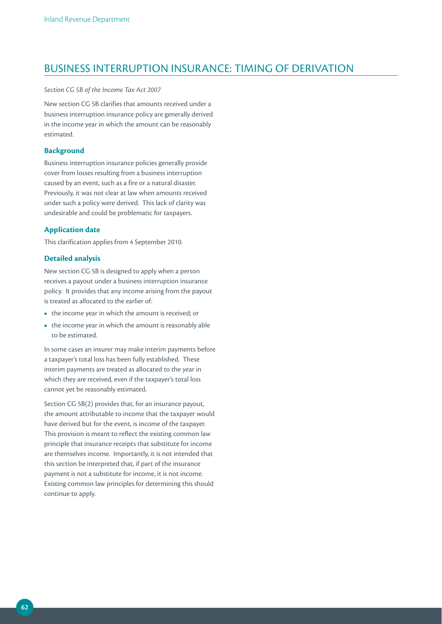# BUSINESS INTERRUPTION INSURANCE: TIMING OF DERIVATION

*Section CG 5B of the Income Tax Act 2007*

New section CG 5B clarifies that amounts received under a business interruption insurance policy are generally derived in the income year in which the amount can be reasonably estimated.

## **Background**

Business interruption insurance policies generally provide cover from losses resulting from a business interruption caused by an event, such as a fire or a natural disaster. Previously, it was not clear at law when amounts received under such a policy were derived. This lack of clarity was undesirable and could be problematic for taxpayers.

## **Application date**

This clarification applies from 4 September 2010.

#### **Detailed analysis**

New section CG 5B is designed to apply when a person receives a payout under a business interruption insurance policy. It provides that any income arising from the payout is treated as allocated to the earlier of:

- the income year in which the amount is received; or
- the income year in which the amount is reasonably able to be estimated.

In some cases an insurer may make interim payments before a taxpayer's total loss has been fully established. These interim payments are treated as allocated to the year in which they are received, even if the taxpayer's total loss cannot yet be reasonably estimated.

Section CG 5B(2) provides that, for an insurance payout, the amount attributable to income that the taxpayer would have derived but for the event, is income of the taxpayer. This provision is meant to reflect the existing common law principle that insurance receipts that substitute for income are themselves income. Importantly, it is not intended that this section be interpreted that, if part of the insurance payment is not a substitute for income, it is not income. Existing common law principles for determining this should continue to apply.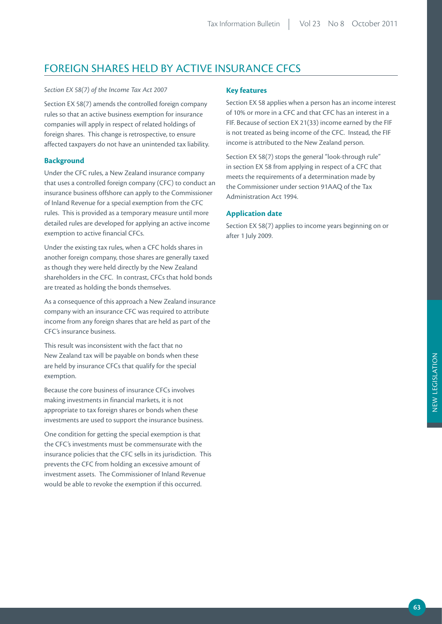# FOREIGN SHARES HELD BY ACTIVE INSURANCE CFCS

#### *Section EX 58(7) of the Income Tax Act 2007*

Section EX 58(7) amends the controlled foreign company rules so that an active business exemption for insurance companies will apply in respect of related holdings of foreign shares. This change is retrospective, to ensure affected taxpayers do not have an unintended tax liability.

## **Background**

Under the CFC rules, a New Zealand insurance company that uses a controlled foreign company (CFC) to conduct an insurance business offshore can apply to the Commissioner of Inland Revenue for a special exemption from the CFC rules. This is provided as a temporary measure until more detailed rules are developed for applying an active income exemption to active financial CFCs.

Under the existing tax rules, when a CFC holds shares in another foreign company, those shares are generally taxed as though they were held directly by the New Zealand shareholders in the CFC. In contrast, CFCs that hold bonds are treated as holding the bonds themselves.

As a consequence of this approach a New Zealand insurance company with an insurance CFC was required to attribute income from any foreign shares that are held as part of the CFC's insurance business.

This result was inconsistent with the fact that no New Zealand tax will be payable on bonds when these are held by insurance CFCs that qualify for the special exemption.

Because the core business of insurance CFCs involves making investments in financial markets, it is not appropriate to tax foreign shares or bonds when these investments are used to support the insurance business.

One condition for getting the special exemption is that the CFC's investments must be commensurate with the insurance policies that the CFC sells in its jurisdiction. This prevents the CFC from holding an excessive amount of investment assets. The Commissioner of Inland Revenue would be able to revoke the exemption if this occurred.

# **Key features**

Section EX 58 applies when a person has an income interest of 10% or more in a CFC and that CFC has an interest in a FIF. Because of section EX 21(33) income earned by the FIF is not treated as being income of the CFC. Instead, the FIF income is attributed to the New Zealand person.

Section EX 58(7) stops the general "look-through rule" in section EX 58 from applying in respect of a CFC that meets the requirements of a determination made by the Commissioner under section 91AAQ of the Tax Administration Act 1994.

# **Application date**

Section EX 58(7) applies to income years beginning on or after 1 July 2009.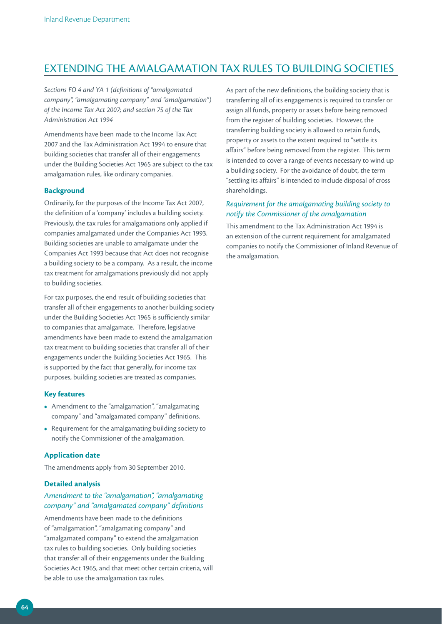# EXTENDING THE AMALGAMATION TAX RULES TO BUILDING SOCIETIES

*Sections FO 4 and YA 1 (definitions of "amalgamated company", "amalgamating company" and "amalgamation") of the Income Tax Act 2007; and section 75 of the Tax Administration Act 1994*

Amendments have been made to the Income Tax Act 2007 and the Tax Administration Act 1994 to ensure that building societies that transfer all of their engagements under the Building Societies Act 1965 are subject to the tax amalgamation rules, like ordinary companies.

## **Background**

Ordinarily, for the purposes of the Income Tax Act 2007, the definition of a 'company' includes a building society. Previously, the tax rules for amalgamations only applied if companies amalgamated under the Companies Act 1993. Building societies are unable to amalgamate under the Companies Act 1993 because that Act does not recognise a building society to be a company. As a result, the income tax treatment for amalgamations previously did not apply to building societies.

For tax purposes, the end result of building societies that transfer all of their engagements to another building society under the Building Societies Act 1965 is sufficiently similar to companies that amalgamate. Therefore, legislative amendments have been made to extend the amalgamation tax treatment to building societies that transfer all of their engagements under the Building Societies Act 1965. This is supported by the fact that generally, for income tax purposes, building societies are treated as companies.

#### **Key features**

- **•**  Amendment to the "amalgamation", "amalgamating company" and "amalgamated company" definitions.
- **•**  Requirement for the amalgamating building society to notify the Commissioner of the amalgamation.

## **Application date**

The amendments apply from 30 September 2010.

#### **Detailed analysis**

# *Amendment to the "amalgamation", "amalgamating company" and "amalgamated company" definitions*

Amendments have been made to the definitions of "amalgamation", "amalgamating company" and "amalgamated company" to extend the amalgamation tax rules to building societies. Only building societies that transfer all of their engagements under the Building Societies Act 1965, and that meet other certain criteria, will be able to use the amalgamation tax rules.

As part of the new definitions, the building society that is transferring all of its engagements is required to transfer or assign all funds, property or assets before being removed from the register of building societies. However, the transferring building society is allowed to retain funds, property or assets to the extent required to "settle its affairs" before being removed from the register. This term is intended to cover a range of events necessary to wind up a building society. For the avoidance of doubt, the term "settling its affairs" is intended to include disposal of cross shareholdings.

# *Requirement for the amalgamating building society to notify the Commissioner of the amalgamation*

This amendment to the Tax Administration Act 1994 is an extension of the current requirement for amalgamated companies to notify the Commissioner of Inland Revenue of the amalgamation.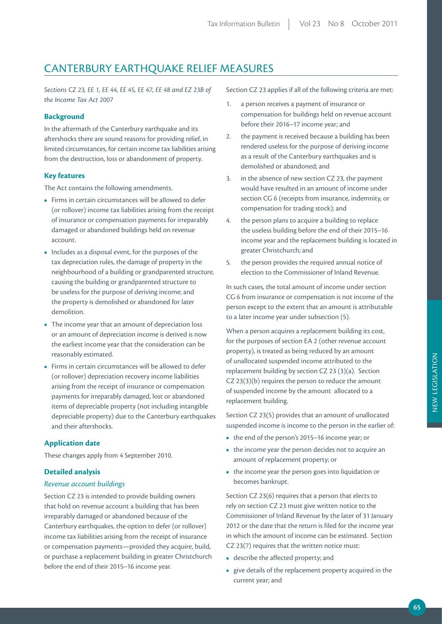# CANTERBURY EARTHQUAKE RELIEF MEASURES

*Sections CZ 23, EE 1, EE 44, EE 45, EE 47, EE 48 and EZ 23B of the Income Tax Act 2007*

# **Background**

In the aftermath of the Canterbury earthquake and its aftershocks there are sound reasons for providing relief, in limited circumstances, for certain income tax liabilities arising from the destruction, loss or abandonment of property.

## **Key features**

The Act contains the following amendments.

- **•**  Firms in certain circumstances will be allowed to defer (or rollover) income tax liabilities arising from the receipt of insurance or compensation payments for irreparably damaged or abandoned buildings held on revenue account.
- **•**  Includes as a disposal event, for the purposes of the tax depreciation rules, the damage of property in the neighbourhood of a building or grandparented structure, causing the building or grandparented structure to be useless for the purpose of deriving income; and the property is demolished or abandoned for later demolition.
- The income year that an amount of depreciation loss or an amount of depreciation income is derived is now the earliest income year that the consideration can be reasonably estimated.
- **•**  Firms in certain circumstances will be allowed to defer (or rollover) depreciation recovery income liabilities arising from the receipt of insurance or compensation payments for irreparably damaged, lost or abandoned items of depreciable property (not including intangible depreciable property) due to the Canterbury earthquakes and their aftershocks.

# **Application date**

These changes apply from 4 September 2010.

## **Detailed analysis**

## *Revenue account buildings*

Section CZ 23 is intended to provide building owners that hold on revenue account a building that has been irreparably damaged or abandoned because of the Canterbury earthquakes, the option to defer (or rollover) income tax liabilities arising from the receipt of insurance or compensation payments—provided they acquire, build, or purchase a replacement building in greater Christchurch before the end of their 2015–16 income year.

Section CZ 23 applies if all of the following criteria are met:

- 1. a person receives a payment of insurance or compensation for buildings held on revenue account before their 2016–17 income year; and
- 2. the payment is received because a building has been rendered useless for the purpose of deriving income as a result of the Canterbury earthquakes and is demolished or abandoned; and
- 3. in the absence of new section CZ 23, the payment would have resulted in an amount of income under section CG 6 (receipts from insurance, indemnity, or compensation for trading stock); and
- 4. the person plans to acquire a building to replace the useless building before the end of their 2015–16 income year and the replacement building is located in greater Christchurch; and
- 5. the person provides the required annual notice of election to the Commissioner of Inland Revenue.

In such cases, the total amount of income under section CG 6 from insurance or compensation is not income of the person except to the extent that an amount is attributable to a later income year under subsection (5).

When a person acquires a replacement building its cost, for the purposes of section EA 2 (other revenue account property), is treated as being reduced by an amount of unallocated suspended income attributed to the replacement building by section CZ 23 (3)(a). Section CZ 23(3)(b) requires the person to reduce the amount of suspended income by the amount allocated to a replacement building.

Section CZ 23(5) provides that an amount of unallocated suspended income is income to the person in the earlier of:

- **•**  the end of the person's 2015–16 income year; or
- the income year the person decides not to acquire an amount of replacement property; or
- **•**  the income year the person goes into liquidation or becomes bankrupt.

Section CZ 23(6) requires that a person that elects to rely on section CZ 23 must give written notice to the Commissioner of Inland Revenue by the later of 31 January 2012 or the date that the return is filed for the income year in which the amount of income can be estimated. Section CZ 23(7) requires that the written notice must:

- **•**  describe the affected property; and
- **•**  give details of the replacement property acquired in the current year; and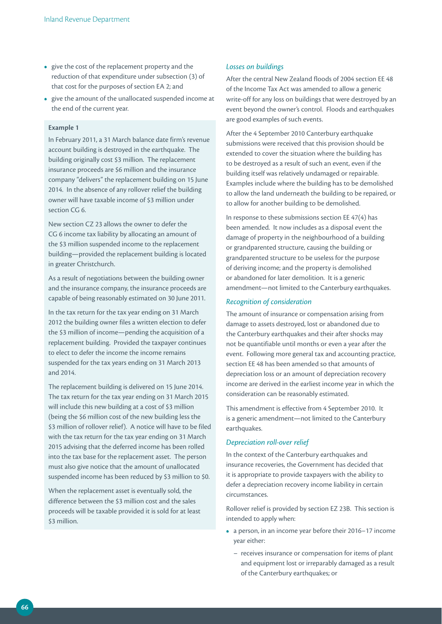- **•**  give the cost of the replacement property and the reduction of that expenditure under subsection (3) of that cost for the purposes of section EA 2; and
- **•**  give the amount of the unallocated suspended income at the end of the current year.

## **Example 1**

In February 2011, a 31 March balance date firm's revenue account building is destroyed in the earthquake. The building originally cost \$3 million. The replacement insurance proceeds are \$6 million and the insurance company "delivers" the replacement building on 15 June 2014. In the absence of any rollover relief the building owner will have taxable income of \$3 million under section CG 6.

New section CZ 23 allows the owner to defer the CG 6 income tax liability by allocating an amount of the \$3 million suspended income to the replacement building—provided the replacement building is located in greater Christchurch.

As a result of negotiations between the building owner and the insurance company, the insurance proceeds are capable of being reasonably estimated on 30 June 2011.

In the tax return for the tax year ending on 31 March 2012 the building owner files a written election to defer the \$3 million of income—pending the acquisition of a replacement building. Provided the taxpayer continues to elect to defer the income the income remains suspended for the tax years ending on 31 March 2013 and 2014.

The replacement building is delivered on 15 June 2014. The tax return for the tax year ending on 31 March 2015 will include this new building at a cost of \$3 million (being the \$6 million cost of the new building less the \$3 million of rollover relief). A notice will have to be filed with the tax return for the tax year ending on 31 March 2015 advising that the deferred income has been rolled into the tax base for the replacement asset. The person must also give notice that the amount of unallocated suspended income has been reduced by \$3 million to \$0.

When the replacement asset is eventually sold, the difference between the \$3 million cost and the sales proceeds will be taxable provided it is sold for at least \$3 million.

#### *Losses on buildings*

After the central New Zealand floods of 2004 section EE 48 of the Income Tax Act was amended to allow a generic write-off for any loss on buildings that were destroyed by an event beyond the owner's control. Floods and earthquakes are good examples of such events.

After the 4 September 2010 Canterbury earthquake submissions were received that this provision should be extended to cover the situation where the building has to be destroyed as a result of such an event, even if the building itself was relatively undamaged or repairable. Examples include where the building has to be demolished to allow the land underneath the building to be repaired, or to allow for another building to be demolished.

In response to these submissions section EE 47(4) has been amended. It now includes as a disposal event the damage of property in the neighbourhood of a building or grandparented structure, causing the building or grandparented structure to be useless for the purpose of deriving income; and the property is demolished or abandoned for later demolition. It is a generic amendment—not limited to the Canterbury earthquakes.

#### *Recognition of consideration*

The amount of insurance or compensation arising from damage to assets destroyed, lost or abandoned due to the Canterbury earthquakes and their after shocks may not be quantifiable until months or even a year after the event. Following more general tax and accounting practice, section EE 48 has been amended so that amounts of depreciation loss or an amount of depreciation recovery income are derived in the earliest income year in which the consideration can be reasonably estimated.

This amendment is effective from 4 September 2010. It is a generic amendment—not limited to the Canterbury earthquakes.

#### *Depreciation roll-over relief*

In the context of the Canterbury earthquakes and insurance recoveries, the Government has decided that it is appropriate to provide taxpayers with the ability to defer a depreciation recovery income liability in certain circumstances.

Rollover relief is provided by section EZ 23B. This section is intended to apply when:

- **•**  a person, in an income year before their 2016–17 income year either:
	- receives insurance or compensation for items of plant and equipment lost or irreparably damaged as a result of the Canterbury earthquakes; or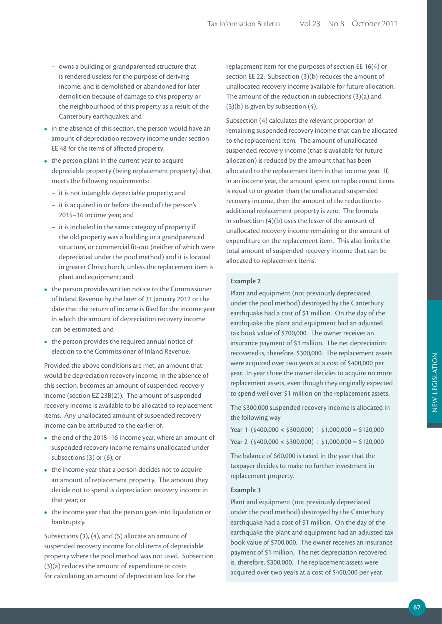- owns a building or grandparented structure that is rendered useless for the purpose of deriving income; and is demolished or abandoned for later demolition because of damage to this property or the neighbourhood of this property as a result of the Canterbury earthquakes; and
- in the absence of this section, the person would have an amount of depreciation recovery income under section EE 48 for the items of affected property;
- the person plans in the current year to acquire depreciable property (being replacement property) that meets the following requirements:
	- it is not intangible depreciable property; and
	- it is acquired in or before the end of the person's 2015–16 income year; and
	- it is included in the same category of property if the old property was a building or a grandparented structure, or commercial fit-out (neither of which were depreciated under the pool method) and it is located in greater Christchurch, unless the replacement item is plant and equipment; and
- the person provides written notice to the Commissioner of Inland Revenue by the later of 31 January 2012 or the date that the return of income is filed for the income year in which the amount of depreciation recovery income can be estimated; and
- the person provides the required annual notice of election to the Commissioner of Inland Revenue.

Provided the above conditions are met, an amount that would be depreciation recovery income, in the absence of this section, becomes an amount of suspended recovery income (section EZ 23B(2)). The amount of suspended recovery income is available to be allocated to replacement items. Any unallocated amount of suspended recovery income can be attributed to the earlier of:

- **•**  the end of the 2015–16 income year, where an amount of suspended recovery income remains unallocated under subsections (3) or (6); or
- the income year that a person decides not to acquire an amount of replacement property. The amount they decide not to spend is depreciation recovery income in that year; or
- the income year that the person goes into liquidation or bankruptcy.

Subsections (3), (4), and (5) allocate an amount of suspended recovery income for old items of depreciable property where the pool method was not used. Subsection (3)(a) reduces the amount of expenditure or costs for calculating an amount of depreciation loss for the

replacement item for the purposes of section EE 16(4) or section EE 22. Subsection (3)(b) reduces the amount of unallocated recovery income available for future allocation. The amount of the reduction in subsections (3)(a) and (3)(b) is given by subsection (4).

Subsection (4) calculates the relevant proportion of remaining suspended recovery income that can be allocated to the replacement item. The amount of unallocated suspended recovery income (that is available for future allocation) is reduced by the amount that has been allocated to the replacement item in that income year. If, in an income year, the amount spent on replacement items is equal to or greater than the unallocated suspended recovery income, then the amount of the reduction to additional replacement property is zero. The formula in subsection (4)(b) uses the lesser of the amount of unallocated recovery income remaining or the amount of expenditure on the replacement item. This also limits the total amount of suspended recovery income that can be allocated to replacement items.

#### **Example 2**

Plant and equipment (not previously depreciated under the pool method) destroyed by the Canterbury earthquake had a cost of \$1 million. On the day of the earthquake the plant and equipment had an adjusted tax book value of \$700,000. The owner receives an insurance payment of \$1 million. The net depreciation recovered is, therefore, \$300,000. The replacement assets were acquired over two years at a cost of \$400,000 per year. In year three the owner decides to acquire no more replacement assets, even though they originally expected to spend well over \$1 million on the replacement assets.

The \$300,000 suspended recovery income is allocated in the following way

Year 1 (\$400,000  $\times$  \$300,000) ÷ \$1,000,000 = \$120,000 Year 2  $($ \$400,000  $\times$  \$300,000) ÷ \$1,000,000 = \$120,000

The balance of \$60,000 is taxed in the year that the taxpayer decides to make no further investment in replacement property.

## **Example 3**

Plant and equipment (not previously depreciated under the pool method) destroyed by the Canterbury earthquake had a cost of \$1 million. On the day of the earthquake the plant and equipment had an adjusted tax book value of \$700,000. The owner receives an insurance payment of \$1 million. The net depreciation recovered is, therefore, \$300,000. The replacement assets were acquired over two years at a cost of \$400,000 per year.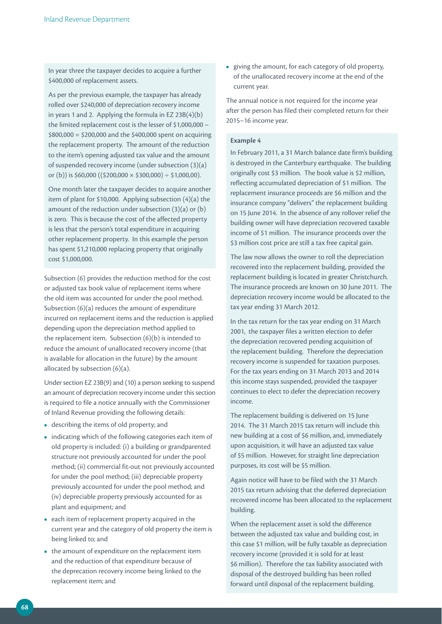In year three the taxpayer decides to acquire a further \$400,000 of replacement assets.

As per the previous example, the taxpayer has already rolled over \$240,000 of depreciation recovery income in years 1 and 2. Applying the formula in EZ 23B(4)(b) the limited replacement cost is the lesser of \$1,000,000 –  $$800,000 = $200,000$  and the \$400,000 spent on acquiring the replacement property. The amount of the reduction to the item's opening adjusted tax value and the amount of suspended recovery income (under subsection (3)(a) or (b)) is  $$60,000$  (( $$200,000 \times $300,000$ ) ÷ \$1,000,00).

One month later the taxpayer decides to acquire another item of plant for \$10,000. Applying subsection (4)(a) the amount of the reduction under subsection (3)(a) or (b) is zero. This is because the cost of the affected property is less that the person's total expenditure in acquiring other replacement property. In this example the person has spent \$1,210,000 replacing property that originally cost \$1,000,000.

Subsection (6) provides the reduction method for the cost or adjusted tax book value of replacement items where the old item was accounted for under the pool method. Subsection (6)(a) reduces the amount of expenditure incurred on replacement items and the reduction is applied depending upon the depreciation method applied to the replacement item. Subsection (6)(b) is intended to reduce the amount of unallocated recovery income (that is available for allocation in the future) by the amount allocated by subsection (6)(a).

Under section EZ 23B(9) and (10) a person seeking to suspend an amount of depreciation recovery income under this section is required to file a notice annually with the Commissioner of Inland Revenue providing the following details:

- **•**  describing the items of old property; and
- indicating which of the following categories each item of old property is included: (i) a building or grandparented structure not previously accounted for under the pool method; (ii) commercial fit-out not previously accounted for under the pool method; (iii) depreciable property previously accounted for under the pool method; and (iv) depreciable property previously accounted for as plant and equipment; and
- **•**  each item of replacement property acquired in the current year and the category of old property the item is being linked to; and
- the amount of expenditure on the replacement item and the reduction of that expenditure because of the deprecation recovery income being linked to the replacement item; and

**•**  giving the amount, for each category of old property, of the unallocated recovery income at the end of the current year.

The annual notice is not required for the income year after the person has filed their completed return for their 2015–16 income year.

#### **Example 4**

In February 2011, a 31 March balance date firm's building is destroyed in the Canterbury earthquake. The building originally cost \$3 million. The book value is \$2 million, reflecting accumulated depreciation of \$1 million. The replacement insurance proceeds are \$6 million and the insurance company "delivers" the replacement building on 15 June 2014. In the absence of any rollover relief the building owner will have depreciation recovered taxable income of \$1 million. The insurance proceeds over the \$3 million cost price are still a tax free capital gain.

The law now allows the owner to roll the depreciation recovered into the replacement building, provided the replacement building is located in greater Christchurch. The insurance proceeds are known on 30 June 2011. The depreciation recovery income would be allocated to the tax year ending 31 March 2012.

In the tax return for the tax year ending on 31 March 2001, the taxpayer files a written election to defer the depreciation recovered pending acquisition of the replacement building. Therefore the depreciation recovery income is suspended for taxation purposes. For the tax years ending on 31 March 2013 and 2014 this income stays suspended, provided the taxpayer continues to elect to defer the depreciation recovery income.

The replacement building is delivered on 15 June 2014. The 31 March 2015 tax return will include this new building at a cost of \$6 million, and, immediately upon acquisition, it will have an adjusted tax value of \$5 million. However, for straight line depreciation purposes, its cost will be \$5 million.

Again notice will have to be filed with the 31 March 2015 tax return advising that the deferred depreciation recovered income has been allocated to the replacement building.

When the replacement asset is sold the difference between the adjusted tax value and building cost, in this case \$1 million, will be fully taxable as depreciation recovery income (provided it is sold for at least \$6 million). Therefore the tax liability associated with disposal of the destroyed building has been rolled forward until disposal of the replacement building.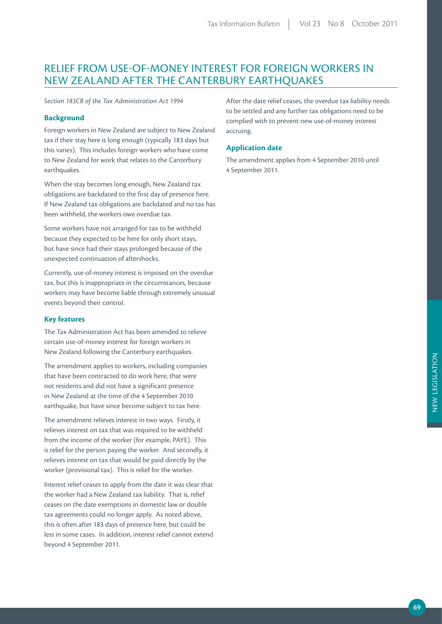# RELIEF FROM USE-OF-MONEY INTEREST FOR FOREIGN WORKERS IN NEW ZEALAND AFTER THE CANTERBURY EARTHQUAKES

*Section 183CB of the Tax Administration Act 1994*

## **Background**

Foreign workers in New Zealand are subject to New Zealand tax if their stay here is long enough (typically 183 days but this varies). This includes foreign workers who have come to New Zealand for work that relates to the Canterbury earthquakes.

When the stay becomes long enough, New Zealand tax obligations are backdated to the first day of presence here. If New Zealand tax obligations are backdated and no tax has been withheld, the workers owe overdue tax.

Some workers have not arranged for tax to be withheld because they expected to be here for only short stays, but have since had their stays prolonged because of the unexpected continuation of aftershocks.

Currently, use-of-money interest is imposed on the overdue tax, but this is inappropriate in the circumstances, because workers may have become liable through extremely unusual events beyond their control.

## **Key features**

The Tax Administration Act has been amended to relieve certain use-of-money interest for foreign workers in New Zealand following the Canterbury earthquakes.

The amendment applies to workers, including companies that have been contracted to do work here, that were not residents and did not have a significant presence in New Zealand at the time of the 4 September 2010 earthquake, but have since become subject to tax here.

The amendment relieves interest in two ways. Firstly, it relieves interest on tax that was required to be withheld from the income of the worker (for example, PAYE). This is relief for the person paying the worker. And secondly, it relieves interest on tax that would be paid directly by the worker (provisional tax). This is relief for the worker.

Interest relief ceases to apply from the date it was clear that the worker had a New Zealand tax liability. That is, relief ceases on the date exemptions in domestic law or double tax agreements could no longer apply. As noted above, this is often after 183 days of presence here, but could be less in some cases. In addition, interest relief cannot extend beyond 4 September 2011.

After the date relief ceases, the overdue tax liability needs to be settled and any further tax obligations need to be complied with to prevent new use-of-money interest accruing.

## **Application date**

The amendment applies from 4 September 2010 until 4 September 2011.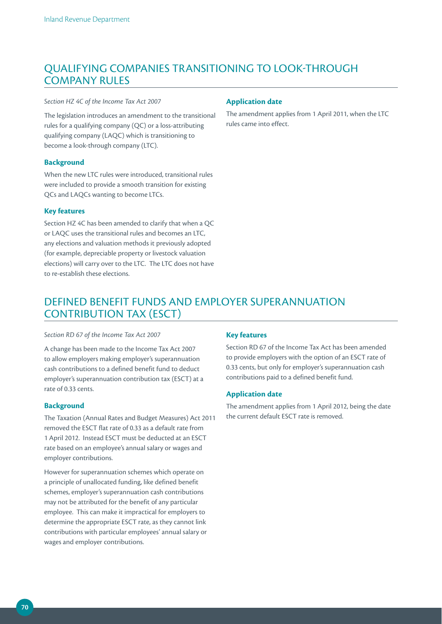# QUALIFYING COMPANIES TRANSITIONING TO LOOK-THROUGH COMPANY RULES

#### *Section HZ 4C of the Income Tax Act 2007*

The legislation introduces an amendment to the transitional rules for a qualifying company (QC) or a loss-attributing qualifying company (LAQC) which is transitioning to become a look-through company (LTC).

# **Background**

When the new LTC rules were introduced, transitional rules were included to provide a smooth transition for existing QCs and LAQCs wanting to become LTCs.

## **Key features**

Section HZ 4C has been amended to clarify that when a QC or LAQC uses the transitional rules and becomes an LTC, any elections and valuation methods it previously adopted (for example, depreciable property or livestock valuation elections) will carry over to the LTC. The LTC does not have to re-establish these elections.

## **Application date**

The amendment applies from 1 April 2011, when the LTC rules came into effect.

# DEFINED BENEFIT FUNDS AND EMPLOYER SUPERANNUATION CONTRIBUTION TAX (ESCT)

#### *Section RD 67 of the Income Tax Act 2007*

A change has been made to the Income Tax Act 2007 to allow employers making employer's superannuation cash contributions to a defined benefit fund to deduct employer's superannuation contribution tax (ESCT) at a rate of 0.33 cents.

## **Background**

The Taxation (Annual Rates and Budget Measures) Act 2011 removed the ESCT flat rate of 0.33 as a default rate from 1 April 2012. Instead ESCT must be deducted at an ESCT rate based on an employee's annual salary or wages and employer contributions.

However for superannuation schemes which operate on a principle of unallocated funding, like defined benefit schemes, employer's superannuation cash contributions may not be attributed for the benefit of any particular employee. This can make it impractical for employers to determine the appropriate ESCT rate, as they cannot link contributions with particular employees' annual salary or wages and employer contributions.

# **Key features**

Section RD 67 of the Income Tax Act has been amended to provide employers with the option of an ESCT rate of 0.33 cents, but only for employer's superannuation cash contributions paid to a defined benefit fund.

## **Application date**

The amendment applies from 1 April 2012, being the date the current default ESCT rate is removed.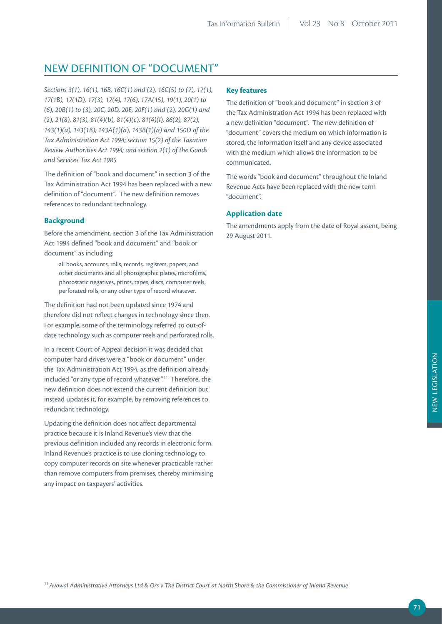## NEW DEFINITION OF "DOCUMENT"

*Sections 3(1), 16(1), 16B, 16C(1) and (2), 16C(5) to (7), 17(1), 17(1B), 17(1D), 17(3), 17(4), 17(6), 17A(15), 19(1), 20(1) to (6), 20B(1) to (3), 20C, 20D, 20E, 20F(1) and (2), 20G(1) and (2), 21(8), 81(3), 81(4)(b), 81(4)(c), 81(4)(l), 86(2), 87(2), 143(1)(a), 143(1B), 143A(1)(a), 143B(1)(a) and 150D of the Tax Administration Act 1994; section 15(2) of the Taxation Review Authorities Act 1994; and section 2(1) of the Goods and Services Tax Act 1985*

The definition of "book and document" in section 3 of the Tax Administration Act 1994 has been replaced with a new definition of "document". The new definition removes references to redundant technology.

## **Background**

Before the amendment, section 3 of the Tax Administration Act 1994 defined "book and document" and "book or document" as including:

all books, accounts, rolls, records, registers, papers, and other documents and all photographic plates, microfilms, photostatic negatives, prints, tapes, discs, computer reels, perforated rolls, or any other type of record whatever.

The definition had not been updated since 1974 and therefore did not reflect changes in technology since then. For example, some of the terminology referred to out-ofdate technology such as computer reels and perforated rolls.

In a recent Court of Appeal decision it was decided that computer hard drives were a "book or document" under the Tax Administration Act 1994, as the definition already included "or any type of record whatever".11 Therefore, the new definition does not extend the current definition but instead updates it, for example, by removing references to redundant technology.

Updating the definition does not affect departmental practice because it is Inland Revenue's view that the previous definition included any records in electronic form. Inland Revenue's practice is to use cloning technology to copy computer records on site whenever practicable rather than remove computers from premises, thereby minimising any impact on taxpayers' activities.

## **Key features**

The definition of "book and document" in section 3 of the Tax Administration Act 1994 has been replaced with a new definition "document". The new definition of "document" covers the medium on which information is stored, the information itself and any device associated with the medium which allows the information to be communicated.

The words "book and document" throughout the Inland Revenue Acts have been replaced with the new term "document".

## **Application date**

The amendments apply from the date of Royal assent, being 29 August 2011.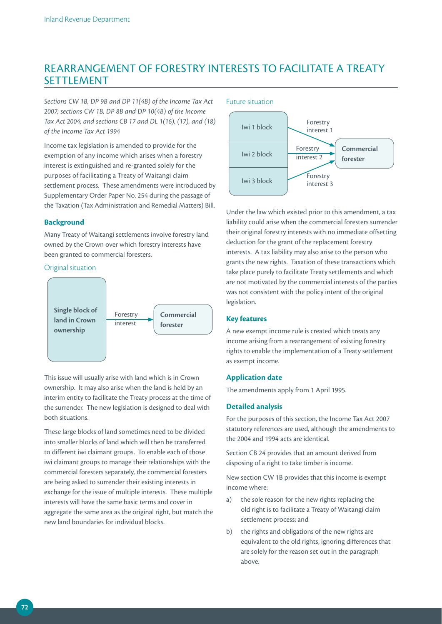## REARRANGEMENT OF FORESTRY INTERESTS TO FACILITATE A TREATY SETTLEMENT

*Sections CW 1B, DP 9B and DP 11(4B) of the Income Tax Act 2007; sections CW 1B, DP 8B and DP 10(4B) of the Income Tax Act 2004; and sections CB 17 and DL 1(16), (17), and (18) of the Income Tax Act 1994*

Income tax legislation is amended to provide for the exemption of any income which arises when a forestry interest is extinguished and re-granted solely for the purposes of facilitating a Treaty of Waitangi claim settlement process. These amendments were introduced by Supplementary Order Paper No. 254 during the passage of the Taxation (Tax Administration and Remedial Matters) Bill.

### **Background**

Many Treaty of Waitangi settlements involve forestry land owned by the Crown over which forestry interests have been granted to commercial foresters.

### Original situation



This issue will usually arise with land which is in Crown ownership. It may also arise when the land is held by an interim entity to facilitate the Treaty process at the time of the surrender. The new legislation is designed to deal with both situations.

These large blocks of land sometimes need to be divided into smaller blocks of land which will then be transferred to different iwi claimant groups. To enable each of those iwi claimant groups to manage their relationships with the commercial foresters separately, the commercial foresters are being asked to surrender their existing interests in exchange for the issue of multiple interests. These multiple interests will have the same basic terms and cover in aggregate the same area as the original right, but match the new land boundaries for individual blocks.



Under the law which existed prior to this amendment, a tax liability could arise when the commercial foresters surrender their original forestry interests with no immediate offsetting deduction for the grant of the replacement forestry interests. A tax liability may also arise to the person who grants the new rights. Taxation of these transactions which take place purely to facilitate Treaty settlements and which are not motivated by the commercial interests of the parties was not consistent with the policy intent of the original legislation.

## **Key features**

A new exempt income rule is created which treats any income arising from a rearrangement of existing forestry rights to enable the implementation of a Treaty settlement as exempt income.

## **Application date**

The amendments apply from 1 April 1995.

## **Detailed analysis**

For the purposes of this section, the Income Tax Act 2007 statutory references are used, although the amendments to the 2004 and 1994 acts are identical.

Section CB 24 provides that an amount derived from disposing of a right to take timber is income.

New section CW 1B provides that this income is exempt income where:

- a) the sole reason for the new rights replacing the old right is to facilitate a Treaty of Waitangi claim settlement process; and
- b) the rights and obligations of the new rights are equivalent to the old rights, ignoring differences that are solely for the reason set out in the paragraph above.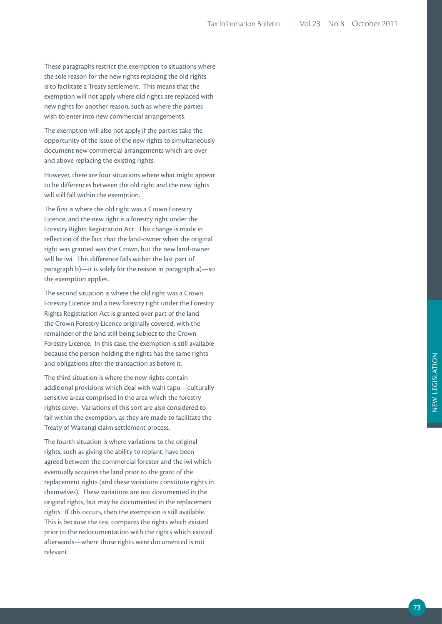These paragraphs restrict the exemption to situations where the sole reason for the new rights replacing the old rights is to facilitate a Treaty settlement. This means that the exemption will not apply where old rights are replaced with new rights for another reason, such as where the parties wish to enter into new commercial arrangements.

The exemption will also not apply if the parties take the opportunity of the issue of the new rights to simultaneously document new commercial arrangements which are over and above replacing the existing rights.

However, there are four situations where what might appear to be differences between the old right and the new rights will still fall within the exemption.

The first is where the old right was a Crown Forestry Licence, and the new right is a forestry right under the Forestry Rights Registration Act. This change is made in reflection of the fact that the land-owner when the original right was granted was the Crown, but the new land-owner will be iwi. This difference falls within the last part of paragraph b)—it is solely for the reason in paragraph a)—so the exemption applies.

The second situation is where the old right was a Crown Forestry Licence and a new forestry right under the Forestry Rights Registration Act is granted over part of the land the Crown Forestry Licence originally covered, with the remainder of the land still being subject to the Crown Forestry Licence. In this case, the exemption is still available because the person holding the rights has the same rights and obligations after the transaction as before it.

The third situation is where the new rights contain additional provisions which deal with wahi tapu—culturally sensitive areas comprised in the area which the forestry rights cover. Variations of this sort are also considered to fall within the exemption, as they are made to facilitate the Treaty of Waitangi claim settlement process.

The fourth situation is where variations to the original rights, such as giving the ability to replant, have been agreed between the commercial forester and the iwi which eventually acquires the land prior to the grant of the replacement rights (and these variations constitute rights in themselves). These variations are not documented in the original rights, but may be documented in the replacement rights. If this occurs, then the exemption is still available. This is because the test compares the rights which existed prior to the redocumentation with the rights which existed afterwards—where those rights were documented is not relevant.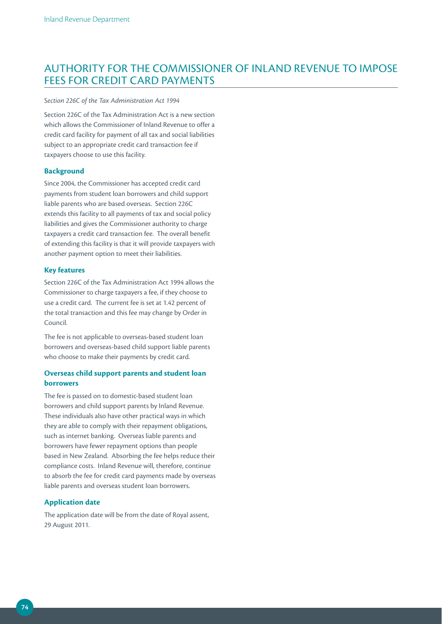## AUTHORITY FOR THE COMMISSIONER OF INLAND REVENUE TO IMPOSE FEES FOR CREDIT CARD PAYMENTS

#### *Section 226C of the Tax Administration Act 1994*

Section 226C of the Tax Administration Act is a new section which allows the Commissioner of Inland Revenue to offer a credit card facility for payment of all tax and social liabilities subject to an appropriate credit card transaction fee if taxpayers choose to use this facility.

### **Background**

Since 2004, the Commissioner has accepted credit card payments from student loan borrowers and child support liable parents who are based overseas. Section 226C extends this facility to all payments of tax and social policy liabilities and gives the Commissioner authority to charge taxpayers a credit card transaction fee. The overall benefit of extending this facility is that it will provide taxpayers with another payment option to meet their liabilities.

#### **Key features**

Section 226C of the Tax Administration Act 1994 allows the Commissioner to charge taxpayers a fee, if they choose to use a credit card. The current fee is set at 1.42 percent of the total transaction and this fee may change by Order in Council.

The fee is not applicable to overseas-based student loan borrowers and overseas-based child support liable parents who choose to make their payments by credit card.

## **Overseas child support parents and student loan borrowers**

The fee is passed on to domestic-based student loan borrowers and child support parents by Inland Revenue. These individuals also have other practical ways in which they are able to comply with their repayment obligations, such as internet banking. Overseas liable parents and borrowers have fewer repayment options than people based in New Zealand. Absorbing the fee helps reduce their compliance costs. Inland Revenue will, therefore, continue to absorb the fee for credit card payments made by overseas liable parents and overseas student loan borrowers.

### **Application date**

The application date will be from the date of Royal assent, 29 August 2011.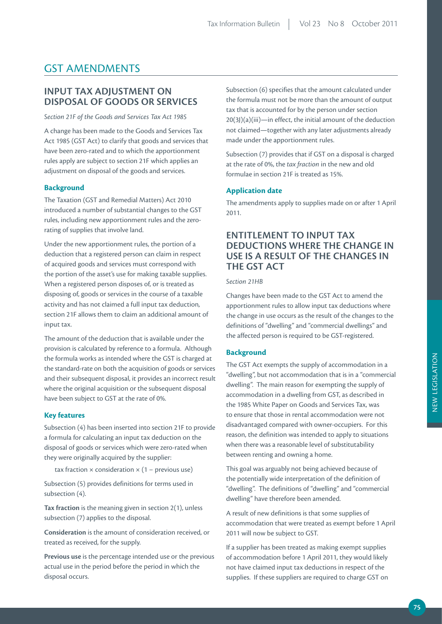## GST AMENDMENTS

## **INPUT TAX ADJUSTMENT ON DISPOSAL OF GOODS OR SERVICES**

*Section 21F of the Goods and Services Tax Act 1985*

A change has been made to the Goods and Services Tax Act 1985 (GST Act) to clarify that goods and services that have been zero-rated and to which the apportionment rules apply are subject to section 21F which applies an adjustment on disposal of the goods and services.

### **Background**

The Taxation (GST and Remedial Matters) Act 2010 introduced a number of substantial changes to the GST rules, including new apportionment rules and the zerorating of supplies that involve land.

Under the new apportionment rules, the portion of a deduction that a registered person can claim in respect of acquired goods and services must correspond with the portion of the asset's use for making taxable supplies. When a registered person disposes of, or is treated as disposing of, goods or services in the course of a taxable activity and has not claimed a full input tax deduction, section 21F allows them to claim an additional amount of input tax.

The amount of the deduction that is available under the provision is calculated by reference to a formula. Although the formula works as intended where the GST is charged at the standard-rate on both the acquisition of goods or services and their subsequent disposal, it provides an incorrect result where the original acquisition or the subsequent disposal have been subject to GST at the rate of 0%.

#### **Key features**

Subsection (4) has been inserted into section 21F to provide a formula for calculating an input tax deduction on the disposal of goods or services which were zero-rated when they were originally acquired by the supplier:

tax fraction  $\times$  consideration  $\times$  (1 – previous use)

Subsection (5) provides definitions for terms used in subsection (4).

**Tax fraction** is the meaning given in section 2(1), unless subsection (7) applies to the disposal.

**Consideration** is the amount of consideration received, or treated as received, for the supply.

**Previous use** is the percentage intended use or the previous actual use in the period before the period in which the disposal occurs.

Subsection (6) specifies that the amount calculated under the formula must not be more than the amount of output tax that is accounted for by the person under section 20(3J)(a)(iii)—in effect, the initial amount of the deduction not claimed—together with any later adjustments already made under the apportionment rules.

Subsection (7) provides that if GST on a disposal is charged at the rate of 0%, the *tax fraction* in the new and old formulae in section 21F is treated as 15%.

## **Application date**

The amendments apply to supplies made on or after 1 April 2011.

## **ENTITLEMENT TO INPUT TAX DEDUCTIONS WHERE THE CHANGE IN USE IS A RESULT OF THE CHANGES IN THE GST ACT**

#### *Section 21HB*

Changes have been made to the GST Act to amend the apportionment rules to allow input tax deductions where the change in use occurs as the result of the changes to the definitions of "dwelling" and "commercial dwellings" and the affected person is required to be GST-registered.

### **Background**

The GST Act exempts the supply of accommodation in a "dwelling", but not accommodation that is in a "commercial dwelling". The main reason for exempting the supply of accommodation in a dwelling from GST, as described in the 1985 White Paper on Goods and Services Tax, was to ensure that those in rental accommodation were not disadvantaged compared with owner-occupiers. For this reason, the definition was intended to apply to situations when there was a reasonable level of substitutability between renting and owning a home.

This goal was arguably not being achieved because of the potentially wide interpretation of the definition of "dwelling". The definitions of "dwelling" and "commercial dwelling" have therefore been amended.

A result of new definitions is that some supplies of accommodation that were treated as exempt before 1 April 2011 will now be subject to GST.

If a supplier has been treated as making exempt supplies of accommodation before 1 April 2011, they would likely not have claimed input tax deductions in respect of the supplies. If these suppliers are required to charge GST on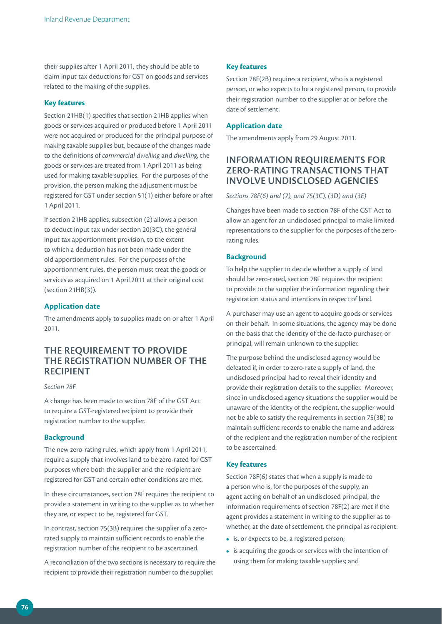their supplies after 1 April 2011, they should be able to claim input tax deductions for GST on goods and services related to the making of the supplies.

### **Key features**

Section 21HB(1) specifies that section 21HB applies when goods or services acquired or produced before 1 April 2011 were not acquired or produced for the principal purpose of making taxable supplies but, because of the changes made to the definitions of *commercial dwelling* and *dwelling*, the goods or services are treated from 1 April 2011 as being used for making taxable supplies. For the purposes of the provision, the person making the adjustment must be registered for GST under section 51(1) either before or after 1 April 2011.

If section 21HB applies, subsection (2) allows a person to deduct input tax under section 20(3C), the general input tax apportionment provision, to the extent to which a deduction has not been made under the old apportionment rules. For the purposes of the apportionment rules, the person must treat the goods or services as acquired on 1 April 2011 at their original cost (section 21HB(3)).

### **Application date**

The amendments apply to supplies made on or after 1 April 2011.

## **THE REQUIREMENT TO PROVIDE THE REGISTRATION NUMBER OF THE RECIPIENT**

#### *Section 78F*

A change has been made to section 78F of the GST Act to require a GST-registered recipient to provide their registration number to the supplier.

### **Background**

The new zero-rating rules, which apply from 1 April 2011, require a supply that involves land to be zero-rated for GST purposes where both the supplier and the recipient are registered for GST and certain other conditions are met.

In these circumstances, section 78F requires the recipient to provide a statement in writing to the supplier as to whether they are, or expect to be, registered for GST.

In contrast, section 75(3B) requires the supplier of a zerorated supply to maintain sufficient records to enable the registration number of the recipient to be ascertained.

A reconciliation of the two sections is necessary to require the recipient to provide their registration number to the supplier.

#### **Key features**

Section 78F(2B) requires a recipient, who is a registered person, or who expects to be a registered person, to provide their registration number to the supplier at or before the date of settlement.

### **Application date**

The amendments apply from 29 August 2011.

## **INFORMATION REQUIREMENTS FOR ZERO-RATING TRANSACTIONS THAT INVOLVE UNDISCLOSED AGENCIES**

*Sections 78F(6) and (7), and 75(3C), (3D) and (3E)* 

Changes have been made to section 78F of the GST Act to allow an agent for an undisclosed principal to make limited representations to the supplier for the purposes of the zerorating rules.

## **Background**

To help the supplier to decide whether a supply of land should be zero-rated, section 78F requires the recipient to provide to the supplier the information regarding their registration status and intentions in respect of land.

A purchaser may use an agent to acquire goods or services on their behalf. In some situations, the agency may be done on the basis that the identity of the de-facto purchaser, or principal, will remain unknown to the supplier.

The purpose behind the undisclosed agency would be defeated if, in order to zero-rate a supply of land, the undisclosed principal had to reveal their identity and provide their registration details to the supplier. Moreover, since in undisclosed agency situations the supplier would be unaware of the identity of the recipient, the supplier would not be able to satisfy the requirements in section 75(3B) to maintain sufficient records to enable the name and address of the recipient and the registration number of the recipient to be ascertained.

### **Key features**

Section 78F(6) states that when a supply is made to a person who is, for the purposes of the supply, an agent acting on behalf of an undisclosed principal, the information requirements of section 78F(2) are met if the agent provides a statement in writing to the supplier as to whether, at the date of settlement, the principal as recipient:

- **•**  is, or expects to be, a registered person;
- **•**  is acquiring the goods or services with the intention of using them for making taxable supplies; and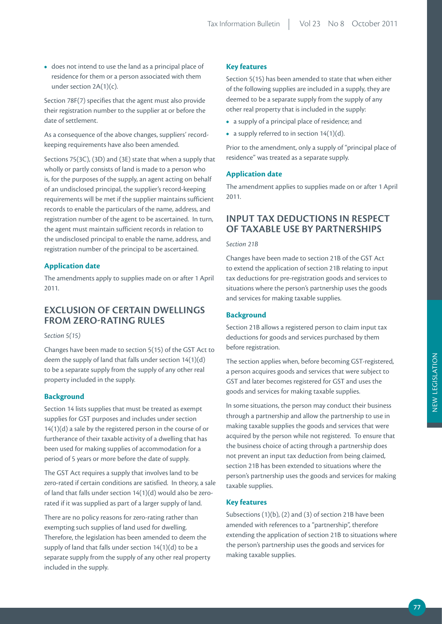**•**  does not intend to use the land as a principal place of residence for them or a person associated with them under section 2A(1)(c).

Section 78F(7) specifies that the agent must also provide their registration number to the supplier at or before the date of settlement.

As a consequence of the above changes, suppliers' recordkeeping requirements have also been amended.

Sections 75(3C), (3D) and (3E) state that when a supply that wholly or partly consists of land is made to a person who is, for the purposes of the supply, an agent acting on behalf of an undisclosed principal, the supplier's record-keeping requirements will be met if the supplier maintains sufficient records to enable the particulars of the name, address, and registration number of the agent to be ascertained. In turn, the agent must maintain sufficient records in relation to the undisclosed principal to enable the name, address, and registration number of the principal to be ascertained.

## **Application date**

The amendments apply to supplies made on or after 1 April 2011.

## **EXCLUSION OF CERTAIN DWELLINGS FROM ZERO-RATING RULES**

*Section 5(15)*

Changes have been made to section 5(15) of the GST Act to deem the supply of land that falls under section 14(1)(d) to be a separate supply from the supply of any other real property included in the supply.

### **Background**

Section 14 lists supplies that must be treated as exempt supplies for GST purposes and includes under section 14(1)(d) a sale by the registered person in the course of or furtherance of their taxable activity of a dwelling that has been used for making supplies of accommodation for a period of 5 years or more before the date of supply.

The GST Act requires a supply that involves land to be zero-rated if certain conditions are satisfied. In theory, a sale of land that falls under section 14(1)(d) would also be zerorated if it was supplied as part of a larger supply of land.

There are no policy reasons for zero-rating rather than exempting such supplies of land used for dwelling. Therefore, the legislation has been amended to deem the supply of land that falls under section 14(1)(d) to be a separate supply from the supply of any other real property included in the supply.

### **Key features**

Section 5(15) has been amended to state that when either of the following supplies are included in a supply, they are deemed to be a separate supply from the supply of any other real property that is included in the supply:

- **•**  a supply of a principal place of residence; and
- a supply referred to in section 14(1)(d).

Prior to the amendment, only a supply of "principal place of residence" was treated as a separate supply.

## **Application date**

The amendment applies to supplies made on or after 1 April 2011.

## **INPUT TAX DEDUCTIONS IN RESPECT OF TAXABLE USE BY PARTNERSHIPS**

#### *Section 21B*

Changes have been made to section 21B of the GST Act to extend the application of section 21B relating to input tax deductions for pre-registration goods and services to situations where the person's partnership uses the goods and services for making taxable supplies.

### **Background**

Section 21B allows a registered person to claim input tax deductions for goods and services purchased by them before registration.

The section applies when, before becoming GST-registered, a person acquires goods and services that were subject to GST and later becomes registered for GST and uses the goods and services for making taxable supplies.

In some situations, the person may conduct their business through a partnership and allow the partnership to use in making taxable supplies the goods and services that were acquired by the person while not registered. To ensure that the business choice of acting through a partnership does not prevent an input tax deduction from being claimed, section 21B has been extended to situations where the person's partnership uses the goods and services for making taxable supplies.

### **Key features**

Subsections (1)(b), (2) and (3) of section 21B have been amended with references to a "partnership", therefore extending the application of section 21B to situations where the person's partnership uses the goods and services for making taxable supplies.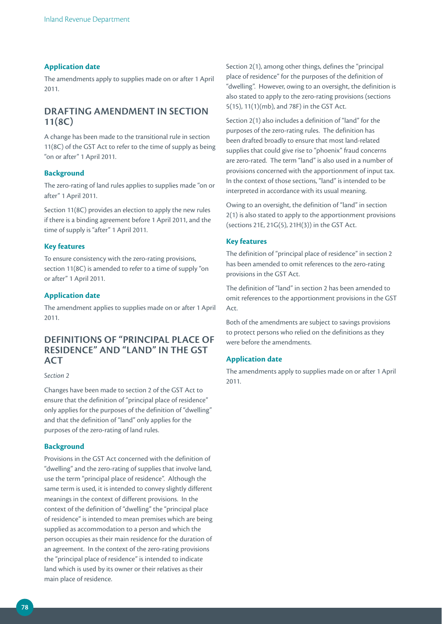### **Application date**

The amendments apply to supplies made on or after 1 April 2011.

## **DRAFTING AMENDMENT IN SECTION 11(8C)**

A change has been made to the transitional rule in section 11(8C) of the GST Act to refer to the time of supply as being "on or after" 1 April 2011.

### **Background**

The zero-rating of land rules applies to supplies made "on or after" 1 April 2011.

Section 11(8C) provides an election to apply the new rules if there is a binding agreement before 1 April 2011, and the time of supply is "after" 1 April 2011.

## **Key features**

To ensure consistency with the zero-rating provisions, section 11(8C) is amended to refer to a time of supply "on or after" 1 April 2011.

## **Application date**

The amendment applies to supplies made on or after 1 April 2011.

## **DEFINITIONS OF "PRINCIPAL PLACE OF RESIDENCE" AND "LAND" IN THE GST ACT**

#### *Section 2*

Changes have been made to section 2 of the GST Act to ensure that the definition of "principal place of residence" only applies for the purposes of the definition of "dwelling" and that the definition of "land" only applies for the purposes of the zero-rating of land rules.

#### **Background**

Provisions in the GST Act concerned with the definition of "dwelling" and the zero-rating of supplies that involve land, use the term "principal place of residence". Although the same term is used, it is intended to convey slightly different meanings in the context of different provisions. In the context of the definition of "dwelling" the "principal place of residence" is intended to mean premises which are being supplied as accommodation to a person and which the person occupies as their main residence for the duration of an agreement. In the context of the zero-rating provisions the "principal place of residence" is intended to indicate land which is used by its owner or their relatives as their main place of residence.

Section 2(1), among other things, defines the "principal place of residence" for the purposes of the definition of "dwelling". However, owing to an oversight, the definition is also stated to apply to the zero-rating provisions (sections 5(15), 11(1)(mb), and 78F) in the GST Act.

Section 2(1) also includes a definition of "land" for the purposes of the zero-rating rules. The definition has been drafted broadly to ensure that most land-related supplies that could give rise to "phoenix" fraud concerns are zero-rated. The term "land" is also used in a number of provisions concerned with the apportionment of input tax. In the context of those sections, "land" is intended to be interpreted in accordance with its usual meaning.

Owing to an oversight, the definition of "land" in section 2(1) is also stated to apply to the apportionment provisions (sections 21E, 21G(5), 21H(3)) in the GST Act.

### **Key features**

The definition of "principal place of residence" in section 2 has been amended to omit references to the zero-rating provisions in the GST Act.

The definition of "land" in section 2 has been amended to omit references to the apportionment provisions in the GST Act.

Both of the amendments are subject to savings provisions to protect persons who relied on the definitions as they were before the amendments.

#### **Application date**

The amendments apply to supplies made on or after 1 April 2011.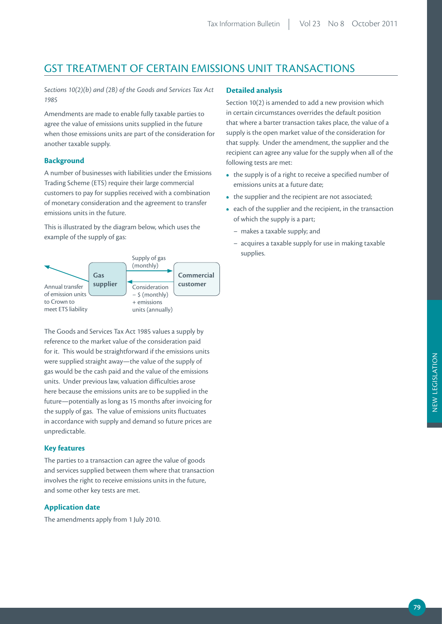## GST TREATMENT OF CERTAIN EMISSIONS UNIT TRANSACTIONS

*Sections 10(2)(b) and (2B) of the Goods and Services Tax Act 1985*

Amendments are made to enable fully taxable parties to agree the value of emissions units supplied in the future when those emissions units are part of the consideration for another taxable supply.

### **Background**

A number of businesses with liabilities under the Emissions Trading Scheme (ETS) require their large commercial customers to pay for supplies received with a combination of monetary consideration and the agreement to transfer emissions units in the future.

This is illustrated by the diagram below, which uses the example of the supply of gas:



The Goods and Services Tax Act 1985 values a supply by reference to the market value of the consideration paid for it. This would be straightforward if the emissions units were supplied straight away—the value of the supply of gas would be the cash paid and the value of the emissions units. Under previous law, valuation difficulties arose here because the emissions units are to be supplied in the future—potentially as long as 15 months after invoicing for the supply of gas. The value of emissions units fluctuates in accordance with supply and demand so future prices are unpredictable.

### **Key features**

The parties to a transaction can agree the value of goods and services supplied between them where that transaction involves the right to receive emissions units in the future, and some other key tests are met.

### **Application date**

The amendments apply from 1 July 2010.

## **Detailed analysis**

Section 10(2) is amended to add a new provision which in certain circumstances overrides the default position that where a barter transaction takes place, the value of a supply is the open market value of the consideration for that supply. Under the amendment, the supplier and the recipient can agree any value for the supply when all of the following tests are met:

- the supply is of a right to receive a specified number of emissions units at a future date;
- the supplier and the recipient are not associated;
- each of the supplier and the recipient, in the transaction of which the supply is a part;
	- makes a taxable supply; and
	- acquires a taxable supply for use in making taxable supplies.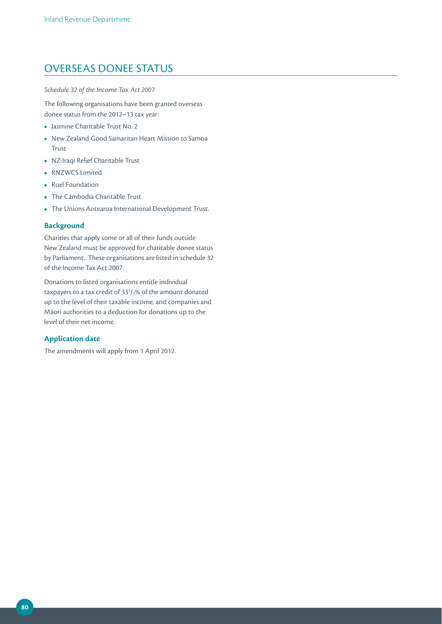## OVERSEAS DONEE STATUS

### *Schedule 32 of the Income Tax Act 2007*

The following organisations have been granted overseas donee status from the 2012–13 tax year:

- **•**  Jasmine Charitable Trust No. 2
- **•**  New Zealand Good Samaritan Heart Mission to Samoa Trust
- **•**  NZ-Iraqi Relief Charitable Trust
- **•**  RNZWCS Limited
- **•**  Ruel Foundation
- **•**  The Cambodia Charitable Trust
- **•**  The Unions Aotearoa International Development Trust.

## **Background**

Charities that apply some or all of their funds outside New Zealand must be approved for charitable donee status by Parliament. These organisations are listed in schedule 32 of the Income Tax Act 2007.

Donations to listed organisations entitle individual taxpayers to a tax credit of  $33<sup>1</sup>/3%$  of the amount donated up to the level of their taxable income, and companies and Māori authorities to a deduction for donations up to the level of their net income.

## **Application date**

The amendments will apply from 1 April 2012.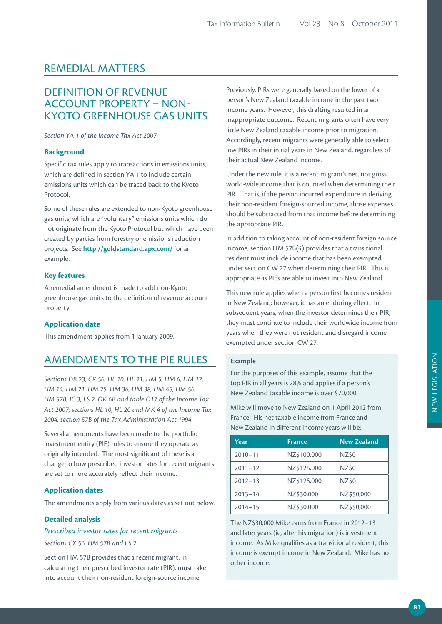## REMEDIAL MATTERS

## DEFINITION OF REVENUE ACCOUNT PROPERTY – NON-KYOTO GREENHOUSE GAS UNITS

*Section YA 1 of the Income Tax Act 2007*

### **Background**

Specific tax rules apply to transactions in emissions units, which are defined in section YA 1 to include certain emissions units which can be traced back to the Kyoto Protocol.

Some of these rules are extended to non-Kyoto greenhouse gas units, which are "voluntary" emissions units which do not originate from the Kyoto Protocol but which have been created by parties from forestry or emissions reduction projects. See **http://goldstandard.apx.com/** for an example.

## **Key features**

A remedial amendment is made to add non-Kyoto greenhouse gas units to the definition of revenue account property.

### **Application date**

This amendment applies from 1 January 2009.

## AMENDMENTS TO THE PIE RULES

*Sections DB 23, CX 56, HL 10, HL 21, HM 5, HM 6, HM 12, HM 14, HM 21, HM 25, HM 36, HM 38, HM 45, HM 56, HM 57B, IC 3, LS 2, OK 6B and table O17 of the Income Tax Act 2007; sections HL 10, HL 20 and MK 4 of the Income Tax 2004; section 57B of the Tax Administration Act 1994*

Several amendments have been made to the portfolio investment entity (PIE) rules to ensure they operate as originally intended. The most significant of these is a change to how prescribed investor rates for recent migrants are set to more accurately reflect their income.

## **Application dates**

The amendments apply from various dates as set out below.

### **Detailed analysis**

## *Prescribed investor rates for recent migrants*

*Sections CX 56, HM 57B and LS 2*

Section HM 57B provides that a recent migrant, in calculating their prescribed investor rate (PIR), must take into account their non-resident foreign-source income.

Previously, PIRs were generally based on the lower of a person's New Zealand taxable income in the past two income years. However, this drafting resulted in an inappropriate outcome. Recent migrants often have very little New Zealand taxable income prior to migration. Accordingly, recent migrants were generally able to select low PIRs in their initial years in New Zealand, regardless of their actual New Zealand income.

Under the new rule, it is a recent migrant's net, not gross, world-wide income that is counted when determining their PIR. That is, if the person incurred expenditure in deriving their non-resident foreign-sourced income, those expenses should be subtracted from that income before determining the appropriate PIR.

In addition to taking account of non-resident foreign source income, section HM 57B(4) provides that a transitional resident must include income that has been exempted under section CW 27 when determining their PIR. This is appropriate as PIEs are able to invest into New Zealand.

This new rule applies when a person first becomes resident in New Zealand; however, it has an enduring effect. In subsequent years, when the investor determines their PIR, they must continue to include their worldwide income from years when they were not resident and disregard income exempted under section CW 27.

### **Example**

For the purposes of this example, assume that the top PIR in all years is 28% and applies if a person's New Zealand taxable income is over \$70,000.

Mike will move to New Zealand on 1 April 2012 from France. His net taxable income from France and New Zealand in different income years will be:

| Year        | <b>France</b> | <b>New Zealand</b> |
|-------------|---------------|--------------------|
| $2010 - 11$ | NZ\$100,000   | NZ\$0              |
| $2011 - 12$ | NZ\$125,000   | NZ\$0              |
| $2012 - 13$ | NZ\$125,000   | NZ\$0              |
| $2013 - 14$ | NZ\$30,000    | NZ\$50,000         |
| $2014 - 15$ | NZ\$30,000    | NZ\$50,000         |

The NZ\$30,000 Mike earns from France in 2012–13 and later years (ie, after his migration) is investment income. As Mike qualifies as a transitional resident, this income is exempt income in New Zealand. Mike has no other income.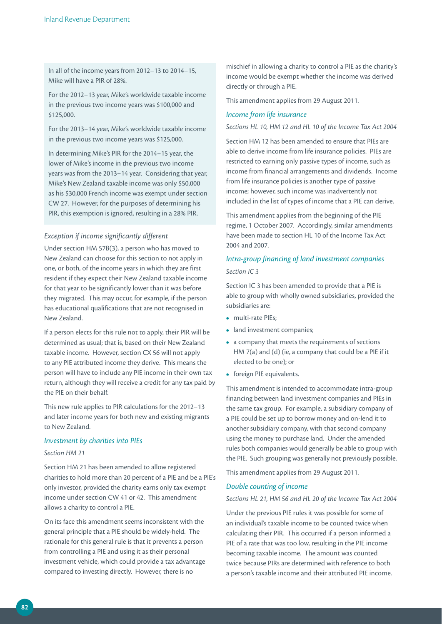In all of the income years from 2012–13 to 2014–15, Mike will have a PIR of 28%.

For the 2012–13 year, Mike's worldwide taxable income in the previous two income years was \$100,000 and \$125,000.

For the 2013–14 year, Mike's worldwide taxable income in the previous two income years was \$125,000.

In determining Mike's PIR for the 2014–15 year, the lower of Mike's income in the previous two income years was from the 2013–14 year. Considering that year, Mike's New Zealand taxable income was only \$50,000 as his \$30,000 French income was exempt under section CW 27. However, for the purposes of determining his PIR, this exemption is ignored, resulting in a 28% PIR.

### *Exception if income significantly different*

Under section HM 57B(3), a person who has moved to New Zealand can choose for this section to not apply in one, or both, of the income years in which they are first resident if they expect their New Zealand taxable income for that year to be significantly lower than it was before they migrated. This may occur, for example, if the person has educational qualifications that are not recognised in New Zealand.

If a person elects for this rule not to apply, their PIR will be determined as usual; that is, based on their New Zealand taxable income. However, section CX 56 will not apply to any PIE attributed income they derive. This means the person will have to include any PIE income in their own tax return, although they will receive a credit for any tax paid by the PIE on their behalf.

This new rule applies to PIR calculations for the 2012–13 and later income years for both new and existing migrants to New Zealand.

### *Investment by charities into PIEs*

#### *Section HM 21*

Section HM 21 has been amended to allow registered charities to hold more than 20 percent of a PIE and be a PIE's only investor, provided the charity earns only tax exempt income under section CW 41 or 42. This amendment allows a charity to control a PIE.

On its face this amendment seems inconsistent with the general principle that a PIE should be widely-held. The rationale for this general rule is that it prevents a person from controlling a PIE and using it as their personal investment vehicle, which could provide a tax advantage compared to investing directly. However, there is no

mischief in allowing a charity to control a PIE as the charity's income would be exempt whether the income was derived directly or through a PIE.

This amendment applies from 29 August 2011.

### *Income from life insurance*

*Sections HL 10, HM 12 and HL 10 of the Income Tax Act 2004*

Section HM 12 has been amended to ensure that PIEs are able to derive income from life insurance policies. PIEs are restricted to earning only passive types of income, such as income from financial arrangements and dividends. Income from life insurance policies is another type of passive income; however, such income was inadvertently not included in the list of types of income that a PIE can derive.

This amendment applies from the beginning of the PIE regime, 1 October 2007. Accordingly, similar amendments have been made to section HL 10 of the Income Tax Act 2004 and 2007.

## *Intra-group financing of land investment companies Section IC 3*

Section IC 3 has been amended to provide that a PIE is able to group with wholly owned subsidiaries, provided the subsidiaries are:

- **•**  multi-rate PIEs;
- land investment companies;
- **•**  a company that meets the requirements of sections HM 7(a) and (d) (ie, a company that could be a PIE if it elected to be one); or
- **•** foreign PIE equivalents.

This amendment is intended to accommodate intra-group financing between land investment companies and PIEs in the same tax group. For example, a subsidiary company of a PIE could be set up to borrow money and on-lend it to another subsidiary company, with that second company using the money to purchase land. Under the amended rules both companies would generally be able to group with the PIE. Such grouping was generally not previously possible.

This amendment applies from 29 August 2011.

### *Double counting of income*

#### *Sections HL 21, HM 56 and HL 20 of the Income Tax Act 2004*

Under the previous PIE rules it was possible for some of an individual's taxable income to be counted twice when calculating their PIR. This occurred if a person informed a PIE of a rate that was too low, resulting in the PIE income becoming taxable income. The amount was counted twice because PIRs are determined with reference to both a person's taxable income and their attributed PIE income.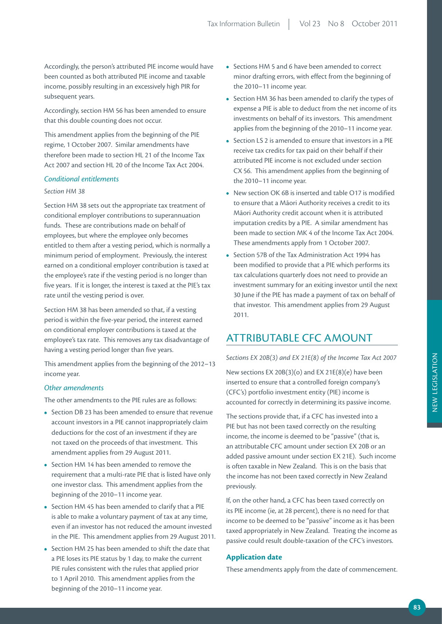Accordingly, the person's attributed PIE income would have been counted as both attributed PIE income and taxable income, possibly resulting in an excessively high PIR for subsequent years.

Accordingly, section HM 56 has been amended to ensure that this double counting does not occur.

This amendment applies from the beginning of the PIE regime, 1 October 2007. Similar amendments have therefore been made to section HL 21 of the Income Tax Act 2007 and section HL 20 of the Income Tax Act 2004.

### *Conditional entitlements*

## *Section HM 38*

Section HM 38 sets out the appropriate tax treatment of conditional employer contributions to superannuation funds. These are contributions made on behalf of employees, but where the employee only becomes entitled to them after a vesting period, which is normally a minimum period of employment. Previously, the interest earned on a conditional employer contribution is taxed at the employee's rate if the vesting period is no longer than five years. If it is longer, the interest is taxed at the PIE's tax rate until the vesting period is over.

Section HM 38 has been amended so that, if a vesting period is within the five-year period, the interest earned on conditional employer contributions is taxed at the employee's tax rate. This removes any tax disadvantage of having a vesting period longer than five years.

This amendment applies from the beginning of the 2012–13 income year.

### *Other amendments*

The other amendments to the PIE rules are as follows:

- **•**  Section DB 23 has been amended to ensure that revenue account investors in a PIE cannot inappropriately claim deductions for the cost of an investment if they are not taxed on the proceeds of that investment. This amendment applies from 29 August 2011.
- Section HM 14 has been amended to remove the requirement that a multi-rate PIE that is listed have only one investor class. This amendment applies from the beginning of the 2010–11 income year.
- **•**  Section HM 45 has been amended to clarify that a PIE is able to make a voluntary payment of tax at any time, even if an investor has not reduced the amount invested in the PIE. This amendment applies from 29 August 2011.
- **•**  Section HM 25 has been amended to shift the date that a PIE loses its PIE status by 1 day, to make the current PIE rules consistent with the rules that applied prior to 1 April 2010. This amendment applies from the beginning of the 2010–11 income year.
- **•**  Sections HM 5 and 6 have been amended to correct minor drafting errors, with effect from the beginning of the 2010–11 income year.
- **•**  Section HM 36 has been amended to clarify the types of expense a PIE is able to deduct from the net income of its investments on behalf of its investors. This amendment applies from the beginning of the 2010–11 income year.
- **•**  Section LS 2 is amended to ensure that investors in a PIE receive tax credits for tax paid on their behalf if their attributed PIE income is not excluded under section CX 56. This amendment applies from the beginning of the 2010–11 income year.
- **•**  New section OK 6B is inserted and table O17 is modified to ensure that a Māori Authority receives a credit to its Māori Authority credit account when it is attributed imputation credits by a PIE. A similar amendment has been made to section MK 4 of the Income Tax Act 2004. These amendments apply from 1 October 2007.
- **•**  Section 57B of the Tax Administration Act 1994 has been modified to provide that a PIE which performs its tax calculations quarterly does not need to provide an investment summary for an exiting investor until the next 30 June if the PIE has made a payment of tax on behalf of that investor. This amendment applies from 29 August 2011.

## ATTRIBUTABLE CFC AMOUNT

*Sections EX 20B(3) and EX 21E(8) of the Income Tax Act 2007*

New sections EX 20B(3)(o) and EX 21E(8)(e) have been inserted to ensure that a controlled foreign company's (CFC's) portfolio investment entity (PIE) income is accounted for correctly in determining its passive income.

The sections provide that, if a CFC has invested into a PIE but has not been taxed correctly on the resulting income, the income is deemed to be "passive" (that is, an attributable CFC amount under section EX 20B or an added passive amount under section EX 21E). Such income is often taxable in New Zealand. This is on the basis that the income has not been taxed correctly in New Zealand previously.

If, on the other hand, a CFC has been taxed correctly on its PIE income (ie, at 28 percent), there is no need for that income to be deemed to be "passive" income as it has been taxed appropriately in New Zealand. Treating the income as passive could result double-taxation of the CFC's investors.

### **Application date**

These amendments apply from the date of commencement.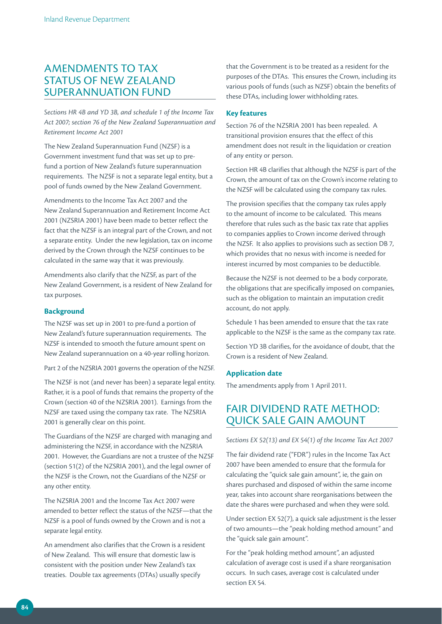## AMENDMENTS TO TAX STATUS OF NEW ZEALAND SUPERANNUATION FUND

*Sections HR 4B and YD 3B, and schedule 1 of the Income Tax Act 2007; section 76 of the New Zealand Superannuation and Retirement Income Act 2001*

The New Zealand Superannuation Fund (NZSF) is a Government investment fund that was set up to prefund a portion of New Zealand's future superannuation requirements. The NZSF is not a separate legal entity, but a pool of funds owned by the New Zealand Government.

Amendments to the Income Tax Act 2007 and the New Zealand Superannuation and Retirement Income Act 2001 (NZSRIA 2001) have been made to better reflect the fact that the NZSF is an integral part of the Crown, and not a separate entity. Under the new legislation, tax on income derived by the Crown through the NZSF continues to be calculated in the same way that it was previously.

Amendments also clarify that the NZSF, as part of the New Zealand Government, is a resident of New Zealand for tax purposes.

### **Background**

The NZSF was set up in 2001 to pre-fund a portion of New Zealand's future superannuation requirements. The NZSF is intended to smooth the future amount spent on New Zealand superannuation on a 40-year rolling horizon.

Part 2 of the NZSRIA 2001 governs the operation of the NZSF.

The NZSF is not (and never has been) a separate legal entity. Rather, it is a pool of funds that remains the property of the Crown (section 40 of the NZSRIA 2001). Earnings from the NZSF are taxed using the company tax rate. The NZSRIA 2001 is generally clear on this point.

The Guardians of the NZSF are charged with managing and administering the NZSF, in accordance with the NZSRIA 2001. However, the Guardians are not a trustee of the NZSF (section 51(2) of the NZSRIA 2001), and the legal owner of the NZSF is the Crown, not the Guardians of the NZSF or any other entity.

The NZSRIA 2001 and the Income Tax Act 2007 were amended to better reflect the status of the NZSF—that the NZSF is a pool of funds owned by the Crown and is not a separate legal entity.

An amendment also clarifies that the Crown is a resident of New Zealand. This will ensure that domestic law is consistent with the position under New Zealand's tax treaties. Double tax agreements (DTAs) usually specify

that the Government is to be treated as a resident for the purposes of the DTAs. This ensures the Crown, including its various pools of funds (such as NZSF) obtain the benefits of these DTAs, including lower withholding rates.

### **Key features**

Section 76 of the NZSRIA 2001 has been repealed. A transitional provision ensures that the effect of this amendment does not result in the liquidation or creation of any entity or person.

Section HR 4B clarifies that although the NZSF is part of the Crown, the amount of tax on the Crown's income relating to the NZSF will be calculated using the company tax rules.

The provision specifies that the company tax rules apply to the amount of income to be calculated. This means therefore that rules such as the basic tax rate that applies to companies applies to Crown income derived through the NZSF. It also applies to provisions such as section DB 7, which provides that no nexus with income is needed for interest incurred by most companies to be deductible.

Because the NZSF is not deemed to be a body corporate, the obligations that are specifically imposed on companies, such as the obligation to maintain an imputation credit account, do not apply.

Schedule 1 has been amended to ensure that the tax rate applicable to the NZSF is the same as the company tax rate.

Section YD 3B clarifies, for the avoidance of doubt, that the Crown is a resident of New Zealand.

### **Application date**

The amendments apply from 1 April 2011.

## FAIR DIVIDEND RATE METHOD: QUICK SALE GAIN AMOUNT

*Sections EX 52(13) and EX 54(1) of the Income Tax Act 2007*

The fair dividend rate ("FDR") rules in the Income Tax Act 2007 have been amended to ensure that the formula for calculating the "quick sale gain amount", ie, the gain on shares purchased and disposed of within the same income year, takes into account share reorganisations between the date the shares were purchased and when they were sold.

Under section EX 52(7), a quick sale adjustment is the lesser of two amounts—the "peak holding method amount" and the "quick sale gain amount".

For the "peak holding method amount", an adjusted calculation of average cost is used if a share reorganisation occurs. In such cases, average cost is calculated under section EX 54.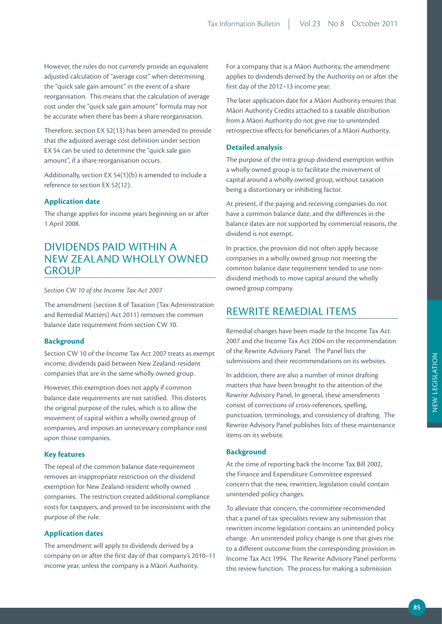However, the rules do not currently provide an equivalent adjusted calculation of "average cost" when determining the "quick sale gain amount" in the event of a share reorganisation. This means that the calculation of average cost under the "quick sale gain amount" formula may not be accurate when there has been a share reorganisation.

Therefore, section EX 52(13) has been amended to provide that the adjusted average cost definition under section EX 54 can be used to determine the "quick sale gain amount", if a share reorganisation occurs.

Additionally, section EX 54(1)(b) is amended to include a reference to section EX 52(12).

### **Application date**

The change applies for income years beginning on or after 1 April 2008.

## DIVIDENDS PAID WITHIN A NEW ZEALAND WHOLLY OWNED **GROUP**

#### *Section CW 10 of the Income Tax Act 2007*

The amendment (section 8 of Taxation (Tax Administration and Remedial Matters) Act 2011) removes the common balance date requirement from section CW 10.

### **Background**

Section CW 10 of the Income Tax Act 2007 treats as exempt income, dividends paid between New Zealand-resident companies that are in the same wholly owned group.

However, this exemption does not apply if common balance date requirements are not satisfied. This distorts the original purpose of the rules, which is to allow the movement of capital within a wholly owned group of companies, and imposes an unnecessary compliance cost upon those companies.

### **Key features**

The repeal of the common balance date requirement removes an inappropriate restriction on the dividend exemption for New Zealand-resident wholly owned companies. The restriction created additional compliance costs for taxpayers, and proved to be inconsistent with the purpose of the rule.

#### **Application dates**

The amendment will apply to dividends derived by a company on or after the first day of that company's 2010– 11 income year, unless the company is a Māori Authority.

For a company that is a Māori Authority, the amendment applies to dividends derived by the Authority on or after the first day of the 2012–13 income year.

The later application date for a Māori Authority ensures that Māori Authority Credits attached to a taxable distribution from a Māori Authority do not give rise to unintended retrospective effects for beneficiaries of a Māori Authority.

#### **Detailed analysis**

The purpose of the intra-group dividend exemption within a wholly owned group is to facilitate the movement of capital around a wholly owned group, without taxation being a distortionary or inhibiting factor.

At present, if the paying and receiving companies do not have a common balance date, and the differences in the balance dates are not supported by commercial reasons, the dividend is not exempt.

In practice, the provision did not often apply because companies in a wholly owned group not meeting the common balance date requirement tended to use nondividend methods to move capital around the wholly owned group company.

## REWRITE REMEDIAL ITEMS

Remedial changes have been made to the Income Tax Act 2007 and the Income Tax Act 2004 on the recommendation of the Rewrite Advisory Panel. The Panel lists the submissions and their recommendations on its websites.

In addition, there are also a number of minor drafting matters that have been brought to the attention of the Rewrite Advisory Panel, In general, these amendments consist of corrections of cross-references, spelling, punctuation, terminology, and consistency of drafting. The Rewrite Advisory Panel publishes lists of these maintenance items on its website.

### **Background**

At the time of reporting back the Income Tax Bill 2002, the Finance and Expenditure Committee expressed concern that the new, rewritten, legislation could contain unintended policy changes.

To alleviate that concern, the committee recommended that a panel of tax specialists review any submission that rewritten income legislation contains an unintended policy change. An unintended policy change is one that gives rise to a different outcome from the corresponding provision in Income Tax Act 1994. The Rewrite Advisory Panel performs this review function. The process for making a submission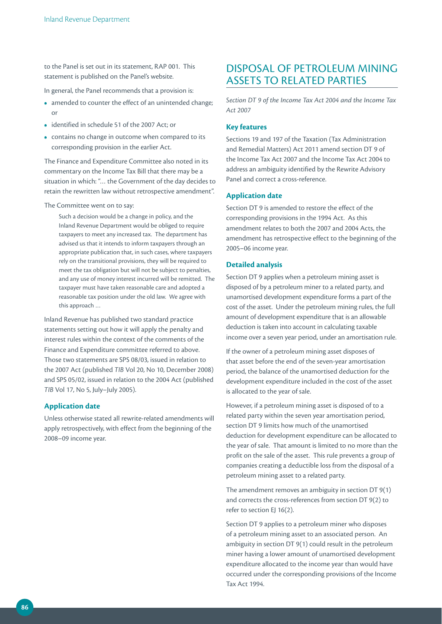to the Panel is set out in its statement, RAP 001. This statement is published on the Panel's website.

In general, the Panel recommends that a provision is:

- amended to counter the effect of an unintended change; or
- **•**  identified in schedule 51 of the 2007 Act; or
- contains no change in outcome when compared to its corresponding provision in the earlier Act.

The Finance and Expenditure Committee also noted in its commentary on the Income Tax Bill that there may be a situation in which: "… the Government of the day decides to retain the rewritten law without retrospective amendment".

The Committee went on to say:

Such a decision would be a change in policy, and the Inland Revenue Department would be obliged to require taxpayers to meet any increased tax. The department has advised us that it intends to inform taxpayers through an appropriate publication that, in such cases, where taxpayers rely on the transitional provisions, they will be required to meet the tax obligation but will not be subject to penalties, and any use of money interest incurred will be remitted. The taxpayer must have taken reasonable care and adopted a reasonable tax position under the old law. We agree with this approach …

Inland Revenue has published two standard practice statements setting out how it will apply the penalty and interest rules within the context of the comments of the Finance and Expenditure committee referred to above. Those two statements are SPS 08/03, issued in relation to the 2007 Act (published *TIB* Vol 20, No 10, December 2008) and SPS 05/02, issued in relation to the 2004 Act (published *TIB* Vol 17, No 5, July–July 2005).

### **Application date**

Unless otherwise stated all rewrite-related amendments will apply retrospectively, with effect from the beginning of the 2008–09 income year.

## DISPOSAL OF PETROLEUM MINING ASSETS TO RELATED PARTIES

*Section DT 9 of the Income Tax Act 2004 and the Income Tax Act 2007*

### **Key features**

Sections 19 and 197 of the Taxation (Tax Administration and Remedial Matters) Act 2011 amend section DT 9 of the Income Tax Act 2007 and the Income Tax Act 2004 to address an ambiguity identified by the Rewrite Advisory Panel and correct a cross-reference.

## **Application date**

Section DT 9 is amended to restore the effect of the corresponding provisions in the 1994 Act. As this amendment relates to both the 2007 and 2004 Acts, the amendment has retrospective effect to the beginning of the 2005–06 income year.

### **Detailed analysis**

Section DT 9 applies when a petroleum mining asset is disposed of by a petroleum miner to a related party, and unamortised development expenditure forms a part of the cost of the asset. Under the petroleum mining rules, the full amount of development expenditure that is an allowable deduction is taken into account in calculating taxable income over a seven year period, under an amortisation rule.

If the owner of a petroleum mining asset disposes of that asset before the end of the seven-year amortisation period, the balance of the unamortised deduction for the development expenditure included in the cost of the asset is allocated to the year of sale.

However, if a petroleum mining asset is disposed of to a related party within the seven year amortisation period, section DT 9 limits how much of the unamortised deduction for development expenditure can be allocated to the year of sale. That amount is limited to no more than the profit on the sale of the asset. This rule prevents a group of companies creating a deductible loss from the disposal of a petroleum mining asset to a related party.

The amendment removes an ambiguity in section DT 9(1) and corrects the cross-references from section DT 9(2) to refer to section EJ 16(2).

Section DT 9 applies to a petroleum miner who disposes of a petroleum mining asset to an associated person. An ambiguity in section DT 9(1) could result in the petroleum miner having a lower amount of unamortised development expenditure allocated to the income year than would have occurred under the corresponding provisions of the Income Tax Act 1994.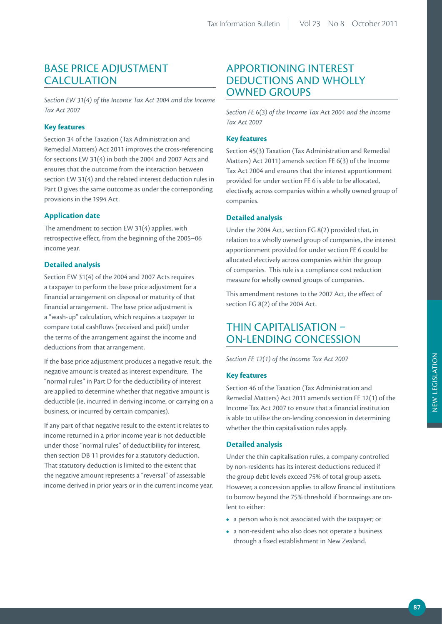## BASE PRICE ADJUSTMENT CALCULATION

*Section EW 31(4) of the Income Tax Act 2004 and the Income Tax Act 2007*

## **Key features**

Section 34 of the Taxation (Tax Administration and Remedial Matters) Act 2011 improves the cross-referencing for sections EW 31(4) in both the 2004 and 2007 Acts and ensures that the outcome from the interaction between section EW 31(4) and the related interest deduction rules in Part D gives the same outcome as under the corresponding provisions in the 1994 Act.

## **Application date**

The amendment to section EW 31(4) applies, with retrospective effect, from the beginning of the 2005–06 income year.

## **Detailed analysis**

Section EW 31(4) of the 2004 and 2007 Acts requires a taxpayer to perform the base price adjustment for a financial arrangement on disposal or maturity of that financial arrangement. The base price adjustment is a "wash-up" calculation, which requires a taxpayer to compare total cashflows (received and paid) under the terms of the arrangement against the income and deductions from that arrangement.

If the base price adjustment produces a negative result, the negative amount is treated as interest expenditure. The "normal rules" in Part D for the deductibility of interest are applied to determine whether that negative amount is deductible (ie, incurred in deriving income, or carrying on a business, or incurred by certain companies).

If any part of that negative result to the extent it relates to income returned in a prior income year is not deductible under those "normal rules" of deductibility for interest, then section DB 11 provides for a statutory deduction. That statutory deduction is limited to the extent that the negative amount represents a "reversal" of assessable income derived in prior years or in the current income year.

## APPORTIONING INTEREST DEDUCTIONS AND WHOLLY OWNED GROUPS

*Section FE 6(3) of the Income Tax Act 2004 and the Income Tax Act 2007*

## **Key features**

Section 45(3) Taxation (Tax Administration and Remedial Matters) Act 2011) amends section FE 6(3) of the Income Tax Act 2004 and ensures that the interest apportionment provided for under section FE 6 is able to be allocated, electively, across companies within a wholly owned group of companies.

## **Detailed analysis**

Under the 2004 Act, section FG 8(2) provided that, in relation to a wholly owned group of companies, the interest apportionment provided for under section FE 6 could be allocated electively across companies within the group of companies. This rule is a compliance cost reduction measure for wholly owned groups of companies.

This amendment restores to the 2007 Act, the effect of section FG 8(2) of the 2004 Act.

## THIN CAPITALISATION – ON-LENDING CONCESSION

*Section FE 12(1) of the Income Tax Act 2007*

## **Key features**

Section 46 of the Taxation (Tax Administration and Remedial Matters) Act 2011 amends section FE 12(1) of the Income Tax Act 2007 to ensure that a financial institution is able to utilise the on-lending concession in determining whether the thin capitalisation rules apply.

## **Detailed analysis**

Under the thin capitalisation rules, a company controlled by non-residents has its interest deductions reduced if the group debt levels exceed 75% of total group assets. However, a concession applies to allow financial institutions to borrow beyond the 75% threshold if borrowings are onlent to either:

- **•**  a person who is not associated with the taxpayer; or
- **•**  a non-resident who also does not operate a business through a fixed establishment in New Zealand.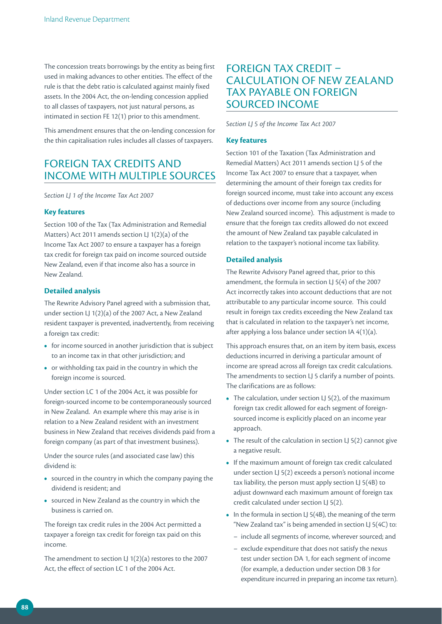The concession treats borrowings by the entity as being first used in making advances to other entities. The effect of the rule is that the debt ratio is calculated against mainly fixed assets. In the 2004 Act, the on-lending concession applied to all classes of taxpayers, not just natural persons, as intimated in section FE 12(1) prior to this amendment.

This amendment ensures that the on-lending concession for the thin capitalisation rules includes all classes of taxpayers.

## FOREIGN TAX CREDITS AND INCOME WITH MULTIPLE SOURCES

*Section LJ 1 of the Income Tax Act 2007*

#### **Key features**

Section 100 of the Tax (Tax Administration and Remedial Matters) Act 2011 amends section LJ 1(2)(a) of the Income Tax Act 2007 to ensure a taxpayer has a foreign tax credit for foreign tax paid on income sourced outside New Zealand, even if that income also has a source in New Zealand.

#### **Detailed analysis**

The Rewrite Advisory Panel agreed with a submission that, under section LJ 1(2)(a) of the 2007 Act, a New Zealand resident taxpayer is prevented, inadvertently, from receiving a foreign tax credit:

- for income sourced in another jurisdiction that is subject to an income tax in that other jurisdiction; and
- **•**  or withholding tax paid in the country in which the foreign income is sourced.

Under section LC 1 of the 2004 Act, it was possible for foreign-sourced income to be contemporaneously sourced in New Zealand. An example where this may arise is in relation to a New Zealand resident with an investment business in New Zealand that receives dividends paid from a foreign company (as part of that investment business).

Under the source rules (and associated case law) this dividend is:

- **•**  sourced in the country in which the company paying the dividend is resident; and
- **•**  sourced in New Zealand as the country in which the business is carried on.

The foreign tax credit rules in the 2004 Act permitted a taxpayer a foreign tax credit for foreign tax paid on this income.

The amendment to section LJ 1(2)(a) restores to the 2007 Act, the effect of section LC 1 of the 2004 Act.

## FOREIGN TAX CREDIT – CALCULATION OF NEW ZEALAND TAX PAYABLE ON FOREIGN SOURCED INCOME

*Section LJ 5 of the Income Tax Act 2007*

## **Key features**

Section 101 of the Taxation (Tax Administration and Remedial Matters) Act 2011 amends section LJ 5 of the Income Tax Act 2007 to ensure that a taxpayer, when determining the amount of their foreign tax credits for foreign sourced income, must take into account any excess of deductions over income from any source (including New Zealand sourced income). This adjustment is made to ensure that the foreign tax credits allowed do not exceed the amount of New Zealand tax payable calculated in relation to the taxpayer's notional income tax liability.

### **Detailed analysis**

The Rewrite Advisory Panel agreed that, prior to this amendment, the formula in section LJ 5(4) of the 2007 Act incorrectly takes into account deductions that are not attributable to any particular income source. This could result in foreign tax credits exceeding the New Zealand tax that is calculated in relation to the taxpayer's net income, after applying a loss balance under section IA 4(1)(a).

This approach ensures that, on an item by item basis, excess deductions incurred in deriving a particular amount of income are spread across all foreign tax credit calculations. The amendments to section LJ 5 clarify a number of points. The clarifications are as follows:

- The calculation, under section LJ 5(2), of the maximum foreign tax credit allowed for each segment of foreignsourced income is explicitly placed on an income year approach.
- The result of the calculation in section LJ 5(2) cannot give a negative result.
- **•**  If the maximum amount of foreign tax credit calculated under section LJ 5(2) exceeds a person's notional income tax liability, the person must apply section LJ 5(4B) to adjust downward each maximum amount of foreign tax credit calculated under section LJ 5(2).
- In the formula in section LJ 5(4B), the meaning of the term "New Zealand tax" is being amended in section LJ 5(4C) to:
	- include all segments of income, wherever sourced; and
	- exclude expenditure that does not satisfy the nexus test under section DA 1, for each segment of income (for example, a deduction under section DB 3 for expenditure incurred in preparing an income tax return).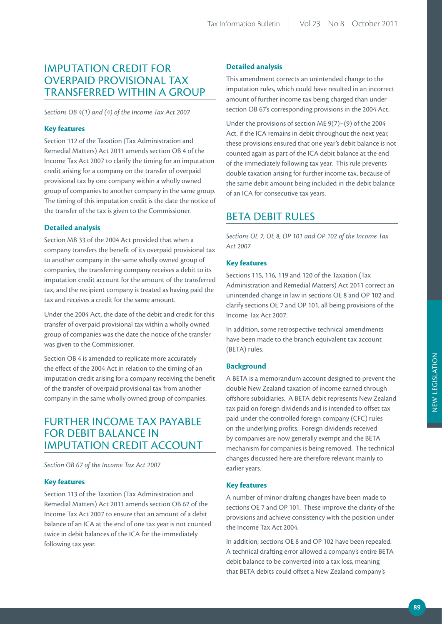## IMPUTATION CREDIT FOR OVERPAID PROVISIONAL TAX TRANSFERRED WITHIN A GROUP

*Sections OB 4(1) and (4) of the Income Tax Act 2007*

### **Key features**

Section 112 of the Taxation (Tax Administration and Remedial Matters) Act 2011 amends section OB 4 of the Income Tax Act 2007 to clarify the timing for an imputation credit arising for a company on the transfer of overpaid provisional tax by one company within a wholly owned group of companies to another company in the same group. The timing of this imputation credit is the date the notice of the transfer of the tax is given to the Commissioner.

### **Detailed analysis**

Section MB 33 of the 2004 Act provided that when a company transfers the benefit of its overpaid provisional tax to another company in the same wholly owned group of companies, the transferring company receives a debit to its imputation credit account for the amount of the transferred tax, and the recipient company is treated as having paid the tax and receives a credit for the same amount.

Under the 2004 Act, the date of the debit and credit for this transfer of overpaid provisional tax within a wholly owned group of companies was the date the notice of the transfer was given to the Commissioner.

Section OB 4 is amended to replicate more accurately the effect of the 2004 Act in relation to the timing of an imputation credit arising for a company receiving the benefit of the transfer of overpaid provisional tax from another company in the same wholly owned group of companies.

## FURTHER INCOME TAX PAYABLE FOR DEBIT BALANCE IN IMPUTATION CREDIT ACCOUNT

*Section OB 67 of the Income Tax Act 2007* 

### **Key features**

Section 113 of the Taxation (Tax Administration and Remedial Matters) Act 2011 amends section OB 67 of the Income Tax Act 2007 to ensure that an amount of a debit balance of an ICA at the end of one tax year is not counted twice in debit balances of the ICA for the immediately following tax year.

### **Detailed analysis**

This amendment corrects an unintended change to the imputation rules, which could have resulted in an incorrect amount of further income tax being charged than under section OB 67's corresponding provisions in the 2004 Act.

Under the provisions of section ME 9(7)–(9) of the 2004 Act, if the ICA remains in debit throughout the next year, these provisions ensured that one year's debit balance is not counted again as part of the ICA debit balance at the end of the immediately following tax year. This rule prevents double taxation arising for further income tax, because of the same debit amount being included in the debit balance of an ICA for consecutive tax years.

## **BETA DEBIT RULES**

*Sections OE 7, OE 8, OP 101 and OP 102 of the Income Tax Act 2007*

### **Key features**

Sections 115, 116, 119 and 120 of the Taxation (Tax Administration and Remedial Matters) Act 2011 correct an unintended change in law in sections OE 8 and OP 102 and clarify sections OE 7 and OP 101, all being provisions of the Income Tax Act 2007.

In addition, some retrospective technical amendments have been made to the branch equivalent tax account (BETA) rules.

#### **Background**

A BETA is a memorandum account designed to prevent the double New Zealand taxation of income earned through offshore subsidiaries. A BETA debit represents New Zealand tax paid on foreign dividends and is intended to offset tax paid under the controlled foreign company (CFC) rules on the underlying profits. Foreign dividends received by companies are now generally exempt and the BETA mechanism for companies is being removed. The technical changes discussed here are therefore relevant mainly to earlier years.

## **Key features**

A number of minor drafting changes have been made to sections OE 7 and OP 101. These improve the clarity of the provisions and achieve consistency with the position under the Income Tax Act 2004.

In addition, sections OE 8 and OP 102 have been repealed. A technical drafting error allowed a company's entire BETA debit balance to be converted into a tax loss, meaning that BETA debits could offset a New Zealand company's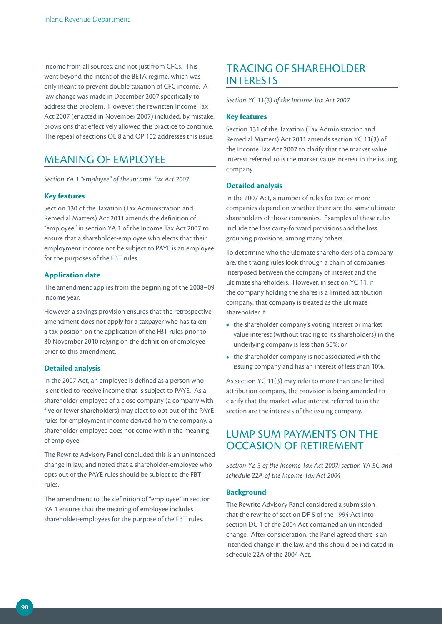income from all sources, and not just from CFCs. This went beyond the intent of the BETA regime, which was only meant to prevent double taxation of CFC income. A law change was made in December 2007 specifically to address this problem. However, the rewritten Income Tax Act 2007 (enacted in November 2007) included, by mistake, provisions that effectively allowed this practice to continue. The repeal of sections OE 8 and OP 102 addresses this issue.

## MEANING OF EMPLOYEE

*Section YA 1 "employee" of the Income Tax Act 2007*

### **Key features**

Section 130 of the Taxation (Tax Administration and Remedial Matters) Act 2011 amends the definition of "employee" in section YA 1 of the Income Tax Act 2007 to ensure that a shareholder-employee who elects that their employment income not be subject to PAYE is an employee for the purposes of the FBT rules.

## **Application date**

The amendment applies from the beginning of the 2008–09 income year.

However, a savings provision ensures that the retrospective amendment does not apply for a taxpayer who has taken a tax position on the application of the FBT rules prior to 30 November 2010 relying on the definition of employee prior to this amendment.

## **Detailed analysis**

In the 2007 Act, an employee is defined as a person who is entitled to receive income that is subject to PAYE. As a shareholder-employee of a close company (a company with five or fewer shareholders) may elect to opt out of the PAYE rules for employment income derived from the company, a shareholder-employee does not come within the meaning of employee.

The Rewrite Advisory Panel concluded this is an unintended change in law, and noted that a shareholder-employee who opts out of the PAYE rules should be subject to the FBT rules.

The amendment to the definition of "employee" in section YA 1 ensures that the meaning of employee includes shareholder-employees for the purpose of the FBT rules.

## TRACING OF SHAREHOLDER INTERESTS

*Section YC 11(3) of the Income Tax Act 2007*

## **Key features**

Section 131 of the Taxation (Tax Administration and Remedial Matters) Act 2011 amends section YC 11(3) of the Income Tax Act 2007 to clarify that the market value interest referred to is the market value interest in the issuing company.

## **Detailed analysis**

In the 2007 Act, a number of rules for two or more companies depend on whether there are the same ultimate shareholders of those companies. Examples of these rules include the loss carry-forward provisions and the loss grouping provisions, among many others.

To determine who the ultimate shareholders of a company are, the tracing rules look through a chain of companies interposed between the company of interest and the ultimate shareholders. However, in section YC 11, if the company holding the shares is a limited attribution company, that company is treated as the ultimate shareholder if:

- the shareholder company's voting interest or market value interest (without tracing to its shareholders) in the underlying company is less than 50%; or
- the shareholder company is not associated with the issuing company and has an interest of less than 10%.

As section YC 11(3) may refer to more than one limited attribution company, the provision is being amended to clarify that the market value interest referred to in the section are the interests of the issuing company.

## LUMP SUM PAYMENTS ON THE OCCASION OF RETIREMENT

*Section YZ 3 of the Income Tax Act 2007; section YA 5C and schedule 22A of the Income Tax Act 2004*

## **Background**

The Rewrite Advisory Panel considered a submission that the rewrite of section DF 5 of the 1994 Act into section DC 1 of the 2004 Act contained an unintended change. After consideration, the Panel agreed there is an intended change in the law, and this should be indicated in schedule 22A of the 2004 Act.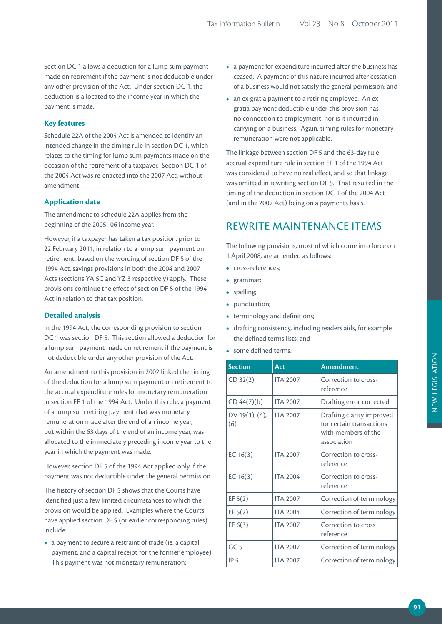Section DC 1 allows a deduction for a lump sum payment made on retirement if the payment is not deductible under any other provision of the Act. Under section DC 1, the deduction is allocated to the income year in which the payment is made.

## **Key features**

Schedule 22A of the 2004 Act is amended to identify an intended change in the timing rule in section DC 1, which relates to the timing for lump sum payments made on the occasion of the retirement of a taxpayer. Section DC 1 of the 2004 Act was re-enacted into the 2007 Act, without amendment.

## **Application date**

The amendment to schedule 22A applies from the beginning of the 2005–06 income year.

However, if a taxpayer has taken a tax position, prior to 22 February 2011, in relation to a lump sum payment on retirement, based on the wording of section DF 5 of the 1994 Act, savings provisions in both the 2004 and 2007 Acts (sections YA 5C and YZ 3 respectively) apply. These provisions continue the effect of section DF 5 of the 1994 Act in relation to that tax position.

## **Detailed analysis**

In the 1994 Act, the corresponding provision to section DC 1 was section DF 5. This section allowed a deduction for a lump sum payment made on retirement if the payment is not deductible under any other provision of the Act.

An amendment to this provision in 2002 linked the timing of the deduction for a lump sum payment on retirement to the accrual expenditure rules for monetary remuneration in section EF 1 of the 1994 Act. Under this rule, a payment of a lump sum retiring payment that was monetary remuneration made after the end of an income year, but within the 63 days of the end of an income year, was allocated to the immediately preceding income year to the year in which the payment was made.

However, section DF 5 of the 1994 Act applied only if the payment was not deductible under the general permission.

The history of section DF 5 shows that the Courts have identified just a few limited circumstances to which the provision would be applied. Examples where the Courts have applied section DF 5 (or earlier corresponding rules) include:

**•**  a payment to secure a restraint of trade (ie, a capital payment, and a capital receipt for the former employee). This payment was not monetary remuneration;

- **•**  a payment for expenditure incurred after the business has ceased. A payment of this nature incurred after cessation of a business would not satisfy the general permission; and
- an ex gratia payment to a retiring employee. An ex gratia payment deductible under this provision has no connection to employment, nor is it incurred in carrying on a business. Again, timing rules for monetary remuneration were not applicable.

The linkage between section DF 5 and the 63-day rule accrual expenditure rule in section EF 1 of the 1994 Act was considered to have no real effect, and so that linkage was omitted in rewriting section DF 5. That resulted in the timing of the deduction in section DC 1 of the 2004 Act (and in the 2007 Act) being on a payments basis.

## REWRITE MAINTENANCE ITEMS

The following provisions, most of which come into force on 1 April 2008, are amended as follows:

- **•**  cross-references;
- **•**  grammar;
- **•**  spelling;
- **•**  punctuation;
- terminology and definitions;
- **•**  drafting consistency, including readers aids, for example the defined terms lists; and
- **•**  some defined terms.

| <b>Section</b>        | Act             | <b>Amendment</b>                                                                            |
|-----------------------|-----------------|---------------------------------------------------------------------------------------------|
| CD 32(2)              | <b>ITA 2007</b> | Correction to cross-<br>reference                                                           |
| CD 44(7)(b)           | <b>ITA 2007</b> | Drafting error corrected                                                                    |
| DV 19(1), (4),<br>(6) | <b>ITA 2007</b> | Drafting clarity improved<br>for certain transactions<br>with members of the<br>association |
| EC $16(3)$            | <b>ITA 2007</b> | Correction to cross-<br>reference                                                           |
| EC $16(3)$            | <b>ITA 2004</b> | Correction to cross-<br>reference                                                           |
| EF $5(2)$             | <b>ITA 2007</b> | Correction of terminology                                                                   |
| EF 5(2)               | <b>ITA 2004</b> | Correction of terminology                                                                   |
| FE $6(3)$             | <b>ITA 2007</b> | Correction to cross<br>reference                                                            |
| GC <sub>5</sub>       | <b>ITA 2007</b> | Correction of terminology                                                                   |
| IP <sub>4</sub>       | <b>ITA 2007</b> | Correction of terminology                                                                   |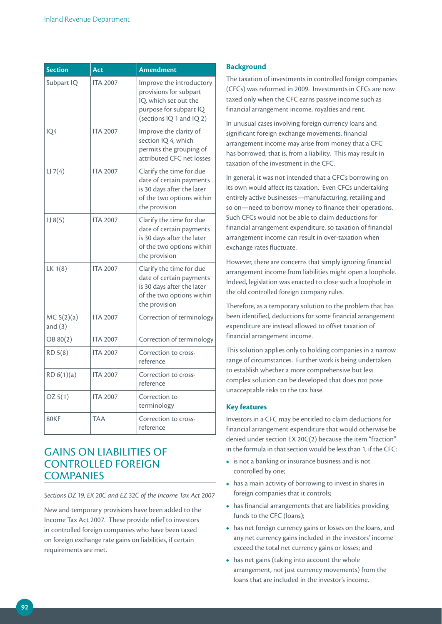| <b>Section</b>          | Act             | <b>Amendment</b>                                                                                                                  |
|-------------------------|-----------------|-----------------------------------------------------------------------------------------------------------------------------------|
| Subpart IQ              | <b>ITA 2007</b> | Improve the introductory<br>provisions for subpart<br>IQ, which set out the<br>purpose for subpart IQ<br>(sections IQ 1 and IQ 2) |
| IQ4                     | <b>ITA 2007</b> | Improve the clarity of<br>section IQ 4, which<br>permits the grouping of<br>attributed CFC net losses                             |
| LJ7(4)                  | <b>ITA 2007</b> | Clarify the time for due<br>date of certain payments<br>is 30 days after the later<br>of the two options within<br>the provision  |
| LJ8(5)                  | <b>ITA 2007</b> | Clarify the time for due<br>date of certain payments<br>is 30 days after the later<br>of the two options within<br>the provision  |
| LK 1(8)                 | <b>ITA 2007</b> | Clarify the time for due<br>date of certain payments<br>is 30 days after the later<br>of the two options within<br>the provision  |
| MC 5(2)(a)<br>and $(3)$ | <b>ITA 2007</b> | Correction of terminology                                                                                                         |
| OB 80(2)                | <b>ITA 2007</b> | Correction of terminology                                                                                                         |
| RD 5(8)                 | <b>ITA 2007</b> | Correction to cross-<br>reference                                                                                                 |
| RD 6(1)(a)              | <b>ITA 2007</b> | Correction to cross-<br>reference                                                                                                 |
| OZ 5(1)                 | <b>ITA 2007</b> | Correction to<br>terminology                                                                                                      |
| 80KF                    | <b>TAA</b>      | Correction to cross-<br>reference                                                                                                 |

## GAINS ON LIABILITIES OF CONTROLLED FOREIGN **COMPANIES**

*Sections DZ 19, EX 20C and EZ 32C of the Income Tax Act 2007*

New and temporary provisions have been added to the Income Tax Act 2007. These provide relief to investors in controlled foreign companies who have been taxed on foreign exchange rate gains on liabilities, if certain requirements are met.

## **Background**

The taxation of investments in controlled foreign companies (CFCs) was reformed in 2009. Investments in CFCs are now taxed only when the CFC earns passive income such as financial arrangement income, royalties and rent.

In unusual cases involving foreign currency loans and significant foreign exchange movements, financial arrangement income may arise from money that a CFC has borrowed; that is, from a liability. This may result in taxation of the investment in the CFC.

In general, it was not intended that a CFC's borrowing on its own would affect its taxation. Even CFCs undertaking entirely active businesses—manufacturing, retailing and so on—need to borrow money to finance their operations. Such CFCs would not be able to claim deductions for financial arrangement expenditure, so taxation of financial arrangement income can result in over-taxation when exchange rates fluctuate.

However, there are concerns that simply ignoring financial arrangement income from liabilities might open a loophole. Indeed, legislation was enacted to close such a loophole in the old controlled foreign company rules.

Therefore, as a temporary solution to the problem that has been identified, deductions for some financial arrangement expenditure are instead allowed to offset taxation of financial arrangement income.

This solution applies only to holding companies in a narrow range of circumstances. Further work is being undertaken to establish whether a more comprehensive but less complex solution can be developed that does not pose unacceptable risks to the tax base.

### **Key features**

Investors in a CFC may be entitled to claim deductions for financial arrangement expenditure that would otherwise be denied under section EX 20C(2) because the item "fraction" in the formula in that section would be less than 1, if the CFC:

- **•**  is not a banking or insurance business and is not controlled by one;
- **•**  has a main activity of borrowing to invest in shares in foreign companies that it controls;
- has financial arrangements that are liabilities providing funds to the CFC (loans);
- **•**  has net foreign currency gains or losses on the loans, and any net currency gains included in the investors' income exceed the total net currency gains or losses; and
- has net gains (taking into account the whole arrangement, not just currency movements) from the loans that are included in the investor's income.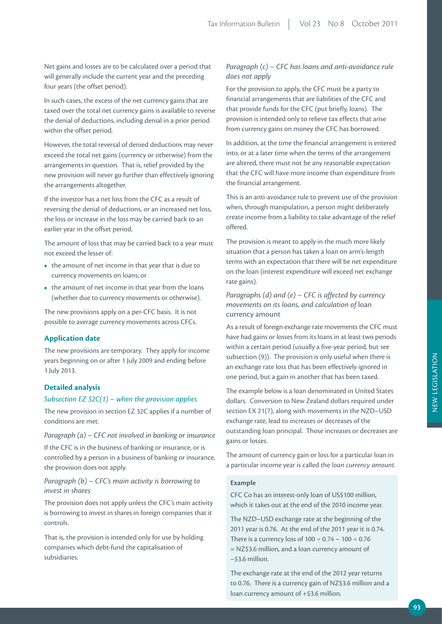Net gains and losses are to be calculated over a period that will generally include the current year and the preceding four years (the offset period).

In such cases, the excess of the net currency gains that are taxed over the total net currency gains is available to reverse the denial of deductions, including denial in a prior period within the offset period.

However, the total reversal of denied deductions may never exceed the total net gains (currency or otherwise) from the arrangements in question. That is, relief provided by the new provision will never go further than effectively ignoring the arrangements altogether.

If the investor has a net loss from the CFC as a result of reversing the denial of deductions, or an increased net loss, the loss or increase in the loss may be carried back to an earlier year in the offset period.

The amount of loss that may be carried back to a year must not exceed the lesser of:

- the amount of net income in that year that is due to currency movements on loans; or
- the amount of net income in that year from the loans (whether due to currency movements or otherwise).

The new provisions apply on a per-CFC basis. It is not possible to average currency movements across CFCs.

### **Application date**

The new provisions are temporary. They apply for income years beginning on or after 1 July 2009 and ending before 1 July 2013.

### **Detailed analysis**

#### *Subsection EZ 32C(1) – when the provision applies*

The new provision in section EZ 32C applies if a number of conditions are met.

*Paragraph (a) – CFC not involved in banking or insurance*

If the CFC is in the business of banking or insurance, or is controlled by a person in a business of banking or insurance, the provision does not apply.

## *Paragraph (b) – CFC's main activity is borrowing to invest in shares*

The provision does not apply unless the CFC's main activity is borrowing to invest in shares in foreign companies that it controls.

That is, the provision is intended only for use by holding companies which debt-fund the capitalisation of subsidiaries.

## *Paragraph (c) – CFC has loans and anti-avoidance rule does not apply*

For the provision to apply, the CFC must be a party to financial arrangements that are liabilities of the CFC and that provide funds for the CFC (put briefly, loans). The provision is intended only to relieve tax effects that arise from currency gains on money the CFC has borrowed.

In addition, at the time the financial arrangement is entered into, or at a later time when the terms of the arrangement are altered, there must not be any reasonable expectation that the CFC will have more income than expenditure from the financial arrangement.

This is an anti-avoidance rule to prevent use of the provision when, through manipulation, a person might deliberately create income from a liability to take advantage of the relief offered.

The provision is meant to apply in the much more likely situation that a person has taken a loan on arm's-length terms with an expectation that there will be net expenditure on the loan (interest expenditure will exceed net exchange rate gains).

*Paragraphs (d) and (e) – CFC is affected by currency movements on its loans, and calculation of* loan currency amount

As a result of foreign exchange rate movements the CFC must have had gains or losses from its loans in at least two periods within a certain period (usually a five-year period, but see subsection (9)). The provision is only useful when there is an exchange rate loss that has been effectively ignored in one period, but a gain in another that has been taxed.

The example below is a loan denominated in United States dollars. Conversion to New Zealand dollars required under section EX 21(7), along with movements in the NZD–USD exchange rate, lead to increases or decreases of the outstanding loan principal. Those increases or decreases are gains or losses.

The amount of currency gain or loss for a particular loan in a particular income year is called the *loan currency amount.*

#### **Example**

CFC Co has an interest-only loan of US\$100 million, which it takes out at the end of the 2010 income year.

The NZD–USD exchange rate at the beginning of the 2011 year is 0.76. At the end of the 2011 year it is 0.74. There is a currency loss of  $100 \div 0.74 - 100 \div 0.76$ = NZ\$3.6 million, and a loan currency amount of –\$3.6 million.

The exchange rate at the end of the 2012 year returns to 0.76. There is a currency gain of NZ\$3.6 million and a loan currency amount of +\$3.6 million.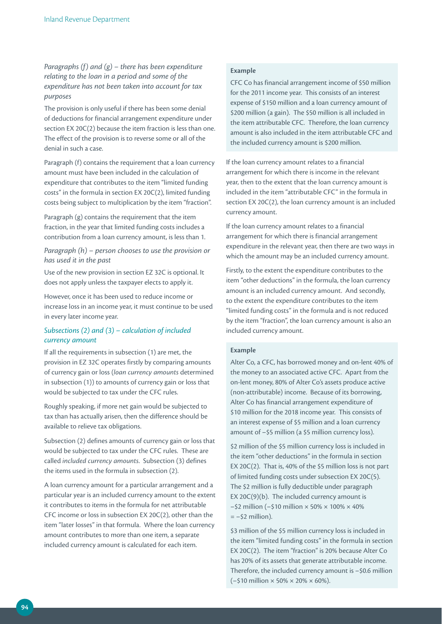*Paragraphs (f) and (g) – there has been expenditure relating to the loan in a period and some of the expenditure has not been taken into account for tax purposes*

The provision is only useful if there has been some denial of deductions for financial arrangement expenditure under section EX 20C(2) because the item fraction is less than one. The effect of the provision is to reverse some or all of the denial in such a case.

Paragraph (f) contains the requirement that a loan currency amount must have been included in the calculation of expenditure that contributes to the item "limited funding costs" in the formula in section EX 20C(2), limited funding costs being subject to multiplication by the item "fraction".

Paragraph (g) contains the requirement that the item fraction, in the year that limited funding costs includes a contribution from a loan currency amount, is less than 1.

*Paragraph (h) – person chooses to use the provision or has used it in the past*

Use of the new provision in section EZ 32C is optional. It does not apply unless the taxpayer elects to apply it.

However, once it has been used to reduce income or increase loss in an income year, it must continue to be used in every later income year.

## *Subsections (2) and (3) – calculation of included currency amount*

If all the requirements in subsection (1) are met, the provision in EZ 32C operates firstly by comparing amounts of currency gain or loss (*loan currency amounts* determined in subsection (1)) to amounts of currency gain or loss that would be subjected to tax under the CFC rules.

Roughly speaking, if more net gain would be subjected to tax than has actually arisen, then the difference should be available to relieve tax obligations.

Subsection (2) defines amounts of currency gain or loss that would be subjected to tax under the CFC rules. These are called *included currency amounts*. Subsection (3) defines the items used in the formula in subsection (2).

A loan currency amount for a particular arrangement and a particular year is an included currency amount to the extent it contributes to items in the formula for net attributable CFC income or loss in subsection EX 20C(2), other than the item "later losses" in that formula. Where the loan currency amount contributes to more than one item, a separate included currency amount is calculated for each item.

### **Example**

CFC Co has financial arrangement income of \$50 million for the 2011 income year. This consists of an interest expense of \$150 million and a loan currency amount of \$200 million (a gain). The \$50 million is all included in the item attributable CFC. Therefore, the loan currency amount is also included in the item attributable CFC and the included currency amount is \$200 million.

If the loan currency amount relates to a financial arrangement for which there is income in the relevant year, then to the extent that the loan currency amount is included in the item "attributable CFC" in the formula in section EX 20C(2), the loan currency amount is an included currency amount.

If the loan currency amount relates to a financial arrangement for which there is financial arrangement expenditure in the relevant year, then there are two ways in which the amount may be an included currency amount.

Firstly, to the extent the expenditure contributes to the item "other deductions" in the formula, the loan currency amount is an included currency amount. And secondly, to the extent the expenditure contributes to the item "limited funding costs" in the formula and is not reduced by the item "fraction", the loan currency amount is also an included currency amount.

## **Example**

Alter Co, a CFC, has borrowed money and on-lent 40% of the money to an associated active CFC. Apart from the on-lent money, 80% of Alter Co's assets produce active (non-attributable) income. Because of its borrowing, Alter Co has financial arrangement expenditure of \$10 million for the 2018 income year. This consists of an interest expense of \$5 million and a loan currency amount of –\$5 million (a \$5 million currency loss).

\$2 million of the \$5 million currency loss is included in the item "other deductions" in the formula in section EX 20C(2). That is, 40% of the \$5 million loss is not part of limited funding costs under subsection EX 20C(5). The \$2 million is fully deductible under paragraph EX 20 $C(9)(b)$ . The included currency amount is  $-$ \$2 million ( $-$ \$10 million  $\times$  50%  $\times$  100%  $\times$  40%  $= -52$  million).

\$3 million of the \$5 million currency loss is included in the item "limited funding costs" in the formula in section EX 20C(2). The item "fraction" is 20% because Alter Co has 20% of its assets that generate attributable income. Therefore, the included currency amount is –\$0.6 million  $(-510 \text{ million} \times 50\% \times 20\% \times 60\%).$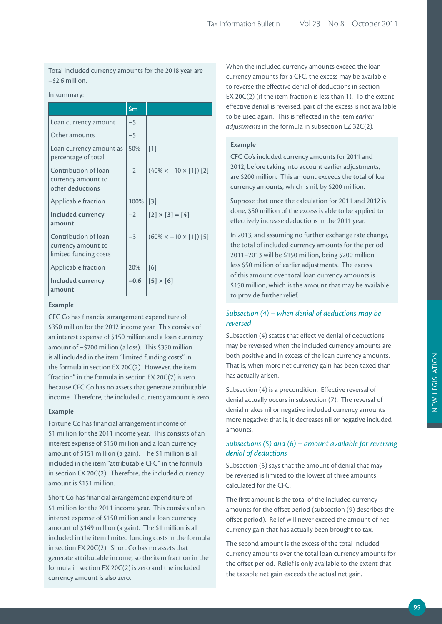Total included currency amounts for the 2018 year are –\$2.6 million.

#### In summary:

|                                                                     | $\mathsf{Sm}$ |                                          |
|---------------------------------------------------------------------|---------------|------------------------------------------|
| Loan currency amount                                                | $-5$          |                                          |
| Other amounts                                                       | $-5$          |                                          |
| Loan currency amount as<br>percentage of total                      | 50%           | $\lceil 1 \rceil$                        |
| Contribution of loan<br>currency amount to<br>other deductions      | $-2$          | $(40\% \times -10 \times [1])$ [2]       |
| Applicable fraction                                                 | 100%          | $[3]$                                    |
| Included currency<br>amount                                         | $-2$          | $[2] \times [3] = [4]$                   |
| Contribution of loan<br>currency amount to<br>limited funding costs | $-3$          | $(60\% \times -10 \times [1])$ [5]       |
| Applicable fraction                                                 | 20%           | [6]                                      |
| Included currency<br>amount                                         | $-0.6$        | $\lceil 5 \rceil \times \lceil 6 \rceil$ |

#### **Example**

CFC Co has financial arrangement expenditure of \$350 million for the 2012 income year. This consists of an interest expense of \$150 million and a loan currency amount of –\$200 million (a loss). This \$350 million is all included in the item "limited funding costs" in the formula in section EX 20C(2). However, the item "fraction" in the formula in section EX 20C(2) is zero because CFC Co has no assets that generate attributable income. Therefore, the included currency amount is zero.

### **Example**

Fortune Co has financial arrangement income of \$1 million for the 2011 income year. This consists of an interest expense of \$150 million and a loan currency amount of \$151 million (a gain). The \$1 million is all included in the item "attributable CFC" in the formula in section EX 20C(2). Therefore, the included currency amount is \$151 million.

Short Co has financial arrangement expenditure of \$1 million for the 2011 income year. This consists of an interest expense of \$150 million and a loan currency amount of \$149 million (a gain). The \$1 million is all included in the item limited funding costs in the formula in section EX 20C(2). Short Co has no assets that generate attributable income, so the item fraction in the formula in section EX 20C(2) is zero and the included currency amount is also zero.

When the included currency amounts exceed the loan currency amounts for a CFC, the excess may be available to reverse the effective denial of deductions in section EX 20C(2) (if the item fraction is less than 1). To the extent effective denial is reversed, part of the excess is not available to be used again. This is reflected in the item *earlier adjustments* in the formula in subsection EZ 32C(2).

#### **Example**

CFC Co's included currency amounts for 2011 and 2012, before taking into account earlier adjustments, are \$200 million. This amount exceeds the total of loan currency amounts, which is nil, by \$200 million.

Suppose that once the calculation for 2011 and 2012 is done, \$50 million of the excess is able to be applied to effectively increase deductions in the 2011 year.

In 2013, and assuming no further exchange rate change, the total of included currency amounts for the period 2011–2013 will be \$150 million, being \$200 million less \$50 million of earlier adjustments. The excess of this amount over total loan currency amounts is \$150 million, which is the amount that may be available to provide further relief.

## *Subsection (4) – when denial of deductions may be reversed*

Subsection (4) states that effective denial of deductions may be reversed when the included currency amounts are both positive and in excess of the loan currency amounts. That is, when more net currency gain has been taxed than has actually arisen.

Subsection (4) is a precondition. Effective reversal of denial actually occurs in subsection (7). The reversal of denial makes nil or negative included currency amounts more negative; that is, it decreases nil or negative included amounts.

## *Subsections (5) and (6) – amount available for reversing denial of deductions*

Subsection (5) says that the amount of denial that may be reversed is limited to the lowest of three amounts calculated for the CFC.

The first amount is the total of the included currency amounts for the offset period (subsection (9) describes the offset period). Relief will never exceed the amount of net currency gain that has actually been brought to tax.

The second amount is the excess of the total included currency amounts over the total loan currency amounts for the offset period. Relief is only available to the extent that the taxable net gain exceeds the actual net gain.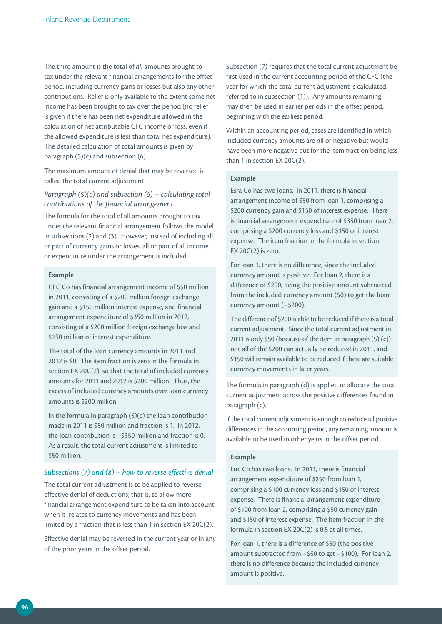The third amount is the total of *all* amounts brought to tax under the relevant financial arrangements for the offset period, including currency gains or losses but also any other contributions. Relief is only available to the extent some net income has been brought to tax over the period (no relief is given if there has been net expenditure allowed in the calculation of net attributable CFC income or loss, even if the allowed expenditure is less than total net expenditure). The detailed calculation of total amounts is given by paragraph (5)(c) and subsection (6).

The maximum amount of denial that may be reversed is called the total current adjustment.

## *Paragraph (5)(c) and subsection (6) – calculating total contributions of the financial arrangement*

The formula for the total of all amounts brought to tax under the relevant financial arrangement follows the model in subsections (2) and (3). However, instead of including all or part of currency gains or losses, all or part of all income or expenditure under the arrangement is included.

#### **Example**

CFC Co has financial arrangement income of \$50 million in 2011, consisting of a \$200 million foreign exchange gain and a \$150 million interest expense, and financial arrangement expenditure of \$350 million in 2012, consisting of a \$200 million foreign exchange loss and \$150 million of interest expenditure.

The total of the loan currency amounts in 2011 and 2012 is \$0. The item fraction is zero in the formula in section EX 20C(2), so that the total of included currency amounts for 2011 and 2012 is \$200 million. Thus, the excess of included currency amounts over loan currency amounts is \$200 million.

In the formula in paragraph  $(5)(c)$  the loan contribution made in 2011 is \$50 million and fraction is 1. In 2012, the loan contribution is –\$350 million and fraction is 0. As a result, the total current adjustment is limited to \$50 million.

## *Subsections (7) and (8) – how to reverse effective denial*

The total current adjustment is to be applied to reverse effective denial of deductions; that is, to allow more financial arrangement expenditure to be taken into account when it relates to currency movements and has been limited by a fraction that is less than 1 in section EX 20C(2).

Effective denial may be reversed in the current year or in any of the prior years in the offset period.

Subsection (7) requires that the total current adjustment be first used in the current accounting period of the CFC (the year for which the total current adjustment is calculated, referred to in subsection (1)). Any amounts remaining may then be used in earlier periods in the offset period, beginning with the earliest period.

Within an accounting period, cases are identified in which included currency amounts are nil or negative but would have been more negative but for the item fraction being less than 1 in section EX 20C(2).

#### **Example**

Esra Co has two loans. In 2011, there is financial arrangement income of \$50 from loan 1, comprising a \$200 currency gain and \$150 of interest expense. There is financial arrangement expenditure of \$350 from loan 2, comprising a \$200 currency loss and \$150 of interest expense. The item fraction in the formula in section EX  $20C(2)$  is zero.

For loan 1, there is no difference, since the included currency amount is positive. For loan 2, there is a difference of \$200, being the positive amount subtracted from the included currency amount (\$0) to get the loan currency amount (–\$200).

The difference of \$200 is able to be reduced if there is a total current adjustment. Since the total current adjustment in 2011 is only \$50 (because of the item in paragraph (5) (c)) not all of the \$200 can actually be reduced in 2011, and \$150 will remain available to be reduced if there are suitable currency movements in later years.

The formula in paragraph (d) is applied to allocate the total current adjustment across the positive differences found in paragraph (c).

If the total current adjustment is enough to reduce all positive differences in the accounting period, any remaining amount is available to be used in other years in the offset period.

#### **Example**

Luc Co has two loans. In 2011, there is financial arrangement expenditure of \$250 from loan 1, comprising a \$100 currency loss and \$150 of interest expense. There is financial arrangement expenditure of \$100 from loan 2, comprising a \$50 currency gain and \$150 of interest expense. The item fraction in the formula in section EX 20C(2) is 0.5 at all times.

For loan 1, there is a difference of \$50 (the positive amount subtracted from –\$50 to get –\$100). For loan 2, there is no difference because the included currency amount is positive.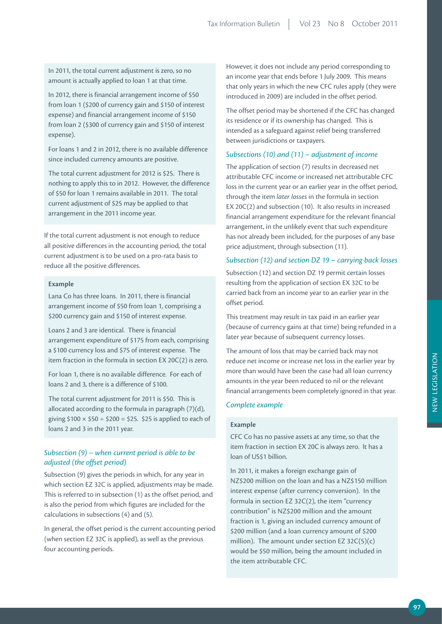In 2011, the total current adjustment is zero, so no amount is actually applied to loan 1 at that time.

In 2012, there is financial arrangement income of \$50 from loan 1 (\$200 of currency gain and \$150 of interest expense) and financial arrangement income of \$150 from loan 2 (\$300 of currency gain and \$150 of interest expense).

For loans 1 and 2 in 2012, there is no available difference since included currency amounts are positive.

The total current adjustment for 2012 is \$25. There is nothing to apply this to in 2012. However, the difference of \$50 for loan 1 remains available in 2011. The total current adjustment of \$25 may be applied to that arrangement in the 2011 income year.

If the total current adjustment is not enough to reduce all positive differences in the accounting period, the total current adjustment is to be used on a pro-rata basis to reduce all the positive differences.

#### **Example**

Lana Co has three loans. In 2011, there is financial arrangement income of \$50 from loan 1, comprising a \$200 currency gain and \$150 of interest expense.

Loans 2 and 3 are identical. There is financial arrangement expenditure of \$175 from each, comprising a \$100 currency loss and \$75 of interest expense. The item fraction in the formula in section EX 20C(2) is zero.

For loan 1, there is no available difference. For each of loans 2 and 3, there is a difference of \$100.

The total current adjustment for 2011 is \$50. This is allocated according to the formula in paragraph (7)(d), giving  $$100 \times $50 \div $200 = $25$ . \$25 is applied to each of loans 2 and 3 in the 2011 year.

## *Subsection (9) – when current period is able to be adjusted (the offset period)*

Subsection (9) gives the periods in which, for any year in which section EZ 32C is applied, adjustments may be made. This is referred to in subsection (1) as the offset period, and is also the period from which figures are included for the calculations in subsections (4) and (5).

In general, the offset period is the current accounting period (when section EZ 32C is applied), as well as the previous four accounting periods.

However, it does not include any period corresponding to an income year that ends before 1 July 2009. This means that only years in which the new CFC rules apply (they were introduced in 2009) are included in the offset period.

The offset period may be shortened if the CFC has changed its residence or if its ownership has changed. This is intended as a safeguard against relief being transferred between jurisdictions or taxpayers.

## *Subsections (10) and (11) – adjustment of income*

The application of section (7) results in decreased net attributable CFC income or increased net attributable CFC loss in the current year or an earlier year in the offset period, through the item *later losses* in the formula in section EX 20C(2) and subsection (10). It also results in increased financial arrangement expenditure for the relevant financial arrangement, in the unlikely event that such expenditure has not already been included, for the purposes of any base price adjustment, through subsection (11).

## *Subsection (12) and section DZ 19 – carrying back losses*

Subsection (12) and section DZ 19 permit certain losses resulting from the application of section EX 32C to be carried back from an income year to an earlier year in the offset period.

This treatment may result in tax paid in an earlier year (because of currency gains at that time) being refunded in a later year because of subsequent currency losses.

The amount of loss that may be carried back may not reduce net income or increase net loss in the earlier year by more than would have been the case had all loan currency amounts in the year been reduced to nil or the relevant financial arrangements been completely ignored in that year.

## *Complete example*

## **Example**

CFC Co has no passive assets at any time, so that the item fraction in section EX 20C is always zero. It has a loan of US\$1 billion.

In 2011, it makes a foreign exchange gain of NZ\$200 million on the loan and has a NZ\$150 million interest expense (after currency conversion). In the formula in section EZ 32C(2), the item "currency contribution" is NZ\$200 million and the amount fraction is 1, giving an included currency amount of \$200 million (and a loan currency amount of \$200 million). The amount under section  $EZ$  32C(5)(c) would be \$50 million, being the amount included in the item attributable CFC.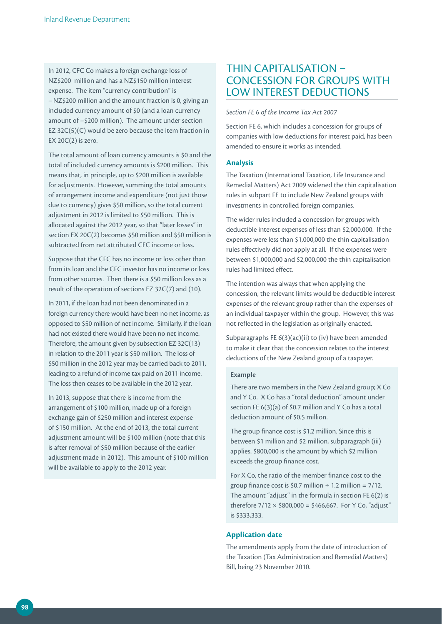In 2012, CFC Co makes a foreign exchange loss of NZ\$200 million and has a NZ\$150 million interest expense. The item "currency contribution" is – NZ\$200 million and the amount fraction is 0, giving an included currency amount of \$0 (and a loan currency amount of –\$200 million). The amount under section EZ 32C(5)(C) would be zero because the item fraction in  $EX$  20 $C(2)$  is zero.

The total amount of loan currency amounts is \$0 and the total of included currency amounts is \$200 million. This means that, in principle, up to \$200 million is available for adjustments. However, summing the total amounts of arrangement income and expenditure (not just those due to currency) gives \$50 million, so the total current adjustment in 2012 is limited to \$50 million. This is allocated against the 2012 year, so that "later losses" in section EX 20C(2) becomes \$50 million and \$50 million is subtracted from net attributed CFC income or loss.

Suppose that the CFC has no income or loss other than from its loan and the CFC investor has no income or loss from other sources. Then there is a \$50 million loss as a result of the operation of sections EZ 32C(7) and (10).

In 2011, if the loan had not been denominated in a foreign currency there would have been no net income, as opposed to \$50 million of net income. Similarly, if the loan had not existed there would have been no net income. Therefore, the amount given by subsection EZ 32C(13) in relation to the 2011 year is \$50 million. The loss of \$50 million in the 2012 year may be carried back to 2011, leading to a refund of income tax paid on 2011 income. The loss then ceases to be available in the 2012 year.

In 2013, suppose that there is income from the arrangement of \$100 million, made up of a foreign exchange gain of \$250 million and interest expense of \$150 million. At the end of 2013, the total current adjustment amount will be \$100 million (note that this is after removal of \$50 million because of the earlier adjustment made in 2012). This amount of \$100 million will be available to apply to the 2012 year.

## THIN CAPITALISATION – CONCESSION FOR GROUPS WITH LOW INTEREST DEDUCTIONS

*Section FE 6 of the Income Tax Act 2007*

Section FE 6, which includes a concession for groups of companies with low deductions for interest paid, has been amended to ensure it works as intended.

### **Analysis**

The Taxation (International Taxation, Life Insurance and Remedial Matters) Act 2009 widened the thin capitalisation rules in subpart FE to include New Zealand groups with investments in controlled foreign companies.

The wider rules included a concession for groups with deductible interest expenses of less than \$2,000,000. If the expenses were less than \$1,000,000 the thin capitalisation rules effectively did not apply at all. If the expenses were between \$1,000,000 and \$2,000,000 the thin capitalisation rules had limited effect.

The intention was always that when applying the concession, the relevant limits would be deductible interest expenses of the relevant group rather than the expenses of an individual taxpayer within the group. However, this was not reflected in the legislation as originally enacted.

Subparagraphs FE 6(3)(ac)(ii) to (iv) have been amended to make it clear that the concession relates to the interest deductions of the New Zealand group of a taxpayer.

#### **Example**

There are two members in the New Zealand group; X Co and Y Co. X Co has a "total deduction" amount under section FE 6(3)(a) of \$0.7 million and Y Co has a total deduction amount of \$0.5 million.

The group finance cost is \$1.2 million. Since this is between \$1 million and \$2 million, subparagraph (iii) applies. \$800,000 is the amount by which \$2 million exceeds the group finance cost.

For X Co, the ratio of the member finance cost to the group finance cost is \$0.7 million  $\div$  1.2 million = 7/12. The amount "adjust" in the formula in section FE 6(2) is therefore  $7/12 \times $800,000 = $466,667$ . For Y Co, "adjust" is \$333,333.

### **Application date**

The amendments apply from the date of introduction of the Taxation (Tax Administration and Remedial Matters) Bill, being 23 November 2010.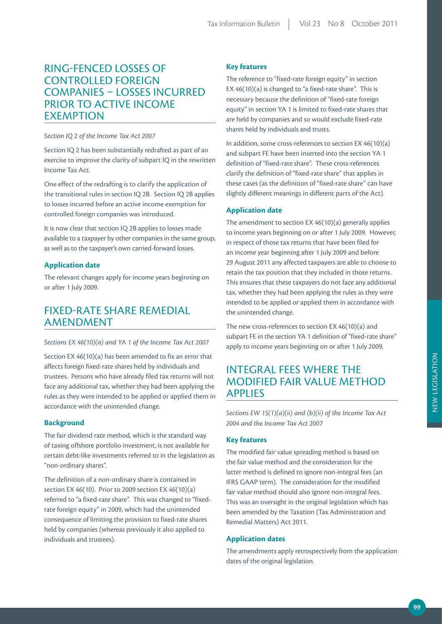## RING-FENCED LOSSES OF CONTROLLED FOREIGN COMPANIES – LOSSES INCURRED PRIOR TO ACTIVE INCOME EXEMPTION

### *Section IQ 2 of the Income Tax Act 2007*

Section IQ 2 has been substantially redrafted as part of an exercise to improve the clarity of subpart IQ in the rewritten Income Tax Act.

One effect of the redrafting is to clarify the application of the transitional rules in section IQ 2B. Section IQ 2B applies to losses incurred before an active income exemption for controlled foreign companies was introduced.

It is now clear that section IQ 2B applies to losses made available to a taxpayer by other companies in the same group, as well as to the taxpayer's own carried-forward losses.

## **Application date**

The relevant changes apply for income years beginning on or after 1 July 2009.

## FIXED-RATE SHARE REMEDIAL AMENDMENT

#### *Sections EX 46(10)(a) and YA 1 of the Income Tax Act 2007*

Section EX 46(10)(a) has been amended to fix an error that affects foreign fixed-rate shares held by individuals and trustees. Persons who have already filed tax returns will not face any additional tax, whether they had been applying the rules as they were intended to be applied or applied them in accordance with the unintended change.

### **Background**

The fair dividend rate method, which is the standard way of taxing offshore portfolio investment, is not available for certain debt-like investments referred to in the legislation as "non-ordinary shares".

The definition of a non-ordinary share is contained in section EX 46(10). Prior to 2009 section EX 46(10)(a) referred to "a fixed-rate share". This was changed to "fixedrate foreign equity" in 2009, which had the unintended consequence of limiting the provision to fixed-rate shares held by companies (whereas previously it also applied to individuals and trustees).

## **Key features**

The reference to "fixed-rate foreign equity" in section EX 46(10)(a) is changed to "a fixed-rate share". This is necessary because the definition of "fixed-rate foreign equity" in section YA 1 is limited to fixed-rate shares that are held by companies and so would exclude fixed-rate shares held by individuals and trusts.

In addition, some cross-references to section EX 46(10)(a) and subpart FE have been inserted into the section YA 1 definition of "fixed-rate share". These cross-references clarify the definition of "fixed-rate share" that applies in these cases (as the definition of "fixed-rate share" can have slightly different meanings in different parts of the Act).

## **Application date**

The amendment to section EX 46(10)(a) generally applies to income years beginning on or after 1 July 2009. However, in respect of those tax returns that have been filed for an income year beginning after 1 July 2009 and before 29 August 2011 any affected taxpayers are able to choose to retain the tax position that they included in those returns. This ensures that these taxpayers do not face any additional tax, whether they had been applying the rules as they were intended to be applied or applied them in accordance with the unintended change.

The new cross-references to section EX 46(10)(a) and subpart FE in the section YA 1 definition of "fixed-rate share" apply to income years beginning on or after 1 July 2009.

## INTEGRAL FEES WHERE THE MODIFIED FAIR VALUE METHOD APPLIES

*Sections EW 15(1)(a)(ii) and (b)(ii) of the Income Tax Act 2004 and the Income Tax Act 2007*

## **Key features**

The modified fair value spreading method is based on the fair value method and the consideration for the latter method is defined to ignore non-integral fees (an IFRS GAAP term). The consideration for the modified fair value method should also ignore non-integral fees. This was an oversight in the original legislation which has been amended by the Taxation (Tax Administration and Remedial Matters) Act 2011.

### **Application dates**

The amendments apply retrospectively from the application dates of the original legislation.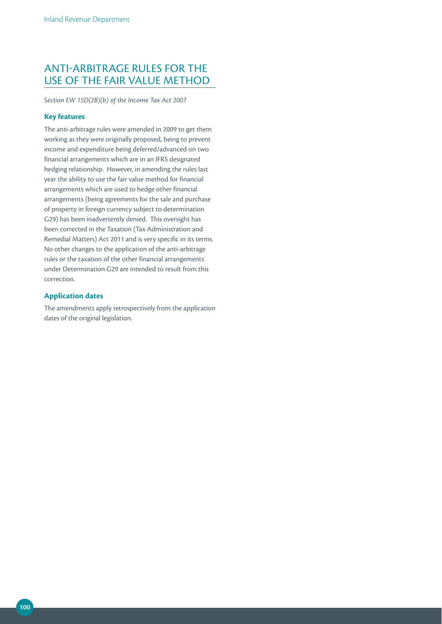## ANTI-ARBITRAGE RULES FOR THE USE OF THE FAIR VALUE METHOD

*Section EW 15D(2B)(b) of the Income Tax Act 2007*

## **Key features**

The anti-arbitrage rules were amended in 2009 to get them working as they were originally proposed, being to prevent income and expenditure being deferred/advanced on two financial arrangements which are in an IFRS designated hedging relationship. However, in amending the rules last year the ability to use the fair value method for financial arrangements which are used to hedge other financial arrangements (being agreements for the sale and purchase of property in foreign currency subject to determination G29) has been inadvertently denied. This oversight has been corrected in the Taxation (Tax Administration and Remedial Matters) Act 2011 and is very specific in its terms. No other changes to the application of the anti-arbitrage rules or the taxation of the other financial arrangements under Determination G29 are intended to result from this correction.

## **Application dates**

The amendments apply retrospectively from the application dates of the original legislation.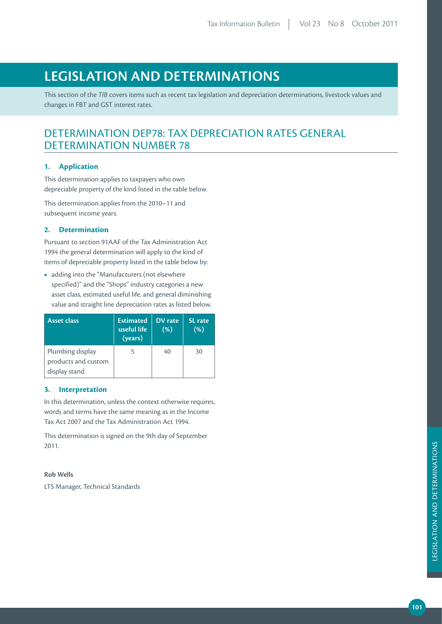# **LEGISLATION AND DETERMINATIONS**

This section of the *TIB* covers items such as recent tax legislation and depreciation determinations, livestock values and changes in FBT and GST interest rates.

## DETERMINATION DEP78: TAX DEPRECIATION RATES GENERAL DETERMINATION NUMBER 78

## **1. Application**

This determination applies to taxpayers who own depreciable property of the kind listed in the table below.

This determination applies from the 2010–11 and subsequent income years.

## **2. Determination**

Pursuant to section 91AAF of the Tax Administration Act 1994 the general determination will apply to the kind of items of depreciable property listed in the table below by:

**•**  adding into the "Manufacturers (not elsewhere specified)" and the "Shops" industry categories a new asset class, estimated useful life, and general diminishing value and straight line depreciation rates as listed below.

| <b>Asset class</b>                                       | <b>Estimated</b><br>useful life<br>(years) | DV rate<br>(% ) | <b>SL</b> rate<br>(%) |
|----------------------------------------------------------|--------------------------------------------|-----------------|-----------------------|
| Plumbing display<br>products and custom<br>display stand |                                            | 40              | 30                    |

## **3. Interpretation**

In this determination, unless the context otherwise requires, words and terms have the same meaning as in the Income Tax Act 2007 and the Tax Administration Act 1994.

This determination is signed on the 9th day of September 2011.

### **Rob Wells**

LTS Manager, Technical Standards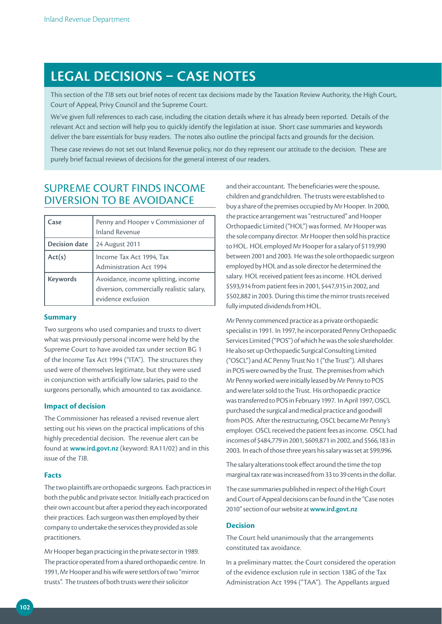# **LEGAL DECISIONS – CASE NOTES**

This section of the *TIB* sets out brief notes of recent tax decisions made by the Taxation Review Authority, the High Court, Court of Appeal, Privy Council and the Supreme Court.

We've given full references to each case, including the citation details where it has already been reported. Details of the relevant Act and section will help you to quickly identify the legislation at issue. Short case summaries and keywords deliver the bare essentials for busy readers. The notes also outline the principal facts and grounds for the decision.

These case reviews do not set out Inland Revenue policy, nor do they represent our attitude to the decision. These are purely brief factual reviews of decisions for the general interest of our readers.

## SUPREME COURT FINDS INCOME DIVERSION TO BE AVOIDANCE

| Case                 | Penny and Hooper v Commissioner of<br><b>Inland Revenue</b>                                            |
|----------------------|--------------------------------------------------------------------------------------------------------|
| <b>Decision date</b> | 24 August 2011                                                                                         |
| Act(s)               | Income Tax Act 1994, Tax<br><b>Administration Act 1994</b>                                             |
| <b>Keywords</b>      | Avoidance, income splitting, income<br>diversion, commercially realistic salary,<br>evidence exclusion |

### **Summary**

Two surgeons who used companies and trusts to divert what was previously personal income were held by the Supreme Court to have avoided tax under section BG 1 of the Income Tax Act 1994 ("ITA"). The structures they used were of themselves legitimate, but they were used in conjunction with artificially low salaries, paid to the surgeons personally, which amounted to tax avoidance.

#### **Impact of decision**

The Commissioner has released a revised revenue alert setting out his views on the practical implications of this highly precedential decision. The revenue alert can be found at **www.ird.govt.nz** (keyword: RA11/02) and in this issue of the *TIB*.

### **Facts**

The two plaintiffs are orthopaedic surgeons. Each practices in both the public and private sector. Initially each practiced on their own account but after a period they each incorporated their practices. Each surgeon was then employed by their company to undertake the services they provided as sole practitioners.

Mr Hooper began practicing in the private sector in 1989. The practice operated from a shared orthopaedic centre. In 1991, Mr Hooper and his wife were settlors of two "mirror trusts". The trustees of both trusts were their solicitor

and their accountant. The beneficiaries were the spouse, children and grandchildren. The trusts were established to buy a share of the premises occupied by Mr Hooper. In 2000, the practice arrangement was "restructured" and Hooper Orthopaedic Limited ("HOL") was formed. Mr Hooper was the sole company director. Mr Hooper then sold his practice to HOL. HOL employed Mr Hooper for a salary of \$119,990 between 2001 and 2003. He was the sole orthopaedic surgeon employed by HOL and as sole director he determined the salary. HOL received patient fees as income. HOL derived \$593,914 from patient fees in 2001, \$447,915 in 2002, and \$502,882 in 2003. During this time the mirror trusts received fully imputed dividends from HOL.

Mr Penny commenced practice as a private orthopaedic specialist in 1991. In 1997, he incorporated Penny Orthopaedic Services Limited ("POS") of which he was the sole shareholder. He also set up Orthopaedic Surgical Consulting Limited ("OSCL") and AC Penny Trust No 1 ("the Trust"). All shares in POS were owned by the Trust. The premises from which Mr Penny worked were initially leased by Mr Penny to POS and were later sold to the Trust. His orthopaedic practice was transferred to POS in February 1997. In April 1997, OSCL purchased the surgical and medical practice and goodwill from POS. After the restructuring, OSCL became Mr Penny's employer. OSCL received the patient fees as income. OSCL had incomes of \$484,779 in 2001, \$609,871 in 2002, and \$566,183 in 2003. In each of those three years his salary was set at \$99,996.

The salary alterations took effect around the time the top marginal tax rate was increased from 33 to 39 cents in the dollar.

The case summaries published in respect of the High Court and Court of Appeal decisions can be found in the "Case notes 2010" section of our website at **www.ird.govt.nz**

### **Decision**

The Court held unanimously that the arrangements constituted tax avoidance.

In a preliminary matter, the Court considered the operation of the evidence exclusion rule in section 138G of the Tax Administration Act 1994 ("TAA"). The Appellants argued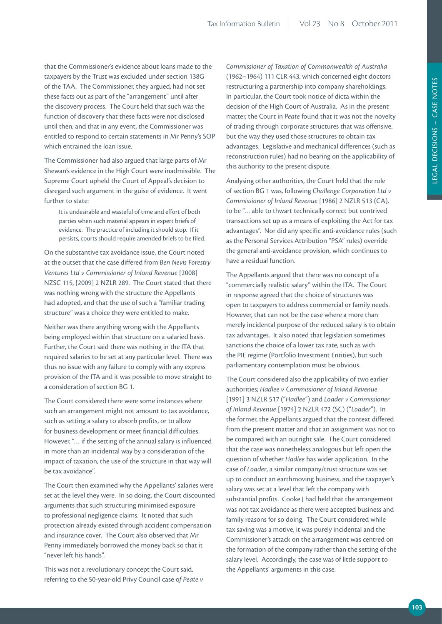that the Commissioner's evidence about loans made to the taxpayers by the Trust was excluded under section 138G of the TAA. The Commissioner, they argued, had not set these facts out as part of the "arrangement" until after the discovery process. The Court held that such was the function of discovery that these facts were not disclosed until then, and that in any event, the Commissioner was entitled to respond to certain statements in Mr Penny's SOP which entrained the loan issue.

The Commissioner had also argued that large parts of Mr Shewan's evidence in the High Court were inadmissible. The Supreme Court upheld the Court of Appeal's decision to disregard such argument in the guise of evidence. It went further to state:

It is undesirable and wasteful of time and effort of both parties when such material appears in expert briefs of evidence. The practice of including it should stop. If it persists, courts should require amended briefs to be filed.

On the substantive tax avoidance issue, the Court noted at the outset that the case differed from *Ben Nevis Forestry Ventures Ltd v Commissioner of Inland Revenue* [2008] NZSC 115, [2009] 2 NZLR 289. The Court stated that there was nothing wrong with the structure the Appellants had adopted, and that the use of such a "familiar trading structure" was a choice they were entitled to make.

Neither was there anything wrong with the Appellants being employed within that structure on a salaried basis. Further, the Court said there was nothing in the ITA that required salaries to be set at any particular level. There was thus no issue with any failure to comply with any express provision of the ITA and it was possible to move straight to a consideration of section BG 1.

The Court considered there were some instances where such an arrangement might not amount to tax avoidance, such as setting a salary to absorb profits, or to allow for business development or meet financial difficulties. However, "… if the setting of the annual salary is influenced in more than an incidental way by a consideration of the impact of taxation, the use of the structure in that way will be tax avoidance".

The Court then examined why the Appellants' salaries were set at the level they were. In so doing, the Court discounted arguments that such structuring minimised exposure to professional negligence claims. It noted that such protection already existed through accident compensation and insurance cover. The Court also observed that Mr Penny immediately borrowed the money back so that it "never left his hands".

This was not a revolutionary concept the Court said, referring to the 50-year-old Privy Council case o*f Peate v* 

*Commissioner of Taxation of Commonwealth of Australia* (1962–1964) 111 CLR 443, which concerned eight doctors restructuring a partnership into company shareholdings. In particular, the Court took notice of dicta within the decision of the High Court of Australia. As in the present matter, the Court in *Peate* found that it was not the novelty of trading through corporate structures that was offensive, but the way they used those structures to obtain tax advantages. Legislative and mechanical differences (such as reconstruction rules) had no bearing on the applicability of this authority to the present dispute.

Analysing other authorities, the Court held that the role of section BG 1 was, following *Challenge Corporation Ltd v Commissioner of Inland Revenue* [1986] 2 NZLR 513 (CA), to be "… able to thwart technically correct but contrived transactions set up as a means of exploiting the Act for tax advantages". Nor did any specific anti-avoidance rules (such as the Personal Services Attribution "PSA" rules) override the general anti-avoidance provision, which continues to have a residual function.

The Appellants argued that there was no concept of a "commercially realistic salary" within the ITA. The Court in response agreed that the choice of structures was open to taxpayers to address commercial or family needs. However, that can not be the case where a more than merely incidental purpose of the reduced salary is to obtain tax advantages. It also noted that legislation sometimes sanctions the choice of a lower tax rate, such as with the PIE regime (Portfolio Investment Entities), but such parliamentary contemplation must be obvious.

The Court considered also the applicability of two earlier authorities; *Hadlee v Commissioner of Inland Revenue*  [1991] 3 NZLR 517 ("*Hadlee*") and *Loader v Commissioner of Inland Revenue* [1974] 2 NZLR 472 (SC) ("*Loader*"). In the former, the Appellants argued that the context differed from the present matter and that an assignment was not to be compared with an outright sale. The Court considered that the case was nonetheless analogous but left open the question of whether *Hadlee* has wider application. In the case of *Loader*, a similar company/trust structure was set up to conduct an earthmoving business, and the taxpayer's salary was set at a level that left the company with substantial profits. Cooke J had held that the arrangement was not tax avoidance as there were accepted business and family reasons for so doing. The Court considered while tax saving was a motive, it was purely incidental and the Commissioner's attack on the arrangement was centred on the formation of the company rather than the setting of the salary level. Accordingly, the case was of little support to the Appellants' arguments in this case.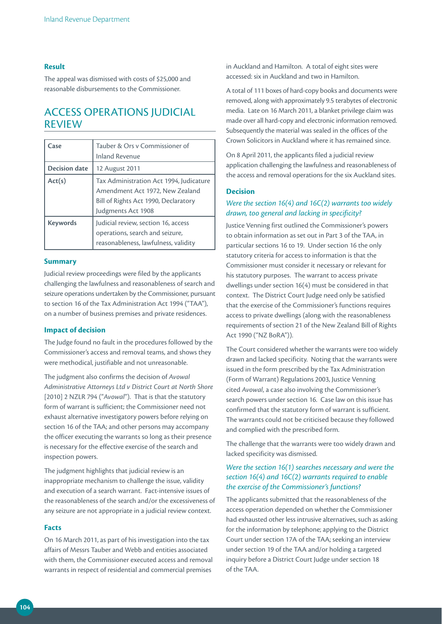### **Result**

The appeal was dismissed with costs of \$25,000 and reasonable disbursements to the Commissioner.

## ACCESS OPERATIONS JUDICIAL REVIEW

| Case                 | Tauber & Ors v Commissioner of<br><b>Inland Revenue</b>                                                                                  |
|----------------------|------------------------------------------------------------------------------------------------------------------------------------------|
| <b>Decision date</b> | 12 August 2011                                                                                                                           |
| Act(s)               | Tax Administration Act 1994, Judicature<br>Amendment Act 1972, New Zealand<br>Bill of Rights Act 1990, Declaratory<br>Judgments Act 1908 |
| <b>Keywords</b>      | Judicial review, section 16, access<br>operations, search and seizure,<br>reasonableness, lawfulness, validity                           |

#### **Summary**

Judicial review proceedings were filed by the applicants challenging the lawfulness and reasonableness of search and seizure operations undertaken by the Commissioner, pursuant to section 16 of the Tax Administration Act 1994 ("TAA"), on a number of business premises and private residences.

### **Impact of decision**

The Judge found no fault in the procedures followed by the Commissioner's access and removal teams, and shows they were methodical, justifiable and not unreasonable.

The judgment also confirms the decision of *Avowal Administrative Attorneys Ltd v District Court at North Shore*  [2010] 2 NZLR 794 ("Avowal"). That is that the statutory form of warrant is sufficient; the Commissioner need not exhaust alternative investigatory powers before relying on section 16 of the TAA; and other persons may accompany the officer executing the warrants so long as their presence is necessary for the effective exercise of the search and inspection powers.

The judgment highlights that judicial review is an inappropriate mechanism to challenge the issue, validity and execution of a search warrant. Fact-intensive issues of the reasonableness of the search and/or the excessiveness of any seizure are not appropriate in a judicial review context.

#### **Facts**

On 16 March 2011, as part of his investigation into the tax affairs of Messrs Tauber and Webb and entities associated with them, the Commissioner executed access and removal warrants in respect of residential and commercial premises

in Auckland and Hamilton. A total of eight sites were accessed: six in Auckland and two in Hamilton.

A total of 111 boxes of hard-copy books and documents were removed, along with approximately 9.5 terabytes of electronic media. Late on 16 March 2011, a blanket privilege claim was made over all hard-copy and electronic information removed. Subsequently the material was sealed in the offices of the Crown Solicitors in Auckland where it has remained since.

On 8 April 2011, the applicants filed a judicial review application challenging the lawfulness and reasonableness of the access and removal operations for the six Auckland sites.

## **Decision**

## *Were the section 16(4) and 16C(2) warrants too widely drawn, too general and lacking in specificity?*

Justice Venning first outlined the Commissioner's powers to obtain information as set out in Part 3 of the TAA, in particular sections 16 to 19. Under section 16 the only statutory criteria for access to information is that the Commissioner must consider it necessary or relevant for his statutory purposes. The warrant to access private dwellings under section 16(4) must be considered in that context. The District Court Judge need only be satisfied that the exercise of the Commissioner's functions requires access to private dwellings (along with the reasonableness requirements of section 21 of the New Zealand Bill of Rights Act 1990 ("NZ BoRA")).

The Court considered whether the warrants were too widely drawn and lacked specificity. Noting that the warrants were issued in the form prescribed by the Tax Administration (Form of Warrant) Regulations 2003, Justice Venning cited *Avowal*, a case also involving the Commissioner's search powers under section 16. Case law on this issue has confirmed that the statutory form of warrant is sufficient. The warrants could not be criticised because they followed and complied with the prescribed form.

The challenge that the warrants were too widely drawn and lacked specificity was dismissed.

## *Were the section 16(1) searches necessary and were the section 16(4) and 16C(2) warrants required to enable the exercise of the Commissioner's functions?*

The applicants submitted that the reasonableness of the access operation depended on whether the Commissioner had exhausted other less intrusive alternatives, such as asking for the information by telephone; applying to the District Court under section 17A of the TAA; seeking an interview under section 19 of the TAA and/or holding a targeted inquiry before a District Court Judge under section 18 of the TAA.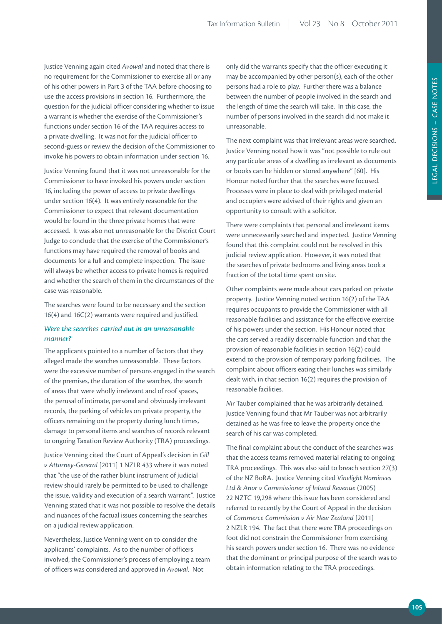Justice Venning again cited *Avowal* and noted that there is no requirement for the Commissioner to exercise all or any of his other powers in Part 3 of the TAA before choosing to use the access provisions in section 16. Furthermore, the question for the judicial officer considering whether to issue a warrant is whether the exercise of the Commissioner's functions under section 16 of the TAA requires access to a private dwelling. It was not for the judicial officer to second-guess or review the decision of the Commissioner to invoke his powers to obtain information under section 16.

Justice Venning found that it was not unreasonable for the Commissioner to have invoked his powers under section 16, including the power of access to private dwellings under section 16(4). It was entirely reasonable for the Commissioner to expect that relevant documentation would be found in the three private homes that were accessed. It was also not unreasonable for the District Court Judge to conclude that the exercise of the Commissioner's functions may have required the removal of books and documents for a full and complete inspection. The issue will always be whether access to private homes is required and whether the search of them in the circumstances of the case was reasonable.

The searches were found to be necessary and the section 16(4) and 16C(2) warrants were required and justified.

## *Were the searches carried out in an unreasonable manner?*

The applicants pointed to a number of factors that they alleged made the searches unreasonable. These factors were the excessive number of persons engaged in the search of the premises, the duration of the searches, the search of areas that were wholly irrelevant and of roof spaces, the perusal of intimate, personal and obviously irrelevant records, the parking of vehicles on private property, the officers remaining on the property during lunch times, damage to personal items and searches of records relevant to ongoing Taxation Review Authority (TRA) proceedings.

Justice Venning cited the Court of Appeal's decision in *Gill v Attorney-General* [2011] 1 NZLR 433 where it was noted that "the use of the rather blunt instrument of judicial review should rarely be permitted to be used to challenge the issue, validity and execution of a search warrant". Justice Venning stated that it was not possible to resolve the details and nuances of the factual issues concerning the searches on a judicial review application.

Nevertheless, Justice Venning went on to consider the applicants' complaints. As to the number of officers involved, the Commissioner's process of employing a team of officers was considered and approved in *Avowal*. Not

only did the warrants specify that the officer executing it may be accompanied by other person(s), each of the other persons had a role to play. Further there was a balance between the number of people involved in the search and the length of time the search will take. In this case, the number of persons involved in the search did not make it unreasonable.

The next complaint was that irrelevant areas were searched. Justice Venning noted how it was "not possible to rule out any particular areas of a dwelling as irrelevant as documents or books can be hidden or stored anywhere" [60]. His Honour noted further that the searches were focused. Processes were in place to deal with privileged material and occupiers were advised of their rights and given an opportunity to consult with a solicitor.

There were complaints that personal and irrelevant items were unnecessarily searched and inspected. Justice Venning found that this complaint could not be resolved in this judicial review application. However, it was noted that the searches of private bedrooms and living areas took a fraction of the total time spent on site.

Other complaints were made about cars parked on private property. Justice Venning noted section 16(2) of the TAA requires occupants to provide the Commissioner with all reasonable facilities and assistance for the effective exercise of his powers under the section. His Honour noted that the cars served a readily discernable function and that the provision of reasonable facilities in section 16(2) could extend to the provision of temporary parking facilities. The complaint about officers eating their lunches was similarly dealt with, in that section 16(2) requires the provision of reasonable facilities.

Mr Tauber complained that he was arbitrarily detained. Justice Venning found that Mr Tauber was not arbitrarily detained as he was free to leave the property once the search of his car was completed.

The final complaint about the conduct of the searches was that the access teams removed material relating to ongoing TRA proceedings. This was also said to breach section 27(3) of the NZ BoRA. Justice Venning cited *Vinelight Nominees Ltd & Anor v Commissioner of Inland Revenue* (2005) 22 NZTC 19,298 where this issue has been considered and referred to recently by the Court of Appeal in the decision of *Commerce Commission v Air New Zealand* [2011] 2 NZLR 194. The fact that there were TRA proceedings on foot did not constrain the Commissioner from exercising his search powers under section 16. There was no evidence that the dominant or principal purpose of the search was to obtain information relating to the TRA proceedings.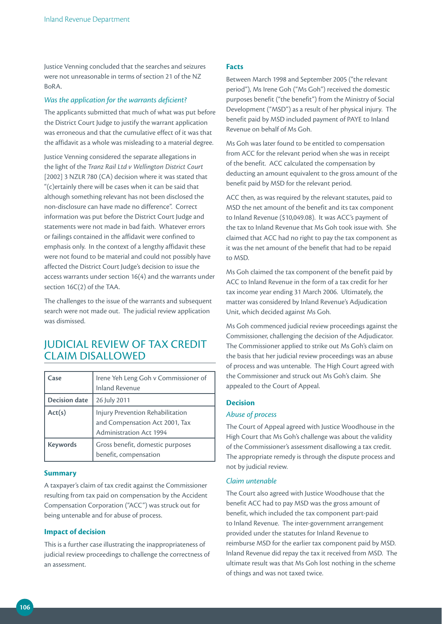Justice Venning concluded that the searches and seizures were not unreasonable in terms of section 21 of the NZ  $R_0R\Delta$ 

### *Was the application for the warrants deficient?*

The applicants submitted that much of what was put before the District Court Judge to justify the warrant application was erroneous and that the cumulative effect of it was that the affidavit as a whole was misleading to a material degree.

Justice Venning considered the separate allegations in the light of the *Tranz Rail Ltd v Wellington District Court*  [2002] 3 NZLR 780 (CA) decision where it was stated that "(c)ertainly there will be cases when it can be said that although something relevant has not been disclosed the non-disclosure can have made no difference". Correct information was put before the District Court Judge and statements were not made in bad faith. Whatever errors or failings contained in the affidavit were confined to emphasis only. In the context of a lengthy affidavit these were not found to be material and could not possibly have affected the District Court Judge's decision to issue the access warrants under section 16(4) and the warrants under section 16C(2) of the TAA.

The challenges to the issue of the warrants and subsequent search were not made out. The judicial review application was dismissed.

## JUDICIAL REVIEW OF TAX CREDIT CLAIM DISALLOWED

| Case                 | Irene Yeh Leng Goh v Commissioner of<br><b>Inland Revenue</b>                                        |
|----------------------|------------------------------------------------------------------------------------------------------|
| <b>Decision date</b> | 26 July 2011                                                                                         |
| Act(s)               | Injury Prevention Rehabilitation<br>and Compensation Act 2001, Tax<br><b>Administration Act 1994</b> |
| <b>Keywords</b>      | Gross benefit, domestic purposes<br>benefit, compensation                                            |

### **Summary**

A taxpayer's claim of tax credit against the Commissioner resulting from tax paid on compensation by the Accident Compensation Corporation ("ACC") was struck out for being untenable and for abuse of process.

### **Impact of decision**

This is a further case illustrating the inappropriateness of judicial review proceedings to challenge the correctness of an assessment.

### **Facts**

Between March 1998 and September 2005 ("the relevant period"), Ms Irene Goh ("Ms Goh") received the domestic purposes benefit ("the benefit") from the Ministry of Social Development ("MSD") as a result of her physical injury. The benefit paid by MSD included payment of PAYE to Inland Revenue on behalf of Ms Goh.

Ms Goh was later found to be entitled to compensation from ACC for the relevant period when she was in receipt of the benefit. ACC calculated the compensation by deducting an amount equivalent to the gross amount of the benefit paid by MSD for the relevant period.

ACC then, as was required by the relevant statutes, paid to MSD the net amount of the benefit and its tax component to Inland Revenue (\$10,049.08). It was ACC's payment of the tax to Inland Revenue that Ms Goh took issue with. She claimed that ACC had no right to pay the tax component as it was the net amount of the benefit that had to be repaid to MSD.

Ms Goh claimed the tax component of the benefit paid by ACC to Inland Revenue in the form of a tax credit for her tax income year ending 31 March 2006. Ultimately, the matter was considered by Inland Revenue's Adjudication Unit, which decided against Ms Goh.

Ms Goh commenced judicial review proceedings against the Commissioner, challenging the decision of the Adjudicator. The Commissioner applied to strike out Ms Goh's claim on the basis that her judicial review proceedings was an abuse of process and was untenable. The High Court agreed with the Commissioner and struck out Ms Goh's claim. She appealed to the Court of Appeal.

## **Decision**

### *Abuse of process*

The Court of Appeal agreed with Justice Woodhouse in the High Court that Ms Goh's challenge was about the validity of the Commissioner's assessment disallowing a tax credit. The appropriate remedy is through the dispute process and not by judicial review.

### *Claim untenable*

The Court also agreed with Justice Woodhouse that the benefit ACC had to pay MSD was the gross amount of benefit, which included the tax component part-paid to Inland Revenue. The inter-government arrangement provided under the statutes for Inland Revenue to reimburse MSD for the earlier tax component paid by MSD. Inland Revenue did repay the tax it received from MSD. The ultimate result was that Ms Goh lost nothing in the scheme of things and was not taxed twice.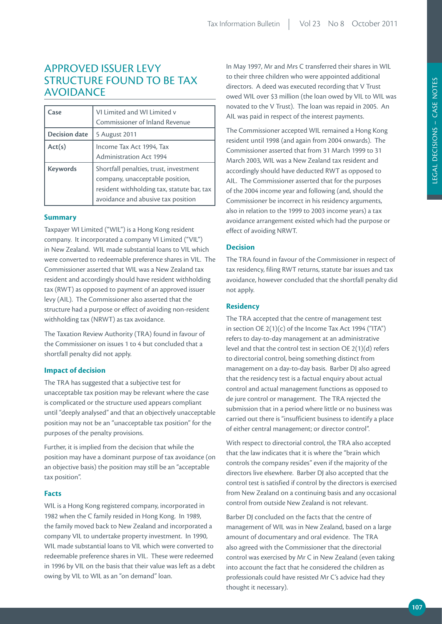# APPROVED ISSUER LEVY STRUCTURE FOUND TO BE TAX AVOIDANCE

| Case                 | VI Limited and WI Limited v                |
|----------------------|--------------------------------------------|
|                      | Commissioner of Inland Revenue             |
| <b>Decision date</b> | 5 August 2011                              |
| Act(s)               | Income Tax Act 1994, Tax                   |
|                      | <b>Administration Act 1994</b>             |
| <b>Keywords</b>      | Shortfall penalties, trust, investment     |
|                      | company, unacceptable position,            |
|                      | resident withholding tax, statute bar, tax |
|                      | avoidance and abusive tax position         |

#### **Summary**

Taxpayer WI Limited ("WIL") is a Hong Kong resident company. It incorporated a company VI Limited ("VIL") in New Zealand. WIL made substantial loans to VIL which were converted to redeemable preference shares in VIL. The Commissioner asserted that WIL was a New Zealand tax resident and accordingly should have resident withholding tax (RWT) as opposed to payment of an approved issuer levy (AIL). The Commissioner also asserted that the structure had a purpose or effect of avoiding non-resident withholding tax (NRWT) as tax avoidance.

The Taxation Review Authority (TRA) found in favour of the Commissioner on issues 1 to 4 but concluded that a shortfall penalty did not apply.

#### **Impact of decision**

The TRA has suggested that a subjective test for unacceptable tax position may be relevant where the case is complicated or the structure used appears compliant until "deeply analysed" and that an objectively unacceptable position may not be an "unacceptable tax position" for the purposes of the penalty provisions.

Further, it is implied from the decision that while the position may have a dominant purpose of tax avoidance (on an objective basis) the position may still be an "acceptable tax position".

#### **Facts**

WIL is a Hong Kong registered company, incorporated in 1982 when the C family resided in Hong Kong. In 1989, the family moved back to New Zealand and incorporated a company VIL to undertake property investment. In 1990, WIL made substantial loans to VIL which were converted to redeemable preference shares in VIL. These were redeemed in 1996 by VIL on the basis that their value was left as a debt owing by VIL to WIL as an "on demand" loan.

In May 1997, Mr and Mrs C transferred their shares in WIL to their three children who were appointed additional directors. A deed was executed recording that V Trust owed WIL over \$3 million (the loan owed by VIL to WIL was novated to the V Trust). The loan was repaid in 2005. An AIL was paid in respect of the interest payments.

The Commissioner accepted WIL remained a Hong Kong resident until 1998 (and again from 2004 onwards). The Commissioner asserted that from 31 March 1999 to 31 March 2003, WIL was a New Zealand tax resident and accordingly should have deducted RWT as opposed to AIL. The Commissioner asserted that for the purposes of the 2004 income year and following (and, should the Commissioner be incorrect in his residency arguments, also in relation to the 1999 to 2003 income years) a tax avoidance arrangement existed which had the purpose or effect of avoiding NRWT.

# **Decision**

The TRA found in favour of the Commissioner in respect of tax residency, filing RWT returns, statute bar issues and tax avoidance, however concluded that the shortfall penalty did not apply.

# **Residency**

The TRA accepted that the centre of management test in section OE 2(1)(c) of the Income Tax Act 1994 ("ITA") refers to day-to-day management at an administrative level and that the control test in section OE 2(1)(d) refers to directorial control, being something distinct from management on a day-to-day basis. Barber DJ also agreed that the residency test is a factual enquiry about actual control and actual management functions as opposed to de jure control or management. The TRA rejected the submission that in a period where little or no business was carried out there is "insufficient business to identify a place of either central management; or director control".

With respect to directorial control, the TRA also accepted that the law indicates that it is where the "brain which controls the company resides" even if the majority of the directors live elsewhere. Barber DJ also accepted that the control test is satisfied if control by the directors is exercised from New Zealand on a continuing basis and any occasional control from outside New Zealand is not relevant.

Barber DJ concluded on the facts that the centre of management of WIL was in New Zealand, based on a large amount of documentary and oral evidence. The TRA also agreed with the Commissioner that the directorial control was exercised by Mr C in New Zealand (even taking into account the fact that he considered the children as professionals could have resisted Mr C's advice had they thought it necessary).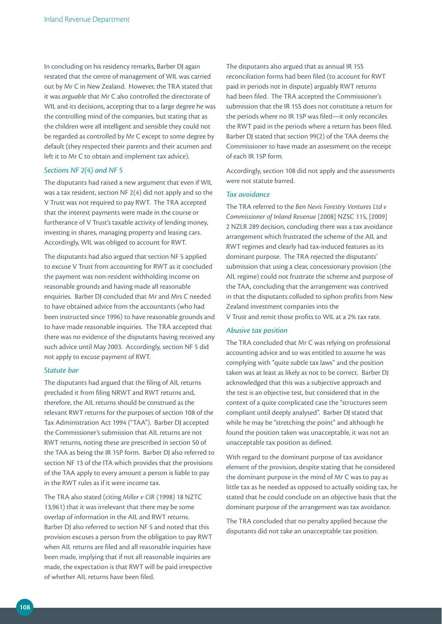In concluding on his residency remarks, Barber DJ again restated that the centre of management of WIL was carried out by Mr C in New Zealand. However, the TRA stated that it was *arguable* that Mr C also controlled the directorate of WIL and its decisions, accepting that to a large degree he was the controlling mind of the companies, but stating that as the children were all intelligent and sensible they could not be regarded as controlled by Mr C except to some degree by default (they respected their parents and their acumen and left it to Mr C to obtain and implement tax advice).

#### *Sections NF 2(4) and NF 5*

The disputants had raised a new argument that even if WIL was a tax resident, section NF 2(4) did not apply and so the V Trust was not required to pay RWT. The TRA accepted that the interest payments were made in the course or furtherance of V Trust's taxable activity of lending money, investing in shares, managing property and leasing cars. Accordingly, WIL was obliged to account for RWT.

The disputants had also argued that section NF 5 applied to excuse V Trust from accounting for RWT as it concluded the payment was non-resident withholding income on reasonable grounds and having made all reasonable enquiries. Barber DJ concluded that Mr and Mrs C needed to have obtained advice from the accountants (who had been instructed since 1996) to have reasonable grounds and to have made reasonable inquiries. The TRA accepted that there was no evidence of the disputants having received any such advice until May 2003. Accordingly, section NF 5 did not apply to excuse payment of RWT.

#### *Statute bar*

The disputants had argued that the filing of AIL returns precluded it from filing NRWT and RWT returns and, therefore, the AIL returns should be construed as the relevant RWT returns for the purposes of section 108 of the Tax Administration Act 1994 ("TAA"). Barber DJ accepted the Commissioner's submission that AIL returns are not RWT returns, noting these are prescribed in section 50 of the TAA as being the IR 15P form. Barber DJ also referred to section NF 13 of the ITA which provides that the provisions of the TAA apply to every amount a person is liable to pay in the RWT rules as if it were income tax.

The TRA also stated (citing *Miller v CIR* (1998) 18 NZTC 13,961) that it was irrelevant that there may be some overlap of information in the AIL and RWT returns. Barber DJ also referred to section NF 5 and noted that this provision excuses a person from the obligation to pay RWT when AIL returns are filed and all reasonable inquiries have been made, implying that if not all reasonable inquiries are made, the expectation is that RWT will be paid irrespective of whether AIL returns have been filed.

The disputants also argued that as annual IR 15S reconciliation forms had been filed (to account for RWT paid in periods not in dispute) arguably RWT returns had been filed. The TRA accepted the Commissioner's submission that the IR 15S does not constitute a return for the periods where no IR 15P was filed—it only reconciles the RWT paid in the periods where a return has been filed. Barber DJ stated that section 99(2) of the TAA deems the Commissioner to have made an assessment on the receipt of each IR 15P form.

Accordingly, section 108 did not apply and the assessments were not statute barred.

# *Tax avoidance*

The TRA referred to the *Ben Nevis Forestry Ventures Ltd v Commissioner of Inland Revenue* [2008] NZSC 115, [2009] 2 NZLR 289 decision, concluding there was a tax avoidance arrangement which frustrated the scheme of the AIL and RWT regimes and clearly had tax-induced features as its dominant purpose. The TRA rejected the disputants' submission that using a clear, concessionary provision (the AIL regime) could not frustrate the scheme and purpose of the TAA, concluding that the arrangement was contrived in that the disputants colluded to siphon profits from New Zealand investment companies into the V Trust and remit those profits to WIL at a 2% tax rate.

#### *Abusive tax position*

The TRA concluded that Mr C was relying on professional accounting advice and so was entitled to assume he was complying with "quite subtle tax laws" and the position taken was at least as likely as not to be correct. Barber DJ acknowledged that this was a subjective approach and the test is an objective test, but considered that in the context of a quite complicated case the "structures seem compliant until deeply analysed". Barber DJ stated that while he may be "stretching the point" and although he found the position taken was unacceptable, it was not an unacceptable tax position as defined.

With regard to the dominant purpose of tax avoidance element of the provision, despite stating that he considered the dominant purpose in the mind of Mr C was to pay as little tax as he needed as opposed to actually voiding tax, he stated that he could conclude on an objective basis that the dominant purpose of the arrangement was tax avoidance.

The TRA concluded that no penalty applied because the disputants did not take an unacceptable tax position.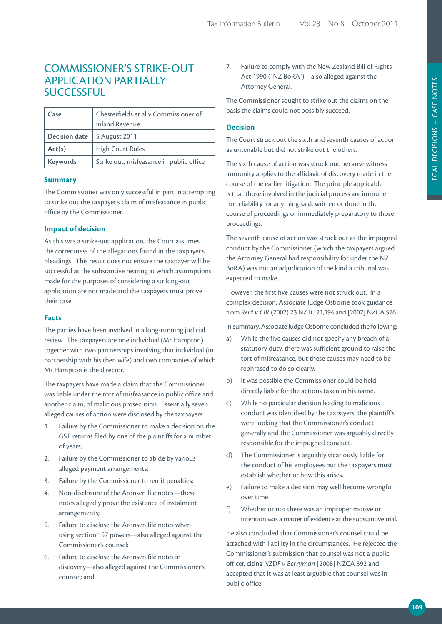# COMMISSIONER'S STRIKE-OUT APPLICATION PARTIALLY **SUCCESSFUL**

| Case            | Chesterfields et al v Commissioner of    |
|-----------------|------------------------------------------|
|                 | <b>Inland Revenue</b>                    |
| Decision date   | 5 August 2011                            |
| Act(s)          | <b>High Court Rules</b>                  |
| <b>Keywords</b> | Strike out, misfeasance in public office |

# **Summary**

The Commissioner was only successful in part in attempting to strike out the taxpayer's claim of misfeasance in public office by the Commissioner.

# **Impact of decision**

As this was a strike-out application, the Court assumes the correctness of the allegations found in the taxpayer's pleadings. This result does not ensure the taxpayer will be successful at the substantive hearing at which assumptions made for the purposes of considering a striking-out application are not made and the taxpayers must prove their case.

#### **Facts**

The parties have been involved in a long-running judicial review. The taxpayers are one individual (Mr Hampton) together with two partnerships involving that individual (in partnership with his then wife) and two companies of which Mr Hampton is the director.

The taxpayers have made a claim that the Commissioner was liable under the tort of misfeasance in public office and another claim, of malicious prosecution. Essentially seven alleged causes of action were disclosed by the taxpayers:

- 1. Failure by the Commissioner to make a decision on the GST returns filed by one of the plaintiffs for a number of years;
- 2. Failure by the Commissioner to abide by various alleged payment arrangements;
- 3. Failure by the Commissioner to remit penalties;
- 4. Non-disclosure of the Aronsen file notes—these notes allegedly prove the existence of instalment arrangements;
- 5. Failure to disclose the Aronsen file notes when using section 157 powers—also alleged against the Commissioner's counsel;
- 6. Failure to disclose the Aronsen file notes in discovery—also alleged against the Commissioner's counsel; and

7. Failure to comply with the New Zealand Bill of Rights Act 1990 ("NZ BoRA")—also alleged against the Attorney General.

The Commissioner sought to strike out the claims on the basis the claims could not possibly succeed.

# **Decision**

The Court struck out the sixth and seventh causes of action as untenable but did not strike out the others.

The sixth cause of action was struck out because witness immunity applies to the affidavit of discovery made in the course of the earlier litigation. The principle applicable is that those involved in the judicial process are immune from liability for anything said, written or done in the course of proceedings or immediately preparatory to those proceedings.

The seventh cause of action was struck out as the impugned conduct by the Commissioner (which the taxpayers argued the Attorney General had responsibility for under the NZ BoRA) was not an adjudication of the kind a tribunal was expected to make.

However, the first five causes were not struck out. In a complex decision, Associate Judge Osborne took guidance from *Reid v CIR* (2007) 23 NZTC 21,194 and [2007] NZCA 576.

In summary, Associate Judge Osborne concluded the following:

- a) While the five causes did not specify any breach of a statutory duty, there was sufficient ground to raise the tort of misfeasance, but these causes may need to be rephrased to do so clearly.
- b) It was possible the Commissioner could be held directly liable for the actions taken in his name.
- c) While no particular decision leading to malicious conduct was identified by the taxpayers, the plaintiff's were looking that the Commissioner's conduct generally and the Commissioner was arguably directly responsible for the impugned conduct.
- d) The Commissioner is arguably vicariously liable for the conduct of his employees but the taxpayers must establish whether or how this arises.
- e) Failure to make a decision may well become wrongful over time.
- f) Whether or not there was an improper motive or intention was a matter of evidence at the substantive trial.

He also concluded that Commissioner's counsel could be attached with liability in the circumstances. He rejected the Commissioner's submission that counsel was not a public officer, citing *NZDF v Berryman* [2008] NZCA 392 and accepted that it was at least arguable that counsel was in public office.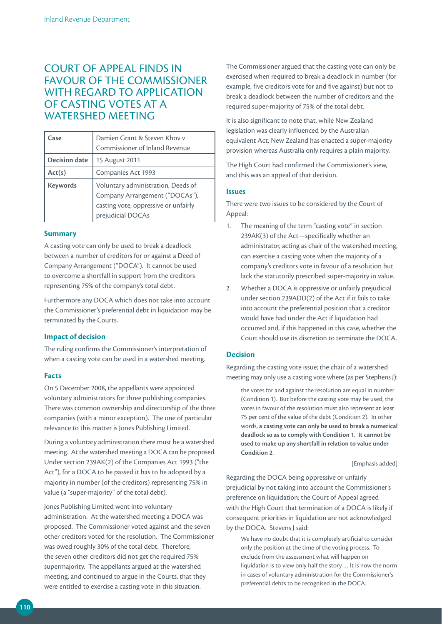# COURT OF APPEAL FINDS IN FAVOUR OF THE COMMISSIONER WITH REGARD TO APPLICATION OF CASTING VOTES AT A WATERSHED MEETING

| Case                 | Damien Grant & Steven Khov v<br>Commissioner of Inland Revenue                                                                    |
|----------------------|-----------------------------------------------------------------------------------------------------------------------------------|
| <b>Decision date</b> | 15 August 2011                                                                                                                    |
| Act(s)               | Companies Act 1993                                                                                                                |
| <b>Keywords</b>      | Voluntary administration, Deeds of<br>Company Arrangement ("DOCAs"),<br>casting vote, oppressive or unfairly<br>prejudicial DOCAs |

#### **Summary**

A casting vote can only be used to break a deadlock between a number of creditors for or against a Deed of Company Arrangement ("DOCA"). It cannot be used to overcome a shortfall in support from the creditors representing 75% of the company's total debt.

Furthermore any DOCA which does not take into account the Commissioner's preferential debt in liquidation may be terminated by the Courts.

# **Impact of decision**

The ruling confirms the Commissioner's interpretation of when a casting vote can be used in a watershed meeting.

# **Facts**

On 5 December 2008, the appellants were appointed voluntary administrators for three publishing companies. There was common ownership and directorship of the three companies (with a minor exception). The one of particular relevance to this matter is Jones Publishing Limited.

During a voluntary administration there must be a watershed meeting. At the watershed meeting a DOCA can be proposed. Under section 239AK(2) of the Companies Act 1993 ("the Act"), for a DOCA to be passed it has to be adopted by a majority in number (of the creditors) representing 75% in value (a "super-majority" of the total debt).

Jones Publishing Limited went into voluntary administration. At the watershed meeting a DOCA was proposed. The Commissioner voted against and the seven other creditors voted for the resolution. The Commissioner was owed roughly 30% of the total debt. Therefore, the seven other creditors did not get the required 75% supermajority. The appellants argued at the watershed meeting, and continued to argue in the Courts, that they were entitled to exercise a casting vote in this situation.

The Commissioner argued that the casting vote can only be exercised when required to break a deadlock in number (for example, five creditors vote for and five against) but not to break a deadlock between the number of creditors and the required super-majority of 75% of the total debt.

It is also significant to note that, while New Zealand legislation was clearly influenced by the Australian equivalent Act, New Zealand has enacted a super-majority provision whereas Australia only requires a plain majority.

The High Court had confirmed the Commissioner's view, and this was an appeal of that decision.

# **Issues**

There were two issues to be considered by the Court of Appeal:

- 1. The meaning of the term "casting vote" in section 239AK(3) of the Act—specifically whether an administrator, acting as chair of the watershed meeting, can exercise a casting vote when the majority of a company's creditors vote in favour of a resolution but lack the statutorily prescribed super-majority in value.
- 2. Whether a DOCA is oppressive or unfairly prejudicial under section 239ADD(2) of the Act if it fails to take into account the preferential position that a creditor would have had under the Act if liquidation had occurred and, if this happened in this case, whether the Court should use its discretion to terminate the DOCA.

# **Decision**

Regarding the casting vote issue; the chair of a watershed meeting may only use a casting vote where (as per Stephens J):

the votes for and against the resolution are equal in number (Condition 1). But before the casting vote may be used, the votes in favour of the resolution must also represent at least 75 per cent of the value of the debt (Condition 2). In other words, **a casting vote can only be used to break a numerical deadlock so as to comply with Condition 1. It cannot be used to make up any shortfall in relation to value under Condition 2**.

```
[Emphasis added]
```
Regarding the DOCA being oppressive or unfairly prejudicial by not taking into account the Commissioner's preference on liquidation; the Court of Appeal agreed with the High Court that termination of a DOCA is likely if consequent priorities in liquidation are not acknowledged by the DOCA. Stevens J said:

We have no doubt that it is completely artificial to consider only the position at the time of the voting process. To exclude from the assessment what will happen on liquidation is to view only half the story … It is now the norm in cases of voluntary administration for the Commissioner's preferential debts to be recognised in the DOCA.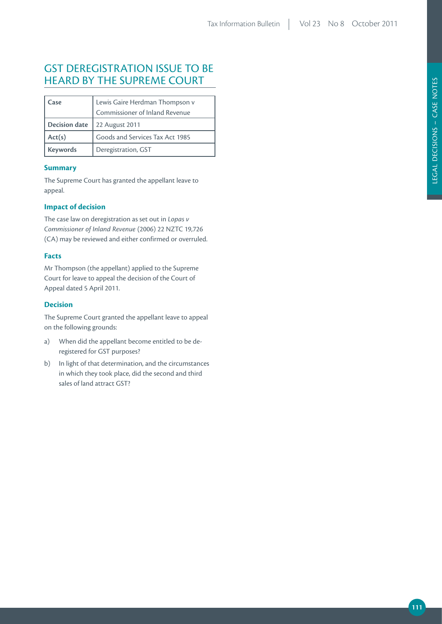# GST DEREGISTRATION ISSUE TO BE HEARD BY THE SUPREME COURT

| Case                 | Lewis Gaire Herdman Thompson v<br>Commissioner of Inland Revenue |
|----------------------|------------------------------------------------------------------|
| <b>Decision date</b> | 22 August 2011                                                   |
| Act(s)               | Goods and Services Tax Act 1985                                  |
| <b>Keywords</b>      | Deregistration, GST                                              |

## **Summary**

The Supreme Court has granted the appellant leave to appeal.

# **Impact of decision**

The case law on deregistration as set out in *Lopas v Commissioner of Inland Revenue* (2006) 22 NZTC 19,726 (CA) may be reviewed and either confirmed or overruled.

### **Facts**

Mr Thompson (the appellant) applied to the Supreme Court for leave to appeal the decision of the Court of Appeal dated 5 April 2011.

# **Decision**

The Supreme Court granted the appellant leave to appeal on the following grounds:

- a) When did the appellant become entitled to be deregistered for GST purposes?
- b) In light of that determination, and the circumstances in which they took place, did the second and third sales of land attract GST?